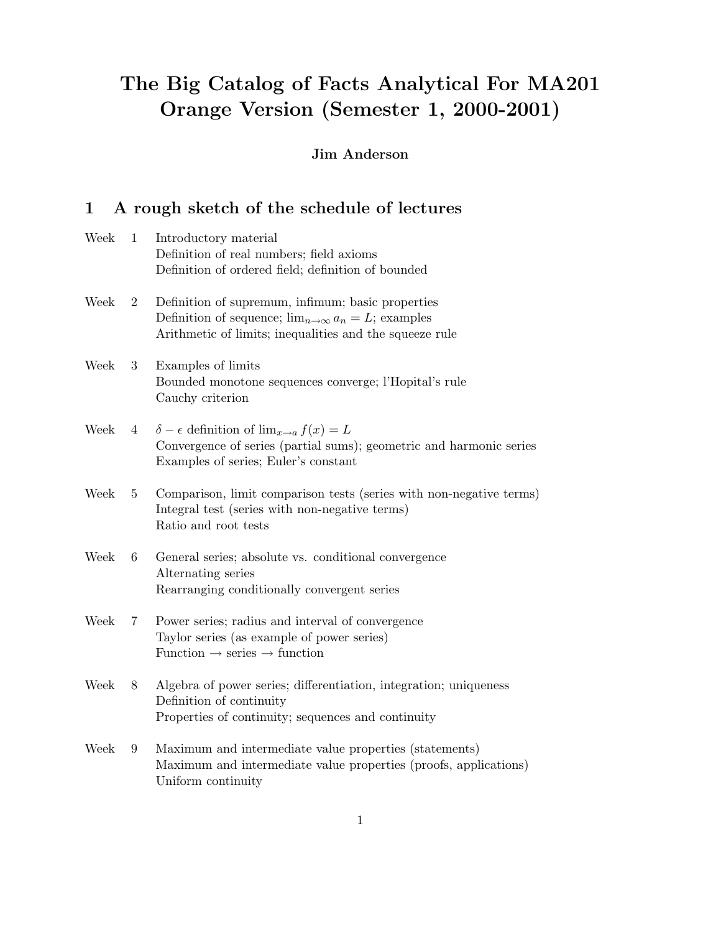# The Big Catalog of Facts Analytical For MA201 Orange Version (Semester 1, 2000-2001)

## Jim Anderson

## 1 A rough sketch of the schedule of lectures

| Week | $\mathbf{1}$    | Introductory material<br>Definition of real numbers; field axioms                                                                                                              |
|------|-----------------|--------------------------------------------------------------------------------------------------------------------------------------------------------------------------------|
|      |                 | Definition of ordered field; definition of bounded                                                                                                                             |
| Week | $\overline{2}$  | Definition of supremum, infimum; basic properties<br>Definition of sequence; $\lim_{n\to\infty} a_n = L$ ; examples<br>Arithmetic of limits; inequalities and the squeeze rule |
| Week | 3               | Examples of limits<br>Bounded monotone sequences converge; l'Hopital's rule<br>Cauchy criterion                                                                                |
| Week | $4\phantom{0}$  | $\delta - \epsilon$ definition of $\lim_{x \to a} f(x) = L$<br>Convergence of series (partial sums); geometric and harmonic series<br>Examples of series; Euler's constant     |
| Week | $5\phantom{.0}$ | Comparison, limit comparison tests (series with non-negative terms)<br>Integral test (series with non-negative terms)<br>Ratio and root tests                                  |
| Week | 6               | General series; absolute vs. conditional convergence<br>Alternating series<br>Rearranging conditionally convergent series                                                      |
| Week | $7^{\circ}$     | Power series; radius and interval of convergence<br>Taylor series (as example of power series)<br>Function $\rightarrow$ series $\rightarrow$ function                         |
| Week | 8               | Algebra of power series; differentiation, integration; uniqueness<br>Definition of continuity<br>Properties of continuity; sequences and continuity                            |
| Week | $9\phantom{.0}$ | Maximum and intermediate value properties (statements)<br>Maximum and intermediate value properties (proofs, applications)<br>Uniform continuity                               |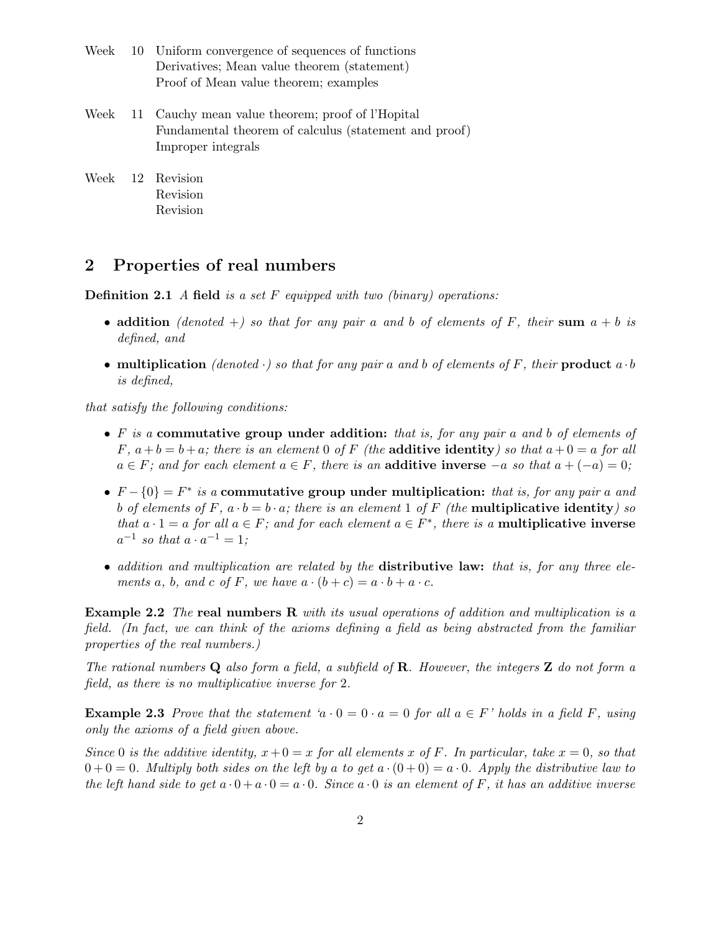- Week 10 Uniform convergence of sequences of functions Derivatives; Mean value theorem (statement) Proof of Mean value theorem; examples
- Week 11 Cauchy mean value theorem; proof of l'Hopital Fundamental theorem of calculus (statement and proof) Improper integrals
- Week 12 Revision Revision Revision

### 2 Properties of real numbers

**Definition 2.1** A field is a set F equipped with two (binary) operations:

- addition (denoted +) so that for any pair a and b of elements of F, their sum  $a + b$  is defined, and
- multiplication (denoted  $\cdot$ ) so that for any pair a and b of elements of F, their product a  $\cdot$  b is defined,

that satisfy the following conditions:

- $F$  is a commutative group under addition: that is, for any pair a and b of elements of F,  $a + b = b + a$ ; there is an element 0 of F (the **additive identity**) so that  $a + 0 = a$  for all  $a \in F$ ; and for each element  $a \in F$ , there is an **additive inverse**  $-a$  so that  $a + (-a) = 0$ ;
- $F \{0\} = F^*$  is a commutative group under multiplication: that is, for any pair a and b of elements of F,  $a \cdot b = b \cdot a$ ; there is an element 1 of F (the multiplicative identity) so that  $a \cdot 1 = a$  for all  $a \in F$ ; and for each element  $a \in F^*$ , there is a **multiplicative inverse**  $a^{-1}$  so that  $a \cdot a^{-1} = 1$ ;
- addition and multiplication are related by the distributive law: that is, for any three elements a, b, and c of F, we have  $a \cdot (b + c) = a \cdot b + a \cdot c$ .

**Example 2.2** The real numbers R with its usual operations of addition and multiplication is a field. (In fact, we can think of the axioms defining a field as being abstracted from the familiar properties of the real numbers.)

The rational numbers  $Q$  also form a field, a subfield of  $R$ . However, the integers  $Z$  do not form a field, as there is no multiplicative inverse for 2.

**Example 2.3** Prove that the statement 'a  $\cdot$  0 = 0  $\cdot$  a = 0 for all a  $\in$  F' holds in a field F, using only the axioms of a field given above.

Since 0 is the additive identity,  $x+0=x$  for all elements x of F. In particular, take  $x=0$ , so that  $0 + 0 = 0$ . Multiply both sides on the left by a to get  $a \cdot (0 + 0) = a \cdot 0$ . Apply the distributive law to the left hand side to get  $a \cdot 0 + a \cdot 0 = a \cdot 0$ . Since  $a \cdot 0$  is an element of F, it has an additive inverse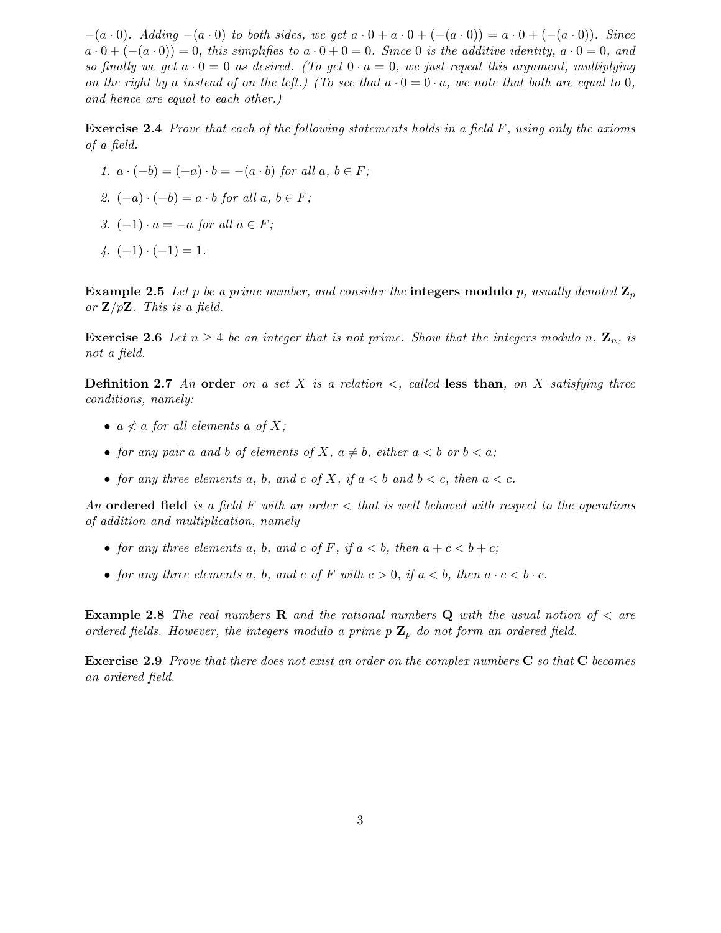$-(a \cdot 0)$ . Adding  $-(a \cdot 0)$  to both sides, we get  $a \cdot 0 + a \cdot 0 + (- (a \cdot 0)) = a \cdot 0 + (- (a \cdot 0))$ . Since  $a \cdot 0 + (- (a \cdot 0)) = 0$ , this simplifies to  $a \cdot 0 + 0 = 0$ . Since 0 is the additive identity,  $a \cdot 0 = 0$ , and so finally we get  $a \cdot 0 = 0$  as desired. (To get  $0 \cdot a = 0$ , we just repeat this argument, multiplying on the right by a instead of on the left.) (To see that  $a \cdot 0 = 0 \cdot a$ , we note that both are equal to 0, and hence are equal to each other.)

**Exercise 2.4** Prove that each of the following statements holds in a field  $F$ , using only the axioms of a field.

- 1.  $a \cdot (-b) = (-a) \cdot b = -(a \cdot b)$  for all  $a, b \in F$ ;
- 2.  $(-a) \cdot (-b) = a \cdot b$  for all  $a, b \in F$ ;
- 3.  $(-1) \cdot a = -a$  for all  $a \in F$ ;
- $4. (-1) \cdot (-1) = 1.$

**Example 2.5** Let p be a prime number, and consider the integers modulo p, usually denoted  $\mathbf{Z}_p$ or  $\mathbf{Z}/p\mathbf{Z}$ . This is a field.

**Exercise 2.6** Let  $n \geq 4$  be an integer that is not prime. Show that the integers modulo n,  $\mathbf{Z}_n$ , is not a field.

**Definition 2.7** An order on a set X is a relation  $\lt$ , called less than, on X satisfying three conditions, namely:

- $a \nless a$  for all elements a of X;
- for any pair a and b of elements of X,  $a \neq b$ , either  $a < b$  or  $b < a$ ;
- for any three elements a, b, and c of X, if  $a < b$  and  $b < c$ , then  $a < c$ .

An ordered field is a field F with an order  $\lt$  that is well behaved with respect to the operations of addition and multiplication, namely

- for any three elements a, b, and c of F, if  $a < b$ , then  $a + c < b + c$ ;
- for any three elements a, b, and c of F with  $c > 0$ , if  $a < b$ , then  $a \cdot c < b \cdot c$ .

**Example 2.8** The real numbers **R** and the rational numbers **Q** with the usual notion of  $\lt$  are ordered fields. However, the integers modulo a prime  $p \mathbb{Z}_p$  do not form an ordered field.

**Exercise 2.9** Prove that there does not exist an order on the complex numbers  $C$  so that  $C$  becomes an ordered field.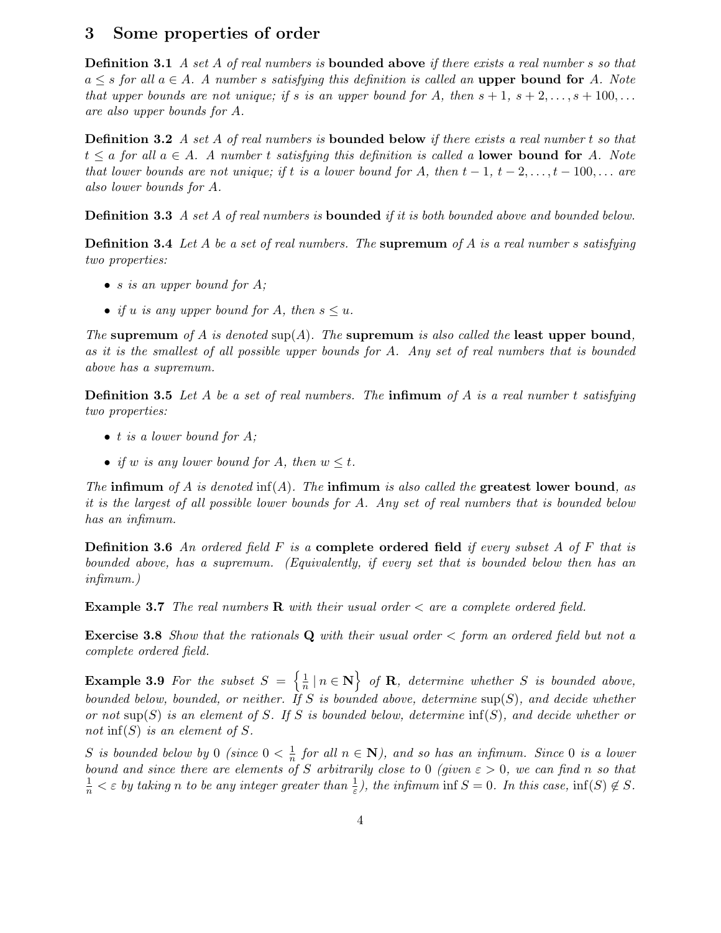#### 3 Some properties of order

**Definition 3.1** A set A of real numbers is **bounded above** if there exists a real number s so that  $a \leq s$  for all  $a \in A$ . A number s satisfying this definition is called an upper bound for A. Note that upper bounds are not unique; if s is an upper bound for A, then  $s + 1$ ,  $s + 2, \ldots, s + 100, \ldots$ are also upper bounds for A.

**Definition 3.2** A set A of real numbers is **bounded below** if there exists a real number t so that  $t \le a$  for all  $a \in A$ . A number t satisfying this definition is called a lower bound for A. Note that lower bounds are not unique; if t is a lower bound for A, then  $t-1$ ,  $t-2, \ldots, t-100, \ldots$  are also lower bounds for A.

**Definition 3.3** A set A of real numbers is **bounded** if it is both bounded above and bounded below.

**Definition 3.4** Let A be a set of real numbers. The supremum of A is a real number s satisfying two properties:

- s is an upper bound for  $A$ ;
- if u is any upper bound for A, then  $s \leq u$ .

The supremum of A is denoted  $\sup(A)$ . The supremum is also called the least upper bound, as it is the smallest of all possible upper bounds for A. Any set of real numbers that is bounded above has a supremum.

**Definition 3.5** Let A be a set of real numbers. The infimum of A is a real number t satisfying two properties:

- $\bullet$  t is a lower bound for A;
- if w is any lower bound for A, then  $w \leq t$ .

The infimum of A is denoted inf(A). The infimum is also called the greatest lower bound, as it is the largest of all possible lower bounds for A. Any set of real numbers that is bounded below has an infimum.

**Definition 3.6** An ordered field F is a complete ordered field if every subset A of F that is bounded above, has a supremum. (Equivalently, if every set that is bounded below then has an infimum.)

**Example 3.7** The real numbers  $\bf{R}$  with their usual order  $\lt$  are a complete ordered field.

**Exercise 3.8** Show that the rationals  $Q$  with their usual order  $\lt$  form an ordered field but not a complete ordered field.

**Example 3.9** For the subset  $S = \left\{\frac{1}{n}\right\}$  $\left\{ \frac{1}{n} \mid n \in \mathbf{N} \right\}$  of **R**, determine whether S is bounded above, bounded below, bounded, or neither. If S is bounded above, determine  $\sup(S)$ , and decide whether or not sup(S) is an element of S. If S is bounded below, determine  $\inf(S)$ , and decide whether or not inf(S) is an element of S.

S is bounded below by 0 (since  $0 < \frac{1}{n}$ )  $\frac{1}{n}$  for all  $n \in \mathbb{N}$ ), and so has an infimum. Since 0 is a lower bound and since there are elements of S arbitrarily close to 0 (given  $\varepsilon > 0$ , we can find n so that  $\frac{1}{n} < \varepsilon$  by taking n to be any integer greater than  $\frac{1}{\varepsilon}$ ), the infimum inf  $S = 0$ . In this case, inf(S)  $\notin S$ .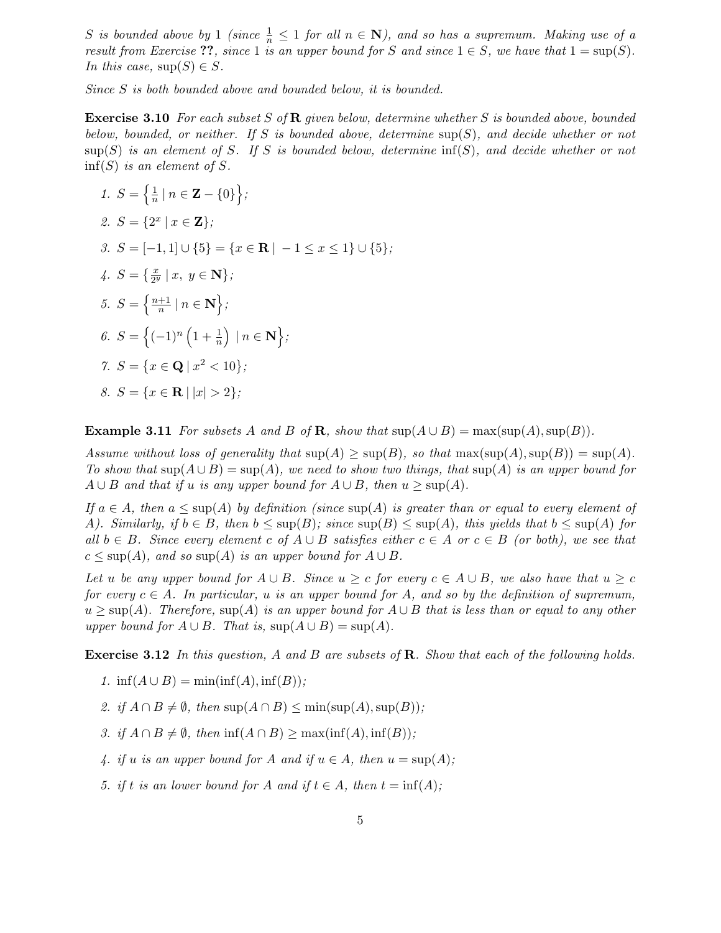S is bounded above by 1 (since  $\frac{1}{n} \leq 1$  for all  $n \in \mathbb{N}$ ), and so has a supremum. Making use of a result from Exercise ??, since 1 is an upper bound for S and since  $1 \in S$ , we have that  $1 = \sup(S)$ . In this case,  $\sup(S) \in S$ .

Since S is both bounded above and bounded below, it is bounded.

**Exercise 3.10** For each subset S of R given below, determine whether S is bounded above, bounded below, bounded, or neither. If S is bounded above, determine  $\sup(S)$ , and decide whether or not  $\text{sup}(S)$  is an element of S. If S is bounded below, determine  $\text{inf}(S)$ , and decide whether or not  $\inf(S)$  is an element of S.

1. 
$$
S = \left\{ \frac{1}{n} | n \in \mathbf{Z} - \{0\} \right\};
$$
  
\n2.  $S = \{2^x | x \in \mathbf{Z}\};$   
\n3.  $S = [-1, 1] \cup \{5\} = \{x \in \mathbf{R} | -1 \le x \le 1\} \cup \{5\};$   
\n4.  $S = \left\{\frac{x}{2^y} | x, y \in \mathbf{N}\right\};$   
\n5.  $S = \left\{\frac{n+1}{n} | n \in \mathbf{N}\right\};$   
\n6.  $S = \left\{(-1)^n \left(1 + \frac{1}{n}\right) | n \in \mathbf{N}\right\};$   
\n7.  $S = \{x \in \mathbf{Q} | x^2 < 10\};$   
\n8.  $S = \{x \in \mathbf{R} | |x| > 2\};$ 

**Example 3.11** For subsets A and B of R, show that  $\text{sup}(A \cup B) = \text{max}(\text{sup}(A), \text{sup}(B)).$ 

Assume without loss of generality that  $\sup(A) \geq \sup(B)$ , so that  $\max(\sup(A), \sup(B)) = \sup(A)$ . To show that  $\sup(A \cup B) = \sup(A)$ , we need to show two things, that  $\sup(A)$  is an upper bound for  $A \cup B$  and that if u is any upper bound for  $A \cup B$ , then  $u \ge \sup(A)$ .

If  $a \in A$ , then  $a \leq \sup(A)$  by definition (since  $\sup(A)$  is greater than or equal to every element of A). Similarly, if  $b \in B$ , then  $b \leq \sup(B)$ ; since  $\sup(B) \leq \sup(A)$ , this yields that  $b \leq \sup(A)$  for all  $b \in B$ . Since every element c of  $A \cup B$  satisfies either  $c \in A$  or  $c \in B$  (or both), we see that  $c \leq \sup(A)$ , and so  $\sup(A)$  is an upper bound for  $A \cup B$ .

Let u be any upper bound for  $A \cup B$ . Since  $u \geq c$  for every  $c \in A \cup B$ , we also have that  $u \geq c$ for every  $c \in A$ . In particular, u is an upper bound for A, and so by the definition of supremum,  $u > \sup(A)$ . Therefore,  $\sup(A)$  is an upper bound for  $A \cup B$  that is less than or equal to any other upper bound for  $A \cup B$ . That is,  $\sup(A \cup B) = \sup(A)$ .

Exercise 3.12 In this question, A and B are subsets of R. Show that each of the following holds.

- 1. inf( $A \cup B$ ) = min(inf(A), inf(B));
- 2. if  $A \cap B \neq \emptyset$ , then sup $(A \cap B) \leq \min(\sup(A), \sup(B));$
- 3. if  $A \cap B \neq \emptyset$ , then  $\inf(A \cap B) \ge \max(\inf(A), \inf(B));$
- 4. if u is an upper bound for A and if  $u \in A$ , then  $u = \sup(A)$ ;
- 5. if t is an lower bound for A and if  $t \in A$ , then  $t = \inf(A)$ ;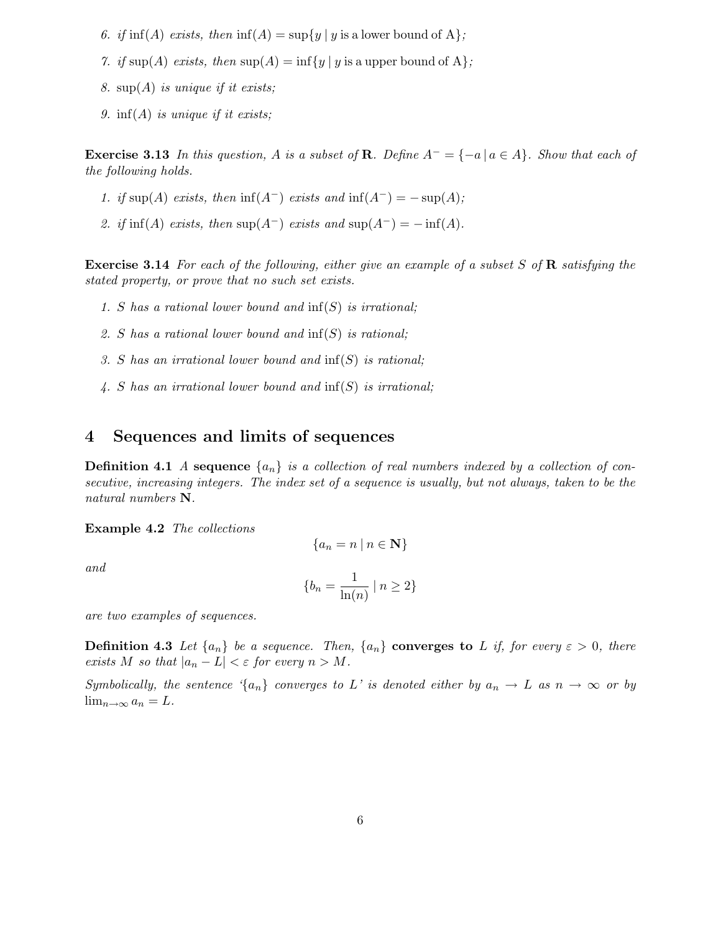- 6. if  $\inf(A)$  exists, then  $\inf(A) = \sup\{y \mid y \text{ is a lower bound of } A\}$ ;
- 7. if sup(A) exists, then  $\sup(A) = \inf\{y \mid y \text{ is a upper bound of } A\};$
- 8. sup $(A)$  is unique if it exists;
- 9. inf(A) is unique if it exists;

**Exercise 3.13** In this question, A is a subset of R. Define  $A^- = \{-a \mid a \in A\}$ . Show that each of the following holds.

- 1. if sup(A) exists, then inf(A<sup>-</sup>) exists and inf(A<sup>-</sup>) =  $-\sup(A)$ ;
- 2. if  $\inf(A)$  exists, then  $\sup(A^-)$  exists and  $\sup(A^-) = -\inf(A)$ .

**Exercise 3.14** For each of the following, either give an example of a subset  $S$  of  $\bf{R}$  satisfying the stated property, or prove that no such set exists.

- 1. S has a rational lower bound and  $\inf(S)$  is irrational;
- 2. S has a rational lower bound and inf(S) is rational;
- 3. S has an irrational lower bound and  $\inf(S)$  is rational;
- 4. S has an irrational lower bound and  $\inf(S)$  is irrational;

## 4 Sequences and limits of sequences

**Definition 4.1** A sequence  $\{a_n\}$  is a collection of real numbers indexed by a collection of consecutive, increasing integers. The index set of a sequence is usually, but not always, taken to be the natural numbers N.

Example 4.2 The collections

$$
\{a_n = n \mid n \in \mathbf{N}\}
$$

and

$$
\{b_n = \frac{1}{\ln(n)} \mid n \ge 2\}
$$

are two examples of sequences.

**Definition 4.3** Let  $\{a_n\}$  be a sequence. Then,  $\{a_n\}$  converges to L if, for every  $\varepsilon > 0$ , there exists M so that  $|a_n - L| < \varepsilon$  for every  $n > M$ .

Symbolically, the sentence '{a<sub>n</sub>} converges to L' is denoted either by  $a_n \to L$  as  $n \to \infty$  or by  $\lim_{n\to\infty}a_n=L.$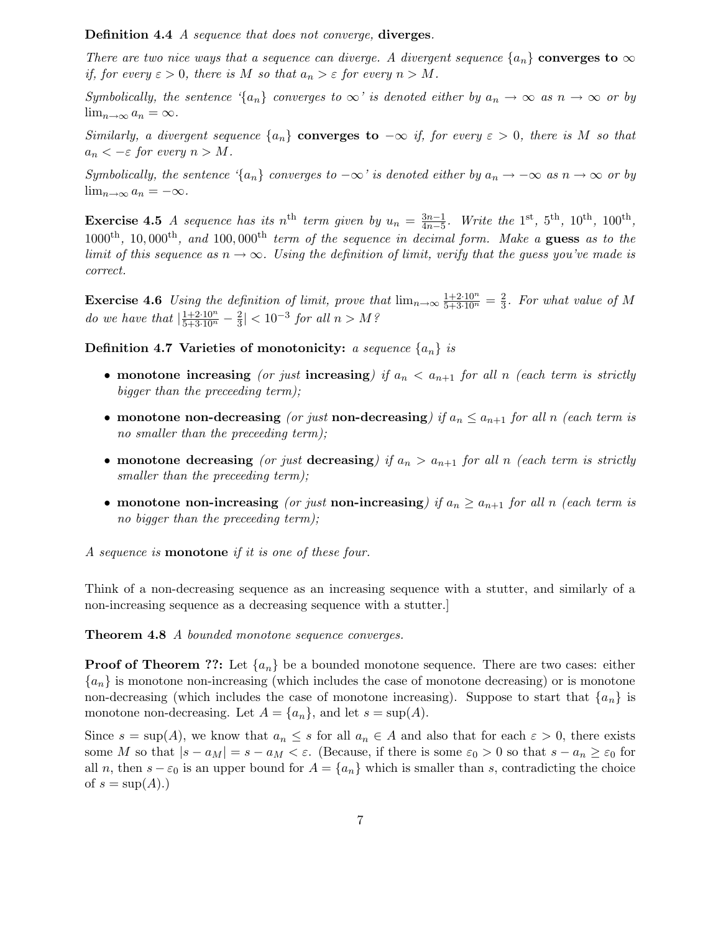Definition 4.4 A sequence that does not converge, diverges.

There are two nice ways that a sequence can diverge. A divergent sequence  $\{a_n\}$  converges to  $\infty$ if, for every  $\varepsilon > 0$ , there is M so that  $a_n > \varepsilon$  for every  $n > M$ .

Symbolically, the sentence '{a<sub>n</sub>} converges to  $\infty$ ' is denoted either by  $a_n \to \infty$  as  $n \to \infty$  or by  $\lim_{n\to\infty} a_n = \infty$ .

Similarly, a divergent sequence  $\{a_n\}$  converges to  $-\infty$  if, for every  $\varepsilon > 0$ , there is M so that  $a_n < -\varepsilon$  for every  $n > M$ .

Symbolically, the sentence '{a<sub>n</sub>} converges to  $-\infty$ ' is denoted either by a<sub>n</sub>  $\rightarrow -\infty$  as n  $\rightarrow \infty$  or by  $\lim_{n\to\infty} a_n = -\infty.$ 

**Exercise 4.5** A sequence has its n<sup>th</sup> term given by  $u_n = \frac{3n-1}{4n-5}$  $\frac{3n-1}{4n-5}$ . Write the 1<sup>st</sup>, 5<sup>th</sup>, 10<sup>th</sup>, 100<sup>th</sup>,  $1000^{\text{th}}$ ,  $10,000^{\text{th}}$ , and  $100,000^{\text{th}}$  term of the sequence in decimal form. Make a guess as to the limit of this sequence as  $n \to \infty$ . Using the definition of limit, verify that the quess you've made is correct.

**Exercise 4.6** Using the definition of limit, prove that  $\lim_{n\to\infty} \frac{1+2\cdot10^n}{5+3\cdot10^n} = \frac{2}{3}$  $\frac{2}{3}$ . For what value of M do we have that  $\left|\frac{1+2\cdot 10^n}{5+3\cdot 10^n}-\frac{2}{3}\right|$  $\frac{2}{3}$ | < 10<sup>-3</sup> for all n > M?

Definition 4.7 Varieties of monotonicity: a sequence  $\{a_n\}$  is

- monotone increasing (or just increasing) if  $a_n < a_{n+1}$  for all n (each term is strictly bigger than the preceeding term);
- monotone non-decreasing (or just non-decreasing) if  $a_n \le a_{n+1}$  for all n (each term is no smaller than the preceeding term);
- monotone decreasing (or just decreasing) if  $a_n > a_{n+1}$  for all n (each term is strictly smaller than the preceeding term);
- monotone non-increasing (or just non-increasing) if  $a_n \ge a_{n+1}$  for all n (each term is no bigger than the preceeding term);

A sequence is monotone if it is one of these four.

Think of a non-decreasing sequence as an increasing sequence with a stutter, and similarly of a non-increasing sequence as a decreasing sequence with a stutter.]

Theorem 4.8 A bounded monotone sequence converges.

**Proof of Theorem ??:** Let  $\{a_n\}$  be a bounded monotone sequence. There are two cases: either  ${a_n}$  is monotone non-increasing (which includes the case of monotone decreasing) or is monotone non-decreasing (which includes the case of monotone increasing). Suppose to start that  $\{a_n\}$  is monotone non-decreasing. Let  $A = \{a_n\}$ , and let  $s = \sup(A)$ .

Since  $s = \sup(A)$ , we know that  $a_n \leq s$  for all  $a_n \in A$  and also that for each  $\varepsilon > 0$ , there exists some M so that  $|s - a_M| = s - a_M < \varepsilon$ . (Because, if there is some  $\varepsilon_0 > 0$  so that  $s - a_n \geq \varepsilon_0$  for all n, then  $s - \varepsilon_0$  is an upper bound for  $A = \{a_n\}$  which is smaller than s, contradicting the choice of  $s = \sup(A)$ .)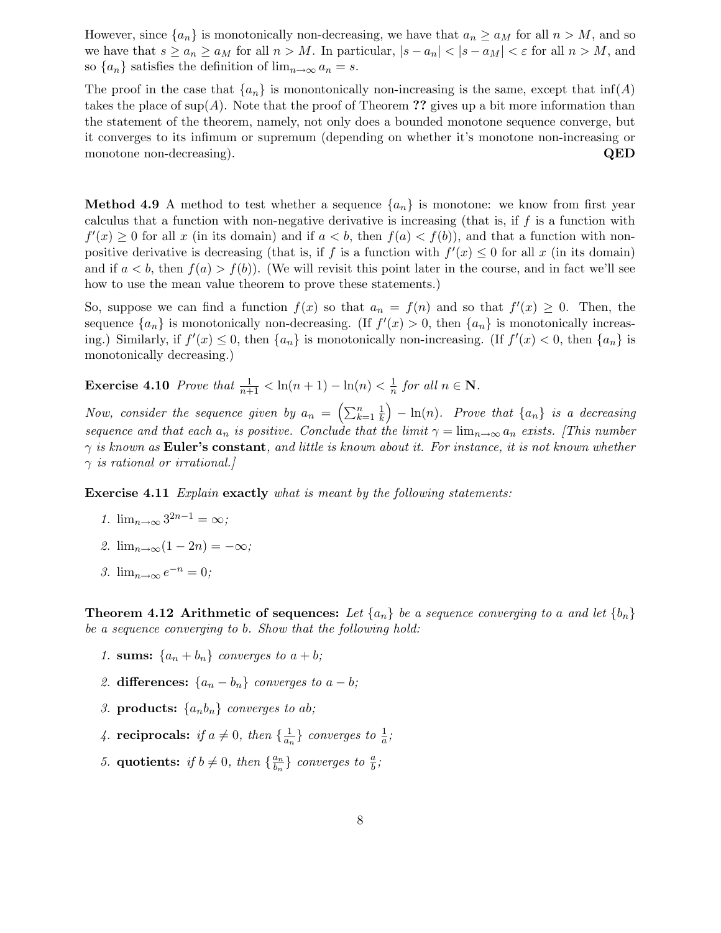However, since  $\{a_n\}$  is monotonically non-decreasing, we have that  $a_n \ge a_M$  for all  $n > M$ , and so we have that  $s \ge a_n \ge a_M$  for all  $n > M$ . In particular,  $|s - a_n| < |s - a_M| < \varepsilon$  for all  $n > M$ , and so  $\{a_n\}$  satisfies the definition of  $\lim_{n\to\infty} a_n = s$ .

The proof in the case that  $\{a_n\}$  is monontonically non-increasing is the same, except that  $\inf(A)$ takes the place of sup(A). Note that the proof of Theorem ?? gives up a bit more information than the statement of the theorem, namely, not only does a bounded monotone sequence converge, but it converges to its infimum or supremum (depending on whether it's monotone non-increasing or monotone non-decreasing). **QED** 

**Method 4.9** A method to test whether a sequence  $\{a_n\}$  is monotone: we know from first year calculus that a function with non-negative derivative is increasing (that is, if  $f$  is a function with  $f'(x) \geq 0$  for all x (in its domain) and if  $a < b$ , then  $f(a) < f(b)$ ), and that a function with nonpositive derivative is decreasing (that is, if f is a function with  $f'(x) \leq 0$  for all x (in its domain) and if  $a < b$ , then  $f(a) > f(b)$ . (We will revisit this point later in the course, and in fact we'll see how to use the mean value theorem to prove these statements.)

So, suppose we can find a function  $f(x)$  so that  $a_n = f(n)$  and so that  $f'(x) \geq 0$ . Then, the sequence  $\{a_n\}$  is monotonically non-decreasing. (If  $f'(x) > 0$ , then  $\{a_n\}$  is monotonically increasing.) Similarly, if  $f'(x) \leq 0$ , then  $\{a_n\}$  is monotonically non-increasing. (If  $f'(x) < 0$ , then  $\{a_n\}$  is monotonically decreasing.)

**Exercise 4.10** Prove that  $\frac{1}{n+1} < \ln(n+1) - \ln(n) < \frac{1}{n}$  $\frac{1}{n}$  for all  $n \in \mathbb{N}$ .

Now, consider the sequence given by  $a_n = \left(\sum_{k=1}^n \frac{1}{k}\right)$  $\left(\frac{1}{k}\right)$  –  $\ln(n)$ . Prove that  $\{a_n\}$  is a decreasing sequence and that each  $a_n$  is positive. Conclude that the limit  $\gamma = \lim_{n\to\infty} a_n$  exists. [This number  $\gamma$  is known as **Euler's constant**, and little is known about it. For instance, it is not known whether  $\gamma$  is rational or irrational.

Exercise 4.11 Explain exactly what is meant by the following statements:

- 1.  $\lim_{n\to\infty} 3^{2n-1} = \infty;$
- 2.  $\lim_{n\to\infty}(1-2n)=-\infty;$
- 3.  $\lim_{n\to\infty} e^{-n} = 0;$

**Theorem 4.12 Arithmetic of sequences:** Let  $\{a_n\}$  be a sequence converging to a and let  $\{b_n\}$ be a sequence converging to b. Show that the following hold:

- 1. sums:  $\{a_n + b_n\}$  converges to  $a + b$ ;
- 2. differences:  $\{a_n b_n\}$  converges to  $a b$ ;
- 3. **products:**  $\{a_n b_n\}$  converges to ab;
- 4. reciprocals: if  $a \neq 0$ , then  $\{\frac{1}{a_n}$  $\frac{1}{a_n}$ } converges to  $\frac{1}{a}$ ;
- 5. quotients: if  $b \neq 0$ , then  $\{\frac{a_n}{b_n}\}$  $\left\{\begin{array}{c} \frac{a_n}{b_n} \end{array}\right\}$  converges to  $\frac{a}{b}$ ;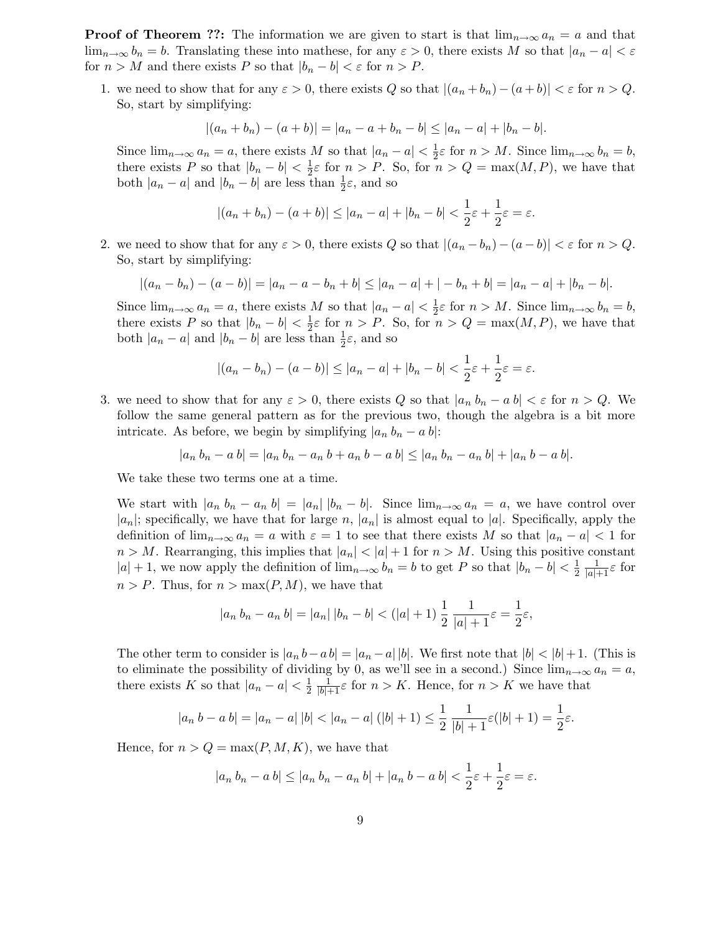**Proof of Theorem ??:** The information we are given to start is that  $\lim_{n\to\infty} a_n = a$  and that  $\lim_{n\to\infty} b_n = b$ . Translating these into mathese, for any  $\varepsilon > 0$ , there exists M so that  $|a_n - a| < \varepsilon$ for  $n > M$  and there exists P so that  $|b_n - b| < \varepsilon$  for  $n > P$ .

1. we need to show that for any  $\varepsilon > 0$ , there exists Q so that  $|(a_n + b_n) - (a + b)| < \varepsilon$  for  $n > Q$ . So, start by simplifying:

$$
|(a_n+b_n)-(a+b)|=|a_n-a+b_n-b|\leq |a_n-a|+|b_n-b|.
$$

Since  $\lim_{n\to\infty} a_n = a$ , there exists M so that  $|a_n - a| < \frac{1}{2}$  $\frac{1}{2}\varepsilon$  for  $n > M$ . Since  $\lim_{n \to \infty} b_n = b$ , there exists P so that  $|b_n - b| < \frac{1}{2}$  $\frac{1}{2}\varepsilon$  for  $n > P$ . So, for  $n > Q = \max(M, P)$ , we have that both  $|a_n - a|$  and  $|b_n - b|$  are less than  $\frac{1}{2}\varepsilon$ , and so

$$
|(a_n+b_n)-(a+b)|\leq |a_n-a|+|b_n-b|<\frac{1}{2}\varepsilon+\frac{1}{2}\varepsilon=\varepsilon.
$$

2. we need to show that for any  $\varepsilon > 0$ , there exists Q so that  $|(a_n - b_n) - (a - b)| < \varepsilon$  for  $n > Q$ . So, start by simplifying:

$$
|(a_n - b_n) - (a - b)| = |a_n - a - b_n + b| \le |a_n - a| + |-b_n + b| = |a_n - a| + |b_n - b|.
$$

Since  $\lim_{n\to\infty} a_n = a$ , there exists M so that  $|a_n - a| < \frac{1}{2}$  $\frac{1}{2}\varepsilon$  for  $n > M$ . Since  $\lim_{n \to \infty} b_n = b$ , there exists P so that  $|b_n - b| < \frac{1}{2}$  $\frac{1}{2}\varepsilon$  for  $n > P$ . So, for  $n > Q = \max(M, P)$ , we have that both  $|a_n - a|$  and  $|b_n - b|$  are less than  $\frac{1}{2}\varepsilon$ , and so

$$
|(a_n - b_n) - (a - b)| \le |a_n - a| + |b_n - b| < \frac{1}{2}\varepsilon + \frac{1}{2}\varepsilon = \varepsilon.
$$

3. we need to show that for any  $\varepsilon > 0$ , there exists Q so that  $|a_n b_n - a b| < \varepsilon$  for  $n > Q$ . We follow the same general pattern as for the previous two, though the algebra is a bit more intricate. As before, we begin by simplifying  $|a_n b_n - a b|$ :

$$
|a_n b_n - a b| = |a_n b_n - a_n b + a_n b - a b| \le |a_n b_n - a_n b| + |a_n b - a b|.
$$

We take these two terms one at a time.

We start with  $|a_n b_n - a_n b| = |a_n| |b_n - b|$ . Since  $\lim_{n \to \infty} a_n = a$ , we have control over  $|a_n|$ ; specifically, we have that for large n,  $|a_n|$  is almost equal to  $|a|$ . Specifically, apply the definition of  $\lim_{n\to\infty} a_n = a$  with  $\varepsilon = 1$  to see that there exists M so that  $|a_n - a| < 1$  for  $n > M$ . Rearranging, this implies that  $|a_n| < |a| + 1$  for  $n > M$ . Using this positive constant  $|a| + 1$ , we now apply the definition of  $\lim_{n \to \infty} b_n = b$  to get P so that  $|b_n - b| < \frac{1}{2}$ 2  $\frac{1}{|a|+1}\varepsilon$  for  $n > P$ . Thus, for  $n > \max(P, M)$ , we have that

$$
|a_n b_n - a_n b| = |a_n| |b_n - b| < (|a| + 1) \frac{1}{2} \frac{1}{|a| + 1} \varepsilon = \frac{1}{2} \varepsilon,
$$

The other term to consider is  $|a_n b - a b| = |a_n - a||b|$ . We first note that  $|b| < |b| + 1$ . (This is to eliminate the possibility of dividing by 0, as we'll see in a second.) Since  $\lim_{n\to\infty} a_n = a$ , there exists K so that  $|a_n - a| < \frac{1}{2}$ 2  $\frac{1}{|b|+1} \varepsilon$  for  $n > K$ . Hence, for  $n > K$  we have that

$$
|a_n b - a b| = |a_n - a| |b| < |a_n - a| (|b| + 1) \le \frac{1}{2} \frac{1}{|b| + 1} \varepsilon (|b| + 1) = \frac{1}{2} \varepsilon.
$$

Hence, for  $n > Q = \max(P, M, K)$ , we have that

$$
|a_n b_n - a b| \le |a_n b_n - a_n b| + |a_n b - a b| < \frac{1}{2} \varepsilon + \frac{1}{2} \varepsilon = \varepsilon.
$$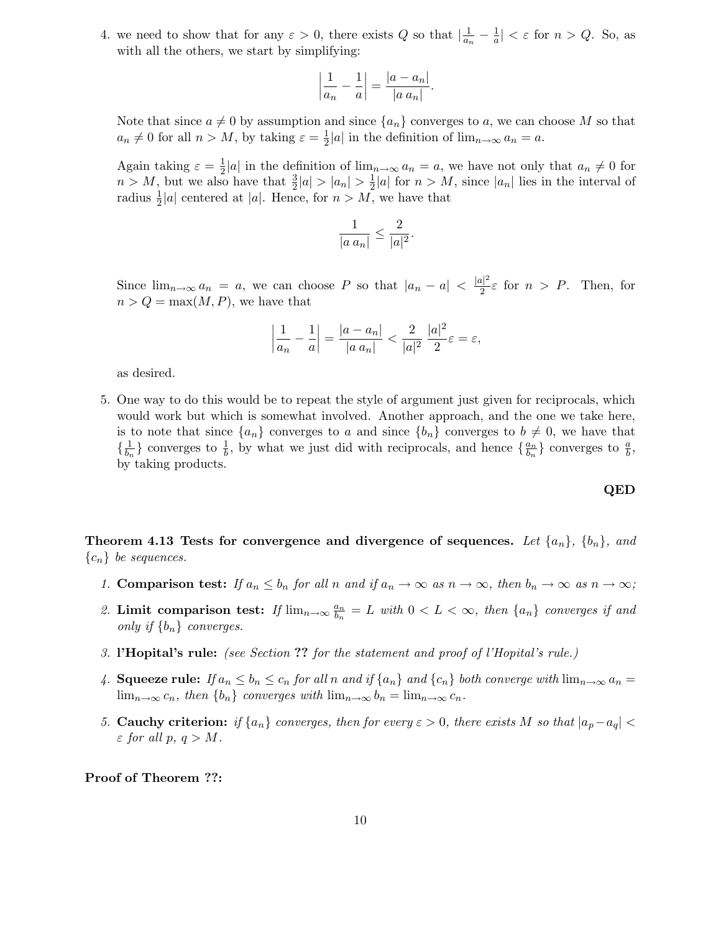4. we need to show that for any  $\varepsilon > 0$ , there exists Q so that  $\frac{1}{a_n}$  $\frac{1}{a_n}-\frac{1}{a}$  $\frac{1}{a}| < \varepsilon$  for  $n > Q$ . So, as with all the others, we start by simplifying:

$$
\left|\frac{1}{a_n} - \frac{1}{a}\right| = \frac{|a - a_n|}{|a a_n|}.
$$

Note that since  $a \neq 0$  by assumption and since  $\{a_n\}$  converges to a, we can choose M so that  $a_n \neq 0$  for all  $n > M$ , by taking  $\varepsilon = \frac{1}{2}$  $\frac{1}{2}|a|$  in the definition of  $\lim_{n\to\infty} a_n = a$ .

Again taking  $\varepsilon = \frac{1}{2}$  $\frac{1}{2}|a|$  in the definition of  $\lim_{n\to\infty} a_n = a$ , we have not only that  $a_n \neq 0$  for  $n > M$ , but we also have that  $\frac{3}{2}|a| > |a_n| > \frac{1}{2}$  $\frac{1}{2}|a|$  for  $n > M$ , since  $|a_n|$  lies in the interval of radius  $\frac{1}{2}|a|$  centered at  $|a|$ . Hence, for  $n > M$ , we have that

$$
\frac{1}{|a\ a_n|} \le \frac{2}{|a|^2}.
$$

Since  $\lim_{n\to\infty} a_n = a$ , we can choose P so that  $|a_n - a| < \frac{|a|^2}{2}$  $\frac{l}{2} \varepsilon$  for  $n > P$ . Then, for  $n > Q = \max(M, P)$ , we have that

$$
\left| \frac{1}{a_n} - \frac{1}{a} \right| = \frac{|a - a_n|}{|a a_n|} < \frac{2}{|a|^2} \frac{|a|^2}{2} \varepsilon = \varepsilon,
$$

as desired.

5. One way to do this would be to repeat the style of argument just given for reciprocals, which would work but which is somewhat involved. Another approach, and the one we take here, is to note that since  $\{a_n\}$  converges to a and since  $\{b_n\}$  converges to  $b \neq 0$ , we have that  $\left\{\frac{1}{b_{\tau}}\right\}$  $\frac{1}{b_n}$  converges to  $\frac{1}{b}$ , by what we just did with reciprocals, and hence  $\{\frac{a_n}{b_n}\}$  $\left\{\begin{array}{c} a_n \\ b_n \end{array}\right\}$  converges to  $\frac{a}{b}$ , by taking products.

#### QED

Theorem 4.13 Tests for convergence and divergence of sequences. Let  $\{a_n\}$ ,  $\{b_n\}$ , and  ${c_n}$  be sequences.

- 1. Comparison test: If  $a_n \leq b_n$  for all n and if  $a_n \to \infty$  as  $n \to \infty$ , then  $b_n \to \infty$  as  $n \to \infty$ ;
- 2. Limit comparison test: If  $\lim_{n\to\infty}\frac{a_n}{b_n}$  $\frac{a_n}{b_n} = L$  with  $0 < L < \infty$ , then  $\{a_n\}$  converges if and only if  $\{b_n\}$  converges.
- 3. l'Hopital's rule: (see Section ?? for the statement and proof of l'Hopital's rule.)
- 4. Squeeze rule: If  $a_n \leq b_n \leq c_n$  for all n and if  $\{a_n\}$  and  $\{c_n\}$  both converge with  $\lim_{n\to\infty} a_n =$  $\lim_{n\to\infty} c_n$ , then  $\{b_n\}$  converges with  $\lim_{n\to\infty} b_n = \lim_{n\to\infty} c_n$ .
- 5. Cauchy criterion: if  $\{a_n\}$  converges, then for every  $\varepsilon > 0$ , there exists M so that  $|a_p a_q|$  <  $\varepsilon$  for all  $p, q > M$ .

Proof of Theorem ??: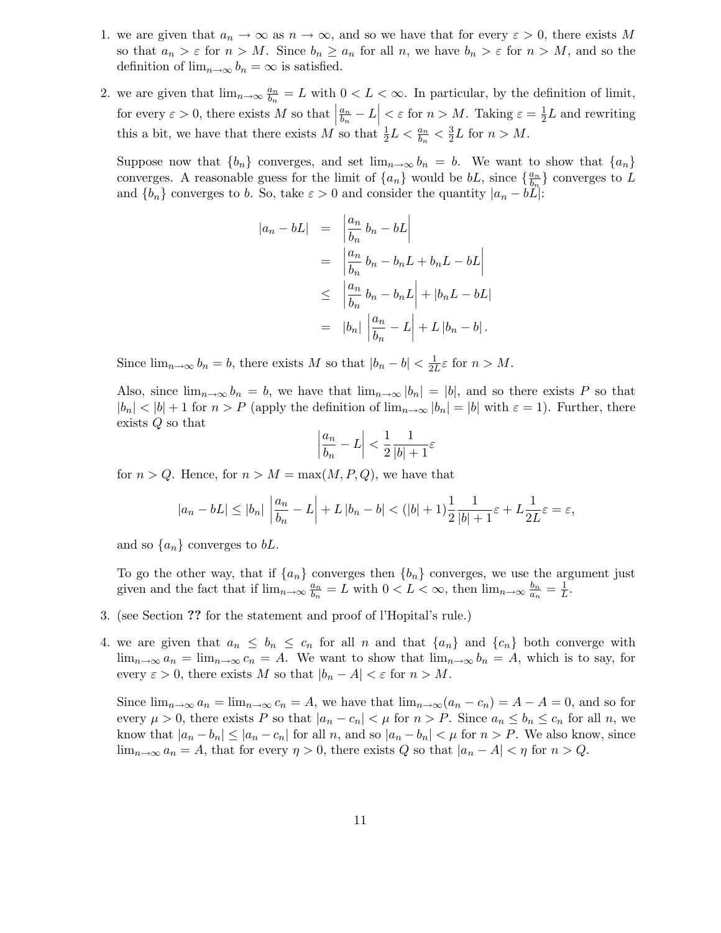- 1. we are given that  $a_n \to \infty$  as  $n \to \infty$ , and so we have that for every  $\varepsilon > 0$ , there exists M so that  $a_n > \varepsilon$  for  $n > M$ . Since  $b_n \ge a_n$  for all n, we have  $b_n > \varepsilon$  for  $n > M$ , and so the definition of  $\lim_{n\to\infty} b_n = \infty$  is satisfied.
- 2. we are given that  $\lim_{n\to\infty}\frac{a_n}{b_n}$  $\frac{a_n}{b_n} = L$  with  $0 < L < \infty$ . In particular, by the definition of limit, for every  $\varepsilon > 0$ , there exists M so that  $a_n$  $\left|\frac{a_n}{b_n} - L\right| < \varepsilon$  for  $n > M$ . Taking  $\varepsilon = \frac{1}{2}$  $\frac{1}{2}L$  and rewriting this a bit, we have that there exists M so that  $\frac{1}{2}L < \frac{a_n}{b_n}$  $\frac{a_n}{b_n} < \frac{3}{2}$  $\frac{3}{2}L$  for  $n > M$ .

Suppose now that  ${b_n}$  converges, and set  $\lim_{n\to\infty} b_n = b$ . We want to show that  ${a_n}$ converges. A reasonable guess for the limit of  $\{a_n\}$  would be  $bL$ , since  $\{\frac{a_n}{b_n}\}$  $\frac{a_n}{b_n}$  converges to L and  ${b_n}$  converges to b. So, take  $\varepsilon > 0$  and consider the quantity  $|a_n - bL|$ :

$$
\begin{array}{rcl}\n|a_n - bL| & = & \left| \frac{a_n}{b_n} b_n - bL \right| \\
& = & \left| \frac{a_n}{b_n} b_n - b_n L + b_n L - bL \right| \\
& \leq & \left| \frac{a_n}{b_n} b_n - b_n L \right| + |b_n L - bL| \\
& = & |b_n| \left| \frac{a_n}{b_n} - L \right| + L |b_n - b|\n\end{array}
$$

Since  $\lim_{n\to\infty} b_n = b$ , there exists M so that  $|b_n - b| < \frac{1}{2l}$  $\frac{1}{2L}\varepsilon$  for  $n > M$ .

Also, since  $\lim_{n\to\infty} b_n = b$ , we have that  $\lim_{n\to\infty} |b_n| = |b|$ , and so there exists P so that  $|b_n| < |b| + 1$  for  $n > P$  (apply the definition of  $\lim_{n\to\infty} |b_n| = |b|$  with  $\varepsilon = 1$ ). Further, there exists Q so that

$$
\left|\frac{a_n}{b_n} - L\right| < \frac{1}{2} \frac{1}{|b| + 1} \varepsilon
$$

for  $n > Q$ . Hence, for  $n > M = \max(M, P, Q)$ , we have that

$$
|a_n - bL| \le |b_n| \left| \frac{a_n}{b_n} - L \right| + L |b_n - b| < (|b| + 1) \frac{1}{2} \frac{1}{|b| + 1} \varepsilon + L \frac{1}{2L} \varepsilon = \varepsilon,
$$

and so  $\{a_n\}$  converges to bL.

To go the other way, that if  $\{a_n\}$  converges then  $\{b_n\}$  converges, we use the argument just given and the fact that if  $\lim_{n\to\infty}\frac{a_n}{b_n}$  $\frac{a_n}{b_n} = L$  with  $0 < L < \infty$ , then  $\lim_{n \to \infty} \frac{b_n}{a_n}$  $\frac{b_n}{a_n} = \frac{1}{L}$  $\frac{1}{L}$ .

- 3. (see Section ?? for the statement and proof of l'Hopital's rule.)
- 4. we are given that  $a_n \leq b_n \leq c_n$  for all n and that  $\{a_n\}$  and  $\{c_n\}$  both converge with  $\lim_{n\to\infty} a_n = \lim_{n\to\infty} c_n = A$ . We want to show that  $\lim_{n\to\infty} b_n = A$ , which is to say, for every  $\varepsilon > 0$ , there exists M so that  $|b_n - A| < \varepsilon$  for  $n > M$ .

Since  $\lim_{n\to\infty} a_n = \lim_{n\to\infty} c_n = A$ , we have that  $\lim_{n\to\infty} (a_n - c_n) = A - A = 0$ , and so for every  $\mu > 0$ , there exists P so that  $|a_n - c_n| < \mu$  for  $n > P$ . Since  $a_n \leq b_n \leq c_n$  for all n, we know that  $|a_n - b_n| \leq |a_n - c_n|$  for all n, and so  $|a_n - b_n| < \mu$  for  $n > P$ . We also know, since  $\lim_{n\to\infty} a_n = A$ , that for every  $\eta > 0$ , there exists Q so that  $|a_n - A| < \eta$  for  $n > Q$ .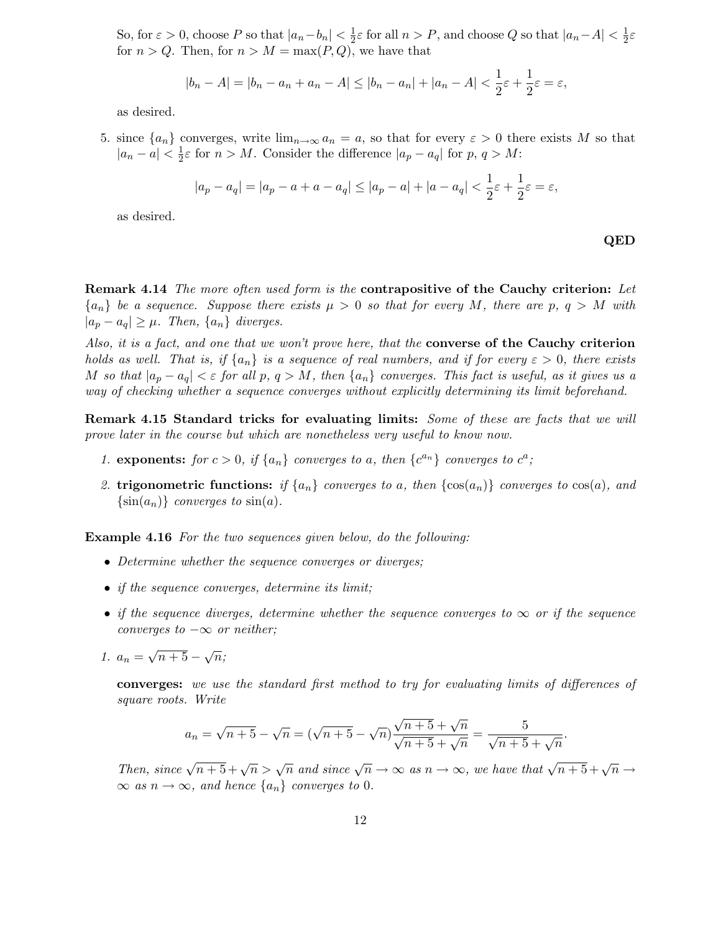So, for  $\varepsilon > 0$ , choose P so that  $|a_n - b_n| < \frac{1}{2}$  $\frac{1}{2}\varepsilon$  for all  $n > P$ , and choose Q so that  $|a_n - A| < \frac{1}{2}$  $rac{1}{2}\varepsilon$ for  $n > Q$ . Then, for  $n > M = \max(P, Q)$ , we have that

$$
|b_n - A| = |b_n - a_n + a_n - A| \le |b_n - a_n| + |a_n - A| < \frac{1}{2}\varepsilon + \frac{1}{2}\varepsilon = \varepsilon,
$$

as desired.

5. since  $\{a_n\}$  converges, write  $\lim_{n\to\infty} a_n = a$ , so that for every  $\varepsilon > 0$  there exists M so that  $|a_n - a| < \frac{1}{2}$  $\frac{1}{2}\varepsilon$  for  $n > M$ . Consider the difference  $|a_p - a_q|$  for  $p, q > M$ :

$$
|a_p - a_q| = |a_p - a + a - a_q| \le |a_p - a| + |a - a_q| < \frac{1}{2}\varepsilon + \frac{1}{2}\varepsilon = \varepsilon,
$$

as desired.

QED

Remark 4.14 The more often used form is the contrapositive of the Cauchy criterion: Let  ${a_n}$  be a sequence. Suppose there exists  $\mu > 0$  so that for every M, there are p,  $q > M$  with  $|a_p - a_q| \geq \mu$ . Then,  $\{a_n\}$  diverges.

Also, it is a fact, and one that we won't prove here, that the converse of the Cauchy criterion holds as well. That is, if  $\{a_n\}$  is a sequence of real numbers, and if for every  $\varepsilon > 0$ , there exists M so that  $|a_p - a_q| < \varepsilon$  for all p,  $q > M$ , then  $\{a_n\}$  converges. This fact is useful, as it gives us a way of checking whether a sequence converges without explicitly determining its limit beforehand.

Remark 4.15 Standard tricks for evaluating limits: Some of these are facts that we will prove later in the course but which are nonetheless very useful to know now.

- 1. exponents: for  $c > 0$ , if  $\{a_n\}$  converges to a, then  $\{c^{a_n}\}$  converges to  $c^a$ ;
- 2. trigonometric functions: if  $\{a_n\}$  converges to a, then  $\{\cos(a_n)\}\$  converges to  $\cos(a)$ , and  $\{\sin(a_n)\}\; converges\; to\; \sin(a).$

Example 4.16 For the two sequences given below, do the following:

- Determine whether the sequence converges or diverges;
- if the sequence converges, determine its limit;
- if the sequence diverges, determine whether the sequence converges to  $\infty$  or if the sequence converges to  $-\infty$  or neither;
- 1.  $a_n = \sqrt{n+5} \sqrt{n}$ ;

converges: we use the standard first method to try for evaluating limits of differences of square roots. Write

$$
a_n = \sqrt{n+5} - \sqrt{n} = (\sqrt{n+5} - \sqrt{n})\frac{\sqrt{n+5} + \sqrt{n}}{\sqrt{n+5} + \sqrt{n}} = \frac{5}{\sqrt{n+5} + \sqrt{n}}.
$$

Then, since  $\sqrt{n+5} + \sqrt{n} > \sqrt{n}$  and since  $\sqrt{n} \to \infty$  as  $n \to \infty$ , we have that  $\sqrt{n+5} + \sqrt{n} \to \infty$  $\infty$  as  $n \to \infty$ , and hence  $\{a_n\}$  converges to 0.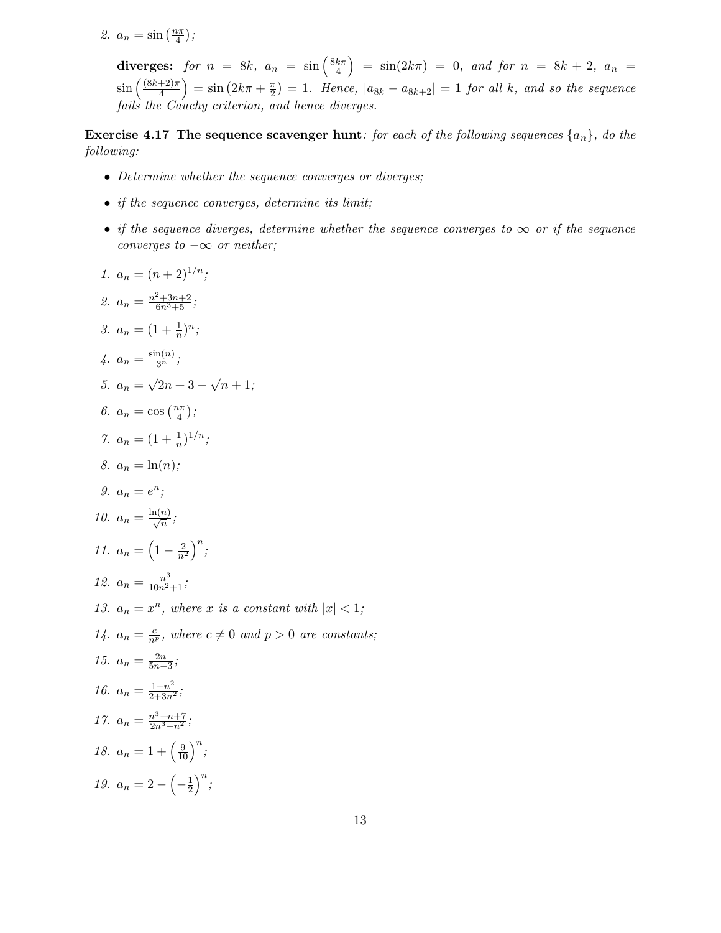2.  $a_n = \sin\left(\frac{n\pi}{4}\right)$  $\frac{i\pi}{4}$ );

> diverges: for  $n = 8k$ ,  $a_n = \sin\left(\frac{8k\pi}{4}\right)$  $\left(\frac{k\pi}{4}\right)$  =  $\sin(2k\pi)$  = 0, and for  $n = 8k + 2$ ,  $a_n$  =  $\sin\left(\frac{(8k+2)\pi}{4}\right)$  $\left(\frac{+2\pi}{4}\right) = \sin \left(2k\pi + \frac{\pi}{2}\right)$  $\left(\frac{\pi}{2}\right) = 1$ . Hence,  $|a_{8k} - a_{8k+2}| = 1$  for all k, and so the sequence fails the Cauchy criterion, and hence diverges.

**Exercise 4.17 The sequence scavenger hunt:** for each of the following sequences  $\{a_n\}$ , do the following:

- Determine whether the sequence converges or diverges;
- if the sequence converges, determine its limit;
- if the sequence diverges, determine whether the sequence converges to  $\infty$  or if the sequence converges to  $-\infty$  or neither;
- 1.  $a_n = (n+2)^{1/n}$ ; 2.  $a_n = \frac{n^2 + 3n + 2}{6n^3 + 5}$ ; 3.  $a_n = (1 + \frac{1}{n})$  $\frac{1}{n})^n$ ; 4.  $a_n = \frac{\sin(n)}{3^n};$ 5.  $a_n = \sqrt{2n+3} - \sqrt{n+1};$ 6.  $a_n = \cos\left(\frac{n\pi}{4}\right)$  $\frac{i\pi}{4}$ ); 7.  $a_n = (1 + \frac{1}{n})$  $(\frac{1}{n})^{1/n}$ ; 8.  $a_n = \ln(n);$ 9.  $a_n = e^n;$ 10.  $a_n = \frac{\ln(n)}{\sqrt{n}};$ 11.  $a_n = \left(1 - \frac{2}{n^2}\right)^n;$ 12.  $a_n = \frac{n^3}{10n^2+1}$ ; 13.  $a_n = x^n$ , where x is a constant with  $|x| < 1$ ; 14.  $a_n = \frac{c}{n^p}$ , where  $c \neq 0$  and  $p > 0$  are constants; 15.  $a_n = \frac{2n}{5n-1}$  $rac{2n}{5n-3}$ ; 16.  $a_n = \frac{1-n^2}{2+3n^2}$ ; 17.  $a_n = \frac{n^3 - n + 7}{2n^3 + n^2}$ ; 18.  $a_n = 1 + \left(\frac{9}{10}\right)^n;$ 19.  $a_n = 2 - \left(-\frac{1}{2}\right)$  $\frac{1}{2}$  $\Big)^n$ ;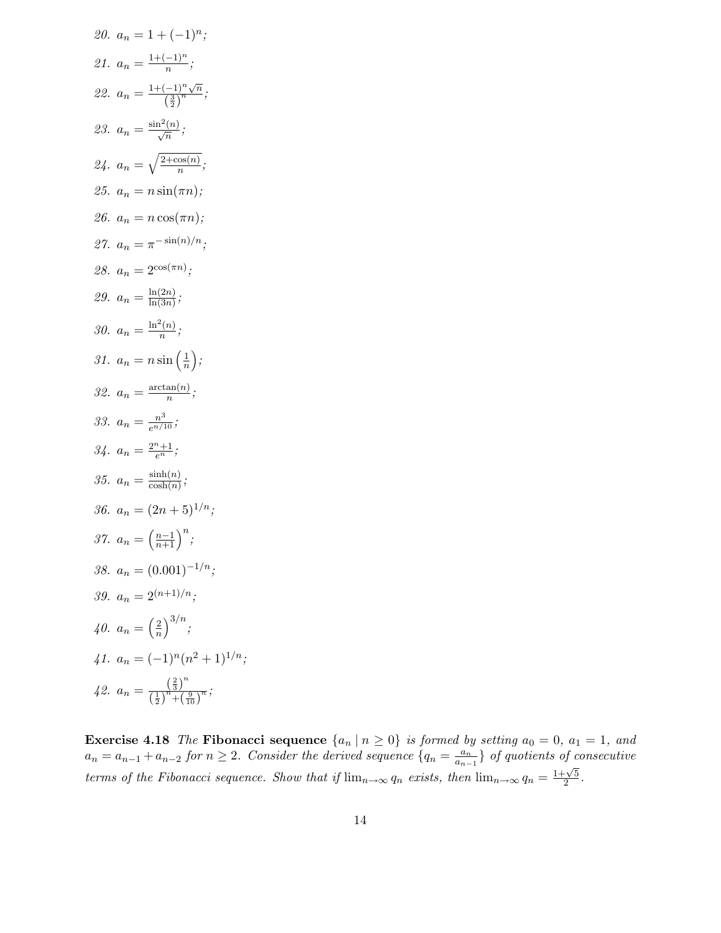20. 
$$
a_n = 1 + (-1)^n
$$
;  
\n21.  $a_n = \frac{1 + (-1)^n}{n}$ ;  
\n22.  $a_n = \frac{1 + (-1)^n \sqrt{n}}{\left(\frac{3}{2}\right)^n}$ ;  
\n23.  $a_n = \frac{\sin^2(n)}{\sqrt{n}}$ ;  
\n24.  $a_n = \sqrt{\frac{2 + \cos(n)}{n}}$ ;  
\n25.  $a_n = n \sin(\pi n)$ ;  
\n26.  $a_n = n \cos(\pi n)$ ;  
\n27.  $a_n = \pi^{-\sin(n)/n}$ ;  
\n28.  $a_n = 2^{\cos(\pi n)}$ ;  
\n29.  $a_n = \frac{\ln(2n)}{\ln(3n)}$ ;  
\n30.  $a_n = \frac{\ln^2(n)}{n}$ ;  
\n31.  $a_n = n \sin\left(\frac{1}{n}\right)$ ;  
\n32.  $a_n = \frac{\arctan(n)}{n}$ ;  
\n33.  $a_n = \frac{\arctan(n)}{n}$ ;  
\n34.  $a_n = \frac{2^n + 1}{e^n}$ ;  
\n35.  $a_n = \frac{\sinh(n)}{\cosh(n)}$ ;  
\n36.  $a_n = (2n + 5)^{1/n}$ ;  
\n37.  $a_n = (0.001)^{-1/n}$ ;  
\n38.  $a_n = 0.001)^{-1/n}$ ;  
\n39.  $a_n = 2^{(n+1)/n}$ ;  
\n40.  $a_n = \left(\frac{2}{n}\right)^{3/n}$ ;  
\n41.  $a_n = (-1)^n (n^2 + 1)^{1/n}$ ;  
\n42.  $a_n = \frac{\left(\frac{2}{3}\right)^n}{\left(\frac{1}{2}\right)^n + \left(\frac{9}{10}\right)^n}$ ;  
\n42.  $a_n = \frac{\left(\frac{2}{3}\right)^n}{\left(\frac{1}{2}\right)^n + \left(\frac{9}{10}\right)^n}$ ;  
\n43.  $a_n = \frac{\left(\frac{2}{3}\right)^n}{\left(\frac{1}{2}\right)^n + \left(\frac{9}{10}\right)^n}$ ;  
\n44.  $a_n = (-1)^n (n^2 + 1)^{1/n}$ 

**Exercise 4.18** The Fibonacci sequence  $\{a_n | n \ge 0\}$  is formed by setting  $a_0 = 0$ ,  $a_1 = 1$ , and  $a_n = a_{n-1} + a_{n-2}$  for  $n \geq 2$ . Consider the derived sequence  $\{q_n = \frac{a_n}{a_{n-1}}\}$  $\left\{\frac{a_n}{a_{n-1}}\right\}$  of quotients of consecutive terms of the Fibonacci sequence. Show that if  $\lim_{n\to\infty} q_n$  exists, then  $\lim_{n\to\infty} q_n = \frac{1+\sqrt{5}}{2}$  $\frac{\sqrt{5}}{2}$ .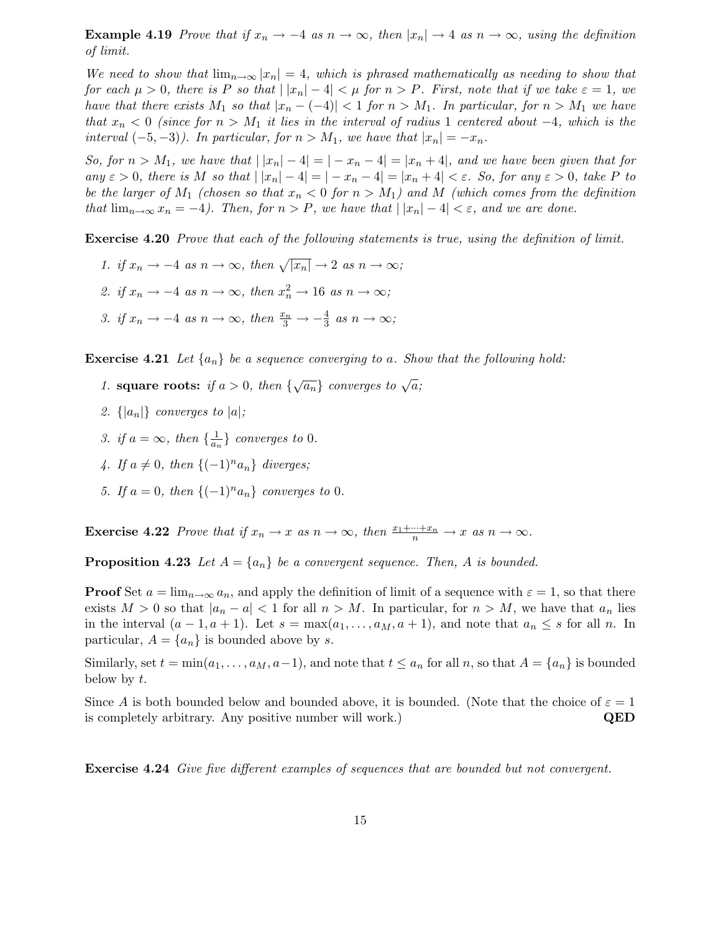**Example 4.19** Prove that if  $x_n \to -4$  as  $n \to \infty$ , then  $|x_n| \to 4$  as  $n \to \infty$ , using the definition of limit.

We need to show that  $\lim_{n\to\infty} |x_n| = 4$ , which is phrased mathematically as needing to show that for each  $\mu > 0$ , there is P so that  $||x_n| - 4| < \mu$  for  $n > P$ . First, note that if we take  $\varepsilon = 1$ , we have that there exists  $M_1$  so that  $|x_n - (-4)| < 1$  for  $n > M_1$ . In particular, for  $n > M_1$  we have that  $x_n < 0$  (since for  $n > M_1$  it lies in the interval of radius 1 centered about  $-4$ , which is the interval  $(-5, -3)$ ). In particular, for  $n > M_1$ , we have that  $|x_n| = -x_n$ .

So, for  $n > M_1$ , we have that  $||x_n| - 4| = |-x_n - 4| = |x_n + 4|$ , and we have been given that for any  $\varepsilon > 0$ , there is M so that  $||x_n| - 4| = |-x_n - 4| = |x_n + 4| < \varepsilon$ . So, for any  $\varepsilon > 0$ , take P to be the larger of  $M_1$  (chosen so that  $x_n < 0$  for  $n > M_1$ ) and M (which comes from the definition that  $\lim_{n\to\infty}x_n=-4$ ). Then, for  $n>P$ , we have that  $||x_n|-4|<\varepsilon$ , and we are done.

Exercise 4.20 Prove that each of the following statements is true, using the definition of limit.

- 1. if  $x_n \to -4$  as  $n \to \infty$ , then  $\sqrt{|x_n|} \to 2$  as  $n \to \infty$ ;
- 2. if  $x_n \to -4$  as  $n \to \infty$ , then  $x_n^2 \to 16$  as  $n \to \infty$ ;
- 3. if  $x_n \to -4$  as  $n \to \infty$ , then  $\frac{x_n}{3} \to -\frac{4}{3}$  $\frac{4}{3}$  as  $n \to \infty$ ;

**Exercise 4.21** Let  $\{a_n\}$  be a sequence converging to a. Show that the following hold:

- 1. square roots: if  $a > 0$ , then  $\{\sqrt{a_n}\}$  converges to  $\sqrt{a}$ ;
- 2.  $\{|a_n|\}$  converges to  $|a|$ ;
- 3. if  $a = \infty$ , then  $\{\frac{1}{a_n}\}$  $\frac{1}{a_n}$  converges to 0.
- 4. If  $a \neq 0$ , then  $\{(-1)^n a_n\}$  diverges;
- 5. If  $a = 0$ , then  $\{(-1)^n a_n\}$  converges to 0.

**Exercise 4.22** Prove that if  $x_n \to x$  as  $n \to \infty$ , then  $\frac{x_1 + \dots + x_n}{n} \to x$  as  $n \to \infty$ .

**Proposition 4.23** Let  $A = \{a_n\}$  be a convergent sequence. Then, A is bounded.

**Proof** Set  $a = \lim_{n \to \infty} a_n$ , and apply the definition of limit of a sequence with  $\varepsilon = 1$ , so that there exists  $M > 0$  so that  $|a_n - a| < 1$  for all  $n > M$ . In particular, for  $n > M$ , we have that  $a_n$  lies in the interval  $(a-1, a+1)$ . Let  $s = \max(a_1, \ldots, a_M, a+1)$ , and note that  $a_n \leq s$  for all n. In particular,  $A = \{a_n\}$  is bounded above by s.

Similarly, set  $t = \min(a_1, \ldots, a_M, a-1)$ , and note that  $t \le a_n$  for all n, so that  $A = \{a_n\}$  is bounded below by t.

Since A is both bounded below and bounded above, it is bounded. (Note that the choice of  $\varepsilon = 1$ ) is completely arbitrary. Any positive number will work.) **QED** 

Exercise 4.24 Give five different examples of sequences that are bounded but not convergent.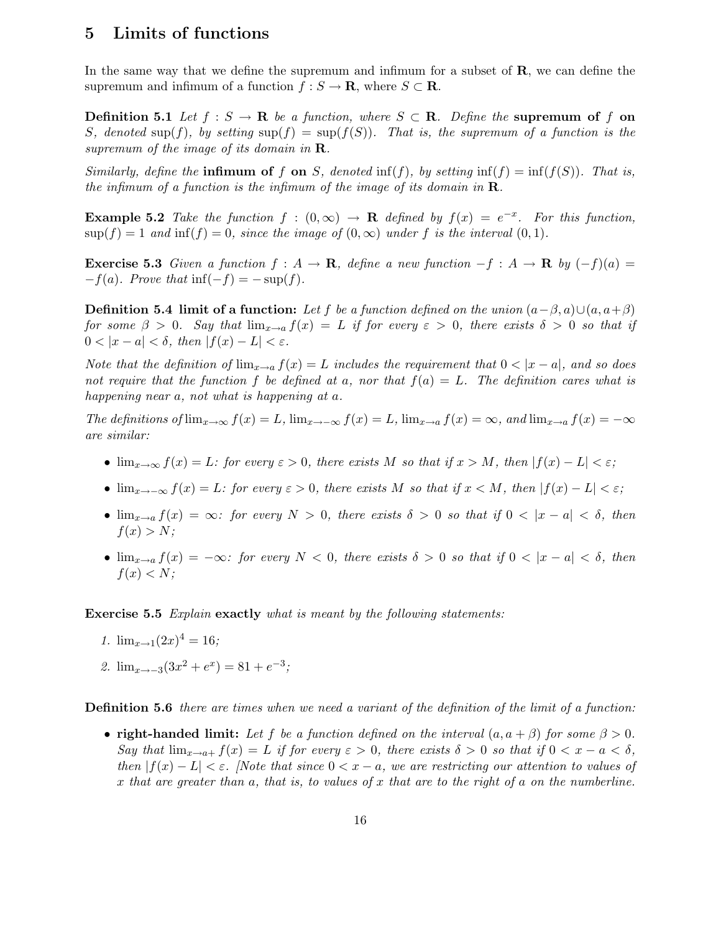### 5 Limits of functions

In the same way that we define the supremum and infimum for a subset of  $\bf{R}$ , we can define the supremum and infimum of a function  $f : S \to \mathbf{R}$ , where  $S \subset \mathbf{R}$ .

**Definition 5.1** Let  $f : S \to \mathbf{R}$  be a function, where  $S \subset \mathbf{R}$ . Define the supremum of f on S, denoted sup(f), by setting  $\sup(f) = \sup(f(S))$ . That is, the supremum of a function is the supremum of the image of its domain in  $\mathbf R$ .

Similarly, define the **infimum of f on** S, denoted  $\inf(f)$ , by setting  $\inf(f) = \inf(f(S))$ . That is, the infimum of a function is the infimum of the image of its domain in  $\mathbf{R}$ .

**Example 5.2** Take the function  $f : (0, \infty) \to \mathbf{R}$  defined by  $f(x) = e^{-x}$ . For this function,  $\sup(f) = 1$  and  $\inf(f) = 0$ , since the image of  $(0, \infty)$  under f is the interval  $(0, 1)$ .

**Exercise 5.3** Given a function  $f : A \to \mathbf{R}$ , define a new function  $-f : A \to \mathbf{R}$  by  $(-f)(a) =$  $-f(a)$ . Prove that inf( $-f$ ) =  $-\sup(f)$ .

**Definition 5.4 limit of a function:** Let f be a function defined on the union  $(a-\beta, a) \cup (a, a+\beta)$ for some  $\beta > 0$ . Say that  $\lim_{x\to a} f(x) = L$  if for every  $\varepsilon > 0$ , there exists  $\delta > 0$  so that if  $0 < |x - a| < \delta$ , then  $|f(x) - L| < \varepsilon$ .

Note that the definition of  $\lim_{x\to a} f(x) = L$  includes the requirement that  $0 < |x - a|$ , and so does not require that the function f be defined at a, nor that  $f(a) = L$ . The definition cares what is happening near a, not what is happening at a.

The definitions of  $\lim_{x\to\infty} f(x) = L$ ,  $\lim_{x\to-\infty} f(x) = L$ ,  $\lim_{x\to a} f(x) = \infty$ , and  $\lim_{x\to a} f(x) = -\infty$ are similar:

- $\lim_{x\to\infty} f(x) = L$ : for every  $\varepsilon > 0$ , there exists M so that if  $x > M$ , then  $|f(x) L| < \varepsilon$ ;
- $\lim_{x\to-\infty} f(x) = L$ : for every  $\varepsilon > 0$ , there exists M so that if  $x < M$ , then  $|f(x) L| < \varepsilon$ ;
- $\lim_{x\to a} f(x) = \infty$ : for every  $N > 0$ , there exists  $\delta > 0$  so that if  $0 < |x a| < \delta$ , then  $f(x) > N;$
- $\lim_{x\to a} f(x) = -\infty$ : for every  $N < 0$ , there exists  $\delta > 0$  so that if  $0 < |x a| < \delta$ , then  $f(x) < N;$

Exercise 5.5 Explain exactly what is meant by the following statements:

- 1.  $\lim_{x\to 1}(2x)^4 = 16;$
- 2.  $\lim_{x \to -3} (3x^2 + e^x) = 81 + e^{-3};$

**Definition 5.6** there are times when we need a variant of the definition of the limit of a function:

• right-handed limit: Let f be a function defined on the interval  $(a, a + \beta)$  for some  $\beta > 0$ . Say that  $\lim_{x\to a+} f(x) = L$  if for every  $\varepsilon > 0$ , there exists  $\delta > 0$  so that if  $0 < x - a < \delta$ , then  $|f(x) - L| < \varepsilon$ . [Note that since  $0 < x - a$ , we are restricting our attention to values of x that are greater than a, that is, to values of x that are to the right of a on the numberline.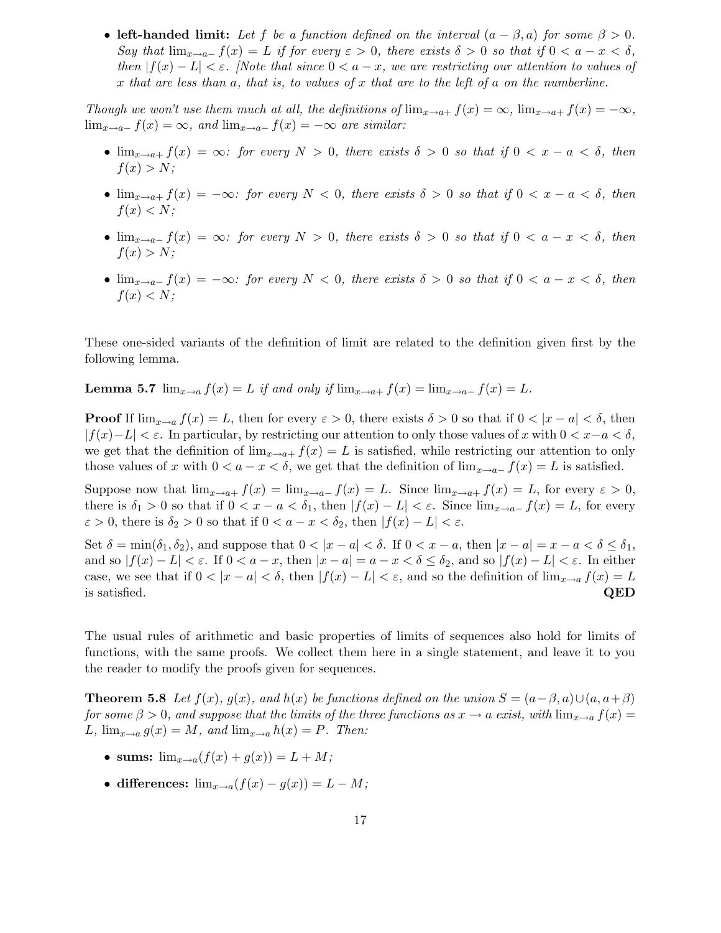• left-handed limit: Let f be a function defined on the interval  $(a - \beta, a)$  for some  $\beta > 0$ . Say that  $\lim_{x\to a^-} f(x) = L$  if for every  $\varepsilon > 0$ , there exists  $\delta > 0$  so that if  $0 < a - x < \delta$ , then  $|f(x) - L| < \varepsilon$ . [Note that since  $0 < a - x$ , we are restricting our attention to values of x that are less than a, that is, to values of x that are to the left of a on the numberline.

Though we won't use them much at all, the definitions of  $\lim_{x\to a+} f(x) = \infty$ ,  $\lim_{x\to a+} f(x) = -\infty$ ,  $\lim_{x\to a^-} f(x) = \infty$ , and  $\lim_{x\to a^-} f(x) = -\infty$  are similar:

- $\lim_{x\to a+} f(x) = \infty$ : for every  $N > 0$ , there exists  $\delta > 0$  so that if  $0 < x a < \delta$ , then  $f(x) > N$ :
- $\lim_{x\to a+} f(x) = -\infty$ : for every  $N < 0$ , there exists  $\delta > 0$  so that if  $0 < x a < \delta$ , then  $f(x) < N$ :
- $\lim_{x\to a^-} f(x) = \infty$ : for every  $N > 0$ , there exists  $\delta > 0$  so that if  $0 < a x < \delta$ , then  $f(x) > N;$
- $\lim_{x\to a^-} f(x) = -\infty$ : for every  $N < 0$ , there exists  $\delta > 0$  so that if  $0 < a x < \delta$ , then  $f(x) < N;$

These one-sided variants of the definition of limit are related to the definition given first by the following lemma.

**Lemma 5.7**  $\lim_{x\to a} f(x) = L$  if and only if  $\lim_{x\to a+} f(x) = \lim_{x\to a-} f(x) = L$ .

**Proof** If  $\lim_{x\to a} f(x) = L$ , then for every  $\varepsilon > 0$ , there exists  $\delta > 0$  so that if  $0 < |x - a| < \delta$ , then  $|f(x)-L| < \varepsilon$ . In particular, by restricting our attention to only those values of x with  $0 < x-a < \delta$ , we get that the definition of  $\lim_{x\to a+} f(x) = L$  is satisfied, while restricting our attention to only those values of x with  $0 < a - x < \delta$ , we get that the definition of  $\lim_{x\to a^-} f(x) = L$  is satisfied.

Suppose now that  $\lim_{x\to a+} f(x) = \lim_{x\to a-} f(x) = L$ . Since  $\lim_{x\to a+} f(x) = L$ , for every  $\varepsilon > 0$ , there is  $\delta_1 > 0$  so that if  $0 < x - a < \delta_1$ , then  $|f(x) - L| < \varepsilon$ . Since  $\lim_{x \to a^-} f(x) = L$ , for every  $\varepsilon > 0$ , there is  $\delta_2 > 0$  so that if  $0 < a - x < \delta_2$ , then  $|f(x) - L| < \varepsilon$ .

Set  $\delta = \min(\delta_1, \delta_2)$ , and suppose that  $0 < |x - a| < \delta$ . If  $0 < x - a$ , then  $|x - a| = x - a < \delta \le \delta_1$ , and so  $|f(x) - L| < \varepsilon$ . If  $0 < a - x$ , then  $|x - a| = a - x < \delta \leq \delta_2$ , and so  $|f(x) - L| < \varepsilon$ . In either case, we see that if  $0 < |x - a| < \delta$ , then  $|f(x) - L| < \varepsilon$ , and so the definition of  $\lim_{x \to a} f(x) = L$  is satisfied. QED is satisfied.  $QED$ 

The usual rules of arithmetic and basic properties of limits of sequences also hold for limits of functions, with the same proofs. We collect them here in a single statement, and leave it to you the reader to modify the proofs given for sequences.

**Theorem 5.8** Let  $f(x)$ ,  $g(x)$ , and  $h(x)$  be functions defined on the union  $S = (a - \beta, a) \cup (a, a + \beta)$ for some  $\beta > 0$ , and suppose that the limits of the three functions as  $x \to a$  exist, with  $\lim_{x\to a} f(x) =$ L,  $\lim_{x\to a} g(x) = M$ , and  $\lim_{x\to a} h(x) = P$ . Then:

- sums:  $\lim_{x \to a} (f(x) + g(x)) = L + M;$
- differences:  $\lim_{x\to a}(f(x)-g(x))=L-M;$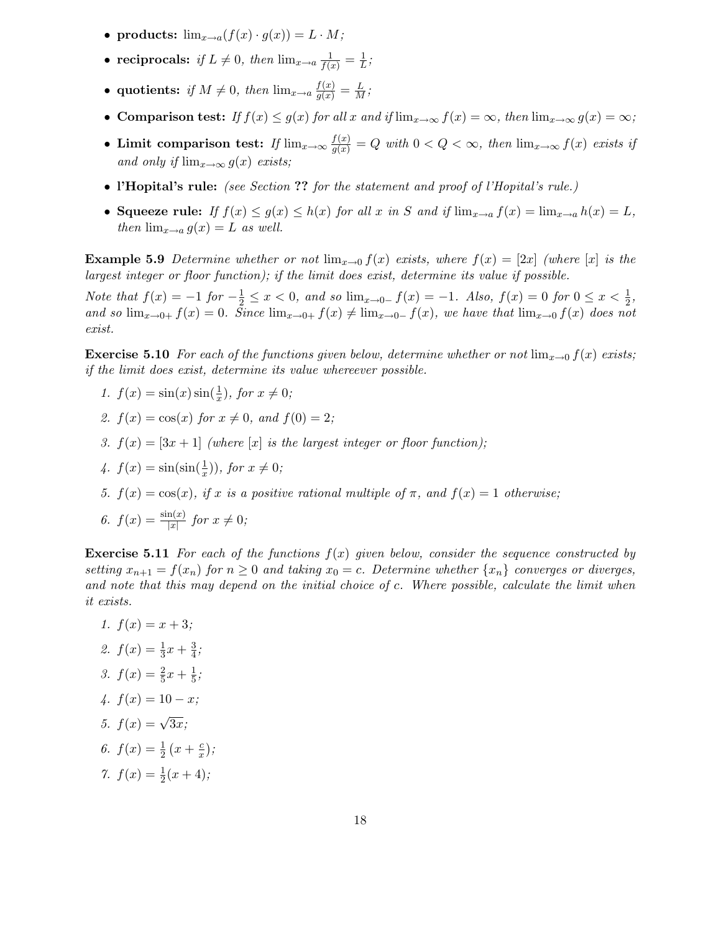- products:  $\lim_{x\to a}(f(x)\cdot g(x)) = L \cdot M;$
- reciprocals: if  $L \neq 0$ , then  $\lim_{x\to a} \frac{1}{f(x)} = \frac{1}{L}$  $\frac{1}{L}$ ;
- quotients: if  $M \neq 0$ , then  $\lim_{x\to a} \frac{f(x)}{g(x)} = \frac{L}{M}$ ;
- Comparison test: If  $f(x) \le g(x)$  for all x and if  $\lim_{x\to\infty} f(x) = \infty$ , then  $\lim_{x\to\infty} g(x) = \infty$ ;
- Limit comparison test: If  $\lim_{x\to\infty} \frac{f(x)}{g(x)} = Q$  with  $0 < Q < \infty$ , then  $\lim_{x\to\infty} f(x)$  exists if and only if  $\lim_{x\to\infty} g(x)$  exists;
- l'Hopital's rule: (see Section ?? for the statement and proof of l'Hopital's rule.)
- Squeeze rule: If  $f(x) \le g(x) \le h(x)$  for all x in S and if  $\lim_{x\to a} f(x) = \lim_{x\to a} h(x) = L$ , then  $\lim_{x\to a} g(x) = L$  as well.

**Example 5.9** Determine whether or not  $\lim_{x\to 0} f(x)$  exists, where  $f(x) = 2x$  (where  $[x]$  is the largest integer or floor function); if the limit does exist, determine its value if possible.

Note that  $f(x) = -1$  for  $-\frac{1}{2} \le x < 0$ , and so  $\lim_{x \to 0^-} f(x) = -1$ . Also,  $f(x) = 0$  for  $0 \le x < \frac{1}{2}$  $\frac{1}{2}$ , and so  $\lim_{x\to 0+} f(x) = 0$ . Since  $\lim_{x\to 0+} f(x) \neq \lim_{x\to 0-} f(x)$ , we have that  $\lim_{x\to 0} f(x)$  does not exist.

**Exercise 5.10** For each of the functions given below, determine whether or not  $\lim_{x\to 0} f(x)$  exists; if the limit does exist, determine its value whereever possible.

- 1.  $f(x) = \sin(x) \sin(\frac{1}{x})$  $(\frac{1}{x}),$  for  $x \neq 0;$
- 2.  $f(x) = \cos(x)$  for  $x \neq 0$ , and  $f(0) = 2$ ;
- 3.  $f(x) = [3x + 1]$  (where |x| is the largest integer or floor function);
- 4.  $f(x) = \sin(\sin(\frac{1}{x}))$  $(\frac{1}{x}))$ , for  $x \neq 0$ ;
- 5.  $f(x) = \cos(x)$ , if x is a positive rational multiple of  $\pi$ , and  $f(x) = 1$  otherwise;
- 6.  $f(x) = \frac{\sin(x)}{|x|}$  $\frac{\ln(x)}{|x|}$  for  $x \neq 0$ ;

**Exercise 5.11** For each of the functions  $f(x)$  given below, consider the sequence constructed by setting  $x_{n+1} = f(x_n)$  for  $n \geq 0$  and taking  $x_0 = c$ . Determine whether  $\{x_n\}$  converges or diverges, and note that this may depend on the initial choice of c. Where possible, calculate the limit when it exists.

1.  $f(x) = x + 3$ ; 2.  $f(x) = \frac{1}{3}$  $rac{1}{3}x + \frac{3}{4}$  $\frac{3}{4}$ ; 3.  $f(x) = \frac{2}{5}$  $\frac{2}{5}x + \frac{1}{5}$  $\frac{1}{5}$ ; 4.  $f(x) = 10 - x$ ; 5.  $f(x) = \sqrt{3x}$ ; 6.  $f(x) = \frac{1}{2}$  $rac{1}{2}(x+\frac{c}{x})$  $\frac{c}{x}$ ); 7.  $f(x) = \frac{1}{2}$  $rac{1}{2}(x+4);$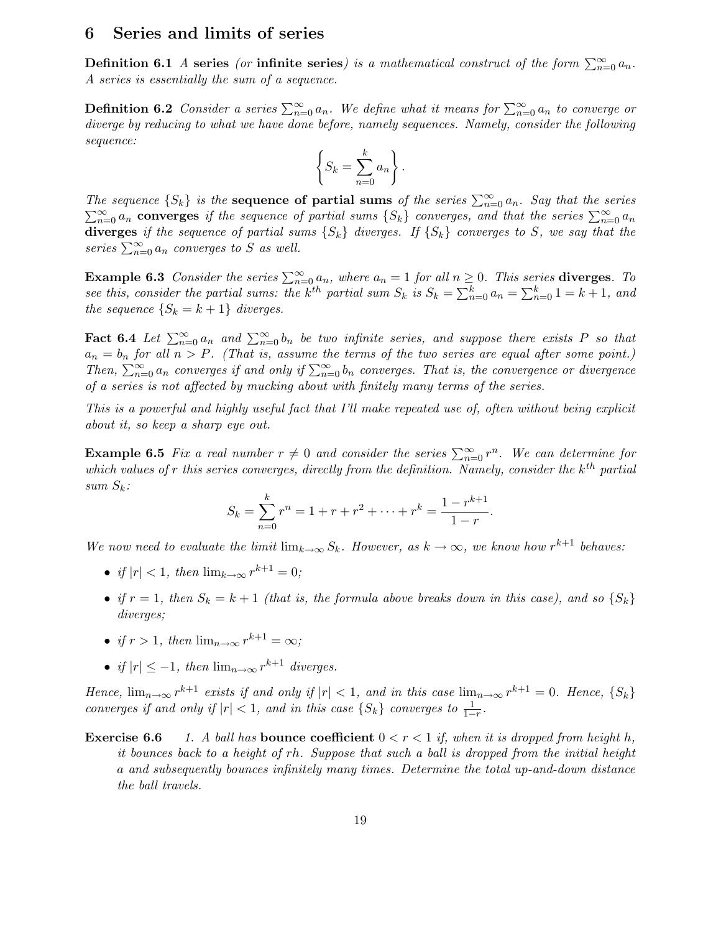#### 6 Series and limits of series

**Definition 6.1** A series (or infinite series) is a mathematical construct of the form  $\sum_{n=0}^{\infty} a_n$ . A series is essentially the sum of a sequence.

**Definition 6.2** Consider a series  $\sum_{n=0}^{\infty} a_n$ . We define what it means for  $\sum_{n=0}^{\infty} a_n$  to converge or diverge by reducing to what we have done before, namely sequences. Namely, consider the following sequence:

$$
\left\{S_k = \sum_{n=0}^k a_n\right\}.
$$

The sequence  $\{S_k\}$  is the **sequence of partial sums** of the series  $\sum_{n=0}^{\infty} a_n$ . Say that the series  $\sum_{n=0}^{\infty} a_n$  converges if the sequence of partial sums  $\{S_k\}$  converges, and that the series  $\sum_{n=0}^{\infty} a_n$ diverges if the sequence of partial sums  $\{S_k\}$  diverges. If  $\{S_k\}$  converges to S, we say that the series  $\sum_{n=0}^{\infty} a_n$  converges to S as well.

**Example 6.3** Consider the series  $\sum_{n=0}^{\infty} a_n$ , where  $a_n = 1$  for all  $n \geq 0$ . This series **diverges**. To see this, consider the partial sums: the k<sup>th</sup> partial sum  $S_k$  is  $S_k = \sum_{n=0}^k a_n = \sum_{n=0}^k 1 = k+1$ , and the sequence  $\{S_k = k+1\}$  diverges.

**Fact 6.4** Let  $\sum_{n=0}^{\infty} a_n$  and  $\sum_{n=0}^{\infty} b_n$  be two infinite series, and suppose there exists P so that  $a_n = b_n$  for all  $n > P$ . (That is, assume the terms of the two series are equal after some point.) Then,  $\sum_{n=0}^{\infty} a_n$  converges if and only if  $\sum_{n=0}^{\infty} b_n$  converges. That is, the convergence or divergence of a series is not affected by mucking about with finitely many terms of the series.

This is a powerful and highly useful fact that I'll make repeated use of, often without being explicit about it, so keep a sharp eye out.

**Example 6.5** Fix a real number  $r \neq 0$  and consider the series  $\sum_{n=0}^{\infty} r^n$ . We can determine for which values of r this series converges, directly from the definition. Namely, consider the  $k^{th}$  partial sum  $S_k$ :

$$
S_k = \sum_{n=0}^k r^n = 1 + r + r^2 + \dots + r^k = \frac{1 - r^{k+1}}{1 - r}.
$$

We now need to evaluate the limit  $\lim_{k\to\infty} S_k$ . However, as  $k\to\infty$ , we know how  $r^{k+1}$  behaves:

- if  $|r| < 1$ , then  $\lim_{k \to \infty} r^{k+1} = 0$ ;
- if  $r = 1$ , then  $S_k = k + 1$  (that is, the formula above breaks down in this case), and so  $\{S_k\}$ diverges;
- if  $r > 1$ , then  $\lim_{n \to \infty} r^{k+1} = \infty$ ;
- if  $|r| \leq -1$ , then  $\lim_{n\to\infty} r^{k+1}$  diverges.

Hence,  $\lim_{n\to\infty} r^{k+1}$  exists if and only if  $|r| < 1$ , and in this case  $\lim_{n\to\infty} r^{k+1} = 0$ . Hence,  $\{S_k\}$ converges if and only if  $|r| < 1$ , and in this case  $\{S_k\}$  converges to  $\frac{1}{1-r}$ .

**Exercise 6.6** 1. A ball has **bounce coefficient**  $0 < r < 1$  if, when it is dropped from height h, it bounces back to a height of rh. Suppose that such a ball is dropped from the initial height a and subsequently bounces infinitely many times. Determine the total up-and-down distance the ball travels.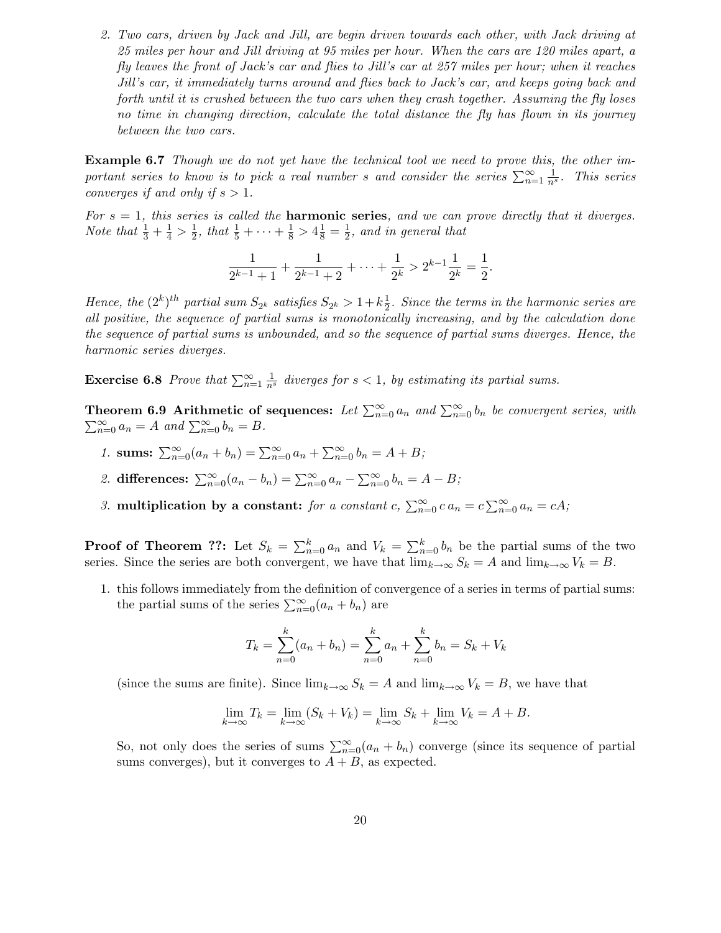2. Two cars, driven by Jack and Jill, are begin driven towards each other, with Jack driving at 25 miles per hour and Jill driving at 95 miles per hour. When the cars are 120 miles apart, a fly leaves the front of Jack's car and flies to Jill's car at 257 miles per hour; when it reaches Jill's car, it immediately turns around and flies back to Jack's car, and keeps going back and forth until it is crushed between the two cars when they crash together. Assuming the fly loses no time in changing direction, calculate the total distance the fly has flown in its journey between the two cars.

Example 6.7 Though we do not yet have the technical tool we need to prove this, the other important series to know is to pick a real number s and consider the series  $\sum_{n=1}^{\infty} \frac{1}{n^s}$ . This series converges if and only if  $s > 1$ .

For  $s = 1$ , this series is called the **harmonic series**, and we can prove directly that it diverges. *Note that*  $\frac{1}{3} + \frac{1}{4} > \frac{1}{2}$  $\frac{1}{2}$ , that  $\frac{1}{5} + \cdots + \frac{1}{8} > 4\frac{1}{8} = \frac{1}{2}$  $\frac{1}{2}$ , and in general that

$$
\frac{1}{2^{k-1}+1} + \frac{1}{2^{k-1}+2} + \dots + \frac{1}{2^k} > 2^{k-1}\frac{1}{2^k} = \frac{1}{2}.
$$

Hence, the  $(2^k)^{th}$  partial sum  $S_{2^k}$  satisfies  $S_{2^k} > 1 + k \frac{1}{2}$  $\frac{1}{2}$ . Since the terms in the harmonic series are all positive, the sequence of partial sums is monotonically increasing, and by the calculation done the sequence of partial sums is unbounded, and so the sequence of partial sums diverges. Hence, the harmonic series diverges.

**Exercise 6.8** Prove that  $\sum_{n=1}^{\infty} \frac{1}{n^s}$  diverges for  $s < 1$ , by estimating its partial sums.

**Theorem 6.9 Arithmetic of sequences:** Let  $\sum_{n=0}^{\infty} a_n$  and  $\sum_{n=0}^{\infty} b_n$  be convergent series, with  $\sum_{n=0}^{\infty} a_n = A$  and  $\sum_{n=0}^{\infty} b_n = B$ .

- 1. sums:  $\sum_{n=0}^{\infty} (a_n + b_n) = \sum_{n=0}^{\infty} a_n + \sum_{n=0}^{\infty} b_n = A + B;$
- 2. differences:  $\sum_{n=0}^{\infty} (a_n b_n) = \sum_{n=0}^{\infty} a_n \sum_{n=0}^{\infty} b_n = A B;$
- 3. multiplication by a constant: for a constant  $c$ ,  $\sum_{n=0}^{\infty} c a_n = c \sum_{n=0}^{\infty} a_n = cA$ ;

**Proof of Theorem ??:** Let  $S_k = \sum_{n=0}^k a_n$  and  $V_k = \sum_{n=0}^k b_n$  be the partial sums of the two series. Since the series are both convergent, we have that  $\lim_{k\to\infty} S_k = A$  and  $\lim_{k\to\infty} V_k = B$ .

1. this follows immediately from the definition of convergence of a series in terms of partial sums: the partial sums of the series  $\sum_{n=0}^{\infty} (a_n + b_n)$  are

$$
T_k = \sum_{n=0}^{k} (a_n + b_n) = \sum_{n=0}^{k} a_n + \sum_{n=0}^{k} b_n = S_k + V_k
$$

(since the sums are finite). Since  $\lim_{k\to\infty} S_k = A$  and  $\lim_{k\to\infty} V_k = B$ , we have that

$$
\lim_{k \to \infty} T_k = \lim_{k \to \infty} (S_k + V_k) = \lim_{k \to \infty} S_k + \lim_{k \to \infty} V_k = A + B.
$$

So, not only does the series of sums  $\sum_{n=0}^{\infty} (a_n + b_n)$  converge (since its sequence of partial sums converges), but it converges to  $A + B$ , as expected.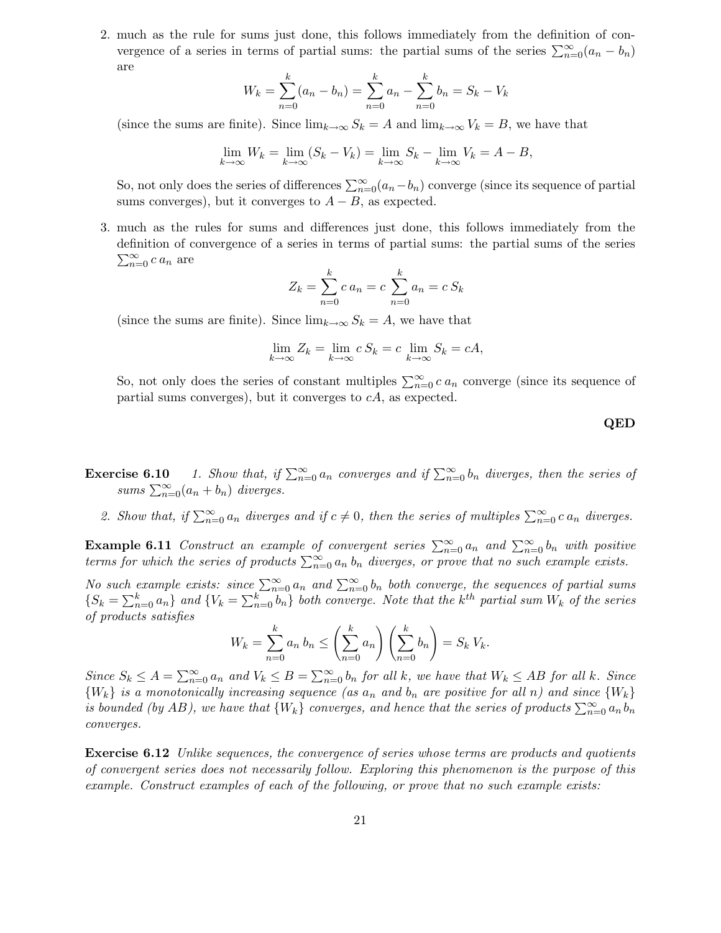2. much as the rule for sums just done, this follows immediately from the definition of convergence of a series in terms of partial sums: the partial sums of the series  $\sum_{n=0}^{\infty} (a_n - b_n)$ are

$$
W_k = \sum_{n=0}^k (a_n - b_n) = \sum_{n=0}^k a_n - \sum_{n=0}^k b_n = S_k - V_k
$$

(since the sums are finite). Since  $\lim_{k\to\infty} S_k = A$  and  $\lim_{k\to\infty} V_k = B$ , we have that

$$
\lim_{k \to \infty} W_k = \lim_{k \to \infty} (S_k - V_k) = \lim_{k \to \infty} S_k - \lim_{k \to \infty} V_k = A - B,
$$

So, not only does the series of differences  $\sum_{n=0}^{\infty} (a_n - b_n)$  converge (since its sequence of partial sums converges), but it converges to  $A - B$ , as expected.

3. much as the rules for sums and differences just done, this follows immediately from the definition of convergence of a series in terms of partial sums: the partial sums of the series  $\sum_{n=0}^{\infty} c a_n$  are

$$
Z_k = \sum_{n=0}^{k} c a_n = c \sum_{n=0}^{k} a_n = c S_k
$$

(since the sums are finite). Since  $\lim_{k\to\infty} S_k = A$ , we have that

$$
\lim_{k \to \infty} Z_k = \lim_{k \to \infty} c S_k = c \lim_{k \to \infty} S_k = cA,
$$

So, not only does the series of constant multiples  $\sum_{n=0}^{\infty} c a_n$  converge (since its sequence of partial sums converges), but it converges to  $cA$ , as expected.

#### QED

- **Exercise 6.10** 1. Show that, if  $\sum_{n=0}^{\infty} a_n$  converges and if  $\sum_{n=0}^{\infty} b_n$  diverges, then the series of sums  $\sum_{n=0}^{\infty} (a_n + b_n)$  diverges.
	- 2. Show that, if  $\sum_{n=0}^{\infty} a_n$  diverges and if  $c \neq 0$ , then the series of multiples  $\sum_{n=0}^{\infty} c a_n$  diverges.

**Example 6.11** Construct an example of convergent series  $\sum_{n=0}^{\infty} a_n$  and  $\sum_{n=0}^{\infty} b_n$  with positive terms for which the series of products  $\sum_{n=0}^{\infty} a_n b_n$  diverges, or prove that no such example exists.

No such example exists: since  $\sum_{n=0}^{\infty} a_n$  and  $\sum_{n=0}^{\infty} b_n$  both converge, the sequences of partial sums  $\{S_k = \sum_{n=0}^k a_n\}$  and  $\{V_k = \sum_{n=0}^k b_n\}$  both converge. Note that the k<sup>th</sup> partial sum  $W_k$  of the series of products satisfies

$$
W_k = \sum_{n=0}^k a_n b_n \le \left(\sum_{n=0}^k a_n\right) \left(\sum_{n=0}^k b_n\right) = S_k V_k.
$$

Since  $S_k \leq A = \sum_{n=0}^{\infty} a_n$  and  $V_k \leq B = \sum_{n=0}^{\infty} b_n$  for all k, we have that  $W_k \leq AB$  for all k. Since  ${W_k}$  is a monotonically increasing sequence (as  $a_n$  and  $b_n$  are positive for all n) and since  ${W_k}$ is bounded (by AB), we have that  $\{W_k\}$  converges, and hence that the series of products  $\sum_{n=0}^{\infty} a_n b_n$ converges.

**Exercise 6.12** Unlike sequences, the convergence of series whose terms are products and quotients of convergent series does not necessarily follow. Exploring this phenomenon is the purpose of this example. Construct examples of each of the following, or prove that no such example exists: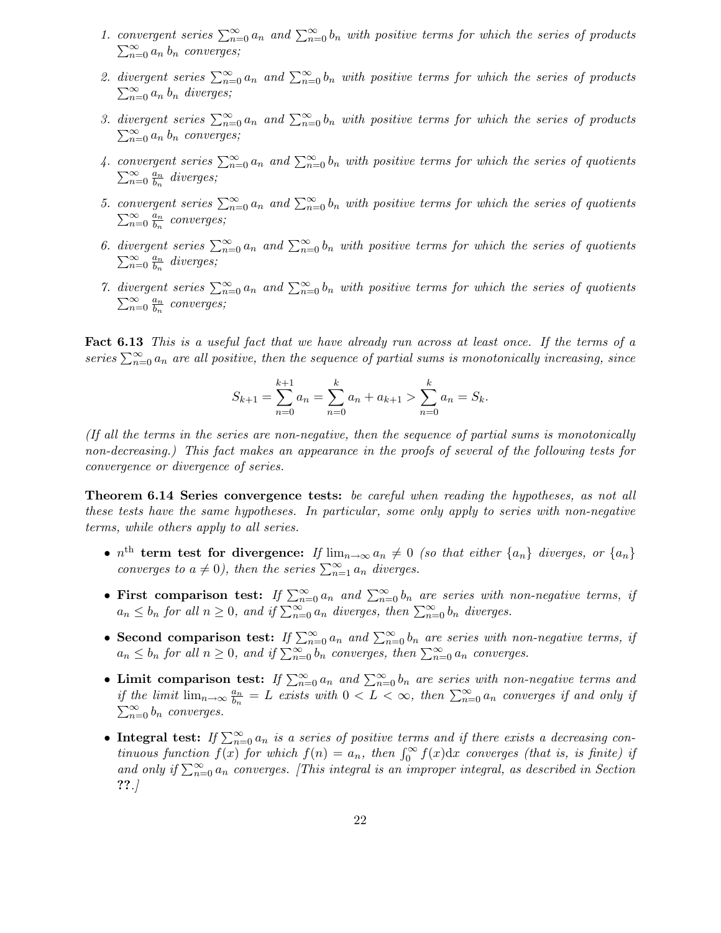- 1. convergent series  $\sum_{n=0}^{\infty} a_n$  and  $\sum_{n=0}^{\infty} b_n$  with positive terms for which the series of products  $\sum_{n=0}^{\infty} a_n b_n$  converges;
- 2. divergent series  $\sum_{n=0}^{\infty} a_n$  and  $\sum_{n=0}^{\infty} b_n$  with positive terms for which the series of products  $\sum_{n=0}^{\infty} a_n b_n$  diverges;
- 3. divergent series  $\sum_{n=0}^{\infty} a_n$  and  $\sum_{n=0}^{\infty} b_n$  with positive terms for which the series of products  $\sum_{n=0}^{\infty} a_n b_n$  converges;
- 4. convergent series  $\sum_{n=0}^{\infty} a_n$  and  $\sum_{n=0}^{\infty} b_n$  with positive terms for which the series of quotients  $\sum_{n=0}^{\infty} \frac{a_n}{b_n}$  $\frac{a_n}{b_n}$  diverges;
- 5. convergent series  $\sum_{n=0}^{\infty} a_n$  and  $\sum_{n=0}^{\infty} b_n$  with positive terms for which the series of quotients  $\sum_{n=0}^{\infty} \frac{a_n}{b_n}$  $\frac{a_n}{b_n}$  converges;
- 6. divergent series  $\sum_{n=0}^{\infty} a_n$  and  $\sum_{n=0}^{\infty} b_n$  with positive terms for which the series of quotients  $\sum_{n=0}^{\infty} \frac{a_n}{b_n}$  $\frac{a_n}{b_n}$  diverges;
- 7. divergent series  $\sum_{n=0}^{\infty} a_n$  and  $\sum_{n=0}^{\infty} b_n$  with positive terms for which the series of quotients  $\sum_{n=0}^{\infty} \frac{a_n}{b_n}$  $\frac{a_n}{b_n}$  converges;

Fact 6.13 This is a useful fact that we have already run across at least once. If the terms of a series  $\sum_{n=0}^{\infty} a_n$  are all positive, then the sequence of partial sums is monotonically increasing, since

$$
S_{k+1} = \sum_{n=0}^{k+1} a_n = \sum_{n=0}^{k} a_n + a_{k+1} > \sum_{n=0}^{k} a_n = S_k.
$$

(If all the terms in the series are non-negative, then the sequence of partial sums is monotonically non-decreasing.) This fact makes an appearance in the proofs of several of the following tests for convergence or divergence of series.

Theorem 6.14 Series convergence tests: be careful when reading the hypotheses, as not all these tests have the same hypotheses. In particular, some only apply to series with non-negative terms, while others apply to all series.

- $n^{\text{th}}$  term test for divergence: If  $\lim_{n\to\infty} a_n \neq 0$  (so that either  $\{a_n\}$  diverges, or  $\{a_n\}$ converges to  $a \neq 0$ ), then the series  $\sum_{n=1}^{\infty} a_n$  diverges.
- First comparison test: If  $\sum_{n=0}^{\infty} a_n$  and  $\sum_{n=0}^{\infty} b_n$  are series with non-negative terms, if  $a_n \leq b_n$  for all  $n \geq 0$ , and if  $\sum_{n=0}^{\infty} a_n$  diverges, then  $\sum_{n=0}^{\infty} b_n$  diverges.
- Second comparison test: If  $\sum_{n=0}^{\infty} a_n$  and  $\sum_{n=0}^{\infty} b_n$  are series with non-negative terms, if  $a_n \leq b_n$  for all  $n \geq 0$ , and if  $\sum_{n=0}^{\infty} b_n$  converges, then  $\sum_{n=0}^{\infty} a_n$  converges.
- Limit comparison test: If  $\sum_{n=0}^{\infty} a_n$  and  $\sum_{n=0}^{\infty} b_n$  are series with non-negative terms and if the limit  $\lim_{n\to\infty} \frac{a_n}{b_n}$  $\frac{a_n}{b_n} = L$  exists with  $0 < L < \infty$ , then  $\sum_{n=0}^{\infty} a_n$  converges if and only if  $\sum_{n=0}^{\infty} b_n$  converges.
- Integral test: If  $\sum_{n=0}^{\infty} a_n$  is a series of positive terms and if there exists a decreasing continuous function  $f(x)$  for which  $f(n) = a_n$ , then  $\int_0^\infty f(x) dx$  converges (that is, is finite) if and only if  $\sum_{n=0}^{\infty} a_n$  converges. [This integral is an improper integral, as described in Section ??.]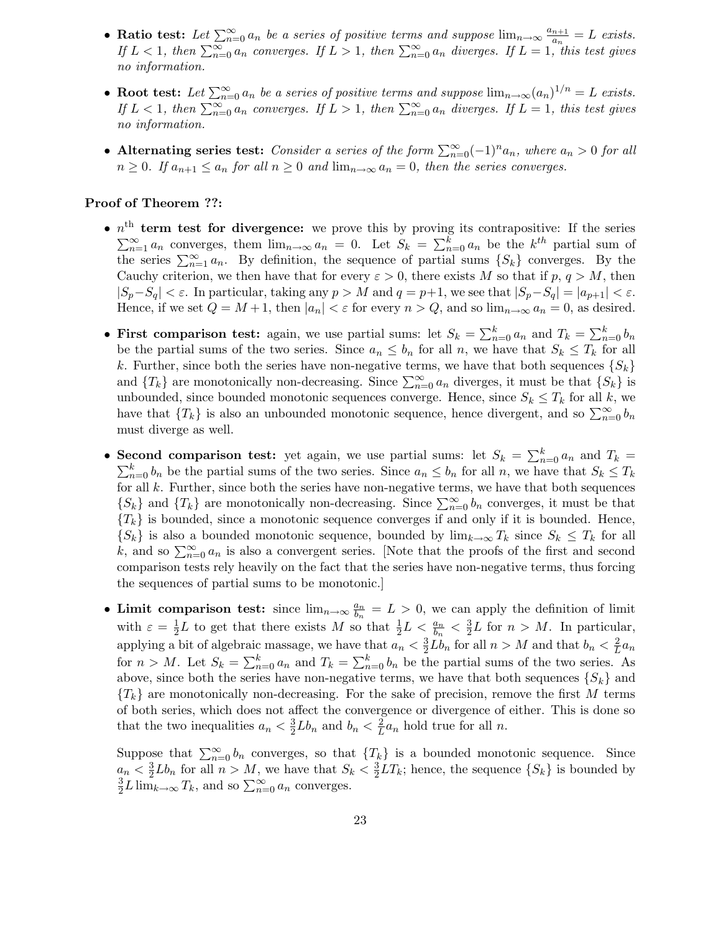- Ratio test: Let  $\sum_{n=0}^{\infty} a_n$  be a series of positive terms and suppose  $\lim_{n\to\infty} \frac{a_{n+1}}{a_n}$  $\frac{n+1}{a_n} = L$  exists. If  $L < 1$ , then  $\sum_{n=0}^{\infty} a_n$  converges. If  $L > 1$ , then  $\sum_{n=0}^{\infty} a_n$  diverges. If  $L = 1$ , this test gives no information.
- Root test: Let  $\sum_{n=0}^{\infty} a_n$  be a series of positive terms and suppose  $\lim_{n\to\infty} (a_n)^{1/n} = L$  exists. If  $L < 1$ , then  $\sum_{n=0}^{\infty} a_n$  converges. If  $L > 1$ , then  $\sum_{n=0}^{\infty} a_n$  diverges. If  $L = 1$ , this test gives no information.
- Alternating series test: Consider a series of the form  $\sum_{n=0}^{\infty} (-1)^n a_n$ , where  $a_n > 0$  for all  $n \geq 0$ . If  $a_{n+1} \leq a_n$  for all  $n \geq 0$  and  $\lim_{n \to \infty} a_n = 0$ , then the series converges.

#### Proof of Theorem ??:

- $n^{\text{th}}$  term test for divergence: we prove this by proving its contrapositive: If the series  $\sum_{n=1}^{\infty} a_n$  converges, them  $\lim_{n\to\infty} a_n = 0$ . Let  $S_k = \sum_{n=0}^k a_n$  be the  $k^{th}$  partial sum of the series  $\sum_{n=1}^{\infty} a_n$ . By definition, the sequence of partial sums  $\{S_k\}$  converges. By the Cauchy criterion, we then have that for every  $\varepsilon > 0$ , there exists M so that if  $p, q > M$ , then  $|S_p-S_q| < \varepsilon$ . In particular, taking any  $p > M$  and  $q = p+1$ , we see that  $|S_p-S_q| = |a_{p+1}| < \varepsilon$ . Hence, if we set  $Q = M + 1$ , then  $|a_n| < \varepsilon$  for every  $n > Q$ , and so  $\lim_{n \to \infty} a_n = 0$ , as desired.
- First comparison test: again, we use partial sums: let  $S_k = \sum_{n=0}^k a_n$  and  $T_k = \sum_{n=0}^k b_n$ be the partial sums of the two series. Since  $a_n \leq b_n$  for all n, we have that  $S_k \leq T_k$  for all k. Further, since both the series have non-negative terms, we have that both sequences  $\{S_k\}$ and  $\{T_k\}$  are monotonically non-decreasing. Since  $\sum_{n=0}^{\infty} a_n$  diverges, it must be that  $\{S_k\}$  is unbounded, since bounded monotonic sequences converge. Hence, since  $S_k \leq T_k$  for all k, we have that  $\{T_k\}$  is also an unbounded monotonic sequence, hence divergent, and so  $\sum_{n=0}^{\infty} b_n$ must diverge as well.
- Second comparison test: yet again, we use partial sums: let  $S_k = \sum_{n=0}^k a_n$  and  $T_k =$  $\sum_{n=0}^{k} b_n$  be the partial sums of the two series. Since  $a_n \leq b_n$  for all n, we have that  $S_k \leq T_k$ for all  $k$ . Further, since both the series have non-negative terms, we have that both sequences  $\{S_k\}$  and  $\{T_k\}$  are monotonically non-decreasing. Since  $\sum_{n=0}^{\infty} b_n$  converges, it must be that  ${T_k}$  is bounded, since a monotonic sequence converges if and only if it is bounded. Hence,  ${S_k}$  is also a bounded monotonic sequence, bounded by  $\lim_{k\to\infty} T_k$  since  $S_k \leq T_k$  for all k, and so  $\sum_{n=0}^{\infty} a_n$  is also a convergent series. [Note that the proofs of the first and second comparison tests rely heavily on the fact that the series have non-negative terms, thus forcing the sequences of partial sums to be monotonic.]
- Limit comparison test: since  $\lim_{n\to\infty}\frac{a_n}{b_n}$  $\frac{a_n}{b_n} = L > 0$ , we can apply the definition of limit with  $\varepsilon = \frac{1}{2}$  $\frac{1}{2}L$  to get that there exists M so that  $\frac{1}{2}L < \frac{a_n}{b_n}$  $\frac{a_n}{b_n} < \frac{3}{2}$  $\frac{3}{2}L$  for  $n > M$ . In particular, applying a bit of algebraic massage, we have that  $a_n < \frac{3}{2}$  $\frac{3}{2}Lb_n$  for all  $n > M$  and that  $b_n < \frac{2}{L}$  $rac{2}{L}a_n$ for  $n > M$ . Let  $S_k = \sum_{n=0}^k a_n$  and  $T_k = \sum_{n=0}^k b_n$  be the partial sums of the two series. As above, since both the series have non-negative terms, we have that both sequences  ${S_k}$  and  ${T_k}$  are monotonically non-decreasing. For the sake of precision, remove the first M terms of both series, which does not affect the convergence or divergence of either. This is done so that the two inequalities  $a_n < \frac{3}{2}$  $\frac{3}{2}Lb_n$  and  $b_n < \frac{2}{L}$  $\frac{2}{L}a_n$  hold true for all n.

Suppose that  $\sum_{n=0}^{\infty} b_n$  converges, so that  $\{T_k\}$  is a bounded monotonic sequence. Since  $a_n < \frac{3}{2}$  $\frac{3}{2}Lb_n$  for all  $n > M$ , we have that  $S_k < \frac{3}{2}$  $\frac{3}{2}LT_k$ ; hence, the sequence  $\{S_k\}$  is bounded by 3  $\frac{3}{2}L\lim_{k\to\infty}T_k$ , and so  $\sum_{n=0}^{\infty}a_n$  converges.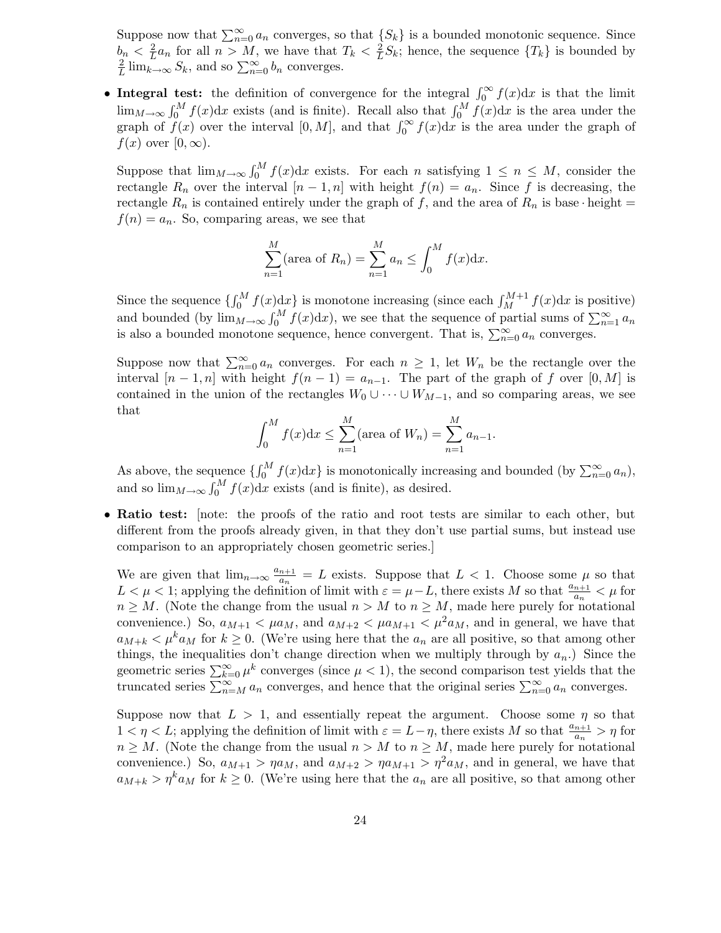Suppose now that  $\sum_{n=0}^{\infty} a_n$  converges, so that  $\{S_k\}$  is a bounded monotonic sequence. Since  $b_n < \frac{2}{L}$  $\frac{2}{L}a_n$  for all  $n > M$ , we have that  $T_k < \frac{2}{L}$  $\frac{2}{L}S_k$ ; hence, the sequence  $\{T_k\}$  is bounded by 2  $\frac{2}{L}$ lim<sub> $k\rightarrow\infty$ </sub>  $S_k$ , and so  $\sum_{n=0}^{\infty} b_n$  converges.

• Integral test: the definition of convergence for the integral  $\int_0^\infty f(x) dx$  is that the limit  $\lim_{M\to\infty} \int_0^M f(x) dx$  exists (and is finite). Recall also that  $\int_0^M f(x) dx$  is the area under the graph of  $f(x)$  over the interval  $[0, M]$ , and that  $\int_0^\infty f(x) dx$  is the area under the graph of  $f(x)$  over  $[0, \infty)$ .

Suppose that  $\lim_{M\to\infty} \int_0^M f(x) dx$  exists. For each n satisfying  $1 \le n \le M$ , consider the rectangle  $R_n$  over the interval  $[n-1,n]$  with height  $f(n) = a_n$ . Since f is decreasing, the rectangle  $R_n$  is contained entirely under the graph of f, and the area of  $R_n$  is base · height =  $f(n) = a_n$ . So, comparing areas, we see that

$$
\sum_{n=1}^{M} (\text{area of } R_n) = \sum_{n=1}^{M} a_n \le \int_0^M f(x) dx.
$$

Since the sequence  $\{\int_0^M f(x) dx\}$  is monotone increasing (since each  $\int_M^{M+1} f(x) dx$  is positive) and bounded (by  $\lim_{M\to\infty} \int_0^M f(x) dx$ ), we see that the sequence of partial sums of  $\sum_{n=1}^{\infty} a_n$ is also a bounded monotone sequence, hence convergent. That is,  $\sum_{n=0}^{\infty} a_n$  converges.

Suppose now that  $\sum_{n=0}^{\infty} a_n$  converges. For each  $n \geq 1$ , let  $W_n$  be the rectangle over the interval  $[n-1,n]$  with height  $f(n-1) = a_{n-1}$ . The part of the graph of f over  $[0,M]$  is contained in the union of the rectangles  $W_0 \cup \cdots \cup W_{M-1}$ , and so comparing areas, we see that

$$
\int_0^M f(x) dx \le \sum_{n=1}^M (\text{area of } W_n) = \sum_{n=1}^M a_{n-1}.
$$

As above, the sequence  $\{\int_0^M f(x)dx\}$  is monotonically increasing and bounded (by  $\sum_{n=0}^{\infty} a_n$ ), and so  $\lim_{M\to\infty} \int_0^M f(x) dx$  exists (and is finite), as desired.

• Ratio test: [note: the proofs of the ratio and root tests are similar to each other, but different from the proofs already given, in that they don't use partial sums, but instead use comparison to an appropriately chosen geometric series.]

We are given that  $\lim_{n\to\infty} \frac{a_{n+1}}{a_n}$  $\frac{n+1}{a_n} = L$  exists. Suppose that  $L < 1$ . Choose some  $\mu$  so that  $L < \mu < 1$ ; applying the definition of limit with  $\varepsilon = \mu - L$ , there exists M so that  $\frac{a_{n+1}}{a_n} < \mu$  for  $n \geq M$ . (Note the change from the usual  $n > M$  to  $n \geq M$ , made here purely for notational convenience.) So,  $a_{M+1} < \mu a_M$ , and  $a_{M+2} < \mu a_{M+1} < \mu^2 a_M$ , and in general, we have that  $a_{M+k} < \mu^k a_M$  for  $k \geq 0$ . (We're using here that the  $a_n$  are all positive, so that among other things, the inequalities don't change direction when we multiply through by  $a_n$ .) Since the geometric series  $\sum_{k=0}^{\infty} \mu^k$  converges (since  $\mu < 1$ ), the second comparison test yields that the truncated series  $\sum_{n=M}^{\infty} a_n$  converges, and hence that the original series  $\sum_{n=0}^{\infty} a_n$  converges.

Suppose now that  $L > 1$ , and essentially repeat the argument. Choose some  $\eta$  so that  $1 < \eta < L$ ; applying the definition of limit with  $\varepsilon = L - \eta$ , there exists M so that  $\frac{a_{n+1}}{a_n} > \eta$  for  $n \geq M$ . (Note the change from the usual  $n > M$  to  $n \geq M$ , made here purely for notational convenience.) So,  $a_{M+1} > \eta a_M$ , and  $a_{M+2} > \eta a_{M+1} > \eta^2 a_M$ , and in general, we have that  $a_{M+k} > \eta^k a_M$  for  $k \geq 0$ . (We're using here that the  $a_n$  are all positive, so that among other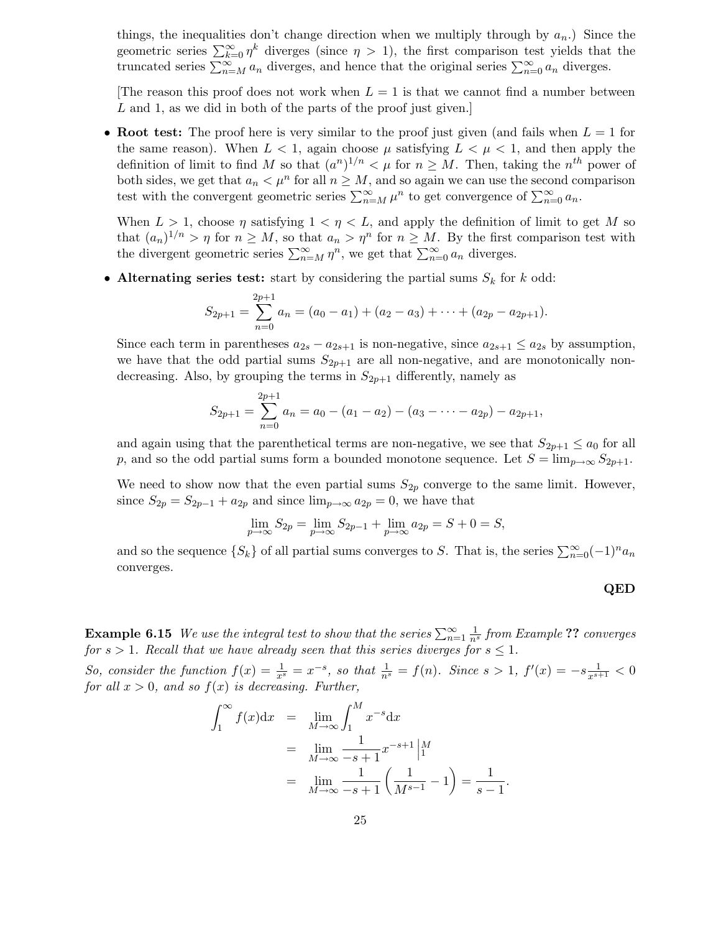things, the inequalities don't change direction when we multiply through by  $a_n$ .) Since the geometric series  $\sum_{k=0}^{\infty} \eta^k$  diverges (since  $\eta > 1$ ), the first comparison test yields that the truncated series  $\sum_{n=M}^{\infty} a_n$  diverges, and hence that the original series  $\sum_{n=0}^{\infty} a_n$  diverges.

The reason this proof does not work when  $L = 1$  is that we cannot find a number between L and 1, as we did in both of the parts of the proof just given.

• Root test: The proof here is very similar to the proof just given (and fails when  $L = 1$  for the same reason). When  $L < 1$ , again choose  $\mu$  satisfying  $L < \mu < 1$ , and then apply the definition of limit to find M so that  $(a^n)^{1/n} < \mu$  for  $n \geq M$ . Then, taking the  $n^{th}$  power of both sides, we get that  $a_n < \mu^n$  for all  $n \geq M$ , and so again we can use the second comparison test with the convergent geometric series  $\sum_{n=M}^{\infty} \mu^n$  to get convergence of  $\sum_{n=0}^{\infty} a_n$ .

When  $L > 1$ , choose  $\eta$  satisfying  $1 < \eta < L$ , and apply the definition of limit to get M so that  $(a_n)^{1/n} > \eta$  for  $n \geq M$ , so that  $a_n > \eta^n$  for  $n \geq M$ . By the first comparison test with the divergent geometric series  $\sum_{n=M}^{\infty} \eta^n$ , we get that  $\sum_{n=0}^{\infty} a_n$  diverges.

• Alternating series test: start by considering the partial sums  $S_k$  for k odd:

$$
S_{2p+1} = \sum_{n=0}^{2p+1} a_n = (a_0 - a_1) + (a_2 - a_3) + \cdots + (a_{2p} - a_{2p+1}).
$$

Since each term in parentheses  $a_{2s} - a_{2s+1}$  is non-negative, since  $a_{2s+1} \le a_{2s}$  by assumption, we have that the odd partial sums  $S_{2p+1}$  are all non-negative, and are monotonically nondecreasing. Also, by grouping the terms in  $S_{2p+1}$  differently, namely as

$$
S_{2p+1} = \sum_{n=0}^{2p+1} a_n = a_0 - (a_1 - a_2) - (a_3 - \dots - a_{2p}) - a_{2p+1},
$$

and again using that the parenthetical terms are non-negative, we see that  $S_{2p+1} \le a_0$  for all p, and so the odd partial sums form a bounded monotone sequence. Let  $S = \lim_{p \to \infty} S_{2p+1}$ .

We need to show now that the even partial sums  $S_{2p}$  converge to the same limit. However, since  $S_{2p} = S_{2p-1} + a_{2p}$  and since  $\lim_{p\to\infty} a_{2p} = 0$ , we have that

$$
\lim_{p \to \infty} S_{2p} = \lim_{p \to \infty} S_{2p-1} + \lim_{p \to \infty} a_{2p} = S + 0 = S,
$$

and so the sequence  $\{S_k\}$  of all partial sums converges to S. That is, the series  $\sum_{n=0}^{\infty}(-1)^n a_n$ converges.

$$
\mathbf{QED}
$$

**Example 6.15** We use the integral test to show that the series  $\sum_{n=1}^{\infty} \frac{1}{n^s}$  from Example ?? converges for  $s > 1$ . Recall that we have already seen that this series diverges for  $s \leq 1$ .

So, consider the function  $f(x) = \frac{1}{x^s} = x^{-s}$ , so that  $\frac{1}{n^s} = f(n)$ . Since  $s > 1$ ,  $f'(x) = -s \frac{1}{x^{s+1}} < 0$ for all  $x > 0$ , and so  $f(x)$  is decreasing. Further,

$$
\int_{1}^{\infty} f(x) dx = \lim_{M \to \infty} \int_{1}^{M} x^{-s} dx
$$
  
= 
$$
\lim_{M \to \infty} \frac{1}{-s+1} x^{-s+1} \Big|_{1}^{M}
$$
  
= 
$$
\lim_{M \to \infty} \frac{1}{-s+1} \Big( \frac{1}{M^{s-1}} - 1 \Big) = \frac{1}{s-1}.
$$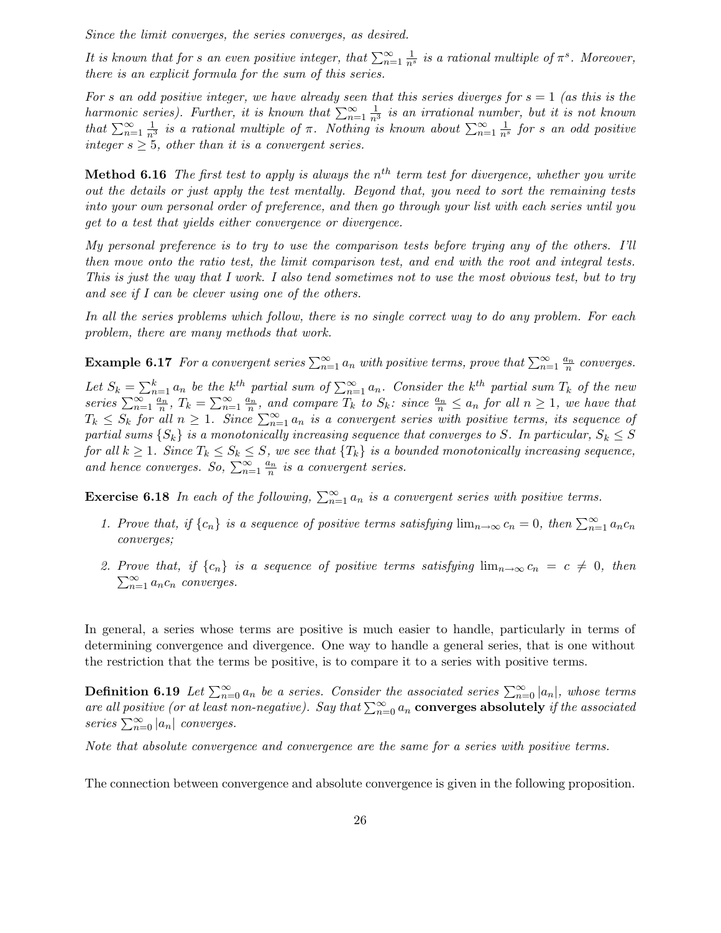Since the limit converges, the series converges, as desired.

It is known that for s an even positive integer, that  $\sum_{n=1}^{\infty} \frac{1}{n^s}$  is a rational multiple of  $\pi^s$ . Moreover, there is an explicit formula for the sum of this series.

For s an odd positive integer, we have already seen that this series diverges for  $s = 1$  (as this is the harmonic series). Further, it is known that  $\sum_{n=1}^{\infty} \frac{1}{n^3}$  is an irrational number, but it is not known that  $\sum_{n=1}^{\infty} \frac{1}{n^3}$  is a rational multiple of  $\pi$ . Nothing is known about  $\sum_{n=1}^{\infty} \frac{1}{n^s}$  for s an odd positive integer  $s \geq 5$ , other than it is a convergent series.

**Method 6.16** The first test to apply is always the  $n^{th}$  term test for divergence, whether you write out the details or just apply the test mentally. Beyond that, you need to sort the remaining tests into your own personal order of preference, and then go through your list with each series until you get to a test that yields either convergence or divergence.

My personal preference is to try to use the comparison tests before trying any of the others. I'll then move onto the ratio test, the limit comparison test, and end with the root and integral tests. This is just the way that I work. I also tend sometimes not to use the most obvious test, but to try and see if I can be clever using one of the others.

In all the series problems which follow, there is no single correct way to do any problem. For each problem, there are many methods that work.

**Example 6.17** For a convergent series  $\sum_{n=1}^{\infty} a_n$  with positive terms, prove that  $\sum_{n=1}^{\infty} \frac{a_n}{n}$  converges.

Let  $S_k = \sum_{n=1}^k a_n$  be the k<sup>th</sup> partial sum of  $\sum_{n=1}^{\infty} a_n$ . Consider the k<sup>th</sup> partial sum  $T_k$  of the new series  $\sum_{n=1}^{\infty} \frac{a_n}{n}$ ,  $T_k = \sum_{n=1}^{\infty} \frac{a_n}{n}$ , and compare  $T_k$  to  $S_k$ : since  $\frac{a_n}{n} \le a_n$  for all  $n \ge 1$ , we have that  $T_k \leq S_k$  for all  $n \geq 1$ . Since  $\sum_{n=1}^{\infty} a_n$  is a convergent series with positive terms, its sequence of partial sums  $\{S_k\}$  is a monotonically increasing sequence that converges to S. In particular,  $S_k \leq S$ for all  $k \geq 1$ . Since  $T_k \leq S_k \leq S$ , we see that  $\{T_k\}$  is a bounded monotonically increasing sequence, and hence converges. So,  $\sum_{n=1}^{\infty} \frac{a_n}{n}$  is a convergent series.

**Exercise 6.18** In each of the following,  $\sum_{n=1}^{\infty} a_n$  is a convergent series with positive terms.

- 1. Prove that, if  $\{c_n\}$  is a sequence of positive terms satisfying  $\lim_{n\to\infty} c_n = 0$ , then  $\sum_{n=1}^{\infty} a_n c_n$ converges;
- 2. Prove that, if  $\{c_n\}$  is a sequence of positive terms satisfying  $\lim_{n\to\infty} c_n = c \neq 0$ , then  $\sum_{n=1}^{\infty} a_n c_n$  converges.

In general, a series whose terms are positive is much easier to handle, particularly in terms of determining convergence and divergence. One way to handle a general series, that is one without the restriction that the terms be positive, is to compare it to a series with positive terms.

**Definition 6.19** Let  $\sum_{n=0}^{\infty} a_n$  be a series. Consider the associated series  $\sum_{n=0}^{\infty} |a_n|$ , whose terms are all positive (or at least non-negative). Say that  $\sum_{n=0}^{\infty} a_n$  converges absolutely if the associated series  $\sum_{n=0}^{\infty} |a_n|$  converges.

Note that absolute convergence and convergence are the same for a series with positive terms.

The connection between convergence and absolute convergence is given in the following proposition.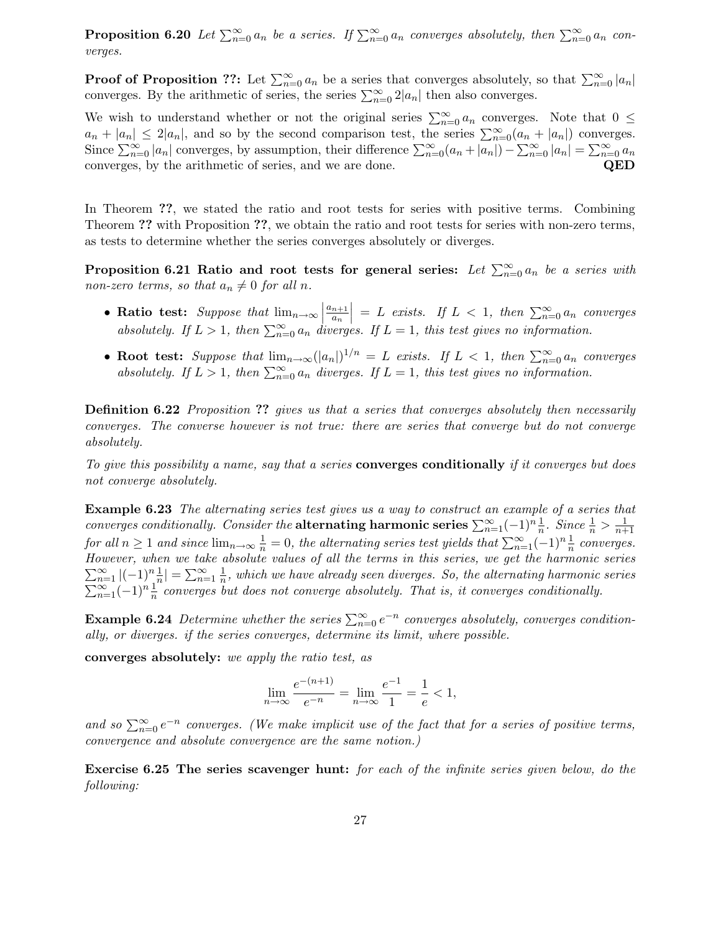**Proposition 6.20** Let  $\sum_{n=0}^{\infty} a_n$  be a series. If  $\sum_{n=0}^{\infty} a_n$  converges absolutely, then  $\sum_{n=0}^{\infty} a_n$  converges.

**Proof of Proposition ??:** Let  $\sum_{n=0}^{\infty} a_n$  be a series that converges absolutely, so that  $\sum_{n=0}^{\infty} |a_n|$ converges. By the arithmetic of series, the series  $\sum_{n=0}^{\infty} 2|a_n|$  then also converges.

We wish to understand whether or not the original series  $\sum_{n=0}^{\infty} a_n$  converges. Note that  $0 \leq$  $a_n + |a_n| \leq 2|a_n|$ , and so by the second comparison test, the series  $\sum_{n=0}^{\infty} (a_n + |a_n|)$  converges. Since  $\sum_{n=0}^{\infty} |a_n|$  converges, by assumption, their difference  $\sum_{n=0}^{\infty} (a_n + |a_n|) - \sum_{n=0}^{\infty} |a_n| = \sum_{n=0}^{\infty} a_n$ converges, by the arithmetic of series, and we are done. QED

In Theorem ??, we stated the ratio and root tests for series with positive terms. Combining Theorem ?? with Proposition ??, we obtain the ratio and root tests for series with non-zero terms, as tests to determine whether the series converges absolutely or diverges.

Proposition 6.21 Ratio and root tests for general series: Let  $\sum_{n=0}^{\infty} a_n$  be a series with non-zero terms, so that  $a_n \neq 0$  for all n.

- Ratio test: Suppose that  $\lim_{n\to\infty}$  $a_{n+1}$  $a_n$  $\Big| = L \text{ exists.}$  If  $L < 1$ , then  $\sum_{n=0}^{\infty} a_n$  converges absolutely. If  $L > 1$ , then  $\sum_{n=0}^{\infty} a_n$  diverges. If  $L = 1$ , this test gives no information.
- Root test: Suppose that  $\lim_{n\to\infty} (|a_n|)^{1/n} = L$  exists. If  $L < 1$ , then  $\sum_{n=0}^{\infty} a_n$  converges absolutely. If  $L > 1$ , then  $\sum_{n=0}^{\infty} a_n$  diverges. If  $L = 1$ , this test gives no information.

**Definition 6.22** Proposition ?? gives us that a series that converges absolutely then necessarily converges. The converse however is not true: there are series that converge but do not converge absolutely.

To give this possibility a name, say that a series **converges conditionally** if it converges but does not converge absolutely.

Example 6.23 The alternating series test gives us a way to construct an example of a series that converges conditionally. Consider the **alternating harmonic series**  $\sum_{n=1}^{\infty}(-1)^n \frac{1}{n}$ . Since  $\frac{1}{n} > \frac{1}{n+1}$  $n+1$ for all  $n \geq 1$  and since  $\lim_{n \to \infty} \frac{1}{n} = 0$ , the alternating series test yields that  $\sum_{n=1}^{\infty} (-1)^n \frac{1}{n}$  converges. However, when we take absolute values of all the terms in this series, we get the harmonic series  $\sum_{n=1}^{\infty} |(-1)^n \frac{1}{n}| = \sum_{n=1}^{\infty} \frac{1}{n}$  $\frac{1}{n}$ , which we have already seen diverges. So, the alternating harmonic series  $\sum_{n=1}^{\infty}(-1)^n\frac{1}{n}$  converges but does not converge absolutely. That is, it converges conditionally.

**Example 6.24** Determine whether the series  $\sum_{n=0}^{\infty} e^{-n}$  converges absolutely, converges conditionally, or diverges. if the series converges, determine its limit, where possible.

converges absolutely: we apply the ratio test, as

$$
\lim_{n \to \infty} \frac{e^{-(n+1)}}{e^{-n}} = \lim_{n \to \infty} \frac{e^{-1}}{1} = \frac{1}{e} < 1,
$$

and so  $\sum_{n=0}^{\infty} e^{-n}$  converges. (We make implicit use of the fact that for a series of positive terms, convergence and absolute convergence are the same notion.)

Exercise 6.25 The series scavenger hunt: for each of the infinite series given below, do the following: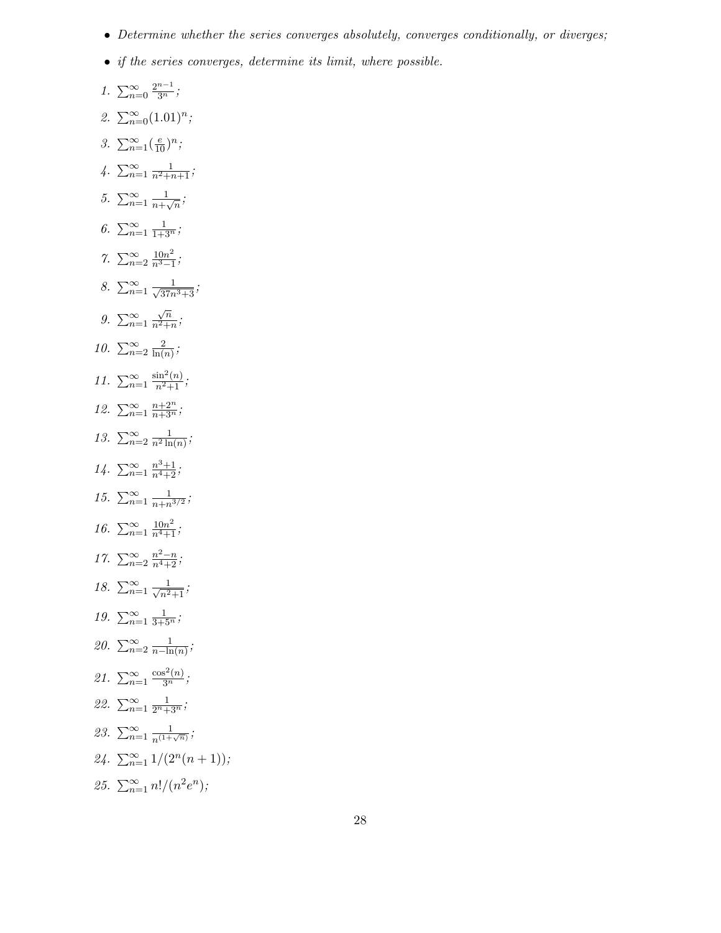- Determine whether the series converges absolutely, converges conditionally, or diverges;
- if the series converges, determine its limit, where possible.
- 1.  $\sum_{n=0}^{\infty} \frac{2^{n-1}}{3^n}$ ; 2.  $\sum_{n=0}^{\infty} (1.01)^n;$ 3.  $\sum_{n=1}^{\infty} (\frac{e}{10})^n;$  $\sqrt{4}$ .  $\sum_{n=1}^{\infty} \frac{1}{n^2+n+1}$ ; 5.  $\sum_{n=1}^{\infty} \frac{1}{n+r}$  $\frac{1}{n+\sqrt{n}}$ ; 6.  $\sum_{n=1}^{\infty} \frac{1}{1+3^n}$ ; 7.  $\sum_{n=2}^{\infty} \frac{10n^2}{n^3-1}$  $\frac{10n^2}{n^3-1}$ ; 8.  $\sum_{n=1}^{\infty} \frac{1}{\sqrt{37n^3+3}}$ ; 9.  $\sum_{n=1}^{\infty}$  $\sqrt{n}$  $\frac{\sqrt{n}}{n^2+n}$ ; 10.  $\sum_{n=2}^{\infty} \frac{2}{\ln(n)}$  $rac{2}{\ln(n)}$ ; 11.  $\sum_{n=1}^{\infty}$  $\frac{\sin^2(n)}{n^2+1}$ ; 12.  $\sum_{n=1}^{\infty} \frac{n+2^n}{n+3^n}$ ; 13.  $\sum_{n=2}^{\infty} \frac{1}{n^2 \ln(n)}$ ;  $14. \sum_{n=1}^{\infty} \frac{n^3+1}{n^4+2}$ ; 15.  $\sum_{n=1}^{\infty} \frac{1}{n+n}$  $\frac{1}{n+n^{3/2}}$ ; 16.  $\sum_{n=1}^{\infty} \frac{10n^2}{n^4+1}$ ; 17.  $\sum_{n=2}^{\infty} \frac{n^2-n}{n^4+2}$ ; 18.  $\sum_{n=1}^{\infty} \frac{1}{\sqrt{n^2+1}};$ 19.  $\sum_{n=1}^{\infty} \frac{1}{3+5^n}$ ; 20.  $\sum_{n=2}^{\infty} \frac{1}{n-\text{lr}}$  $\frac{1}{n-\ln(n)}$ ; 21.  $\sum_{n=1}^{\infty}$  $\frac{\cos^2(n)}{3^n};$ 22.  $\sum_{n=1}^{\infty} \frac{1}{2^{n}+3^{n}};$ 23.  $\sum_{n=1}^{\infty} \frac{1}{n^{(1+\sqrt{n})}}$ ; 24.  $\sum_{n=1}^{\infty} 1/(2^n(n+1));$ 25.  $\sum_{n=1}^{\infty} \frac{n!}{(n^2 e^n)}$ ;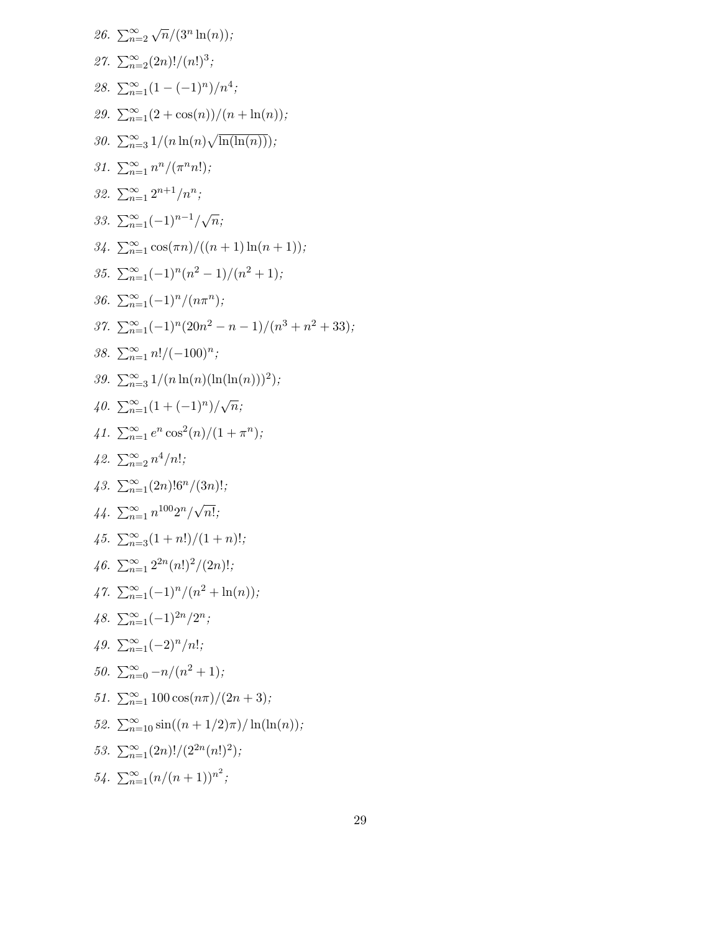26. 
$$
\sum_{n=2}^{\infty} \sqrt{n}/(3^n \ln(n));
$$
\n27. 
$$
\sum_{n=2}^{\infty} (2n)!/(n!)^3;
$$
\n28. 
$$
\sum_{n=1}^{\infty} (1-(-1)^n)/n^4;
$$
\n29. 
$$
\sum_{n=1}^{\infty} (2 + \cos(n))/(n + \ln(n));
$$
\n30. 
$$
\sum_{n=3}^{\infty} 1/(n \ln(n) \sqrt{\ln(\ln(n))});
$$
\n31. 
$$
\sum_{n=1}^{\infty} n^n/(\pi^n n!);
$$
\n32. 
$$
\sum_{n=1}^{\infty} 2^{n+1}/n^n;
$$
\n33. 
$$
\sum_{n=1}^{\infty} (-1)^{n-1}/\sqrt{n};
$$
\n34. 
$$
\sum_{n=1}^{\infty} \cos(\pi n)/((n + 1) \ln(n + 1));
$$
\n35. 
$$
\sum_{n=1}^{\infty} (-1)^n (n^2 - 1)/(n^2 + 1);
$$
\n36. 
$$
\sum_{n=1}^{\infty} (-1)^n/(20n^2 - n - 1)/(n^3 + n^2 + 33);
$$
\n38. 
$$
\sum_{n=1}^{\infty} n!/(-(100)^n;
$$
\n39. 
$$
\sum_{n=1}^{\infty} 1/(n \ln(n)(\ln(\ln(n)))^2);
$$
\n40. 
$$
\sum_{n=1}^{\infty} (1 + (-1)^n)/\sqrt{n};
$$
\n41. 
$$
\sum_{n=1}^{\infty} e^n \cos^2(n)/(1 + \pi^n);
$$
\n42. 
$$
\sum_{n=1}^{\infty} n^{1/00} 2^n / \sqrt{n}!
$$
\n43. 
$$
\sum_{n=1}^{\infty} (1 + n!)/(1 + n)!
$$
\n45. 
$$
\sum_{n=1}^{\infty} (1 + n!)/(n^2 + \ln(n));
$$
\n46. 
$$
\sum_{n=1}^{\infty} 2^{2n} (n!)^2/(2n)!
$$
\n47. 
$$
\sum_{n=1}^{\infty} (-1)^n/(n^2 + \ln(n));
$$
\n58. 
$$
\
$$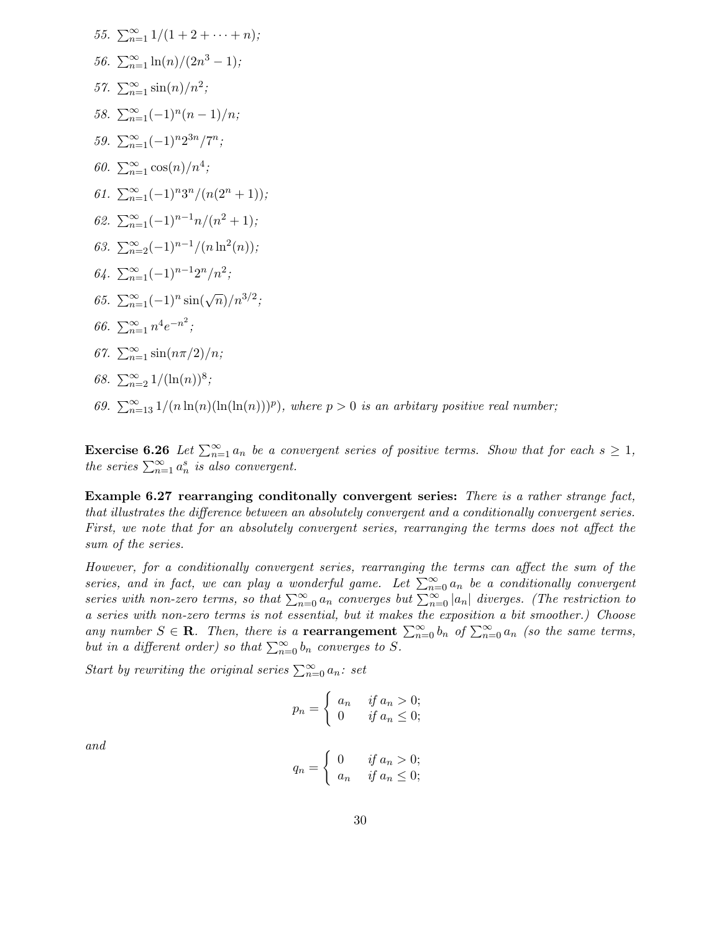55. 
$$
\sum_{n=1}^{\infty} 1/(1 + 2 + \cdots + n);
$$
  
\n56. 
$$
\sum_{n=1}^{\infty} \ln(n)/(2n^3 - 1);
$$
  
\n57. 
$$
\sum_{n=1}^{\infty} \sin(n)/n^2;
$$
  
\n58. 
$$
\sum_{n=1}^{\infty} (-1)^n (n - 1)/n;
$$
  
\n59. 
$$
\sum_{n=1}^{\infty} (-1)^n 2^{3n}/7^n;
$$
  
\n60. 
$$
\sum_{n=1}^{\infty} \cos(n)/n^4;
$$
  
\n61. 
$$
\sum_{n=1}^{\infty} (-1)^n 3^n/(n(2^n + 1));
$$
  
\n62. 
$$
\sum_{n=1}^{\infty} (-1)^{n-1} n/(n^2 + 1);
$$
  
\n63. 
$$
\sum_{n=2}^{\infty} (-1)^{n-1}/(n \ln^2(n));
$$
  
\n64. 
$$
\sum_{n=1}^{\infty} (-1)^{n-1} 2^n/n^2;
$$
  
\n65. 
$$
\sum_{n=1}^{\infty} (-1)^n \sin(\sqrt{n})/n^{3/2};
$$
  
\n66. 
$$
\sum_{n=1}^{\infty} n^4 e^{-n^2};
$$
  
\n67. 
$$
\sum_{n=1}^{\infty} \sin(n\pi/2)/n;
$$
  
\n68. 
$$
\sum_{n=2}^{\infty} 1/( \ln(n) )^8;
$$

69.  $\sum_{n=13}^{\infty} 1/(n \ln(n)(\ln(\ln(n)))^p)$ , where  $p > 0$  is an arbitary positive real number;

**Exercise 6.26** Let  $\sum_{n=1}^{\infty} a_n$  be a convergent series of positive terms. Show that for each  $s \geq 1$ , the series  $\sum_{n=1}^{\infty} a_n^s$  is also convergent.

Example 6.27 rearranging conditionally convergent series: There is a rather strange fact, that illustrates the difference between an absolutely convergent and a conditionally convergent series. First, we note that for an absolutely convergent series, rearranging the terms does not affect the sum of the series.

However, for a conditionally convergent series, rearranging the terms can affect the sum of the series, and in fact, we can play a wonderful game. Let  $\sum_{n=0}^{\infty} a_n$  be a conditionally convergent series with non-zero terms, so that  $\sum_{n=0}^{\infty} a_n$  converges but  $\sum_{n=0}^{\infty} |a_n|$  diverges. (The restriction to a series with non-zero terms is not essential, but it makes the exposition a bit smoother.) Choose any number  $S \in \mathbf{R}$ . Then, there is a **rearrangement**  $\sum_{n=0}^{\infty} b_n$  of  $\sum_{n=0}^{\infty} a_n$  (so the same terms, but in a different order) so that  $\sum_{n=0}^{\infty} b_n$  converges to S.

Start by rewriting the original series  $\sum_{n=0}^{\infty} a_n$ : set

$$
p_n = \begin{cases} a_n & \text{if } a_n > 0; \\ 0 & \text{if } a_n \le 0; \end{cases}
$$

and

$$
q_n = \begin{cases} 0 & \text{if } a_n > 0; \\ a_n & \text{if } a_n \le 0; \end{cases}
$$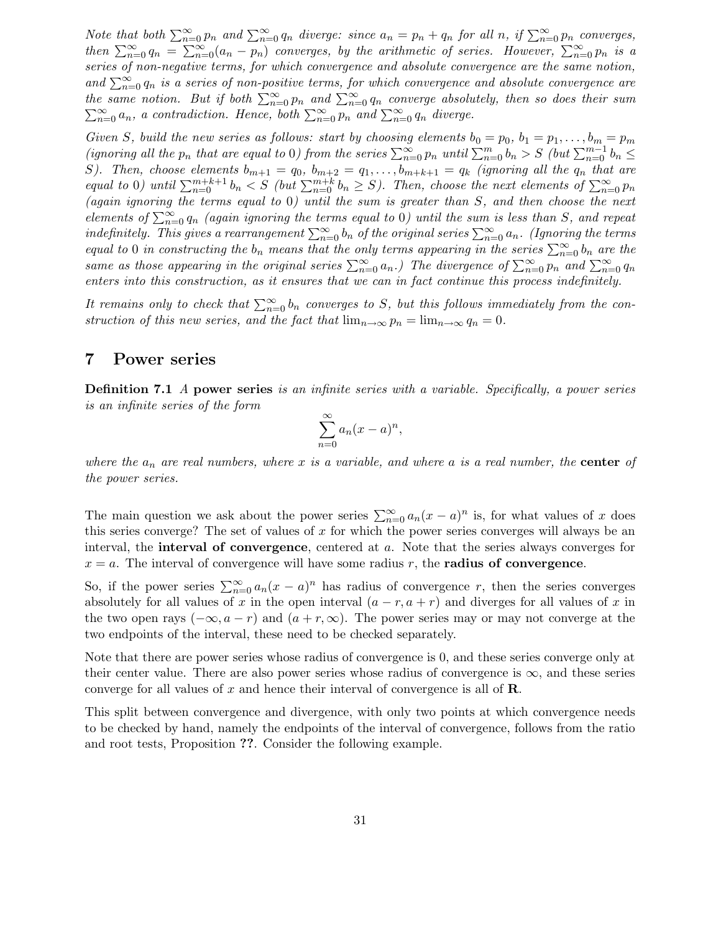Note that both  $\sum_{n=0}^{\infty} p_n$  and  $\sum_{n=0}^{\infty} q_n$  diverge: since  $a_n = p_n + q_n$  for all n, if  $\sum_{n=0}^{\infty} p_n$  converges, then  $\sum_{n=0}^{\infty} q_n = \sum_{n=0}^{\infty} (a_n - p_n)$  converges, by the arithmetic of series. However,  $\sum_{n=0}^{\infty} p_n$  is a series of non-negative terms, for which convergence and absolute convergence are the same notion, and  $\sum_{n=0}^{\infty} q_n$  is a series of non-positive terms, for which convergence and absolute convergence are the same notion. But if both  $\sum_{n=0}^{\infty} p_n$  and  $\sum_{n=0}^{\infty} q_n$  converge absolutely, then so does their sum  $\sum_{n=0}^{\infty} a_n$ , a contradiction. Hence, both  $\sum_{n=0}^{\infty} p_n$  and  $\sum_{n=0}^{\infty} q_n$  diverge.

Given S, build the new series as follows: start by choosing elements  $b_0 = p_0$ ,  $b_1 = p_1, \ldots, b_m = p_m$ (ignoring all the  $p_n$  that are equal to 0) from the series  $\sum_{n=0}^{\infty} p_n$  until  $\sum_{n=0}^{m} b_n > S$  (but  $\sum_{n=0}^{m-1} b_n \leq$ S). Then, choose elements  $b_{m+1} = q_0$ ,  $b_{m+2} = q_1, \ldots, b_{m+k+1} = q_k$  (ignoring all the  $q_n$  that are equal to 0) until  $\sum_{n=0}^{m+k+1} b_n < S$  (but  $\sum_{n=0}^{m+k} b_n \ge S$ ). Then, choose the next elements of  $\sum_{n=0}^{\infty} p_n$ (again ignoring the terms equal to 0) until the sum is greater than S, and then choose the next elements of  $\sum_{n=0}^{\infty} q_n$  (again ignoring the terms equal to 0) until the sum is less than S, and repeat indefinitely. This gives a rearrangement  $\sum_{n=0}^{\infty} b_n$  of the original series  $\sum_{n=0}^{\infty} a_n$ . (Ignoring the terms equal to 0 in constructing the  $b_n$  means that the only terms appearing in the series  $\sum_{n=0}^{\infty} b_n$  are the same as those appearing in the original series  $\sum_{n=0}^{\infty} a_n$ .) The divergence of  $\sum_{n=0}^{\infty} p_n$  and  $\sum_{n=0}^{\infty} q_n$ enters into this construction, as it ensures that we can in fact continue this process indefinitely.

It remains only to check that  $\sum_{n=0}^{\infty} b_n$  converges to S, but this follows immediately from the construction of this new series, and the fact that  $\lim_{n\to\infty} p_n = \lim_{n\to\infty} q_n = 0$ .

#### 7 Power series

Definition 7.1 A power series is an infinite series with a variable. Specifically, a power series is an infinite series of the form

$$
\sum_{n=0}^{\infty} a_n (x-a)^n,
$$

where the  $a_n$  are real numbers, where x is a variable, and where a is a real number, the **center** of the power series.

The main question we ask about the power series  $\sum_{n=0}^{\infty} a_n(x-a)^n$  is, for what values of x does this series converge? The set of values of  $x$  for which the power series converges will always be an interval, the **interval of convergence**, centered at  $a$ . Note that the series always converges for  $x = a$ . The interval of convergence will have some radius r, the **radius of convergence**.

So, if the power series  $\sum_{n=0}^{\infty} a_n(x-a)^n$  has radius of convergence r, then the series converges absolutely for all values of x in the open interval  $(a - r, a + r)$  and diverges for all values of x in the two open rays  $(-\infty, a-r)$  and  $(a+r, \infty)$ . The power series may or may not converge at the two endpoints of the interval, these need to be checked separately.

Note that there are power series whose radius of convergence is 0, and these series converge only at their center value. There are also power series whose radius of convergence is  $\infty$ , and these series converge for all values of x and hence their interval of convergence is all of  $\mathbf{R}$ .

This split between convergence and divergence, with only two points at which convergence needs to be checked by hand, namely the endpoints of the interval of convergence, follows from the ratio and root tests, Proposition ??. Consider the following example.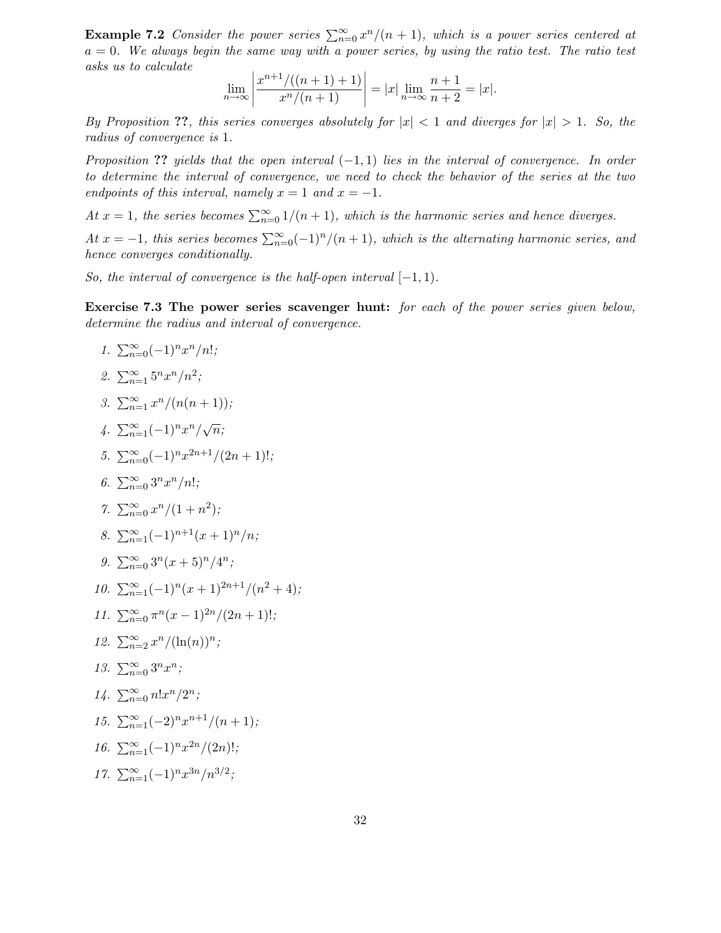**Example 7.2** Consider the power series  $\sum_{n=0}^{\infty} x^n/(n+1)$ , which is a power series centered at  $a = 0$ . We always begin the same way with a power series, by using the ratio test. The ratio test asks us to calculate

$$
\lim_{n \to \infty} \left| \frac{x^{n+1}/((n+1)+1)}{x^n/(n+1)} \right| = |x| \lim_{n \to \infty} \frac{n+1}{n+2} = |x|.
$$

By Proposition ??, this series converges absolutely for  $|x| < 1$  and diverges for  $|x| > 1$ . So, the radius of convergence is 1.

Proposition ?? yields that the open interval  $(-1, 1)$  lies in the interval of convergence. In order to determine the interval of convergence, we need to check the behavior of the series at the two endpoints of this interval, namely  $x = 1$  and  $x = -1$ .

At  $x = 1$ , the series becomes  $\sum_{n=0}^{\infty} 1/(n+1)$ , which is the harmonic series and hence diverges.

At  $x = -1$ , this series becomes  $\sum_{n=0}^{\infty} (-1)^n/(n+1)$ , which is the alternating harmonic series, and hence converges conditionally.

So, the interval of convergence is the half-open interval  $[-1, 1)$ .

Exercise 7.3 The power series scavenger hunt: for each of the power series given below, determine the radius and interval of convergence.

$$
1. \sum_{n=0}^{\infty} (-1)^n x^n/n!;
$$

2. 
$$
\sum_{n=1}^{\infty} 5^n x^n/n^2;
$$

3.  $\sum_{n=1}^{\infty} \frac{x^n}{n+1}$ ;

$$
4. \ \sum_{n=1}^{\infty} (-1)^n x^n / \sqrt{n};
$$

- 5.  $\sum_{n=0}^{\infty} (-1)^n x^{2n+1}/(2n+1)!$ ;
- 6.  $\sum_{n=0}^{\infty} 3^n x^n/n!$ ;
- 7.  $\sum_{n=0}^{\infty} \frac{x^n}{1+n^2};$
- 8.  $\sum_{n=1}^{\infty} (-1)^{n+1}(x+1)^n/n;$
- 9.  $\sum_{n=0}^{\infty} 3^n (x+5)^n / 4^n;$
- 10.  $\sum_{n=1}^{\infty}(-1)^n(x+1)^{2n+1}/(n^2+4);$
- 11.  $\sum_{n=0}^{\infty} \pi^n (x-1)^{2n} / (2n+1)!$ ;

12. 
$$
\sum_{n=2}^{\infty} \frac{x^n}{(\ln(n))^n}
$$
;

13.  $\sum_{n=0}^{\infty} 3^n x^n;$ 

$$
14. \ \sum_{n=0}^{\infty} n! x^n / 2^n;
$$

15.  $\sum_{n=1}^{\infty} (-2)^n x^{n+1} / (n+1);$ 

16. 
$$
\sum_{n=1}^{\infty} (-1)^n x^{2n} / (2n)!
$$
;

17. 
$$
\sum_{n=1}^{\infty} (-1)^n x^{3n} / n^{3/2};
$$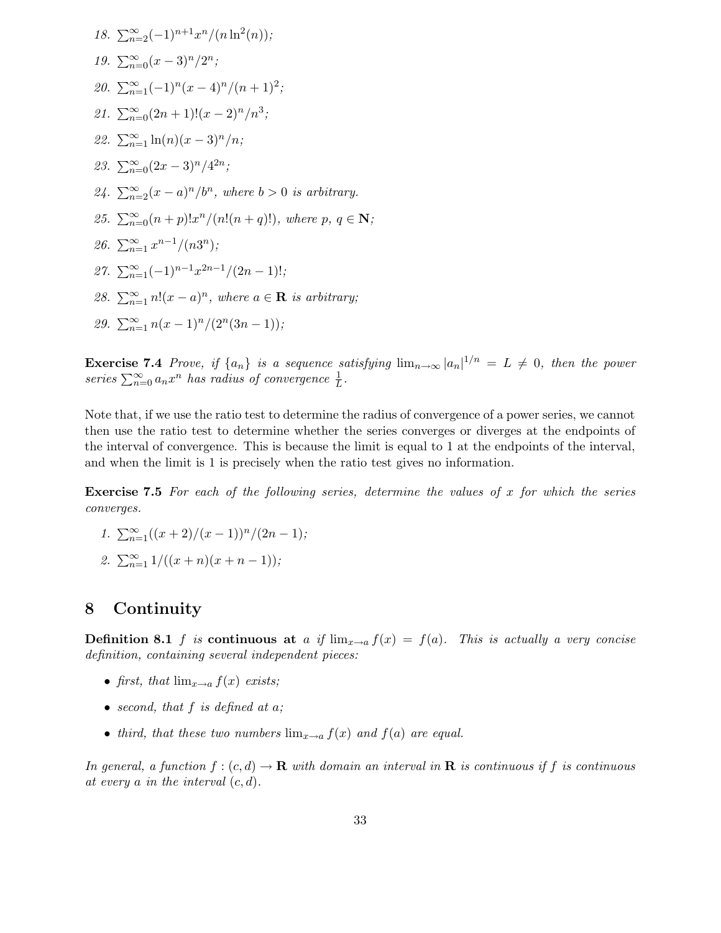18. 
$$
\sum_{n=2}^{\infty} (-1)^{n+1} x^n/(n \ln^2(n));
$$
  
\n19. 
$$
\sum_{n=0}^{\infty} (x-3)^n/2^n;
$$
  
\n20. 
$$
\sum_{n=1}^{\infty} (-1)^n (x-4)^n/(n+1)^2;
$$
  
\n21. 
$$
\sum_{n=0}^{\infty} (2n+1)!(x-2)^n/n^3;
$$
  
\n22. 
$$
\sum_{n=1}^{\infty} \ln(n)(x-3)^n/n;
$$
  
\n23. 
$$
\sum_{n=0}^{\infty} (2x-3)^n/4^{2n};
$$
  
\n24. 
$$
\sum_{n=2}^{\infty} (x-a)^n/b^n
$$
, where  $b > 0$  is arbitrary.  
\n25. 
$$
\sum_{n=0}^{\infty} (n+p)!x^n/(n!(n+q)!)
$$
, where  $p, q \in \mathbb{N};$   
\n26. 
$$
\sum_{n=1}^{\infty} x^{n-1}/(n3^n);
$$
  
\n27. 
$$
\sum_{n=1}^{\infty} (-1)^{n-1} x^{2n-1}/(2n-1)!,
$$
  
\n28. 
$$
\sum_{n=1}^{\infty} n!(x-a)^n
$$
, where  $a \in \mathbb{R}$  is arbitrary;  
\n29. 
$$
\sum_{n=1}^{\infty} n(x-1)^n/(2^n(3n-1));
$$

**Exercise 7.4** Prove, if  $\{a_n\}$  is a sequence satisfying  $\lim_{n\to\infty} |a_n|^{1/n} = L \neq 0$ , then the power series  $\sum_{n=0}^{\infty} a_n x^n$  has radius of convergence  $\frac{1}{L}$  $\frac{1}{L}$ .

Note that, if we use the ratio test to determine the radius of convergence of a power series, we cannot then use the ratio test to determine whether the series converges or diverges at the endpoints of the interval of convergence. This is because the limit is equal to 1 at the endpoints of the interval, and when the limit is 1 is precisely when the ratio test gives no information.

**Exercise 7.5** For each of the following series, determine the values of x for which the series converges.

- 1.  $\sum_{n=1}^{\infty} ((x+2)/(x-1))^n/(2n-1);$
- 2.  $\sum_{n=1}^{\infty} 1/((x+n)(x+n-1));$

### 8 Continuity

**Definition 8.1** f is continuous at a if  $\lim_{x\to a} f(x) = f(a)$ . This is actually a very concise definition, containing several independent pieces:

- first, that  $\lim_{x\to a} f(x)$  exists;
- second, that  $f$  is defined at  $a$ ;
- third, that these two numbers  $\lim_{x\to a} f(x)$  and  $f(a)$  are equal.

In general, a function  $f:(c,d) \to \mathbf{R}$  with domain an interval in  $\mathbf{R}$  is continuous if f is continuous at every a in the interval  $(c, d)$ .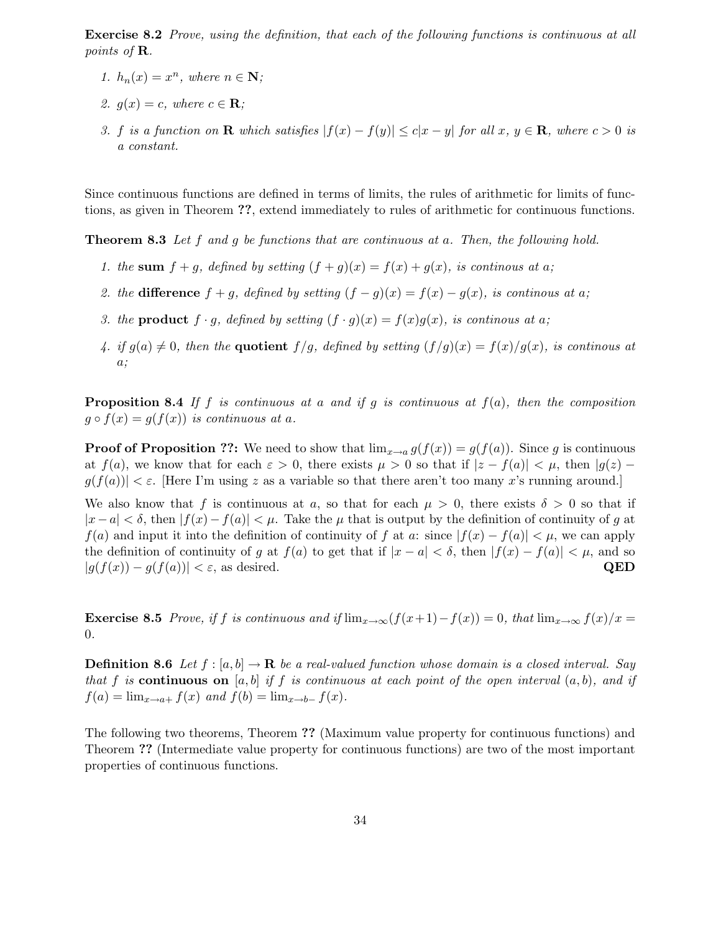Exercise 8.2 Prove, using the definition, that each of the following functions is continuous at all points of R.

- 1.  $h_n(x) = x^n$ , where  $n \in \mathbb{N}$ ;
- 2.  $g(x) = c$ , where  $c \in \mathbf{R}$ ;
- 3. f is a function on **R** which satisfies  $|f(x) f(y)| \leq c|x y|$  for all  $x, y \in \mathbf{R}$ , where  $c > 0$  is a constant.

Since continuous functions are defined in terms of limits, the rules of arithmetic for limits of functions, as given in Theorem ??, extend immediately to rules of arithmetic for continuous functions.

**Theorem 8.3** Let f and g be functions that are continuous at a. Then, the following hold.

- 1. the sum  $f + g$ , defined by setting  $(f + g)(x) = f(x) + g(x)$ , is continuous at a;
- 2. the difference  $f + g$ , defined by setting  $(f g)(x) = f(x) g(x)$ , is continuous at a;
- 3. the **product**  $f \cdot g$ , defined by setting  $(f \cdot g)(x) = f(x)g(x)$ , is continuous at a;
- 4. if  $g(a) \neq 0$ , then the **quotient**  $f/g$ , defined by setting  $(f/g)(x) = f(x)/g(x)$ , is continous at a;

**Proposition 8.4** If f is continuous at a and if q is continuous at  $f(a)$ , then the composition  $g \circ f(x) = g(f(x))$  is continuous at a.

**Proof of Proposition ??:** We need to show that  $\lim_{x\to a} g(f(x)) = g(f(a))$ . Since g is continuous at  $f(a)$ , we know that for each  $\varepsilon > 0$ , there exists  $\mu > 0$  so that if  $|z - f(a)| < \mu$ , then  $|g(z) |g(f(a))| < \varepsilon$ . Here I'm using z as a variable so that there aren't too many x's running around.

We also know that f is continuous at a, so that for each  $\mu > 0$ , there exists  $\delta > 0$  so that if  $|x-a| < \delta$ , then  $|f(x)-f(a)| < \mu$ . Take the  $\mu$  that is output by the definition of continuity of g at  $f(a)$  and input it into the definition of continuity of f at a: since  $|f(x) - f(a)| < \mu$ , we can apply the definition of continuity of g at  $f(a)$  to get that if  $|x - a| < \delta$ , then  $|f(x) - f(a)| < \mu$ , and so  $|g(f(x)) - g(f(a))| < \varepsilon$ , as desired. QED

**Exercise 8.5** Prove, if f is continuous and if  $\lim_{x\to\infty}(f(x+1)-f(x))=0$ , that  $\lim_{x\to\infty}f(x)/x=$ 0.

**Definition 8.6** Let  $f : [a, b] \to \mathbf{R}$  be a real-valued function whose domain is a closed interval. Say that f is continuous on [a, b] if f is continuous at each point of the open interval  $(a, b)$ , and if  $f(a) = \lim_{x\to a+} f(x)$  and  $f(b) = \lim_{x\to b-} f(x)$ .

The following two theorems, Theorem ?? (Maximum value property for continuous functions) and Theorem ?? (Intermediate value property for continuous functions) are two of the most important properties of continuous functions.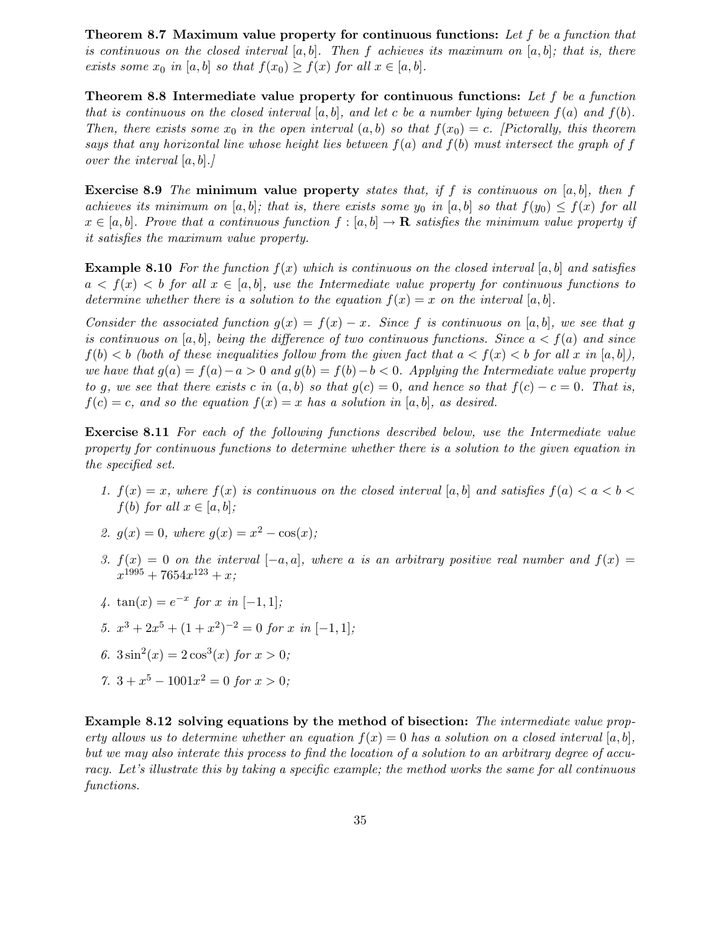Theorem 8.7 Maximum value property for continuous functions: Let f be a function that is continuous on the closed interval  $[a, b]$ . Then f achieves its maximum on  $[a, b]$ ; that is, there exists some  $x_0$  in [a, b] so that  $f(x_0) \ge f(x)$  for all  $x \in [a, b]$ .

Theorem 8.8 Intermediate value property for continuous functions: Let  $f$  be a function that is continuous on the closed interval  $[a, b]$ , and let c be a number lying between  $f(a)$  and  $f(b)$ . Then, there exists some  $x_0$  in the open interval  $(a, b)$  so that  $f(x_0) = c$ . [Pictorally, this theorem says that any horizontal line whose height lies between  $f(a)$  and  $f(b)$  must intersect the graph of f over the interval  $[a, b]$ .

**Exercise 8.9** The minimum value property states that, if f is continuous on [a, b], then f achieves its minimum on [a, b]; that is, there exists some  $y_0$  in [a, b] so that  $f(y_0) \leq f(x)$  for all  $x \in [a, b]$ . Prove that a continuous function  $f : [a, b] \to \mathbf{R}$  satisfies the minimum value property if it satisfies the maximum value property.

**Example 8.10** For the function  $f(x)$  which is continuous on the closed interval [a, b] and satisfies  $a < f(x) < b$  for all  $x \in [a, b]$ , use the Intermediate value property for continuous functions to determine whether there is a solution to the equation  $f(x) = x$  on the interval [a, b].

Consider the associated function  $g(x) = f(x) - x$ . Since f is continuous on [a, b], we see that g is continuous on [a, b], being the difference of two continuous functions. Since  $a < f(a)$  and since  $f(b) < b$  (both of these inequalities follow from the given fact that  $a < f(x) < b$  for all x in  $[a, b]$ ), we have that  $g(a) = f(a) - a > 0$  and  $g(b) = f(b) - b < 0$ . Applying the Intermediate value property to g, we see that there exists c in  $(a, b)$  so that  $g(c) = 0$ , and hence so that  $f(c) - c = 0$ . That is,  $f(c) = c$ , and so the equation  $f(x) = x$  has a solution in [a, b], as desired.

Exercise 8.11 For each of the following functions described below, use the Intermediate value property for continuous functions to determine whether there is a solution to the given equation in the specified set.

- 1.  $f(x) = x$ , where  $f(x)$  is continuous on the closed interval [a, b] and satisfies  $f(a) < a < b <$  $f(b)$  for all  $x \in [a, b]$ ;
- 2.  $g(x) = 0$ , where  $g(x) = x^2 \cos(x)$ ;
- 3.  $f(x) = 0$  on the interval  $[-a, a]$ , where a is an arbitrary positive real number and  $f(x) =$  $x^{1995} + 7654x^{123} + x;$
- 4.  $\tan(x) = e^{-x}$  for x in [-1, 1];
- 5.  $x^3 + 2x^5 + (1 + x^2)^{-2} = 0$  for x in  $[-1, 1]$ ;
- 6.  $3\sin^2(x) = 2\cos^3(x)$  for  $x > 0$ ;
- 7.  $3 + x^5 1001x^2 = 0$  for  $x > 0$ ;

Example 8.12 solving equations by the method of bisection: The intermediate value property allows us to determine whether an equation  $f(x) = 0$  has a solution on a closed interval [a, b], but we may also interate this process to find the location of a solution to an arbitrary degree of accuracy. Let's illustrate this by taking a specific example; the method works the same for all continuous functions.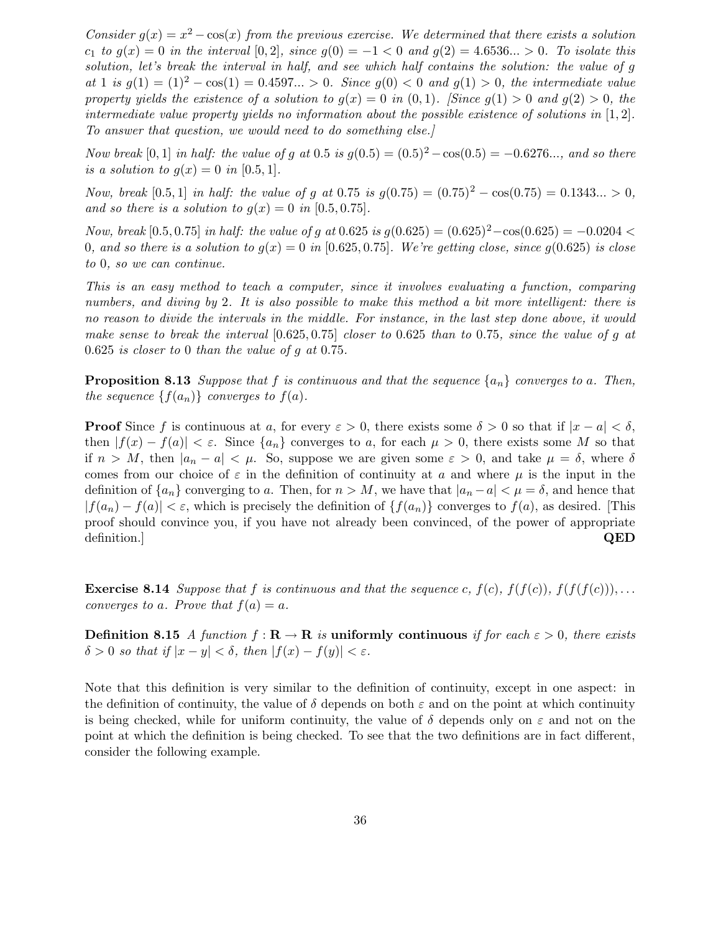Consider  $g(x) = x^2 - \cos(x)$  from the previous exercise. We determined that there exists a solution  $c_1$  to  $g(x) = 0$  in the interval  $[0, 2]$ , since  $g(0) = -1 < 0$  and  $g(2) = 4.6536... > 0$ . To isolate this solution, let's break the interval in half, and see which half contains the solution: the value of g at 1 is  $g(1) = (1)^2 - \cos(1) = 0.4597... > 0$ . Since  $g(0) < 0$  and  $g(1) > 0$ , the intermediate value property yields the existence of a solution to  $q(x) = 0$  in  $(0, 1)$ . [Since  $q(1) > 0$  and  $q(2) > 0$ , the intermediate value property yields no information about the possible existence of solutions in  $[1, 2]$ . To answer that question, we would need to do something else.]

Now break [0, 1] in half: the value of g at 0.5 is  $g(0.5) = (0.5)^2 - \cos(0.5) = -0.6276...$ , and so there is a solution to  $q(x) = 0$  in [0.5, 1].

Now, break [0.5, 1] in half: the value of g at 0.75 is  $g(0.75) = (0.75)^2 - \cos(0.75) = 0.1343... > 0$ , and so there is a solution to  $g(x) = 0$  in [0.5, 0.75].

Now, break [0.5, 0.75] in half: the value of g at 0.625 is  $g(0.625) = (0.625)^2 - \cos(0.625) = -0.0204$ 0, and so there is a solution to  $q(x) = 0$  in [0.625, 0.75]. We're getting close, since  $q(0.625)$  is close to 0, so we can continue.

This is an easy method to teach a computer, since it involves evaluating a function, comparing numbers, and diving by 2. It is also possible to make this method a bit more intelligent: there is no reason to divide the intervals in the middle. For instance, in the last step done above, it would make sense to break the interval  $[0.625, 0.75]$  closer to 0.625 than to 0.75, since the value of g at 0.625 is closer to 0 than the value of g at 0.75.

**Proposition 8.13** Suppose that f is continuous and that the sequence  $\{a_n\}$  converges to a. Then, the sequence  $\{f(a_n)\}\$ converges to  $f(a)$ .

**Proof** Since f is continuous at a, for every  $\varepsilon > 0$ , there exists some  $\delta > 0$  so that if  $|x - a| < \delta$ , then  $|f(x) - f(a)| < \varepsilon$ . Since  $\{a_n\}$  converges to a, for each  $\mu > 0$ , there exists some M so that if  $n > M$ , then  $|a_n - a| < \mu$ . So, suppose we are given some  $\varepsilon > 0$ , and take  $\mu = \delta$ , where  $\delta$ comes from our choice of  $\varepsilon$  in the definition of continuity at a and where  $\mu$  is the input in the definition of  $\{a_n\}$  converging to a. Then, for  $n > M$ , we have that  $|a_n - a| < \mu = \delta$ , and hence that  $|f(a_n) - f(a)| < \varepsilon$ , which is precisely the definition of  $\{f(a_n)\}\$ converges to  $f(a)$ , as desired. [This proof should convince you, if you have not already been convinced, of the power of appropriate definition.]  $QED$ 

**Exercise 8.14** Suppose that f is continuous and that the sequence c,  $f(c)$ ,  $f(f(c))$ ,  $f(f(f(c)))$ ,... converges to a. Prove that  $f(a) = a$ .

**Definition 8.15** A function  $f: \mathbf{R} \to \mathbf{R}$  is uniformly continuous if for each  $\varepsilon > 0$ , there exists  $\delta > 0$  so that if  $|x - y| < \delta$ , then  $|f(x) - f(y)| < \varepsilon$ .

Note that this definition is very similar to the definition of continuity, except in one aspect: in the definition of continuity, the value of  $\delta$  depends on both  $\varepsilon$  and on the point at which continuity is being checked, while for uniform continuity, the value of  $\delta$  depends only on  $\varepsilon$  and not on the point at which the definition is being checked. To see that the two definitions are in fact different, consider the following example.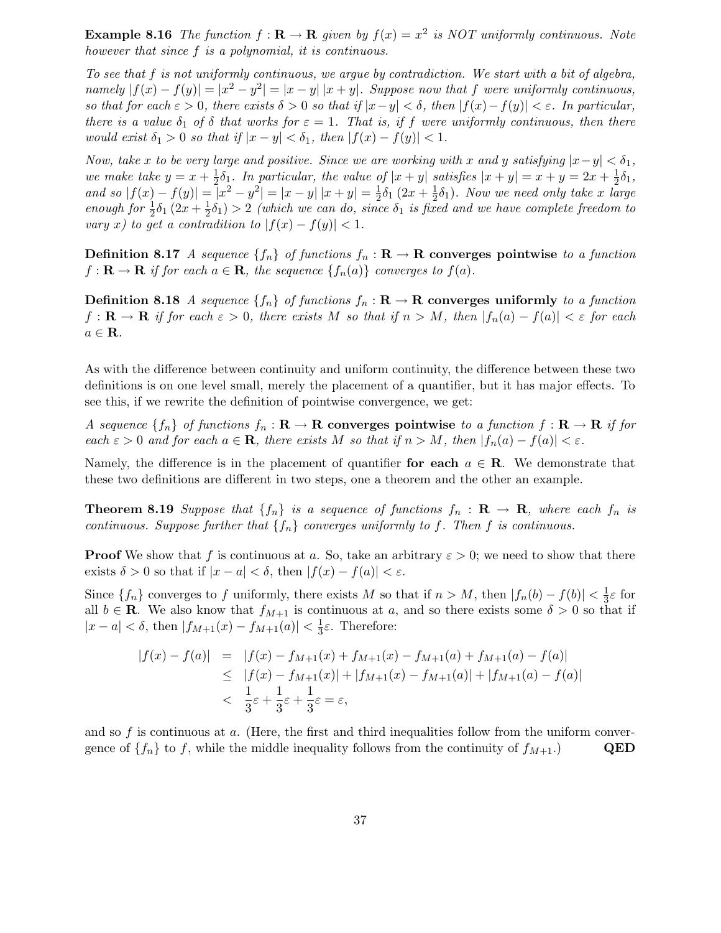**Example 8.16** The function  $f : \mathbf{R} \to \mathbf{R}$  given by  $f(x) = x^2$  is NOT uniformly continuous. Note however that since f is a polynomial, it is continuous.

To see that f is not uniformly continuous, we argue by contradiction. We start with a bit of algebra, namely  $|f(x) - f(y)| = |x^2 - y^2| = |x - y| |x + y|$ . Suppose now that f were uniformly continuous, so that for each  $\varepsilon > 0$ , there exists  $\delta > 0$  so that if  $|x-y| < \delta$ , then  $|f(x)-f(y)| < \varepsilon$ . In particular, there is a value  $\delta_1$  of  $\delta$  that works for  $\varepsilon = 1$ . That is, if f were uniformly continuous, then there would exist  $\delta_1 > 0$  so that if  $|x - y| < \delta_1$ , then  $|f(x) - f(y)| < 1$ .

Now, take x to be very large and positive. Since we are working with x and y satisfying  $|x-y| < \delta_1$ , we make take  $y = x + \frac{1}{2}$  $\frac{1}{2}\delta_1$ . In particular, the value of  $|x+y|$  satisfies  $|x+y| = x+y = 2x+\frac{1}{2}$  $\frac{1}{2}\delta_1,$ and so  $|f(x) - f(y)| = |x^2 - y^2| = |x - y| |x + y| = \frac{1}{2}$  $\frac{1}{2}\delta_1(2x+\frac{1}{2})$  $(\frac{1}{2}\delta_1)$ . Now we need only take x large enough for  $\frac{1}{2}\delta_1(2x+\frac{1}{2})$  $\frac{1}{2}\delta_1$ ) > 2 (which we can do, since  $\delta_1$  is fixed and we have complete freedom to vary x) to get a contradition to  $|f(x) - f(y)| < 1$ .

**Definition 8.17** A sequence  $\{f_n\}$  of functions  $f_n : \mathbf{R} \to \mathbf{R}$  converges pointwise to a function  $f: \mathbf{R} \to \mathbf{R}$  if for each  $a \in \mathbf{R}$ , the sequence  $\{f_n(a)\}$  converges to  $f(a)$ .

**Definition 8.18** A sequence  $\{f_n\}$  of functions  $f_n : \mathbf{R} \to \mathbf{R}$  converges uniformly to a function  $f: \mathbf{R} \to \mathbf{R}$  if for each  $\varepsilon > 0$ , there exists M so that if  $n > M$ , then  $|f_n(a) - f(a)| < \varepsilon$  for each  $a \in \mathbf{R}$ .

As with the difference between continuity and uniform continuity, the difference between these two definitions is on one level small, merely the placement of a quantifier, but it has major effects. To see this, if we rewrite the definition of pointwise convergence, we get:

A sequence  $\{f_n\}$  of functions  $f_n : \mathbf{R} \to \mathbf{R}$  converges pointwise to a function  $f : \mathbf{R} \to \mathbf{R}$  if for each  $\varepsilon > 0$  and for each  $a \in \mathbf{R}$ , there exists M so that if  $n > M$ , then  $|f_n(a) - f(a)| < \varepsilon$ .

Namely, the difference is in the placement of quantifier for each  $a \in \mathbb{R}$ . We demonstrate that these two definitions are different in two steps, one a theorem and the other an example.

**Theorem 8.19** Suppose that  $\{f_n\}$  is a sequence of functions  $f_n : \mathbf{R} \to \mathbf{R}$ , where each  $f_n$  is continuous. Suppose further that  $\{f_n\}$  converges uniformly to f. Then f is continuous.

**Proof** We show that f is continuous at a. So, take an arbitrary  $\varepsilon > 0$ ; we need to show that there exists  $\delta > 0$  so that if  $|x - a| < \delta$ , then  $|f(x) - f(a)| < \varepsilon$ .

Since  $\{f_n\}$  converges to f uniformly, there exists M so that if  $n > M$ , then  $|f_n(b) - f(b)| < \frac{1}{3}$  $rac{1}{3}\varepsilon$  for all  $b \in \mathbf{R}$ . We also know that  $f_{M+1}$  is continuous at a, and so there exists some  $\delta > 0$  so that if  $|x - a| < \delta$ , then  $|f_{M+1}(x) - f_{M+1}(a)| < \frac{1}{3}$  $\frac{1}{3}$ ε. Therefore:

$$
|f(x) - f(a)| = |f(x) - f_{M+1}(x) + f_{M+1}(x) - f_{M+1}(a) + f_{M+1}(a) - f(a)|
$$
  
\n
$$
\leq |f(x) - f_{M+1}(x)| + |f_{M+1}(x) - f_{M+1}(a)| + |f_{M+1}(a) - f(a)|
$$
  
\n
$$
< \frac{1}{3}\varepsilon + \frac{1}{3}\varepsilon + \frac{1}{3}\varepsilon = \varepsilon,
$$

and so f is continuous at a. (Here, the first and third inequalities follow from the uniform convergence of  $\{f_n\}$  to f, while the middle inequality follows from the continuity of  $f_{M+1}$ .) QED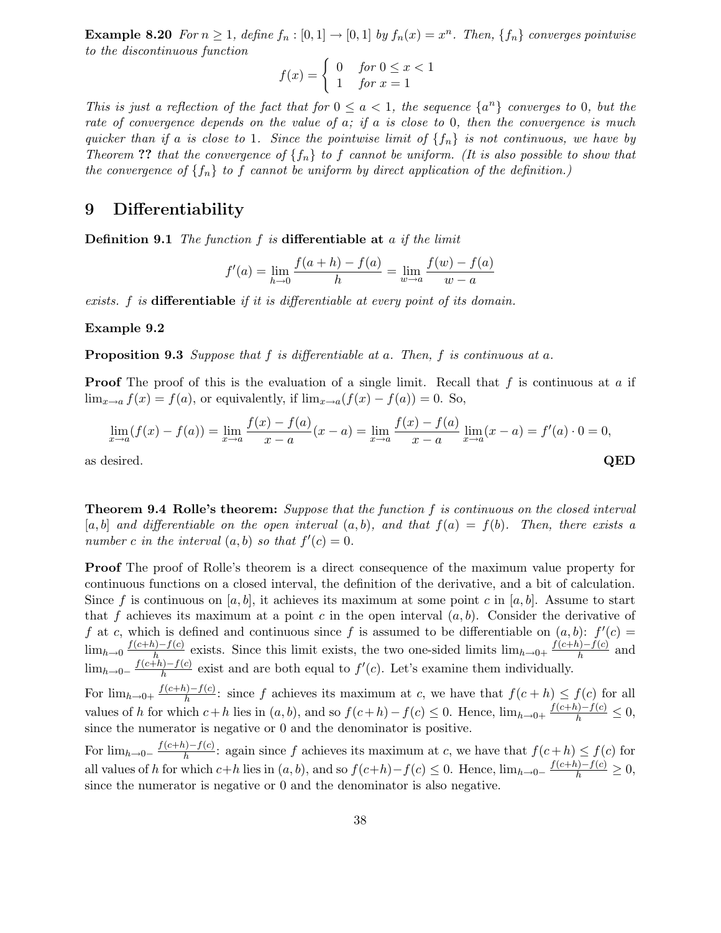**Example 8.20** For  $n \geq 1$ , define  $f_n : [0,1] \rightarrow [0,1]$  by  $f_n(x) = x^n$ . Then,  $\{f_n\}$  converges pointwise to the discontinuous function

$$
f(x) = \begin{cases} 0 & \text{for } 0 \le x < 1 \\ 1 & \text{for } x = 1 \end{cases}
$$

This is just a reflection of the fact that for  $0 \le a < 1$ , the sequence  $\{a^n\}$  converges to 0, but the rate of convergence depends on the value of  $a$ ; if  $a$  is close to 0, then the convergence is much quicker than if a is close to 1. Since the pointwise limit of  $\{f_n\}$  is not continuous, we have by Theorem ?? that the convergence of  $\{f_n\}$  to f cannot be uniform. (It is also possible to show that the convergence of  $\{f_n\}$  to f cannot be uniform by direct application of the definition.)

# 9 Differentiability

**Definition 9.1** The function  $f$  is differentiable at  $a$  if the limit

$$
f'(a) = \lim_{h \to 0} \frac{f(a+h) - f(a)}{h} = \lim_{w \to a} \frac{f(w) - f(a)}{w - a}
$$

exists. f is differentiable if it is differentiable at every point of its domain.

#### Example 9.2

**Proposition 9.3** Suppose that  $f$  is differentiable at  $a$ . Then,  $f$  is continuous at  $a$ .

**Proof** The proof of this is the evaluation of a single limit. Recall that  $f$  is continuous at  $a$  if  $\lim_{x\to a} f(x) = f(a)$ , or equivalently, if  $\lim_{x\to a} (f(x) - f(a)) = 0$ . So,

$$
\lim_{x \to a} (f(x) - f(a)) = \lim_{x \to a} \frac{f(x) - f(a)}{x - a}(x - a) = \lim_{x \to a} \frac{f(x) - f(a)}{x - a} \lim_{x \to a} (x - a) = f'(a) \cdot 0 = 0,
$$
  
as desired. QED

Theorem 9.4 Rolle's theorem: Suppose that the function f is continuous on the closed interval [a, b] and differentiable on the open interval  $(a, b)$ , and that  $f(a) = f(b)$ . Then, there exists a number c in the interval  $(a, b)$  so that  $f'(c) = 0$ .

**Proof** The proof of Rolle's theorem is a direct consequence of the maximum value property for continuous functions on a closed interval, the definition of the derivative, and a bit of calculation. Since f is continuous on [a, b], it achieves its maximum at some point c in [a, b]. Assume to start that f achieves its maximum at a point c in the open interval  $(a, b)$ . Consider the derivative of f at c, which is defined and continuous since f is assumed to be differentiable on  $(a, b)$ :  $f'(c)$  $\lim_{h\to 0} \frac{f(c+h)-f(c)}{h}$  exists. Since this limit exists, the two one-sided limits  $\lim_{h\to 0+} \frac{f(c+h)-f(c)}{h}$  and  $\lim_{h\to 0^-} \frac{f(c+h)-f(c)}{h}$  exist and are both equal to  $f'(c)$ . Let's examine them individually.

For  $\lim_{h\to 0^+} \frac{f(c+h)-f(c)}{h}$ : since f achieves its maximum at c, we have that  $f(c+h) \le f(c)$  for all values of h for which  $c+h$  lies in  $(a, b)$ , and so  $f(c+h) - f(c) \leq 0$ . Hence,  $\lim_{h\to 0^+} \frac{f(c+h)-f(c)}{h} \leq 0$ , since the numerator is negative or 0 and the denominator is positive.

For  $\lim_{h\to 0^-} \frac{f(c+h)-f(c)}{h}$ : again since f achieves its maximum at c, we have that  $f(c+h) \le f(c)$  for all values of h for which  $c+h$  lies in  $(a, b)$ , and so  $f(c+h)-f(c) \leq 0$ . Hence,  $\lim_{h\to 0-} \frac{f(c+h)-f(c)}{h} \geq 0$ , since the numerator is negative or  $0$  and the denominator is also negative.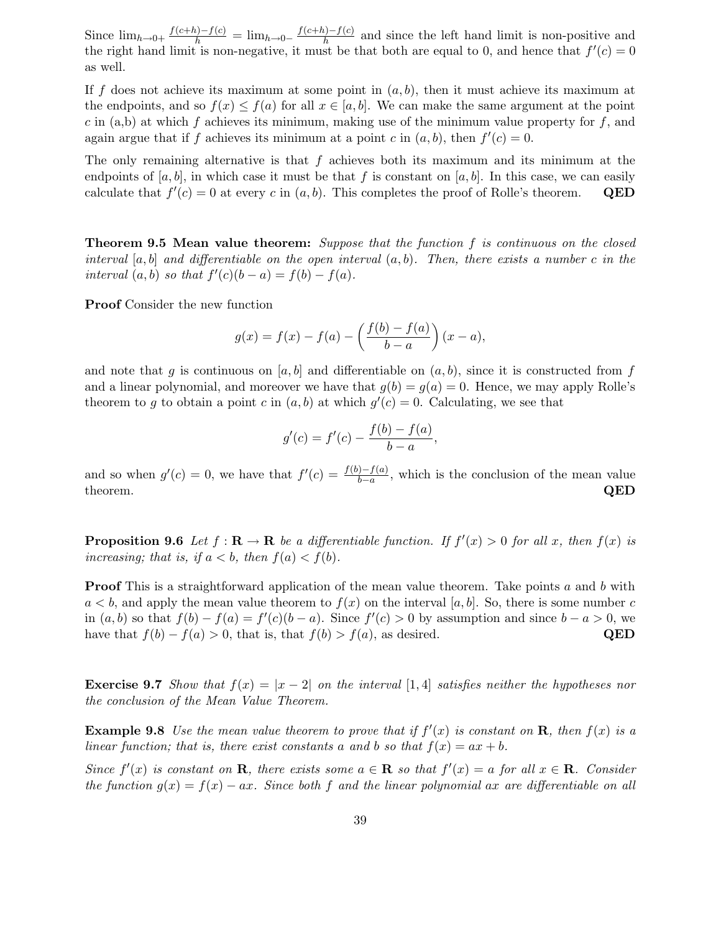Since  $\lim_{h\to 0^+} \frac{f(c+h)-f(c)}{h} = \lim_{h\to 0^-} \frac{f(c+h)-f(c)}{h}$  and since the left hand limit is non-positive and the right hand limit is non-negative, it must be that both are equal to 0, and hence that  $f'(c) = 0$ as well.

If f does not achieve its maximum at some point in  $(a, b)$ , then it must achieve its maximum at the endpoints, and so  $f(x) \leq f(a)$  for all  $x \in [a, b]$ . We can make the same argument at the point  $c$  in (a,b) at which  $f$  achieves its minimum, making use of the minimum value property for  $f$ , and again argue that if f achieves its minimum at a point c in  $(a, b)$ , then  $f'(c) = 0$ .

The only remaining alternative is that  $f$  achieves both its maximum and its minimum at the endpoints of  $[a, b]$ , in which case it must be that f is constant on  $[a, b]$ . In this case, we can easily calculate that  $f'(c) = 0$  at every c in  $(a, b)$ . This completes the proof of Rolle's theorem. QED

**Theorem 9.5 Mean value theorem:** Suppose that the function f is continuous on the closed interval  $[a, b]$  and differentiable on the open interval  $(a, b)$ . Then, there exists a number c in the interval  $(a, b)$  so that  $f'(c)(b - a) = f(b) - f(a)$ .

Proof Consider the new function

$$
g(x) = f(x) - f(a) - \left(\frac{f(b) - f(a)}{b - a}\right)(x - a),
$$

and note that q is continuous on [a, b] and differentiable on  $(a, b)$ , since it is constructed from f and a linear polynomial, and moreover we have that  $q(b) = q(a) = 0$ . Hence, we may apply Rolle's theorem to g to obtain a point c in  $(a, b)$  at which  $g'(c) = 0$ . Calculating, we see that

$$
g'(c) = f'(c) - \frac{f(b) - f(a)}{b - a},
$$

and so when  $g'(c) = 0$ , we have that  $f'(c) = \frac{f(b)-f(a)}{b-a}$  $\frac{b-a}{b-a}$ , which is the conclusion of the mean value theorem.  $QED$ 

**Proposition 9.6** Let  $f : \mathbf{R} \to \mathbf{R}$  be a differentiable function. If  $f'(x) > 0$  for all x, then  $f(x)$  is increasing; that is, if  $a < b$ , then  $f(a) < f(b)$ .

**Proof** This is a straightforward application of the mean value theorem. Take points a and b with  $a < b$ , and apply the mean value theorem to  $f(x)$  on the interval [a, b]. So, there is some number c in  $(a, b)$  so that  $f(b) - f(a) = f'(c)(b - a)$ . Since  $f'(c) > 0$  by assumption and since  $b - a > 0$ , we have that  $f(b) - f(a) > 0$ , that is, that  $f(b) > f(a)$ , as desired. QED

**Exercise 9.7** Show that  $f(x) = |x - 2|$  on the interval [1,4] satisfies neither the hypotheses nor the conclusion of the Mean Value Theorem.

**Example 9.8** Use the mean value theorem to prove that if  $f'(x)$  is constant on **R**, then  $f(x)$  is a linear function; that is, there exist constants a and b so that  $f(x) = ax + b$ .

Since  $f'(x)$  is constant on **R**, there exists some  $a \in \mathbf{R}$  so that  $f'(x) = a$  for all  $x \in \mathbf{R}$ . Consider the function  $g(x) = f(x) - ax$ . Since both f and the linear polynomial ax are differentiable on all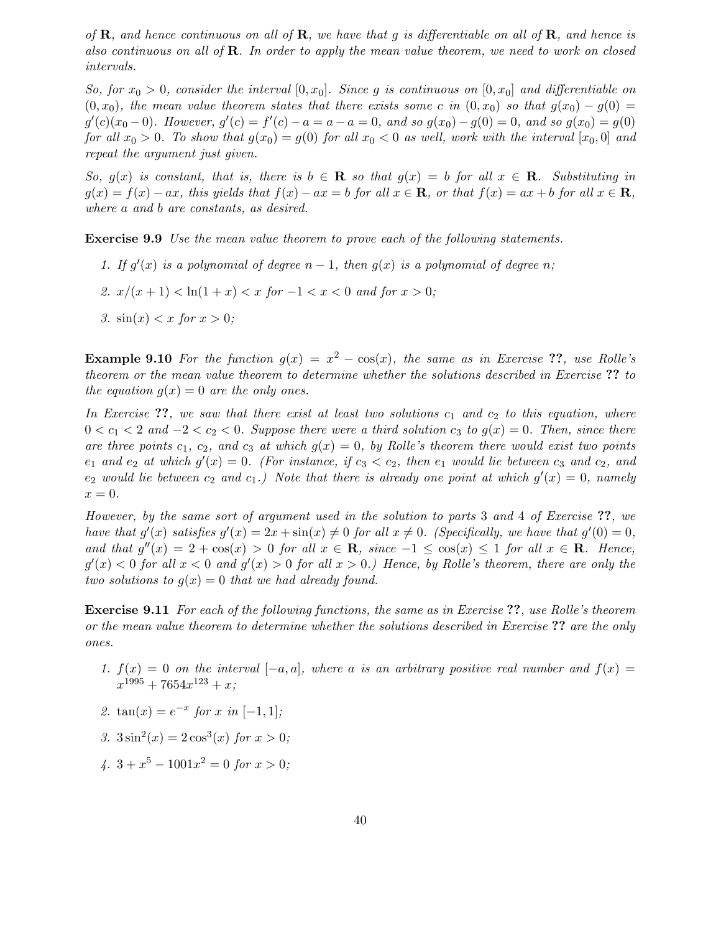of  $\bf R$ , and hence continuous on all of  $\bf R$ , we have that g is differentiable on all of  $\bf R$ , and hence is also continuous on all of  $\mathbf R$ . In order to apply the mean value theorem, we need to work on closed intervals.

So, for  $x_0 > 0$ , consider the interval  $[0, x_0]$ . Since g is continuous on  $[0, x_0]$  and differentiable on  $(0, x_0)$ , the mean value theorem states that there exists some c in  $(0, x_0)$  so that  $g(x_0) - g(0) =$  $g'(c)(x_0-0)$ . However,  $g'(c) = f'(c) - a = a - a = 0$ , and so  $g(x_0) - g(0) = 0$ , and so  $g(x_0) = g(0)$ for all  $x_0 > 0$ . To show that  $q(x_0) = q(0)$  for all  $x_0 < 0$  as well, work with the interval  $[x_0, 0]$  and repeat the argument just given.

So,  $g(x)$  is constant, that is, there is  $b \in \mathbf{R}$  so that  $g(x) = b$  for all  $x \in \mathbf{R}$ . Substituting in  $g(x) = f(x) - ax$ , this yields that  $f(x) - ax = b$  for all  $x \in \mathbb{R}$ , or that  $f(x) = ax + b$  for all  $x \in \mathbb{R}$ , where a and b are constants, as desired.

Exercise 9.9 Use the mean value theorem to prove each of the following statements.

- 1. If  $g'(x)$  is a polynomial of degree  $n-1$ , then  $g(x)$  is a polynomial of degree n;
- 2.  $x/(x+1) < \ln(1+x) < x$  for  $-1 < x < 0$  and for  $x > 0$ ;
- 3.  $\sin(x) < x$  for  $x > 0$ ;

**Example 9.10** For the function  $g(x) = x^2 - \cos(x)$ , the same as in Exercise ??, use Rolle's theorem or the mean value theorem to determine whether the solutions described in Exercise ?? to the equation  $q(x) = 0$  are the only ones.

In Exercise  $\mathcal{P}_1$ , we saw that there exist at least two solutions  $c_1$  and  $c_2$  to this equation, where  $0 < c_1 < 2$  and  $-2 < c_2 < 0$ . Suppose there were a third solution  $c_3$  to  $g(x) = 0$ . Then, since there are three points  $c_1, c_2,$  and  $c_3$  at which  $g(x) = 0$ , by Rolle's theorem there would exist two points  $e_1$  and  $e_2$  at which  $g'(x) = 0$ . (For instance, if  $c_3 < c_2$ , then  $e_1$  would lie between  $c_3$  and  $c_2$ , and  $e_2$  would lie between  $c_2$  and  $c_1$ .) Note that there is already one point at which  $g'(x) = 0$ , namely  $x=0.$ 

However, by the same sort of argument used in the solution to parts 3 and 4 of Exercise ??, we have that  $g'(x)$  satisfies  $g'(x) = 2x + \sin(x) \neq 0$  for all  $x \neq 0$ . (Specifically, we have that  $g'(0) = 0$ , and that  $g''(x) = 2 + \cos(x) > 0$  for all  $x \in \mathbb{R}$ , since  $-1 \leq \cos(x) \leq 1$  for all  $x \in \mathbb{R}$ . Hence,  $g'(x) < 0$  for all  $x < 0$  and  $g'(x) > 0$  for all  $x > 0$ .) Hence, by Rolle's theorem, there are only the two solutions to  $g(x) = 0$  that we had already found.

Exercise 9.11 For each of the following functions, the same as in Exercise ??, use Rolle's theorem or the mean value theorem to determine whether the solutions described in Exercise ?? are the only ones.

- 1.  $f(x) = 0$  on the interval  $[-a, a]$ , where a is an arbitrary positive real number and  $f(x) =$  $x^{1995} + 7654x^{123} + x;$
- 2.  $\tan(x) = e^{-x}$  for x in [-1, 1];
- 3.  $3\sin^2(x) = 2\cos^3(x)$  for  $x > 0$ ;
- $4. \ 3 + x^5 1001x^2 = 0$  for  $x > 0$ ;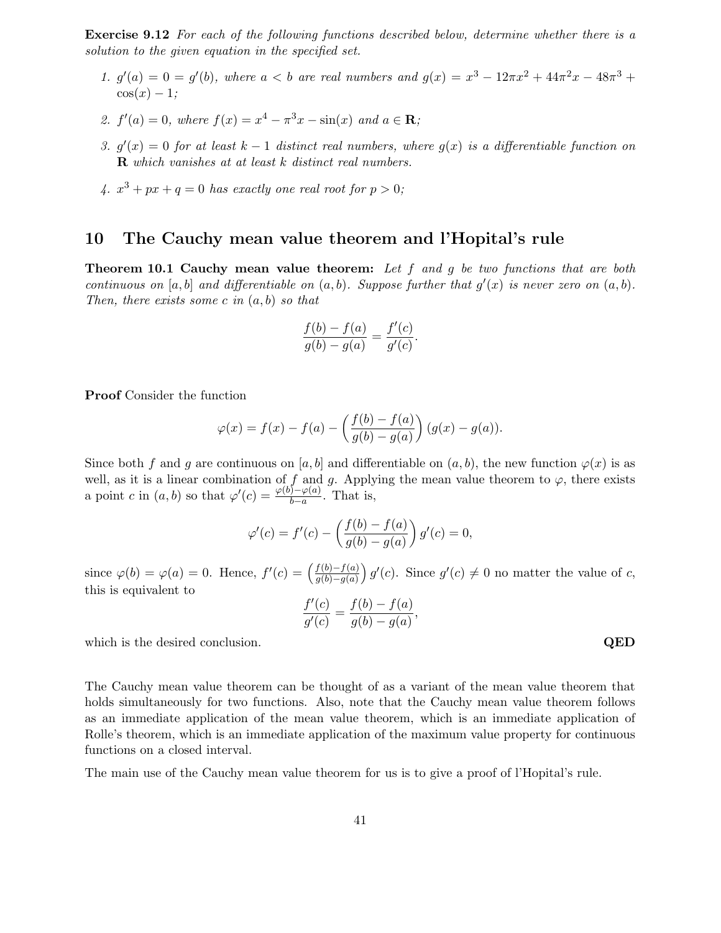Exercise 9.12 For each of the following functions described below, determine whether there is a solution to the given equation in the specified set.

- 1.  $g'(a) = 0 = g'(b)$ , where  $a < b$  are real numbers and  $g(x) = x^3 12\pi x^2 + 44\pi^2 x 48\pi^3 +$  $\cos(x) - 1$ :
- 2.  $f'(a) = 0$ , where  $f(x) = x^4 \pi^3 x \sin(x)$  and  $a \in \mathbb{R}$ ;
- 3.  $g'(x) = 0$  for at least  $k-1$  distinct real numbers, where  $g(x)$  is a differentiable function on  $$
- 4.  $x^3 + px + q = 0$  has exactly one real root for  $p > 0$ ;

# 10 The Cauchy mean value theorem and l'Hopital's rule

**Theorem 10.1 Cauchy mean value theorem:** Let  $f$  and  $g$  be two functions that are both continuous on  $[a, b]$  and differentiable on  $(a, b)$ . Suppose further that  $g'(x)$  is never zero on  $(a, b)$ . Then, there exists some c in  $(a, b)$  so that

$$
\frac{f(b) - f(a)}{g(b) - g(a)} = \frac{f'(c)}{g'(c)}.
$$

Proof Consider the function

$$
\varphi(x) = f(x) - f(a) - \left(\frac{f(b) - f(a)}{g(b) - g(a)}\right) (g(x) - g(a)).
$$

Since both f and g are continuous on [a, b] and differentiable on  $(a, b)$ , the new function  $\varphi(x)$  is as well, as it is a linear combination of f and g. Applying the mean value theorem to  $\varphi$ , there exists a point c in  $(a, b)$  so that  $\varphi'(c) = \frac{\varphi(b) - \varphi(a)}{b-a}$  $\frac{b-a}{b-a}$ . That is,

$$
\varphi'(c) = f'(c) - \left(\frac{f(b) - f(a)}{g(b) - g(a)}\right) g'(c) = 0,
$$

since  $\varphi(b) = \varphi(a) = 0$ . Hence,  $f'(c) = \left(\frac{f(b) - f(a)}{g(b) - g(a)}\right)$  $g(b)-g(a)$  $(g'(c))$ . Since  $g'(c) \neq 0$  no matter the value of c, this is equivalent to

$$
\frac{f'(c)}{g'(c)} = \frac{f(b) - f(a)}{g(b) - g(a)},
$$

which is the desired conclusion.  $QED$ 

The Cauchy mean value theorem can be thought of as a variant of the mean value theorem that holds simultaneously for two functions. Also, note that the Cauchy mean value theorem follows as an immediate application of the mean value theorem, which is an immediate application of Rolle's theorem, which is an immediate application of the maximum value property for continuous functions on a closed interval.

The main use of the Cauchy mean value theorem for us is to give a proof of l'Hopital's rule.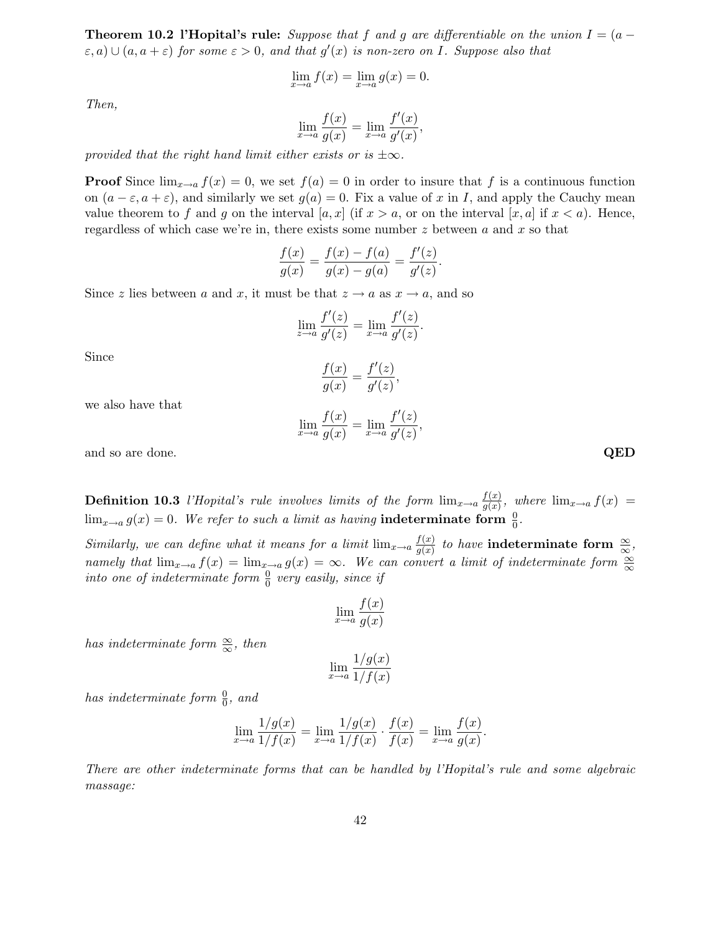**Theorem 10.2 l'Hopital's rule:** Suppose that f and g are differentiable on the union  $I = (a (\varepsilon, a) \cup (a, a + \varepsilon)$  for some  $\varepsilon > 0$ , and that  $g'(x)$  is non-zero on I. Suppose also that

$$
\lim_{x \to a} f(x) = \lim_{x \to a} g(x) = 0.
$$

Then,

$$
\lim_{x \to a} \frac{f(x)}{g(x)} = \lim_{x \to a} \frac{f'(x)}{g'(x)},
$$

provided that the right hand limit either exists or is  $\pm \infty$ .

**Proof** Since  $\lim_{x\to a} f(x) = 0$ , we set  $f(a) = 0$  in order to insure that f is a continuous function on  $(a - \varepsilon, a + \varepsilon)$ , and similarly we set  $g(a) = 0$ . Fix a value of x in I, and apply the Cauchy mean value theorem to f and g on the interval  $[a, x]$  (if  $x > a$ , or on the interval  $[x, a]$  if  $x < a$ ). Hence, regardless of which case we're in, there exists some number  $z$  between  $a$  and  $x$  so that

$$
\frac{f(x)}{g(x)} = \frac{f(x) - f(a)}{g(x) - g(a)} = \frac{f'(z)}{g'(z)}.
$$

Since z lies between a and x, it must be that  $z \to a$  as  $x \to a$ , and so

$$
\lim_{z \to a} \frac{f'(z)}{g'(z)} = \lim_{x \to a} \frac{f'(z)}{g'(z)}.
$$

Since

$$
\frac{f(x)}{g(x)} = \frac{f'(z)}{g'(z)},
$$

we also have that

$$
\lim_{x \to a} \frac{f(x)}{g(x)} = \lim_{x \to a} \frac{f'(z)}{g'(z)},
$$

and so are done.  $QED$ 

**Definition 10.3** l'Hopital's rule involves limits of the form  $\lim_{x\to a} \frac{f(x)}{g(x)}$  $\frac{f(x)}{g(x)}$ , where  $\lim_{x\to a} f(x) =$  $\lim_{x\to a} g(x) = 0$ . We refer to such a limit as having indeterminate form  $\frac{0}{0}$ .

Similarly, we can define what it means for a limit  $\lim_{x\to a} \frac{f(x)}{g(x)}$  $\frac{f(x)}{g(x)}$  to have indeterminate form  $\frac{\infty}{\infty}$ , namely that  $\lim_{x\to a} f(x) = \lim_{x\to a} g(x) = \infty$ . We can convert a limit of indeterminate form  $\frac{\infty}{\infty}$ into one of indeterminate form  $\frac{0}{0}$  very easily, since if

$$
\lim_{x \to a} \frac{f(x)}{g(x)}
$$

has indeterminate form  $\frac{\infty}{\infty}$ , then

$$
\lim_{x \to a} \frac{1/g(x)}{1/f(x)}
$$

has indeterminate form  $\frac{0}{0}$ , and

$$
\lim_{x \to a} \frac{1/g(x)}{1/f(x)} = \lim_{x \to a} \frac{1/g(x)}{1/f(x)} \cdot \frac{f(x)}{f(x)} = \lim_{x \to a} \frac{f(x)}{g(x)}.
$$

There are other indeterminate forms that can be handled by l'Hopital's rule and some algebraic massage: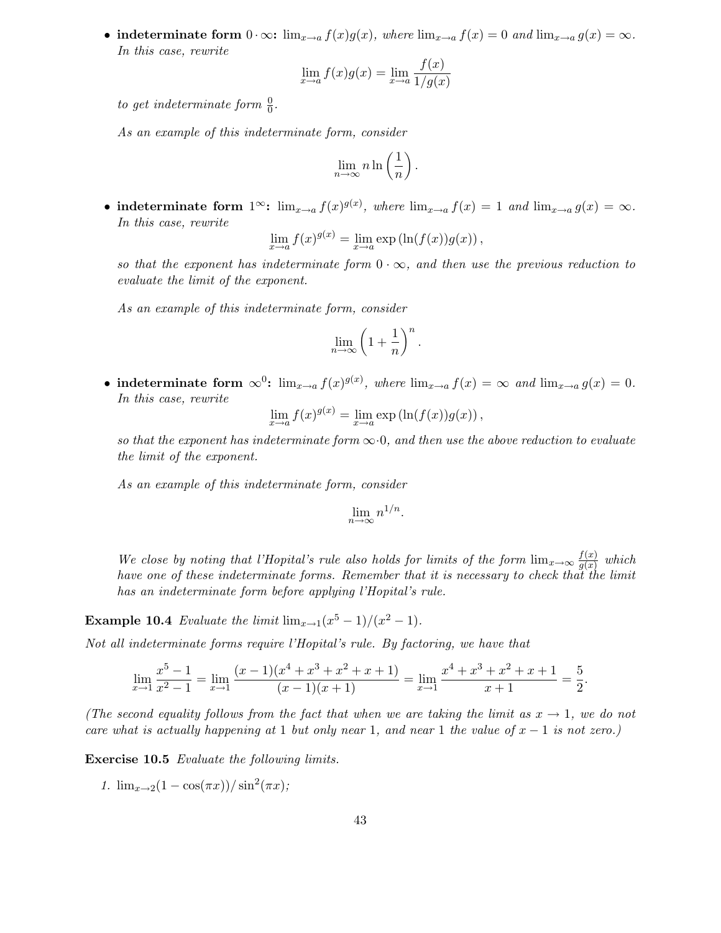• indeterminate form  $0 \cdot \infty$ :  $\lim_{x \to a} f(x)g(x)$ , where  $\lim_{x \to a} f(x) = 0$  and  $\lim_{x \to a} g(x) = \infty$ . In this case, rewrite

$$
\lim_{x \to a} f(x)g(x) = \lim_{x \to a} \frac{f(x)}{1/g(x)}
$$

to get indeterminate form  $\frac{0}{0}$ .

As an example of this indeterminate form, consider

$$
\lim_{n \to \infty} n \ln \left( \frac{1}{n} \right).
$$

• indeterminate form  $1^{\infty}$ :  $\lim_{x\to a} f(x)^{g(x)}$ , where  $\lim_{x\to a} f(x) = 1$  and  $\lim_{x\to a} g(x) = \infty$ . In this case, rewrite

$$
\lim_{x \to a} f(x)^{g(x)} = \lim_{x \to a} \exp\left(\ln(f(x))g(x)\right),\,
$$

so that the exponent has indeterminate form  $0 \cdot \infty$ , and then use the previous reduction to evaluate the limit of the exponent.

As an example of this indeterminate form, consider

$$
\lim_{n \to \infty} \left( 1 + \frac{1}{n} \right)^n.
$$

• indeterminate form  $\infty^0$ :  $\lim_{x\to a} f(x)^{g(x)}$ , where  $\lim_{x\to a} f(x) = \infty$  and  $\lim_{x\to a} g(x) = 0$ . In this case, rewrite

$$
\lim_{x \to a} f(x)^{g(x)} = \lim_{x \to a} \exp\left(\ln(f(x))g(x)\right),\,
$$

so that the exponent has indeterminate form  $\infty$ .0, and then use the above reduction to evaluate the limit of the exponent.

As an example of this indeterminate form, consider

$$
\lim_{n\to\infty}n^{1/n}.
$$

We close by noting that l'Hopital's rule also holds for limits of the form  $\lim_{x\to\infty}\frac{f(x)}{g(x)}$  $\frac{f(x)}{g(x)}$  which have one of these indeterminate forms. Remember that it is necessary to check that the limit has an indeterminate form before applying l'Hopital's rule.

**Example 10.4** Evaluate the limit  $\lim_{x\to 1} (x^5 - 1)/(x^2 - 1)$ .

Not all indeterminate forms require l'Hopital's rule. By factoring, we have that

$$
\lim_{x \to 1} \frac{x^5 - 1}{x^2 - 1} = \lim_{x \to 1} \frac{(x - 1)(x^4 + x^3 + x^2 + x + 1)}{(x - 1)(x + 1)} = \lim_{x \to 1} \frac{x^4 + x^3 + x^2 + x + 1}{x + 1} = \frac{5}{2}.
$$

(The second equality follows from the fact that when we are taking the limit as  $x \to 1$ , we do not care what is actually happening at 1 but only near 1, and near 1 the value of  $x - 1$  is not zero.)

Exercise 10.5 Evaluate the following limits.

1.  $\lim_{x\to 2}(1-\cos(\pi x))/\sin^2(\pi x);$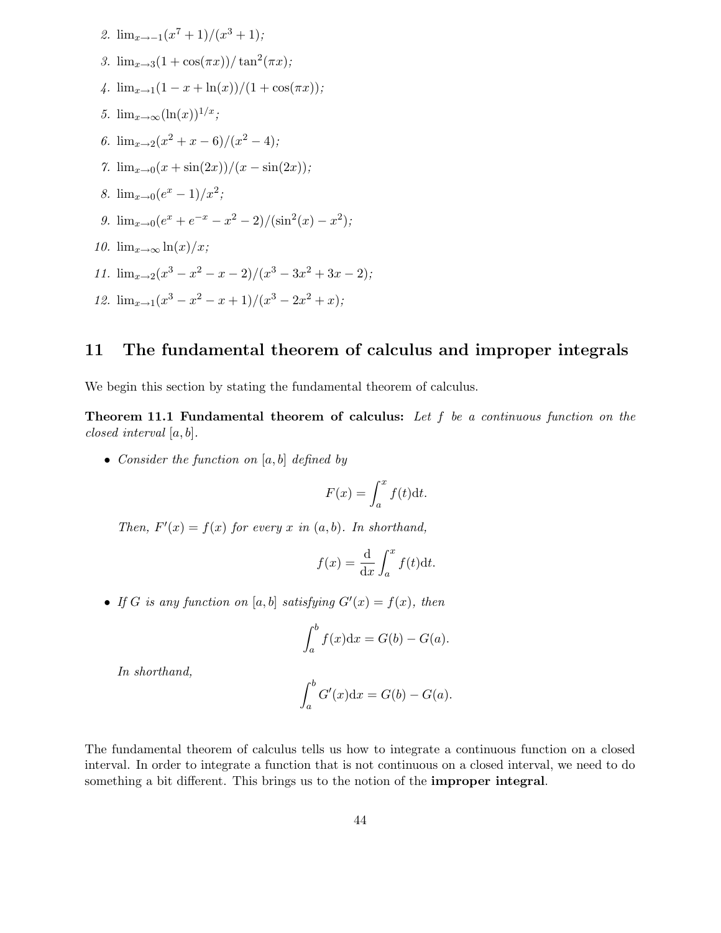2. 
$$
\lim_{x \to -1} (x^7 + 1)/(x^3 + 1);
$$
  
\n3.  $\lim_{x \to 3} (1 + \cos(\pi x))/\tan^2(\pi x);$   
\n4.  $\lim_{x \to 1} (1 - x + \ln(x))/(1 + \cos(\pi x));$   
\n5.  $\lim_{x \to \infty} (\ln(x))^{1/x};$   
\n6.  $\lim_{x \to 2} (x^2 + x - 6)/(x^2 - 4);$   
\n7.  $\lim_{x \to 0} (x + \sin(2x))/(x - \sin(2x));$   
\n8.  $\lim_{x \to 0} (e^x - 1)/x^2;$   
\n9.  $\lim_{x \to 0} (e^x + e^{-x} - x^2 - 2)/(\sin^2(x) - x^2);$   
\n10.  $\lim_{x \to \infty} \ln(x)/x;$   
\n11.  $\lim_{x \to 2} (x^3 - x^2 - x - 2)/(x^3 - 3x^2 + 3x - 2);$   
\n12.  $\lim_{x \to 1} (x^3 - x^2 - x + 1)/(x^3 - 2x^2 + x);$ 

# 11 The fundamental theorem of calculus and improper integrals

We begin this section by stating the fundamental theorem of calculus.

**Theorem 11.1 Fundamental theorem of calculus:** Let  $f$  be a continuous function on the closed interval [a, b].

• Consider the function on  $[a, b]$  defined by

$$
F(x) = \int_{a}^{x} f(t) \mathrm{d}t.
$$

Then,  $F'(x) = f(x)$  for every x in  $(a, b)$ . In shorthand,

$$
f(x) = \frac{\mathrm{d}}{\mathrm{d}x} \int_{a}^{x} f(t) \mathrm{d}t.
$$

• If G is any function on  $[a, b]$  satisfying  $G'(x) = f(x)$ , then

$$
\int_a^b f(x) \mathrm{d}x = G(b) - G(a).
$$

In shorthand,

$$
\int_a^b G'(x) \mathrm{d}x = G(b) - G(a).
$$

The fundamental theorem of calculus tells us how to integrate a continuous function on a closed interval. In order to integrate a function that is not continuous on a closed interval, we need to do something a bit different. This brings us to the notion of the **improper integral**.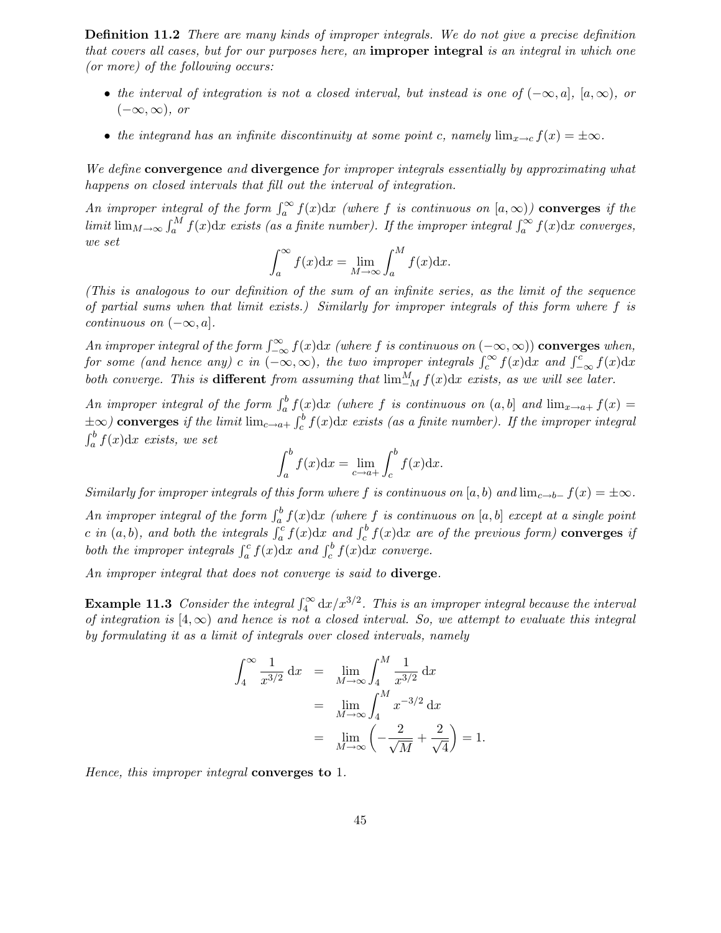Definition 11.2 There are many kinds of improper integrals. We do not give a precise definition that covers all cases, but for our purposes here, an improper integral is an integral in which one (or more) of the following occurs:

- the interval of integration is not a closed interval, but instead is one of  $(-\infty, a]$ ,  $[a, \infty)$ , or  $(-\infty, \infty)$ , or
- the integrand has an infinite discontinuity at some point c, namely  $\lim_{x\to c} f(x) = \pm \infty$ .

We define convergence and divergence for improper integrals essentially by approximating what happens on closed intervals that fill out the interval of integration.

An improper integral of the form  $\int_a^{\infty} f(x) dx$  (where f is continuous on  $[a,\infty)$ ) **converges** if the limit  $\lim_{M\to\infty}\int_a^M f(x)dx$  exists (as a finite number). If the improper integral  $\int_a^{\infty} f(x)dx$  converges, we set

$$
\int_{a}^{\infty} f(x) \mathrm{d}x = \lim_{M \to \infty} \int_{a}^{M} f(x) \mathrm{d}x.
$$

(This is analogous to our definition of the sum of an infinite series, as the limit of the sequence of partial sums when that limit exists.) Similarly for improper integrals of this form where f is continuous on  $(-\infty, a]$ .

An improper integral of the form  $\int_{-\infty}^{\infty} f(x) dx$  (where f is continuous on  $(-\infty, \infty)$ ) converges when, for some (and hence any) c in  $(-\infty,\infty)$ , the two improper integrals  $\int_c^{\infty} f(x)dx$  and  $\int_{-\infty}^{c} f(x)dx$ both converge. This is **different** from assuming that  $\lim_{M}^{M} f(x)dx$  exists, as we will see later.

An improper integral of the form  $\int_a^b f(x) dx$  (where f is continuous on  $(a, b]$  and  $\lim_{x\to a+} f(x) =$  $\pm \infty$ ) converges if the limit  $\lim_{c \to a^+} \int_c^b f(x) dx$  exists (as a finite number). If the improper integral  $\int_a^b f(x) dx$  exists, we set

$$
\int_a^b f(x) \mathrm{d}x = \lim_{c \to a+} \int_c^b f(x) \mathrm{d}x.
$$

Similarly for improper integrals of this form where f is continuous on [a, b) and  $\lim_{c\to b^-} f(x) = \pm \infty$ .

An improper integral of the form  $\int_a^b f(x) dx$  (where f is continuous on [a, b] except at a single point c in  $(a, b)$ , and both the integrals  $\int_a^c f(x) dx$  and  $\int_c^b f(x) dx$  are of the previous form) converges if both the improper integrals  $\int_a^c f(x) dx$  and  $\int_c^b f(x) dx$  converge.

An improper integral that does not converge is said to diverge.

**Example 11.3** Consider the integral  $\int_4^{\infty} dx/x^{3/2}$ . This is an improper integral because the interval of integration is  $(4,\infty)$  and hence is not a closed interval. So, we attempt to evaluate this integral by formulating it as a limit of integrals over closed intervals, namely

$$
\int_{4}^{\infty} \frac{1}{x^{3/2}} dx = \lim_{M \to \infty} \int_{4}^{M} \frac{1}{x^{3/2}} dx
$$
  
= 
$$
\lim_{M \to \infty} \int_{4}^{M} x^{-3/2} dx
$$
  
= 
$$
\lim_{M \to \infty} \left( -\frac{2}{\sqrt{M}} + \frac{2}{\sqrt{4}} \right) = 1.
$$

Hence, this improper integral converges to 1.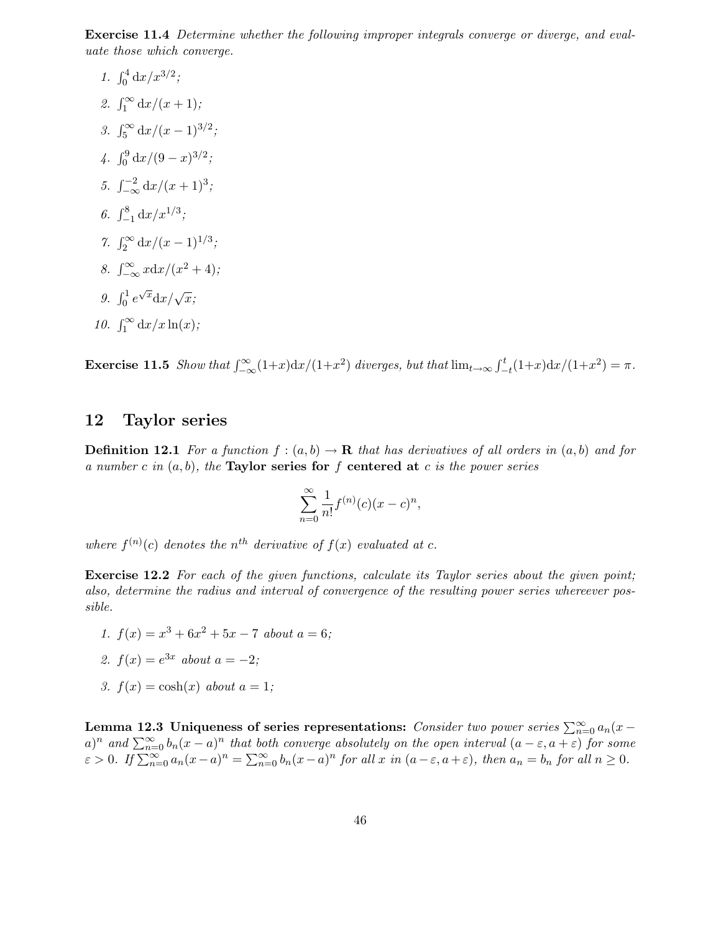Exercise 11.4 Determine whether the following improper integrals converge or diverge, and evaluate those which converge.

1.  $\int_0^4 dx/x^{3/2}$ ; 2.  $\int_1^{\infty} dx/(x+1);$ 3.  $\int_5^\infty dx/(x-1)^{3/2}$ ; 4.  $\int_0^9 dx/(9-x)^{3/2}$ ; 5.  $\int_{-\infty}^{-2} \frac{dx}{(x+1)^3}$ ; 6.  $\int_{-1}^{8} dx/x^{1/3}$ ; 7.  $\int_2^{\infty} dx/(x-1)^{1/3}$ ; 8.  $\int_{-\infty}^{\infty} x \, dx / (x^2 + 4);$ 9.  $\int_0^1 e^{\sqrt{x}} dx/\sqrt{x}$ ; 10.  $\int_1^{\infty} dx/x \ln(x);$ 

Exercise 11.5 Show that  $\int_{-\infty}^{\infty} (1+x) dx/(1+x^2)$  diverges, but that  $\lim_{t\to\infty} \int_{-t}^{t} (1+x) dx/(1+x^2) = \pi$ .

# 12 Taylor series

**Definition 12.1** For a function  $f:(a,b) \to \mathbf{R}$  that has derivatives of all orders in  $(a,b)$  and for a number c in  $(a, b)$ , the Taylor series for f centered at c is the power series

$$
\sum_{n=0}^{\infty} \frac{1}{n!} f^{(n)}(c) (x - c)^n,
$$

where  $f^{(n)}(c)$  denotes the n<sup>th</sup> derivative of  $f(x)$  evaluated at c.

Exercise 12.2 For each of the given functions, calculate its Taylor series about the given point; also, determine the radius and interval of convergence of the resulting power series whereever possible.

- 1.  $f(x) = x^3 + 6x^2 + 5x 7$  about  $a = 6$ ;
- 2.  $f(x) = e^{3x}$  about  $a = -2$ ;
- 3.  $f(x) = \cosh(x)$  about  $a = 1$ ;

Lemma 12.3 Uniqueness of series representations: Consider two power series  $\sum_{n=0}^{\infty} a_n(x$  $a)^n$  and  $\sum_{n=0}^{\infty} b_n(x-a)^n$  that both converge absolutely on the open interval  $(a-\varepsilon,a+\varepsilon)$  for some  $\varepsilon > 0$ . If  $\sum_{n=0}^{\infty} a_n(x-a)^n = \sum_{n=0}^{\infty} b_n(x-a)^n$  for all  $x$  in  $(a-\varepsilon, a+\varepsilon)$ , then  $a_n = b_n$  for all  $n \ge 0$ .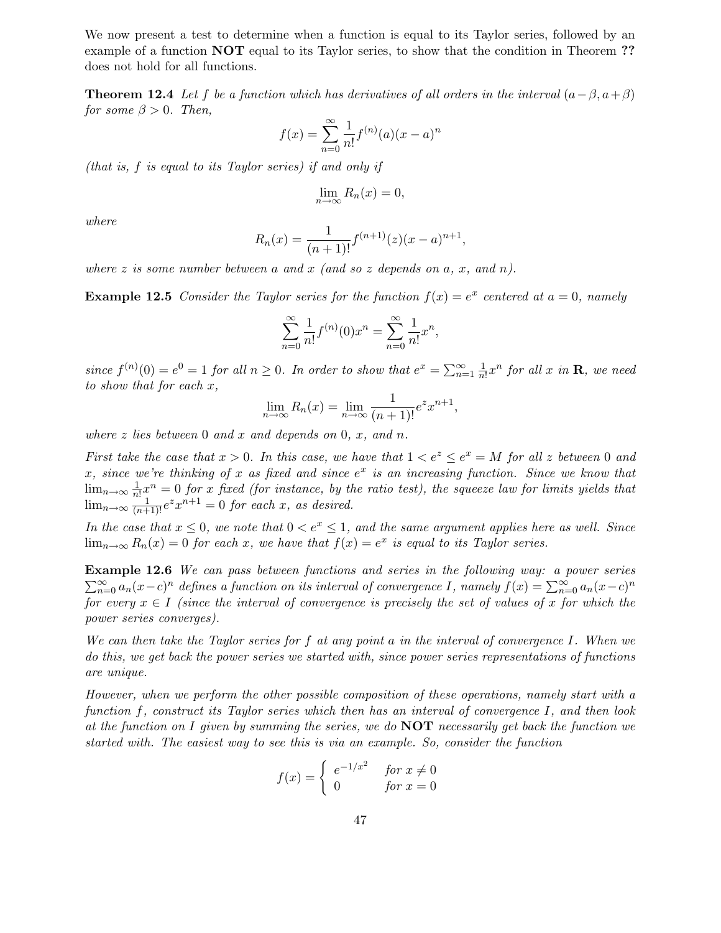We now present a test to determine when a function is equal to its Taylor series, followed by an example of a function **NOT** equal to its Taylor series, to show that the condition in Theorem ?? does not hold for all functions.

**Theorem 12.4** Let f be a function which has derivatives of all orders in the interval  $(a - \beta, a + \beta)$ for some  $\beta > 0$ . Then,

$$
f(x) = \sum_{n=0}^{\infty} \frac{1}{n!} f^{(n)}(a)(x-a)^n
$$

(that is, f is equal to its Taylor series) if and only if

$$
\lim_{n \to \infty} R_n(x) = 0,
$$

where

$$
R_n(x) = \frac{1}{(n+1)!} f^{(n+1)}(z)(x-a)^{n+1},
$$

where z is some number between a and x (and so z depends on a, x, and n).

**Example 12.5** Consider the Taylor series for the function  $f(x) = e^x$  centered at  $a = 0$ , namely

$$
\sum_{n=0}^{\infty} \frac{1}{n!} f^{(n)}(0) x^n = \sum_{n=0}^{\infty} \frac{1}{n!} x^n,
$$

since  $f^{(n)}(0) = e^0 = 1$  for all  $n \ge 0$ . In order to show that  $e^x = \sum_{n=1}^{\infty} \frac{1}{n}$  $\frac{1}{n!}x^n$  for all x in **R**, we need to show that for each x,

$$
\lim_{n \to \infty} R_n(x) = \lim_{n \to \infty} \frac{1}{(n+1)!} e^z x^{n+1},
$$

where z lies between 0 and x and depends on 0, x, and n.

First take the case that  $x > 0$ . In this case, we have that  $1 < e^z \le e^x = M$  for all z between 0 and x, since we're thinking of x as fixed and since  $e^x$  is an increasing function. Since we know that  $\lim_{n\to\infty}\frac{1}{n}$  $\frac{1}{n!}x^n = 0$  for x fixed (for instance, by the ratio test), the squeeze law for limits yields that  $\lim_{n\to\infty} \frac{1}{(n+1)!}e^z x^{n+1} = 0$  for each x, as desired.

In the case that  $x \leq 0$ , we note that  $0 < e^x \leq 1$ , and the same argument applies here as well. Since  $\lim_{n\to\infty} R_n(x) = 0$  for each x, we have that  $f(x) = e^x$  is equal to its Taylor series.

Example 12.6 We can pass between functions and series in the following way: a power series  $\sum_{n=0}^{\infty} a_n(x-c)^n$  defines a function on its interval of convergence I, namely  $f(x) = \sum_{n=0}^{\infty} a_n(x-c)^n$ for every  $x \in I$  (since the interval of convergence is precisely the set of values of x for which the power series converges).

We can then take the Taylor series for  $f$  at any point  $a$  in the interval of convergence  $I$ . When we do this, we get back the power series we started with, since power series representations of functions are unique.

However, when we perform the other possible composition of these operations, namely start with a function f, construct its Taylor series which then has an interval of convergence I, and then look at the function on I given by summing the series, we do  $\overline{NOT}$  necessarily get back the function we started with. The easiest way to see this is via an example. So, consider the function

$$
f(x) = \begin{cases} e^{-1/x^2} & \text{for } x \neq 0\\ 0 & \text{for } x = 0 \end{cases}
$$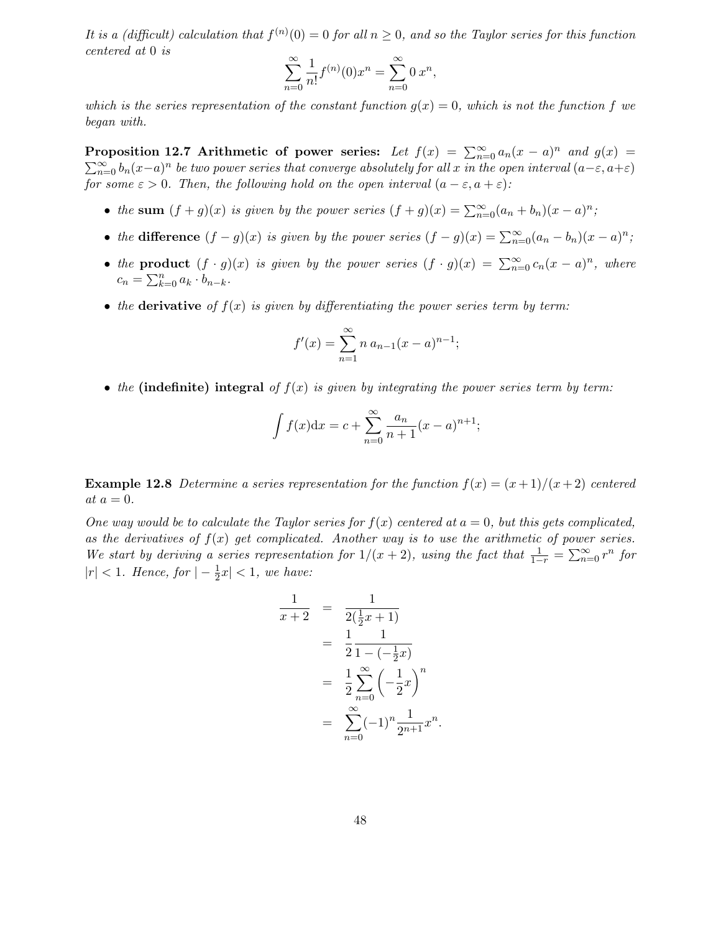It is a (difficult) calculation that  $f^{(n)}(0) = 0$  for all  $n \ge 0$ , and so the Taylor series for this function centered at 0 is

$$
\sum_{n=0}^{\infty} \frac{1}{n!} f^{(n)}(0) x^n = \sum_{n=0}^{\infty} 0 x^n,
$$

which is the series representation of the constant function  $g(x) = 0$ , which is not the function f we began with.

Proposition 12.7 Arithmetic of power series: Let  $f(x) = \sum_{n=0}^{\infty} a_n(x-a)^n$  and  $g(x) =$  $\sum_{n=0}^{\infty} b_n(x-a)^n$  be two power series that converge absolutely for all x in the open interval  $(a-\varepsilon, a+\varepsilon)$ for some  $\varepsilon > 0$ . Then, the following hold on the open interval  $(a - \varepsilon, a + \varepsilon)$ :

- the sum  $(f+g)(x)$  is given by the power series  $(f+g)(x) = \sum_{n=0}^{\infty} (a_n + b_n)(x-a)^n$ ;
- the difference  $(f g)(x)$  is given by the power series  $(f g)(x) = \sum_{n=0}^{\infty} (a_n b_n)(x a)^n$ ;
- the product  $(f \cdot g)(x)$  is given by the power series  $(f \cdot g)(x) = \sum_{n=0}^{\infty} c_n(x-a)^n$ , where  $c_n = \sum_{k=0}^n a_k \cdot b_{n-k}.$
- the derivative of  $f(x)$  is given by differentiating the power series term by term:

$$
f'(x) = \sum_{n=1}^{\infty} n a_{n-1} (x - a)^{n-1};
$$

• the (indefinite) integral of  $f(x)$  is given by integrating the power series term by term:

$$
\int f(x)dx = c + \sum_{n=0}^{\infty} \frac{a_n}{n+1} (x - a)^{n+1};
$$

**Example 12.8** Determine a series representation for the function  $f(x) = (x+1)/(x+2)$  centered at  $a = 0$ .

One way would be to calculate the Taylor series for  $f(x)$  centered at  $a = 0$ , but this gets complicated, as the derivatives of  $f(x)$  get complicated. Another way is to use the arithmetic of power series. We start by deriving a series representation for  $1/(x+2)$ , using the fact that  $\frac{1}{1-r} = \sum_{n=0}^{\infty} r^n$  for  $|r| < 1.$  Hence, for  $|-\frac{1}{2}\rangle$  $\frac{1}{2}x \vert < 1$ , we have:

$$
\frac{1}{x+2} = \frac{1}{2(\frac{1}{2}x+1)}
$$
  
= 
$$
\frac{1}{2}\frac{1}{1-(-\frac{1}{2}x)}
$$
  
= 
$$
\frac{1}{2}\sum_{n=0}^{\infty}(-\frac{1}{2}x)^n
$$
  
= 
$$
\sum_{n=0}^{\infty}(-1)^n\frac{1}{2^{n+1}}x^n.
$$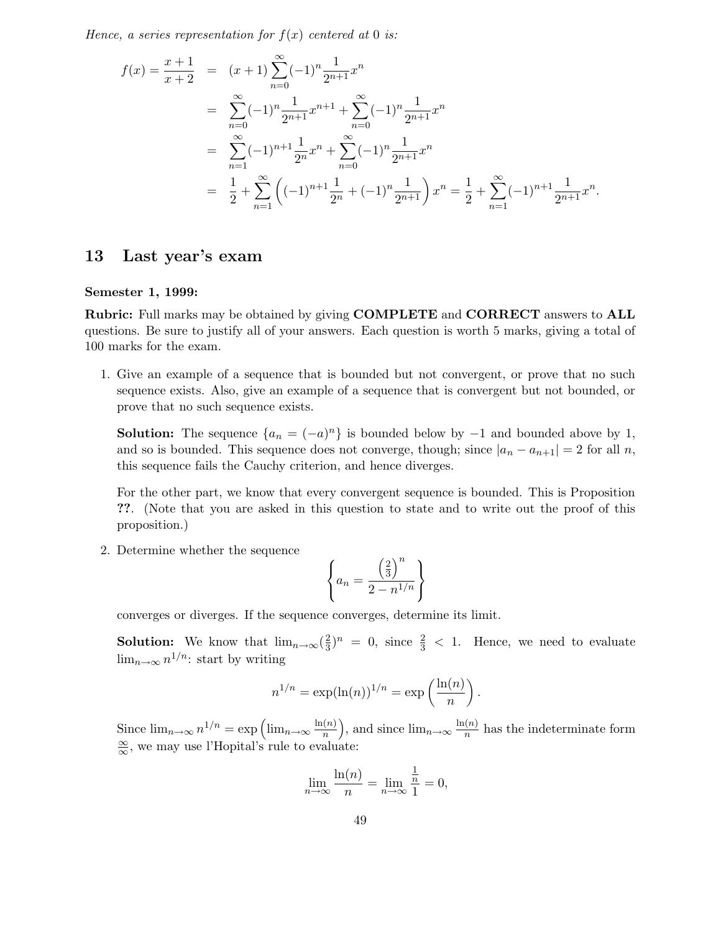Hence, a series representation for  $f(x)$  centered at 0 is:

$$
f(x) = \frac{x+1}{x+2} = (x+1)\sum_{n=0}^{\infty} (-1)^n \frac{1}{2^{n+1}} x^n
$$
  
= 
$$
\sum_{n=0}^{\infty} (-1)^n \frac{1}{2^{n+1}} x^{n+1} + \sum_{n=0}^{\infty} (-1)^n \frac{1}{2^{n+1}} x^n
$$
  
= 
$$
\sum_{n=1}^{\infty} (-1)^{n+1} \frac{1}{2^n} x^n + \sum_{n=0}^{\infty} (-1)^n \frac{1}{2^{n+1}} x^n
$$
  
= 
$$
\frac{1}{2} + \sum_{n=1}^{\infty} \left( (-1)^{n+1} \frac{1}{2^n} + (-1)^n \frac{1}{2^{n+1}} \right) x^n = \frac{1}{2} + \sum_{n=1}^{\infty} (-1)^{n+1} \frac{1}{2^{n+1}} x^n.
$$

# 13 Last year's exam

## Semester 1, 1999:

Rubric: Full marks may be obtained by giving COMPLETE and CORRECT answers to ALL questions. Be sure to justify all of your answers. Each question is worth 5 marks, giving a total of 100 marks for the exam.

1. Give an example of a sequence that is bounded but not convergent, or prove that no such sequence exists. Also, give an example of a sequence that is convergent but not bounded, or prove that no such sequence exists.

**Solution:** The sequence  $\{a_n = (-a)^n\}$  is bounded below by  $-1$  and bounded above by 1, and so is bounded. This sequence does not converge, though; since  $|a_n - a_{n+1}| = 2$  for all n, this sequence fails the Cauchy criterion, and hence diverges.

For the other part, we know that every convergent sequence is bounded. This is Proposition ??. (Note that you are asked in this question to state and to write out the proof of this proposition.)

2. Determine whether the sequence

$$
\left\{ a_n = \frac{\left(\frac{2}{3}\right)^n}{2 - n^{1/n}} \right\}
$$

converges or diverges. If the sequence converges, determine its limit.

**Solution:** We know that  $\lim_{n\to\infty}(\frac{2}{3})$  $\frac{2}{3}$ )<sup>n</sup> = 0, since  $\frac{2}{3}$  < 1. Hence, we need to evaluate  $\lim_{n\to\infty} n^{1/n}$ : start by writing

$$
n^{1/n} = \exp(\ln(n))^{1/n} = \exp\left(\frac{\ln(n)}{n}\right).
$$

Since  $\lim_{n\to\infty} n^{1/n} = \exp\left(\lim_{n\to\infty} \frac{\ln(n)}{n}\right)$  $\binom{n}{n}$ , and since  $\lim_{n\to\infty}\frac{\ln(n)}{n}$  $\frac{n(n)}{n}$  has the indeterminate form  $\frac{\infty}{\infty}$ , we may use l'Hopital's rule to evaluate:

$$
\lim_{n \to \infty} \frac{\ln(n)}{n} = \lim_{n \to \infty} \frac{\frac{1}{n}}{1} = 0,
$$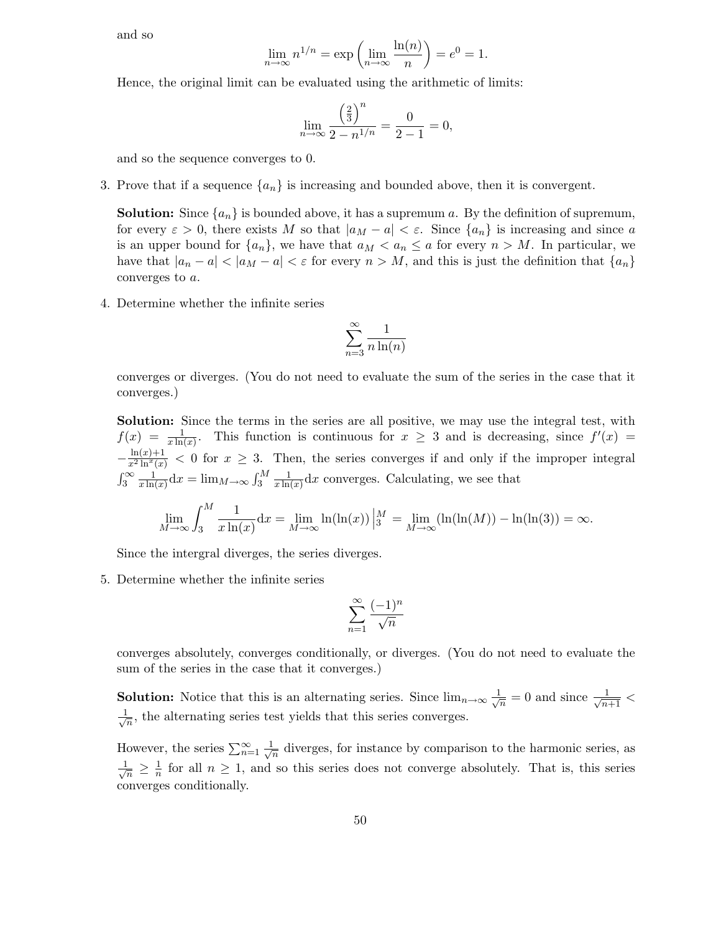and so

$$
\lim_{n \to \infty} n^{1/n} = \exp\left(\lim_{n \to \infty} \frac{\ln(n)}{n}\right) = e^0 = 1.
$$

Hence, the original limit can be evaluated using the arithmetic of limits:

$$
\lim_{n \to \infty} \frac{\left(\frac{2}{3}\right)^n}{2 - n^{1/n}} = \frac{0}{2 - 1} = 0,
$$

and so the sequence converges to 0.

3. Prove that if a sequence  $\{a_n\}$  is increasing and bounded above, then it is convergent.

**Solution:** Since  $\{a_n\}$  is bounded above, it has a supremum a. By the definition of supremum, for every  $\varepsilon > 0$ , there exists M so that  $|a_M - a| < \varepsilon$ . Since  $\{a_n\}$  is increasing and since a is an upper bound for  $\{a_n\}$ , we have that  $a_M < a_n \le a$  for every  $n > M$ . In particular, we have that  $|a_n - a| < |a_M - a| < \varepsilon$  for every  $n > M$ , and this is just the definition that  $\{a_n\}$ converges to a.

4. Determine whether the infinite series

$$
\sum_{n=3}^{\infty} \frac{1}{n \ln(n)}
$$

converges or diverges. (You do not need to evaluate the sum of the series in the case that it converges.)

Solution: Since the terms in the series are all positive, we may use the integral test, with  $f(x) = \frac{1}{x \ln x}$  $\frac{1}{x \ln(x)}$ . This function is continuous for  $x \geq 3$  and is decreasing, since  $f'(x) =$  $-\frac{\ln(x)+1}{x^2\ln^x(x)}$  < 0 for  $x \ge 3$ . Then, the series converges if and only if the improper integral  $\int_3^\infty \frac{1}{x \ln x}$  $\frac{1}{x \ln(x)} dx = \lim_{M \to \infty} \int_{3}^{M} \frac{1}{x \ln(x)}$  $\frac{1}{x\ln(x)}dx$  converges. Calculating, we see that

$$
\lim_{M \to \infty} \int_{3}^{M} \frac{1}{x \ln(x)} dx = \lim_{M \to \infty} \ln(\ln(x)) \Big|_{3}^{M} = \lim_{M \to \infty} (\ln(\ln(M)) - \ln(\ln(3)) = \infty.
$$

Since the intergral diverges, the series diverges.

5. Determine whether the infinite series

$$
\sum_{n=1}^{\infty} \frac{(-1)^n}{\sqrt{n}}
$$

converges absolutely, converges conditionally, or diverges. (You do not need to evaluate the sum of the series in the case that it converges.)

**Solution:** Notice that this is an alternating series. Since  $\lim_{n\to\infty}\frac{1}{\sqrt{n}}$  $\frac{1}{n} = 0$  and since  $\frac{1}{\sqrt{n+1}}$  <  $\frac{1}{\sqrt{2}}$  $\frac{1}{n}$ , the alternating series test yields that this series converges.

However, the series  $\sum_{n=1}^{\infty} \frac{1}{\sqrt{n}}$  $\frac{1}{n}$  diverges, for instance by comparison to the harmonic series, as  $\frac{1}{\sqrt{2}}$  $\frac{1}{n} \geq \frac{1}{n}$  $\frac{1}{n}$  for all  $n \geq 1$ , and so this series does not converge absolutely. That is, this series converges conditionally.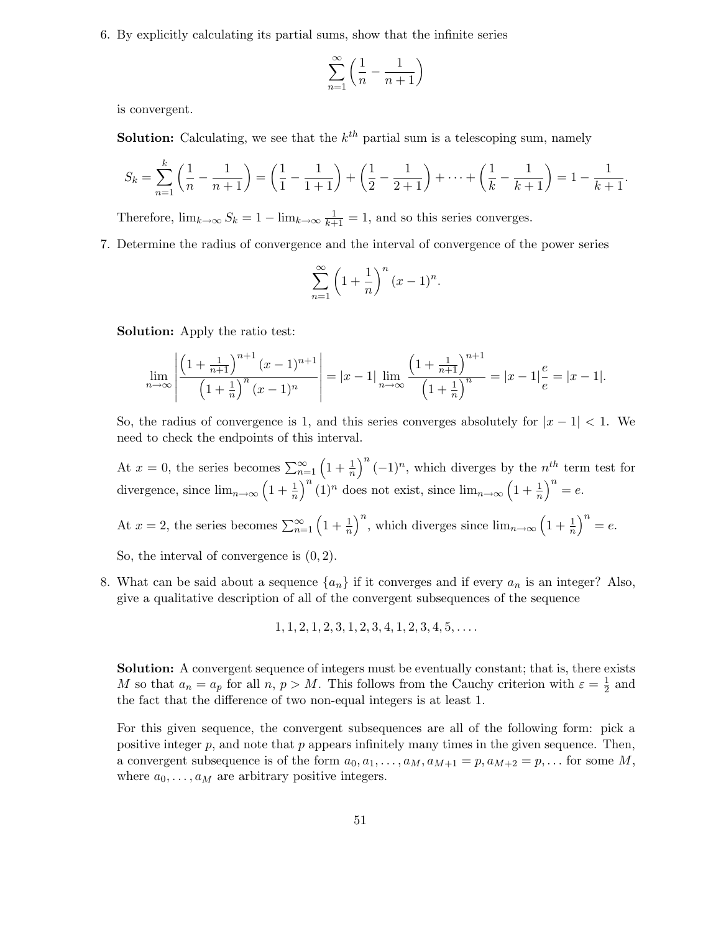6. By explicitly calculating its partial sums, show that the infinite series

$$
\sum_{n=1}^{\infty} \left( \frac{1}{n} - \frac{1}{n+1} \right)
$$

is convergent.

**Solution:** Calculating, we see that the  $k^{th}$  partial sum is a telescoping sum, namely

$$
S_k = \sum_{n=1}^k \left( \frac{1}{n} - \frac{1}{n+1} \right) = \left( \frac{1}{1} - \frac{1}{1+1} \right) + \left( \frac{1}{2} - \frac{1}{2+1} \right) + \dots + \left( \frac{1}{k} - \frac{1}{k+1} \right) = 1 - \frac{1}{k+1}.
$$

Therefore,  $\lim_{k \to \infty} S_k = 1 - \lim_{k \to \infty} \frac{1}{k+1} = 1$ , and so this series converges.

7. Determine the radius of convergence and the interval of convergence of the power series

$$
\sum_{n=1}^{\infty} \left(1 + \frac{1}{n}\right)^n (x - 1)^n.
$$

Solution: Apply the ratio test:

$$
\lim_{n \to \infty} \left| \frac{\left(1 + \frac{1}{n+1}\right)^{n+1} (x-1)^{n+1}}{\left(1 + \frac{1}{n}\right)^n (x-1)^n} \right| = |x-1| \lim_{n \to \infty} \frac{\left(1 + \frac{1}{n+1}\right)^{n+1}}{\left(1 + \frac{1}{n}\right)^n} = |x-1| \frac{e}{e} = |x-1|.
$$

So, the radius of convergence is 1, and this series converges absolutely for  $|x - 1| < 1$ . We need to check the endpoints of this interval.

At  $x = 0$ , the series becomes  $\sum_{n=1}^{\infty} \left(1 + \frac{1}{n}\right)$  $\frac{1}{n}$  $\left( -1\right)^n$ , which diverges by the  $n^{th}$  term test for divergence, since  $\lim_{n\to\infty} \left(1 + \frac{1}{n}\right)$  $\frac{1}{n}\big)^n (1)^n$  does not exist, since  $\lim_{n\to\infty} \left(1+\frac{1}{n}\right)$  $\frac{1}{n}\big)^n = e.$ At  $x = 2$ , the series becomes  $\sum_{n=1}^{\infty} \left(1 + \frac{1}{n}\right)$  $\frac{1}{n}$ , which diverges since  $\lim_{n\to\infty} \left(1+\frac{1}{n}\right)$  $\frac{1}{n}\big)^n = e.$ 

So, the interval of convergence is (0, 2).

- 8. What can be said about a sequence  $\{a_n\}$  if it converges and if every  $a_n$  is an integer? Also, give a qualitative description of all of the convergent subsequences of the sequence
	- $1, 1, 2, 1, 2, 3, 1, 2, 3, 4, 1, 2, 3, 4, 5, \ldots$

Solution: A convergent sequence of integers must be eventually constant; that is, there exists M so that  $a_n = a_p$  for all  $n, p > M$ . This follows from the Cauchy criterion with  $\varepsilon = \frac{1}{2}$  $\frac{1}{2}$  and the fact that the difference of two non-equal integers is at least 1.

For this given sequence, the convergent subsequences are all of the following form: pick a positive integer  $p$ , and note that  $p$  appears infinitely many times in the given sequence. Then, a convergent subsequence is of the form  $a_0, a_1, \ldots, a_M, a_{M+1} = p, a_{M+2} = p, \ldots$  for some M, where  $a_0, \ldots, a_M$  are arbitrary positive integers.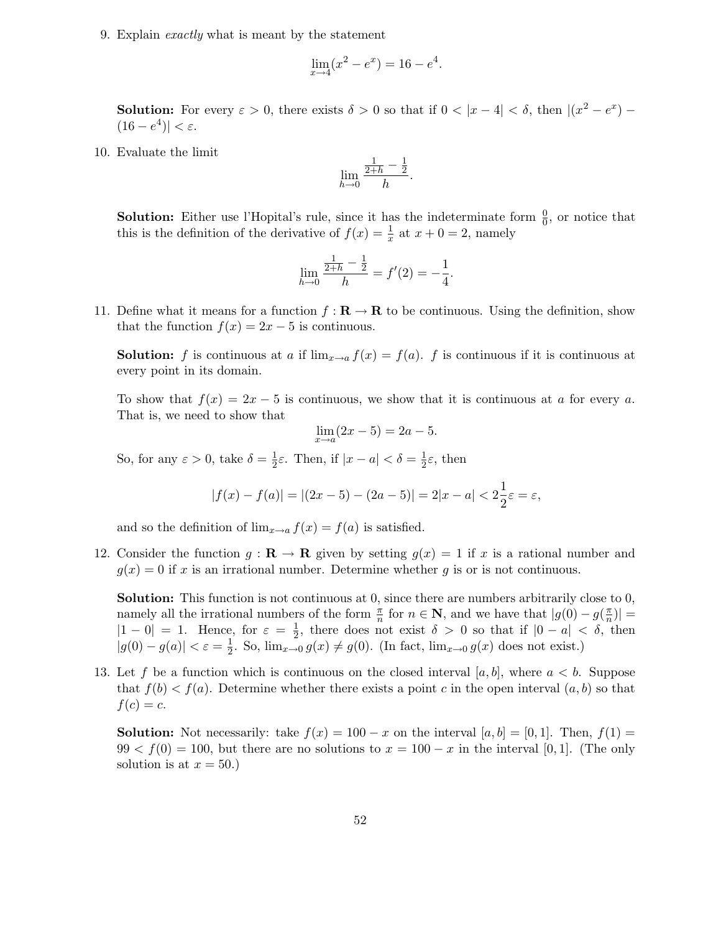9. Explain exactly what is meant by the statement

$$
\lim_{x \to 4} (x^2 - e^x) = 16 - e^4
$$

.

**Solution:** For every  $\varepsilon > 0$ , there exists  $\delta > 0$  so that if  $0 < |x - 4| < \delta$ , then  $|(x^2 - e^x) (16 - e^4)$ | <  $\varepsilon$ .

10. Evaluate the limit

$$
\lim_{h \to 0} \frac{\frac{1}{2+h} - \frac{1}{2}}{h}
$$

.

**Solution:** Either use l'Hopital's rule, since it has the indeterminate form  $\frac{0}{0}$ , or notice that this is the definition of the derivative of  $f(x) = \frac{1}{x}$  $\frac{1}{x}$  at  $x + 0 = 2$ , namely

$$
\lim_{h \to 0} \frac{\frac{1}{2+h} - \frac{1}{2}}{h} = f'(2) = -\frac{1}{4}.
$$

11. Define what it means for a function  $f : \mathbf{R} \to \mathbf{R}$  to be continuous. Using the definition, show that the function  $f(x) = 2x - 5$  is continuous.

**Solution:** f is continuous at a if  $\lim_{x\to a} f(x) = f(a)$ . f is continuous if it is continuous at every point in its domain.

To show that  $f(x) = 2x - 5$  is continuous, we show that it is continuous at a for every a. That is, we need to show that

$$
\lim_{x \to a} (2x - 5) = 2a - 5.
$$

So, for any  $\varepsilon > 0$ , take  $\delta = \frac{1}{2}$  $\frac{1}{2}\varepsilon$ . Then, if  $|x-a| < \delta = \frac{1}{2}$  $\frac{1}{2}\varepsilon$ , then

$$
|f(x) - f(a)| = |(2x - 5) - (2a - 5)| = 2|x - a| < 2\frac{1}{2}\varepsilon = \varepsilon,
$$

and so the definition of  $\lim_{x\to a} f(x) = f(a)$  is satisfied.

12. Consider the function  $g : \mathbf{R} \to \mathbf{R}$  given by setting  $g(x) = 1$  if x is a rational number and  $g(x) = 0$  if x is an irrational number. Determine whether g is or is not continuous.

Solution: This function is not continuous at 0, since there are numbers arbitrarily close to 0, namely all the irrational numbers of the form  $\frac{\pi}{n}$  for  $n \in \mathbb{N}$ , and we have that  $|g(0) - g(\frac{\pi}{n})|$  $\frac{\pi}{n})|$  =  $|1 - 0| = 1$ . Hence, for  $\varepsilon = \frac{1}{2}$  $\frac{1}{2}$ , there does not exist  $\delta > 0$  so that if  $|0 - a| < \delta$ , then  $|g(0) - g(a)| < \varepsilon = \frac{1}{2}$  $\frac{1}{2}$ . So,  $\lim_{x\to 0} g(x) \neq g(0)$ . (In fact,  $\lim_{x\to 0} g(x)$  does not exist.)

13. Let f be a function which is continuous on the closed interval [a, b], where  $a < b$ . Suppose that  $f(b) < f(a)$ . Determine whether there exists a point c in the open interval  $(a, b)$  so that  $f(c) = c$ .

**Solution:** Not necessarily: take  $f(x) = 100 - x$  on the interval [a, b] = [0, 1]. Then,  $f(1)$  =  $99 < f(0) = 100$ , but there are no solutions to  $x = 100 - x$  in the interval [0, 1]. (The only solution is at  $x = 50.$ )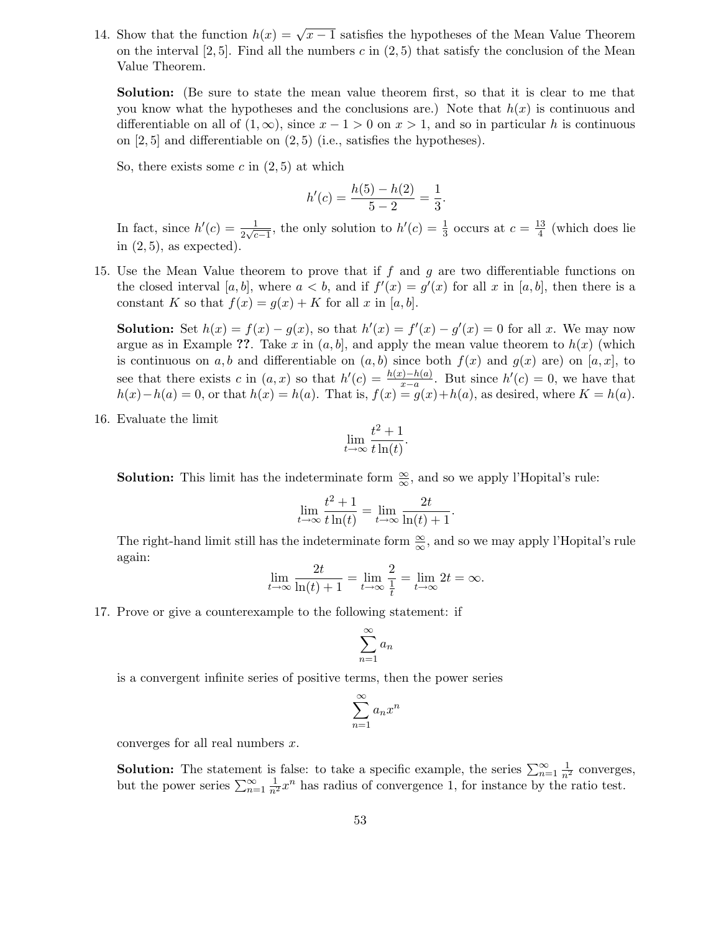14. Show that the function  $h(x) = \sqrt{x-1}$  satisfies the hypotheses of the Mean Value Theorem on the interval  $[2, 5]$ . Find all the numbers c in  $(2, 5)$  that satisfy the conclusion of the Mean Value Theorem.

Solution: (Be sure to state the mean value theorem first, so that it is clear to me that you know what the hypotheses and the conclusions are.) Note that  $h(x)$  is continuous and differentiable on all of  $(1, \infty)$ , since  $x - 1 > 0$  on  $x > 1$ , and so in particular h is continuous on  $[2, 5]$  and differentiable on  $(2, 5)$  (i.e., satisfies the hypotheses).

So, there exists some  $c$  in  $(2, 5)$  at which

$$
h'(c) = \frac{h(5) - h(2)}{5 - 2} = \frac{1}{3}.
$$

In fact, since  $h'(c) = \frac{1}{2\sqrt{c}}$  $\frac{1}{2\sqrt{c-1}}$ , the only solution to  $h'(c) = \frac{1}{3}$  $\frac{1}{3}$  occurs at  $c = \frac{13}{4}$  $\frac{13}{4}$  (which does lie in  $(2, 5)$ , as expected).

15. Use the Mean Value theorem to prove that if f and g are two differentiable functions on the closed interval [a, b], where  $a < b$ , and if  $f'(x) = g'(x)$  for all x in [a, b], then there is a constant K so that  $f(x) = g(x) + K$  for all x in [a, b].

**Solution:** Set  $h(x) = f(x) - g(x)$ , so that  $h'(x) = f'(x) - g'(x) = 0$  for all x. We may now argue as in Example ??. Take x in  $(a, b]$ , and apply the mean value theorem to  $h(x)$  (which is continuous on a, b and differentiable on  $(a, b)$  since both  $f(x)$  and  $g(x)$  are) on  $[a, x]$ , to see that there exists c in  $(a, x)$  so that  $h'(c) = \frac{h(x)-h(a)}{x-a}$  $\frac{f_2 - h(a)}{x - a}$ . But since  $h'(c) = 0$ , we have that  $h(x)-h(a) = 0$ , or that  $h(x) = h(a)$ . That is,  $f(x) = g(x)+h(a)$ , as desired, where  $K = h(a)$ .

16. Evaluate the limit

$$
\lim_{t \to \infty} \frac{t^2 + 1}{t \ln(t)}.
$$

**Solution:** This limit has the indeterminate form  $\frac{\infty}{\infty}$ , and so we apply l'Hopital's rule:

$$
\lim_{t \to \infty} \frac{t^2 + 1}{t \ln(t)} = \lim_{t \to \infty} \frac{2t}{\ln(t) + 1}.
$$

The right-hand limit still has the indeterminate form  $\frac{\infty}{\infty}$ , and so we may apply l'Hopital's rule again:

$$
\lim_{t \to \infty} \frac{2t}{\ln(t) + 1} = \lim_{t \to \infty} \frac{2}{\frac{1}{t}} = \lim_{t \to \infty} 2t = \infty.
$$

17. Prove or give a counterexample to the following statement: if

$$
\sum_{n=1}^{\infty} a_n
$$

is a convergent infinite series of positive terms, then the power series

$$
\sum_{n=1}^{\infty} a_n x^n
$$

converges for all real numbers  $x$ .

**Solution:** The statement is false: to take a specific example, the series  $\sum_{n=1}^{\infty} \frac{1}{n^2}$  converges, but the power series  $\sum_{n=1}^{\infty} \frac{1}{n^2} x^n$  has radius of convergence 1, for instance by the ratio test.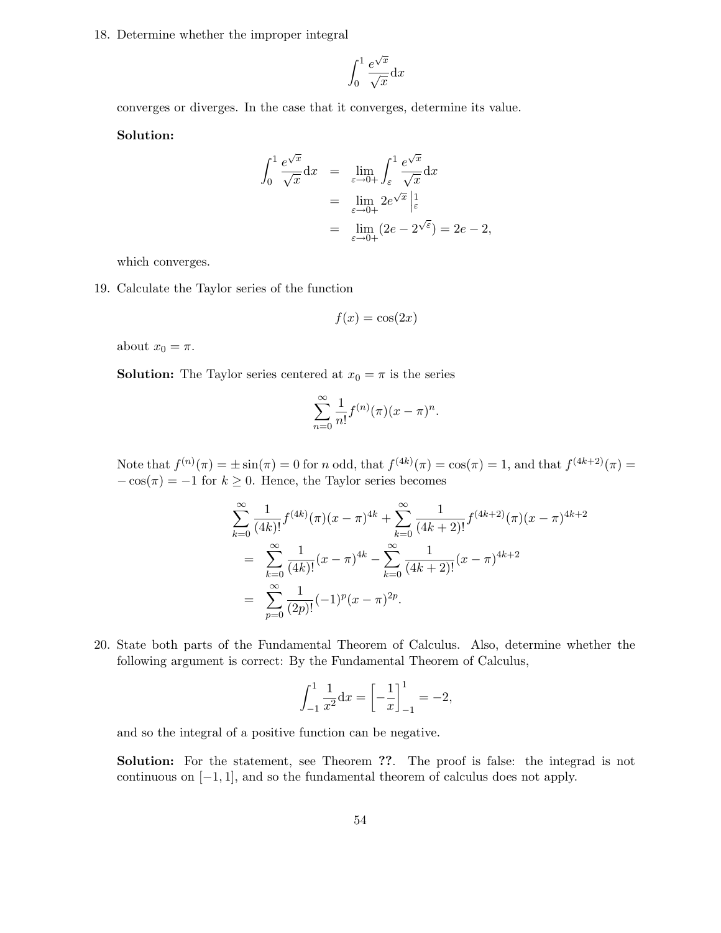18. Determine whether the improper integral

$$
\int_0^1 \frac{e^{\sqrt{x}}}{\sqrt{x}} \mathrm{d}x
$$

converges or diverges. In the case that it converges, determine its value.

Solution:

$$
\int_0^1 \frac{e^{\sqrt{x}}}{\sqrt{x}} dx = \lim_{\varepsilon \to 0+} \int_{\varepsilon}^1 \frac{e^{\sqrt{x}}}{\sqrt{x}} dx
$$
  
= 
$$
\lim_{\varepsilon \to 0+} 2e^{\sqrt{x}} \Big|_{\varepsilon}^1
$$
  
= 
$$
\lim_{\varepsilon \to 0+} (2e - 2^{\sqrt{\varepsilon}}) = 2e - 2,
$$

which converges.

19. Calculate the Taylor series of the function

$$
f(x) = \cos(2x)
$$

about  $x_0 = \pi$ .

**Solution:** The Taylor series centered at  $x_0 = \pi$  is the series

$$
\sum_{n=0}^{\infty} \frac{1}{n!} f^{(n)}(\pi) (x - \pi)^n.
$$

Note that  $f^{(n)}(\pi) = \pm \sin(\pi) = 0$  for n odd, that  $f^{(4k)}(\pi) = \cos(\pi) = 1$ , and that  $f^{(4k+2)}(\pi) =$  $-\cos(\pi) = -1$  for  $k \ge 0$ . Hence, the Taylor series becomes

$$
\sum_{k=0}^{\infty} \frac{1}{(4k)!} f^{(4k)}(\pi)(x-\pi)^{4k} + \sum_{k=0}^{\infty} \frac{1}{(4k+2)!} f^{(4k+2)}(\pi)(x-\pi)^{4k+2}
$$
  
= 
$$
\sum_{k=0}^{\infty} \frac{1}{(4k)!} (x-\pi)^{4k} - \sum_{k=0}^{\infty} \frac{1}{(4k+2)!} (x-\pi)^{4k+2}
$$
  
= 
$$
\sum_{p=0}^{\infty} \frac{1}{(2p)!} (-1)^p (x-\pi)^{2p}.
$$

20. State both parts of the Fundamental Theorem of Calculus. Also, determine whether the following argument is correct: By the Fundamental Theorem of Calculus,

$$
\int_{-1}^{1} \frac{1}{x^2} dx = \left[ -\frac{1}{x} \right]_{-1}^{1} = -2,
$$

and so the integral of a positive function can be negative.

Solution: For the statement, see Theorem ??. The proof is false: the integrad is not continuous on [−1, 1], and so the fundamental theorem of calculus does not apply.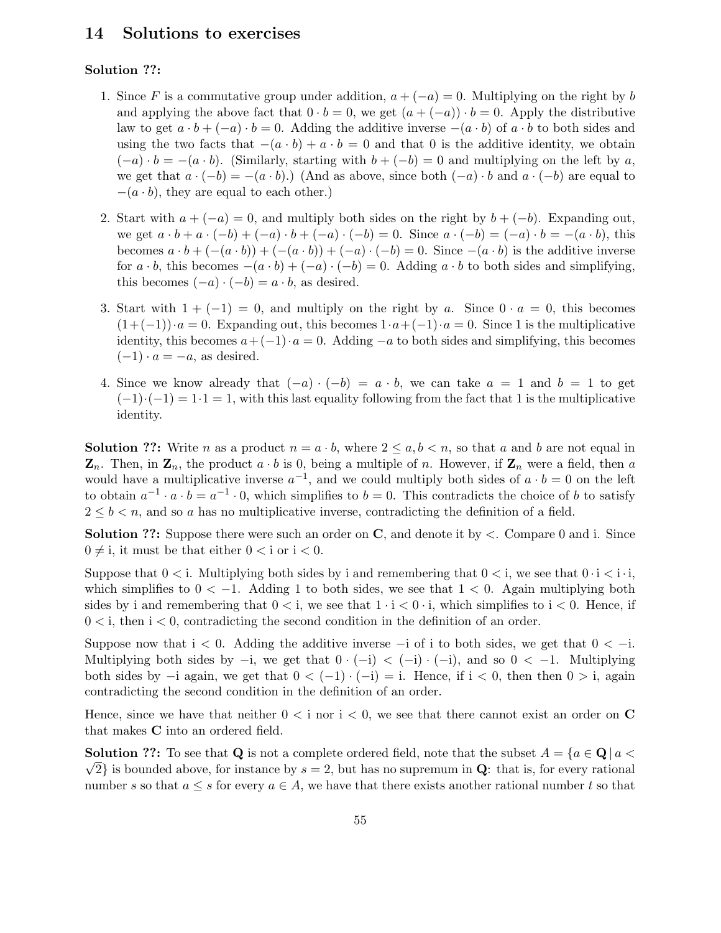# 14 Solutions to exercises

# Solution ??:

- 1. Since F is a commutative group under addition,  $a + (-a) = 0$ . Multiplying on the right by b and applying the above fact that  $0 \cdot b = 0$ , we get  $(a + (-a)) \cdot b = 0$ . Apply the distributive law to get  $a \cdot b + (-a) \cdot b = 0$ . Adding the additive inverse  $-(a \cdot b)$  of  $a \cdot b$  to both sides and using the two facts that  $-(a \cdot b) + a \cdot b = 0$  and that 0 is the additive identity, we obtain  $(-a) \cdot b = -(a \cdot b)$ . (Similarly, starting with  $b + (-b) = 0$  and multiplying on the left by a, we get that  $a \cdot (-b) = -(a \cdot b)$ .) (And as above, since both  $(-a) \cdot b$  and  $a \cdot (-b)$  are equal to  $-(a \cdot b)$ , they are equal to each other.)
- 2. Start with  $a + (-a) = 0$ , and multiply both sides on the right by  $b + (-b)$ . Expanding out, we get  $a \cdot b + a \cdot (-b) + (-a) \cdot b + (-a) \cdot (-b) = 0$ . Since  $a \cdot (-b) = (-a) \cdot b = -(a \cdot b)$ , this becomes  $a \cdot b + (-(a \cdot b)) + (-(a \cdot b)) + (-a) \cdot (-b) = 0$ . Since  $-(a \cdot b)$  is the additive inverse for  $a \cdot b$ , this becomes  $-(a \cdot b) + (-a) \cdot (-b) = 0$ . Adding  $a \cdot b$  to both sides and simplifying, this becomes  $(-a) \cdot (-b) = a \cdot b$ , as desired.
- 3. Start with  $1 + (-1) = 0$ , and multiply on the right by a. Since  $0 \cdot a = 0$ , this becomes  $(1+(-1))\cdot a=0$ . Expanding out, this becomes  $1\cdot a+(-1)\cdot a=0$ . Since 1 is the multiplicative identity, this becomes  $a+(-1) \cdot a = 0$ . Adding  $-a$  to both sides and simplifying, this becomes  $(-1) \cdot a = -a$ , as desired.
- 4. Since we know already that  $(-a) \cdot (-b) = a \cdot b$ , we can take  $a = 1$  and  $b = 1$  to get  $(-1)\cdot(-1) = 1\cdot1 = 1$ , with this last equality following from the fact that 1 is the multiplicative identity.

**Solution ??:** Write n as a product  $n = a \cdot b$ , where  $2 \le a, b \le n$ , so that a and b are not equal in  $\mathbf{Z}_n$ . Then, in  $\mathbf{Z}_n$ , the product  $a \cdot b$  is 0, being a multiple of n. However, if  $\mathbf{Z}_n$  were a field, then a would have a multiplicative inverse  $a^{-1}$ , and we could multiply both sides of  $a \cdot b = 0$  on the left to obtain  $a^{-1} \cdot a \cdot b = a^{-1} \cdot 0$ , which simplifies to  $b = 0$ . This contradicts the choice of b to satisfy  $2 \leq b < n$ , and so a has no multiplicative inverse, contradicting the definition of a field.

**Solution ??:** Suppose there were such an order on  $\mathbf{C}$ , and denote it by  $\lt$ . Compare 0 and i. Since  $0 \neq i$ , it must be that either  $0 < i$  or  $i < 0$ .

Suppose that  $0 \le i$ . Multiplying both sides by i and remembering that  $0 \le i$ , we see that  $0 \cdot i \le i \cdot i$ , which simplifies to  $0 < -1$ . Adding 1 to both sides, we see that  $1 < 0$ . Again multiplying both sides by i and remembering that  $0 \lt i$ , we see that  $1 \cdot i \lt 0 \cdot i$ , which simplifies to  $i \lt 0$ . Hence, if  $0 < i$ , then  $i < 0$ , contradicting the second condition in the definition of an order.

Suppose now that  $i < 0$ . Adding the additive inverse  $-i$  of i to both sides, we get that  $0 < -i$ . Multiplying both sides by  $-i$ , we get that  $0 \cdot (-i) < (-i) \cdot (-i)$ , and so  $0 < -1$ . Multiplying both sides by  $-i$  again, we get that  $0 < (-1) \cdot (-i) = i$ . Hence, if  $i < 0$ , then then  $0 > i$ , again contradicting the second condition in the definition of an order.

Hence, since we have that neither  $0 \lt i$  nor  $i \lt 0$ , we see that there cannot exist an order on C that makes C into an ordered field.

**Solution ??:** To see that Q is not a complete ordered field, note that the subset  $A = \{a \in \mathbf{Q} \mid a < a\}$  $\sqrt{2}$  is bounded above, for instance by  $s = 2$ , but has no supremum in Q: that is, for every rational number s so that  $a \leq s$  for every  $a \in A$ , we have that there exists another rational number t so that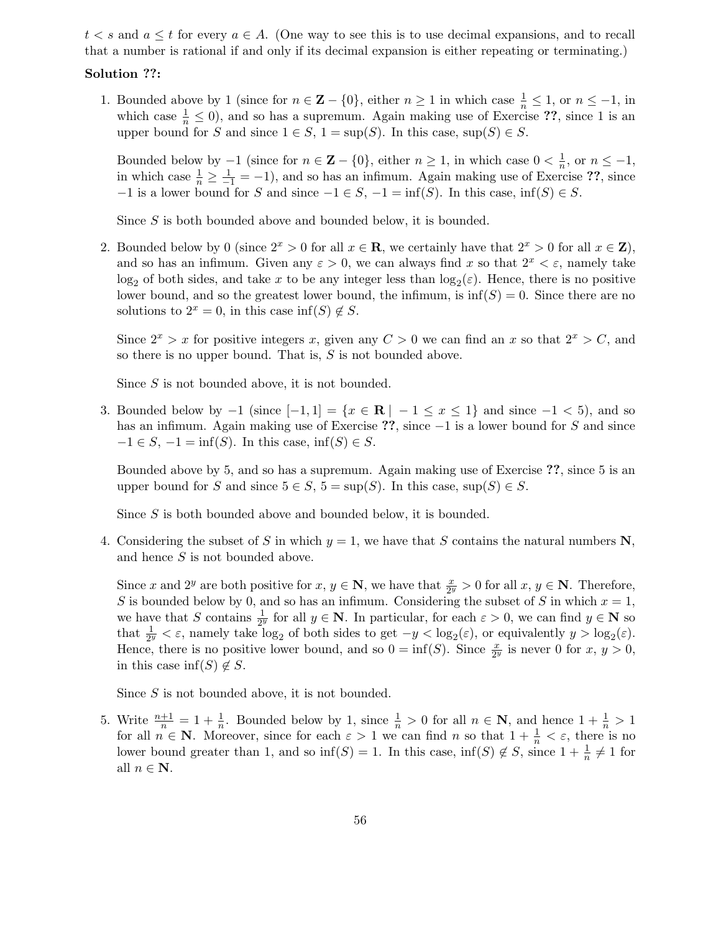$t < s$  and  $a \leq t$  for every  $a \in A$ . (One way to see this is to use decimal expansions, and to recall that a number is rational if and only if its decimal expansion is either repeating or terminating.)

### Solution ??:

1. Bounded above by 1 (since for  $n \in \mathbb{Z} - \{0\}$ , either  $n \ge 1$  in which case  $\frac{1}{n} \le 1$ , or  $n \le -1$ , in which case  $\frac{1}{n} \leq 0$ , and so has a supremum. Again making use of Exercise ??, since 1 is an upper bound for S and since  $1 \in S$ ,  $1 = \sup(S)$ . In this case,  $\sup(S) \in S$ .

Bounded below by  $-1$  (since for  $n \in \mathbb{Z} - \{0\}$ , either  $n \geq 1$ , in which case  $0 < \frac{1}{n}$  $\frac{1}{n}$ , or  $n \leq -1$ , in which case  $\frac{1}{n} \ge \frac{1}{-1} = -1$ , and so has an infimum. Again making use of Exercise ??, since  $-1$  is a lower bound for S and since  $-1 \in S$ ,  $-1 = \inf(S)$ . In this case,  $\inf(S) \in S$ .

Since S is both bounded above and bounded below, it is bounded.

2. Bounded below by 0 (since  $2^x > 0$  for all  $x \in \mathbb{R}$ , we certainly have that  $2^x > 0$  for all  $x \in \mathbb{Z}$ ), and so has an infimum. Given any  $\varepsilon > 0$ , we can always find x so that  $2^x < \varepsilon$ , namely take  $\log_2$  of both sides, and take x to be any integer less than  $\log_2(\varepsilon)$ . Hence, there is no positive lower bound, and so the greatest lower bound, the infimum, is  $\inf(S) = 0$ . Since there are no solutions to  $2^x = 0$ , in this case inf(S)  $\notin S$ .

Since  $2^x > x$  for positive integers x, given any  $C > 0$  we can find an x so that  $2^x > C$ , and so there is no upper bound. That is,  $S$  is not bounded above.

Since S is not bounded above, it is not bounded.

3. Bounded below by  $-1$  (since  $[-1, 1] = \{x \in \mathbb{R} \mid -1 \le x \le 1\}$  and since  $-1 < 5$ ), and so has an infimum. Again making use of Exercise ??, since −1 is a lower bound for S and since  $-1 \in S$ ,  $-1 = \inf(S)$ . In this case,  $\inf(S) \in S$ .

Bounded above by 5, and so has a supremum. Again making use of Exercise ??, since 5 is an upper bound for S and since  $5 \in S$ ,  $5 = \sup(S)$ . In this case,  $\sup(S) \in S$ .

Since S is both bounded above and bounded below, it is bounded.

4. Considering the subset of S in which  $y = 1$ , we have that S contains the natural numbers N, and hence  $S$  is not bounded above.

Since x and 2<sup>y</sup> are both positive for  $x, y \in \mathbb{N}$ , we have that  $\frac{x}{2^y} > 0$  for all  $x, y \in \mathbb{N}$ . Therefore, S is bounded below by 0, and so has an infimum. Considering the subset of S in which  $x = 1$ , we have that S contains  $\frac{1}{2^y}$  for all  $y \in \mathbb{N}$ . In particular, for each  $\varepsilon > 0$ , we can find  $y \in \mathbb{N}$  so that  $\frac{1}{2^y} < \varepsilon$ , namely take  $\log_2$  of both sides to get  $-y < \log_2(\varepsilon)$ , or equivalently  $y > \log_2(\varepsilon)$ . Hence, there is no positive lower bound, and so  $0 = \inf(S)$ . Since  $\frac{x}{2^y}$  is never 0 for  $x, y > 0$ , in this case inf(S)  $\notin S$ .

Since  $S$  is not bounded above, it is not bounded.

5. Write  $\frac{n+1}{n} = 1 + \frac{1}{n}$  $\frac{1}{n}$ . Bounded below by 1, since  $\frac{1}{n} > 0$  for all  $n \in \mathbb{N}$ , and hence  $1 + \frac{1}{n} > 1$ for all  $n \in \mathbb{N}$ . Moreover, since for each  $\varepsilon > 1$  we can find n so that  $1 + \frac{1}{n} < \varepsilon$ , there is no lower bound greater than 1, and so  $\inf(S) = 1$ . In this case,  $\inf(S) \notin S$ , since  $1 + \frac{1}{n}$  $\frac{1}{n} \neq 1$  for all  $n \in \mathbb{N}$ .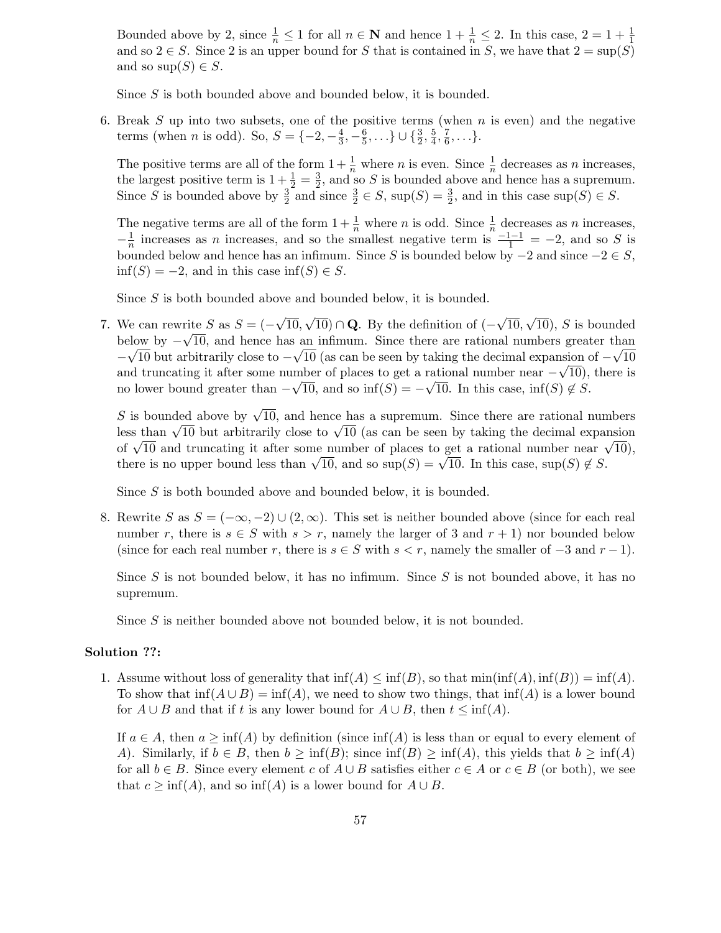Bounded above by 2, since  $\frac{1}{n} \leq 1$  for all  $n \in \mathbb{N}$  and hence  $1 + \frac{1}{n} \leq 2$ . In this case,  $2 = 1 + \frac{1}{1}$ 1 and so  $2 \in S$ . Since 2 is an upper bound for S that is contained in S, we have that  $2 = \sup(S)$ and so  $\sup(S) \in S$ .

Since S is both bounded above and bounded below, it is bounded.

6. Break S up into two subsets, one of the positive terms (when  $n$  is even) and the negative terms (when *n* is odd). So,  $S = \{-2, -\frac{4}{3}\}$  $\frac{4}{3}, -\frac{6}{5}$  $\frac{6}{5}, \ldots \} \cup \{ \frac{3}{2}$  $\frac{3}{2},\frac{5}{4}$  $\frac{5}{4}, \frac{7}{6}$  $\frac{1}{6}, \ldots \}$ .

The positive terms are all of the form  $1+\frac{1}{n}$  where *n* is even. Since  $\frac{1}{n}$  decreases as *n* increases, the largest positive term is  $1+\frac{1}{2}=\frac{3}{2}$  $\frac{3}{2}$ , and so S is bounded above and hence has a supremum. Since S is bounded above by  $\frac{3}{2}$  $\frac{3}{2}$  and since  $\frac{3}{2} \in S$ , sup $(S) = \frac{3}{2}$  $\frac{3}{2}$ , and in this case sup $(S) \in S$ .

The negative terms are all of the form  $1+\frac{1}{n}$  where *n* is odd. Since  $\frac{1}{n}$  decreases as *n* increases,  $-\frac{1}{n}$  $\frac{1}{n}$  increases as *n* increases, and so the smallest negative term is  $\frac{-1-1}{1} = -2$ , and so *S* is bounded below and hence has an infimum. Since S is bounded below by  $-2$  and since  $-2 \in S$ ,  $\inf(S) = -2$ , and in this case  $\inf(S) \in S$ .

Since S is both bounded above and bounded below, it is bounded.

7. We can rewrite S as  $S = (-\sqrt{10}, \sqrt{10}) \cap \mathbf{Q}$ . By the definition of  $(-\sqrt{10}, \sqrt{10})$ , S is bounded below by  $-\sqrt{10}$ , and hence has an infimum. Since there are rational numbers greater than −  $\sqrt{10}$  but arbitrarily close to  $-\sqrt{10}$  (as can be seen by taking the decimal expansion of  $-\sqrt{10}$ and truncating it after some number of places to get a rational number near  $-\sqrt{10}$ ), there is no lower bound greater than  $-\sqrt{10}$ , and so  $\inf(S) = -\sqrt{10}$ . In this case,  $\inf(S) \notin S$ .

S is bounded above by  $\sqrt{10}$ , and hence has a supremum. Since there are rational numbers less than  $\sqrt{10}$  but arbitrarily close to  $\sqrt{10}$  (as can be seen by taking the decimal expansion of  $\sqrt{10}$  and truncating it after some number of places to get a rational number near  $\sqrt{10}$ , there is no upper bound less than  $\sqrt{10}$ , and so  $\sup(S) = \sqrt{10}$ . In this case,  $\sup(S) \notin S$ .

Since S is both bounded above and bounded below, it is bounded.

8. Rewrite S as  $S = (-\infty, -2) \cup (2, \infty)$ . This set is neither bounded above (since for each real number r, there is  $s \in S$  with  $s > r$ , namely the larger of 3 and  $r + 1$ ) nor bounded below (since for each real number r, there is  $s \in S$  with  $s < r$ , namely the smaller of  $-3$  and  $r - 1$ ).

Since S is not bounded below, it has no infimum. Since S is not bounded above, it has no supremum.

Since S is neither bounded above not bounded below, it is not bounded.

#### Solution ??:

1. Assume without loss of generality that  $\inf(A) \leq \inf(B)$ , so that  $\min(\inf(A), \inf(B)) = \inf(A)$ . To show that  $\inf(A \cup B) = \inf(A)$ , we need to show two things, that  $\inf(A)$  is a lower bound for  $A \cup B$  and that if t is any lower bound for  $A \cup B$ , then  $t \leq \inf(A)$ .

If  $a \in A$ , then  $a \ge \inf(A)$  by definition (since  $\inf(A)$ ) is less than or equal to every element of A). Similarly, if  $b \in B$ , then  $b \ge \inf(B)$ ; since  $\inf(B) \ge \inf(A)$ , this yields that  $b \ge \inf(A)$ for all  $b \in B$ . Since every element c of  $A \cup B$  satisfies either  $c \in A$  or  $c \in B$  (or both), we see that  $c \ge \inf(A)$ , and so  $\inf(A)$  is a lower bound for  $A \cup B$ .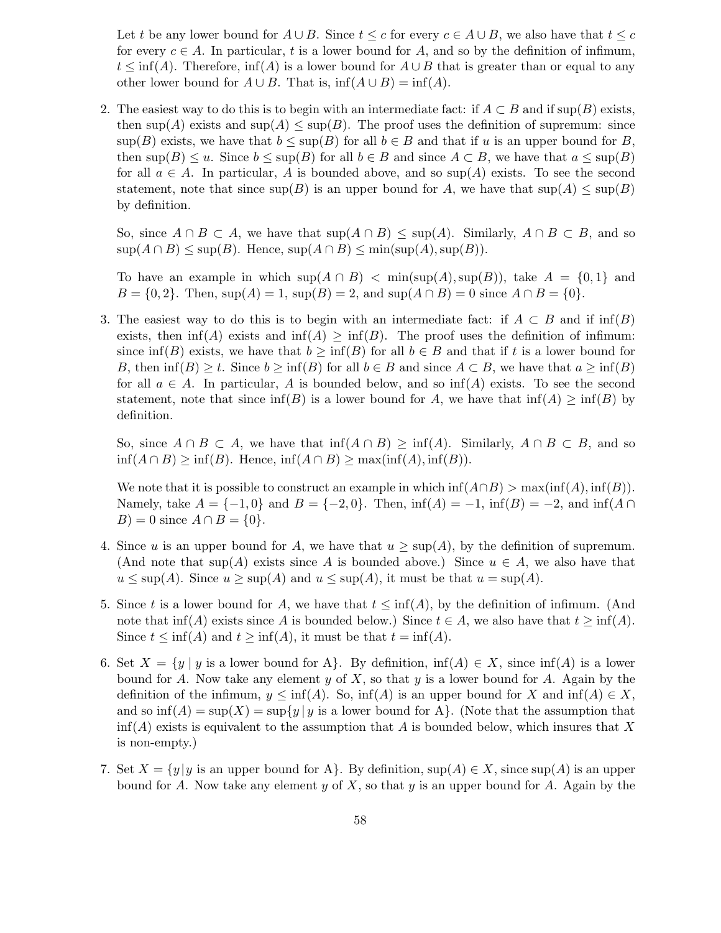Let t be any lower bound for  $A \cup B$ . Since  $t \leq c$  for every  $c \in A \cup B$ , we also have that  $t \leq c$ for every  $c \in A$ . In particular, t is a lower bound for A, and so by the definition of infimum,  $t \le \inf(A)$ . Therefore,  $\inf(A)$  is a lower bound for  $A \cup B$  that is greater than or equal to any other lower bound for  $A \cup B$ . That is,  $\inf(A \cup B) = \inf(A)$ .

2. The easiest way to do this is to begin with an intermediate fact: if  $A \subset B$  and if sup(B) exists, then sup(A) exists and  $\sup(A) \leq \sup(B)$ . The proof uses the definition of supremum: since  $\sup(B)$  exists, we have that  $b \leq \sup(B)$  for all  $b \in B$  and that if u is an upper bound for B, then  $\sup(B) \leq u$ . Since  $b \leq \sup(B)$  for all  $b \in B$  and since  $A \subset B$ , we have that  $a \leq \sup(B)$ for all  $a \in A$ . In particular, A is bounded above, and so sup(A) exists. To see the second statement, note that since  $\sup(B)$  is an upper bound for A, we have that  $\sup(A) \leq \sup(B)$ by definition.

So, since  $A \cap B \subset A$ , we have that  $\sup(A \cap B) \leq \sup(A)$ . Similarly,  $A \cap B \subset B$ , and so  $\sup(A \cap B) \leq \sup(B)$ . Hence,  $\sup(A \cap B) \leq \min(\sup(A), \sup(B))$ .

To have an example in which  $\sup(A \cap B) < \min(\sup(A), \sup(B))$ , take  $A = \{0, 1\}$  and  $B = \{0, 2\}.$  Then,  $\sup(A) = 1$ ,  $\sup(B) = 2$ , and  $\sup(A \cap B) = 0$  since  $A \cap B = \{0\}.$ 

3. The easiest way to do this is to begin with an intermediate fact: if  $A \subset B$  and if  $\text{inf}(B)$ exists, then  $\inf(A)$  exists and  $\inf(A) \ge \inf(B)$ . The proof uses the definition of infimum: since inf(B) exists, we have that  $b \ge \inf(B)$  for all  $b \in B$  and that if t is a lower bound for B, then  $\inf(B) \geq t$ . Since  $b \geq \inf(B)$  for all  $b \in B$  and since  $A \subset B$ , we have that  $a \geq \inf(B)$ for all  $a \in A$ . In particular, A is bounded below, and so  $\inf(A)$  exists. To see the second statement, note that since  $\inf(B)$  is a lower bound for A, we have that  $\inf(A) \ge \inf(B)$  by definition.

So, since  $A \cap B \subset A$ , we have that  $\inf(A \cap B) \geq \inf(A)$ . Similarly,  $A \cap B \subset B$ , and so  $\inf(A \cap B) \ge \inf(B)$ . Hence,  $\inf(A \cap B) \ge \max(\inf(A), \inf(B))$ .

We note that it is possible to construct an example in which  $\inf(A \cap B) > \max(\inf(A), \inf(B)).$ Namely, take  $A = \{-1, 0\}$  and  $B = \{-2, 0\}$ . Then, inf(A) = −1, inf(B) = −2, and inf(A ∩  $B$ ) = 0 since  $A \cap B = \{0\}.$ 

- 4. Since u is an upper bound for A, we have that  $u \geq \sup(A)$ , by the definition of supremum. (And note that sup(A) exists since A is bounded above.) Since  $u \in A$ , we also have that  $u \leq \sup(A)$ . Since  $u \geq \sup(A)$  and  $u \leq \sup(A)$ , it must be that  $u = \sup(A)$ .
- 5. Since t is a lower bound for A, we have that  $t \leq \inf(A)$ , by the definition of infimum. (And note that  $\inf(A)$  exists since A is bounded below.) Since  $t \in A$ , we also have that  $t \ge \inf(A)$ . Since  $t \leq \inf(A)$  and  $t \geq \inf(A)$ , it must be that  $t = \inf(A)$ .
- 6. Set  $X = \{y \mid y \text{ is a lower bound for A}\}\$ . By definition,  $\inf(A) \in X$ , since  $\inf(A)$  is a lower bound for A. Now take any element  $y$  of  $X$ , so that  $y$  is a lower bound for A. Again by the definition of the infimum,  $y \leq \inf(A)$ . So,  $\inf(A)$  is an upper bound for X and  $\inf(A) \in X$ , and so  $\inf(A) = \sup(X) = \sup\{y \mid y \text{ is a lower bound for } A\}.$  (Note that the assumption that  $\inf(A)$  exists is equivalent to the assumption that A is bounded below, which insures that X is non-empty.)
- 7. Set  $X = \{y | y$  is an upper bound for A. By definition,  $\sup(A) \in X$ , since  $\sup(A)$  is an upper bound for A. Now take any element y of X, so that y is an upper bound for A. Again by the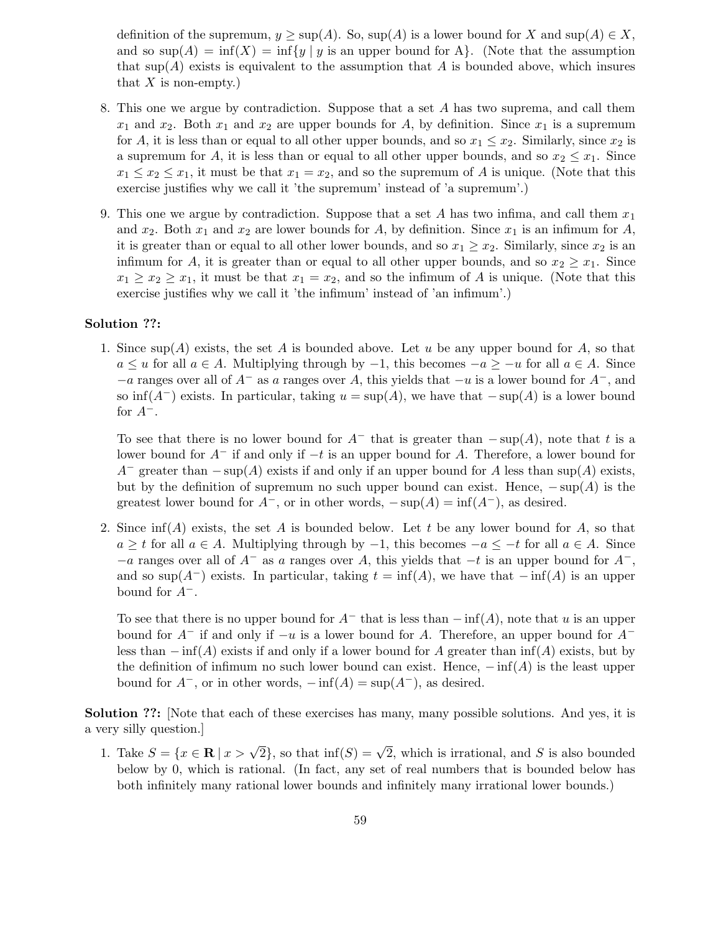definition of the supremum,  $y \geq \sup(A)$ . So,  $\sup(A)$  is a lower bound for X and  $\sup(A) \in X$ , and so  $\sup(A) = \inf(X) = \inf\{y \mid y \text{ is an upper bound for } A\}.$  (Note that the assumption that  $\text{sup}(A)$  exists is equivalent to the assumption that A is bounded above, which insures that  $X$  is non-empty.)

- 8. This one we argue by contradiction. Suppose that a set A has two suprema, and call them  $x_1$  and  $x_2$ . Both  $x_1$  and  $x_2$  are upper bounds for A, by definition. Since  $x_1$  is a supremum for A, it is less than or equal to all other upper bounds, and so  $x_1 \leq x_2$ . Similarly, since  $x_2$  is a supremum for A, it is less than or equal to all other upper bounds, and so  $x_2 \leq x_1$ . Since  $x_1 \leq x_2 \leq x_1$ , it must be that  $x_1 = x_2$ , and so the supremum of A is unique. (Note that this exercise justifies why we call it 'the supremum' instead of 'a supremum'.)
- 9. This one we argue by contradiction. Suppose that a set A has two infima, and call them  $x_1$ and  $x_2$ . Both  $x_1$  and  $x_2$  are lower bounds for A, by definition. Since  $x_1$  is an infimum for A, it is greater than or equal to all other lower bounds, and so  $x_1 \ge x_2$ . Similarly, since  $x_2$  is an infimum for A, it is greater than or equal to all other upper bounds, and so  $x_2 \geq x_1$ . Since  $x_1 \geq x_2 \geq x_1$ , it must be that  $x_1 = x_2$ , and so the infimum of A is unique. (Note that this exercise justifies why we call it 'the infimum' instead of 'an infimum'.)

## Solution ??:

1. Since  $\text{sup}(A)$  exists, the set A is bounded above. Let u be any upper bound for A, so that  $a \le u$  for all  $a \in A$ . Multiplying through by  $-1$ , this becomes  $-a \ge -u$  for all  $a \in A$ . Since  $-a$  ranges over all of  $A^-$  as a ranges over A, this yields that  $-u$  is a lower bound for  $A^-$ , and so inf( $A^-$ ) exists. In particular, taking  $u = \sup(A)$ , we have that  $-\sup(A)$  is a lower bound for  $A^-$ .

To see that there is no lower bound for  $A^-$  that is greater than  $-\sup(A)$ , note that t is a lower bound for  $A^-$  if and only if  $-t$  is an upper bound for A. Therefore, a lower bound for  $A^-$  greater than  $-\sup(A)$  exists if and only if an upper bound for A less than  $\sup(A)$  exists, but by the definition of supremum no such upper bound can exist. Hence,  $-\sup(A)$  is the greatest lower bound for  $A^-$ , or in other words,  $-\sup(A) = \inf(A^-)$ , as desired.

2. Since  $\inf(A)$  exists, the set A is bounded below. Let t be any lower bound for A, so that  $a \geq t$  for all  $a \in A$ . Multiplying through by  $-1$ , this becomes  $-a \leq -t$  for all  $a \in A$ . Since  $-a$  ranges over all of  $A^-$  as a ranges over A, this yields that  $-t$  is an upper bound for  $A^-$ , and so sup( $A^{-}$ ) exists. In particular, taking  $t = \inf(A)$ , we have that  $-\inf(A)$  is an upper bound for  $A^-$ .

To see that there is no upper bound for  $A^-$  that is less than  $-\inf(A)$ , note that u is an upper bound for  $A^-$  if and only if  $-u$  is a lower bound for A. Therefore, an upper bound for  $A^$ less than  $-\inf(A)$  exists if and only if a lower bound for A greater than  $\inf(A)$  exists, but by the definition of infimum no such lower bound can exist. Hence,  $-\inf(A)$  is the least upper bound for  $A^-$ , or in other words,  $-\inf(A) = \sup(A^-)$ , as desired.

Solution ??: [Note that each of these exercises has many, many possible solutions. And yes, it is a very silly question.]

1. Take  $S = \{x \in \mathbf{R} \mid x > \sqrt{2}\}\)$ , so that  $\inf(S) = \sqrt{2}$ , which is irrational, and S is also bounded below by 0, which is rational. (In fact, any set of real numbers that is bounded below has both infinitely many rational lower bounds and infinitely many irrational lower bounds.)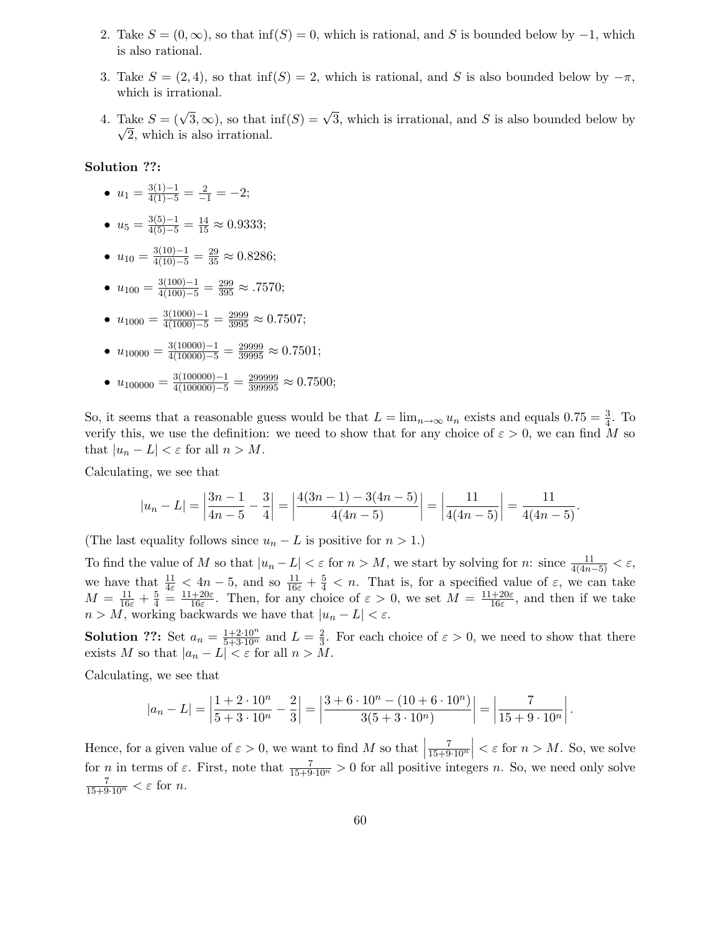- 2. Take  $S = (0, \infty)$ , so that inf(S) = 0, which is rational, and S is bounded below by  $-1$ , which is also rational.
- 3. Take  $S = (2, 4)$ , so that inf(S) = 2, which is rational, and S is also bounded below by  $-\pi$ , which is irrational.
- 4. Take  $S = (\sqrt{3}, \infty)$ , so that  $\inf(S) = \sqrt{3}$ , which is irrational, and S is also bounded below by  $\sqrt{2}$ , which is also irrational.

### Solution ??:

- $u_1 = \frac{3(1)-1}{4(1)-5} = \frac{2}{-1} = -2;$
- $u_5 = \frac{3(5)-1}{4(5)-5} = \frac{14}{15} \approx 0.9333;$
- $u_{10} = \frac{3(10)-1}{4(10)-5} = \frac{29}{35} \approx 0.8286;$
- $u_{100} = \frac{3(100)-1}{4(100)-5} = \frac{299}{395} \approx .7570;$
- $u_{1000} = \frac{3(1000) 1}{4(1000) 5} = \frac{2999}{3995} \approx 0.7507;$
- $u_{10000} = \frac{3(10000) 1}{4(10000) 5} = \frac{29999}{39995} \approx 0.7501;$
- $u_{100000} = \frac{3(100000) 1}{4(100000) 5} = \frac{299999}{399995} \approx 0.7500;$

So, it seems that a reasonable guess would be that  $L = \lim_{n \to \infty} u_n$  exists and equals  $0.75 = \frac{3}{4}$  $\frac{3}{4}$ . To verify this, we use the definition: we need to show that for any choice of  $\varepsilon > 0$ , we can find M so that  $|u_n - L| < \varepsilon$  for all  $n > M$ .

Calculating, we see that

$$
|u_n - L| = \left| \frac{3n-1}{4n-5} - \frac{3}{4} \right| = \left| \frac{4(3n-1) - 3(4n-5)}{4(4n-5)} \right| = \left| \frac{11}{4(4n-5)} \right| = \frac{11}{4(4n-5)}.
$$

(The last equality follows since  $u_n - L$  is positive for  $n > 1$ .)

To find the value of M so that  $|u_n - L| < \varepsilon$  for  $n > M$ , we start by solving for n: since  $\frac{11}{4(4n-5)} < \varepsilon$ , we have that  $\frac{11}{4\varepsilon} \leq 4n-5$ , and so  $\frac{11}{16\varepsilon} + \frac{5}{4} < n$ . That is, for a specified value of  $\varepsilon$ , we can take  $M = \frac{11}{16\varepsilon} + \frac{5}{4} = \frac{11+20\varepsilon}{16\varepsilon}$  $\frac{+20\varepsilon}{16\varepsilon}$ . Then, for any choice of  $\varepsilon > 0$ , we set  $M = \frac{11+20\varepsilon}{16\varepsilon}$  $\frac{1+20\varepsilon}{16\varepsilon}$ , and then if we take  $n > M$ , working backwards we have that  $|u_n - L| < \varepsilon$ .

**Solution ??:** Set  $a_n = \frac{1+2\cdot10^n}{5+3\cdot10^n}$  and  $L = \frac{2}{3}$  $\frac{2}{3}$ . For each choice of  $\varepsilon > 0$ , we need to show that there exists M so that  $|a_n - L| < \varepsilon$  for all  $n > M$ .

Calculating, we see that

$$
|a_n - L| = \left| \frac{1 + 2 \cdot 10^n}{5 + 3 \cdot 10^n} - \frac{2}{3} \right| = \left| \frac{3 + 6 \cdot 10^n - (10 + 6 \cdot 10^n)}{3(5 + 3 \cdot 10^n)} \right| = \left| \frac{7}{15 + 9 \cdot 10^n} \right|.
$$

Hence, for a given value of  $\varepsilon > 0$ , we want to find M so that  $\frac{7}{15+9\cdot10^n}$  $\vert < \varepsilon$  for  $n > M$ . So, we solve for n in terms of  $\varepsilon$ . First, note that  $\frac{7}{15+9\cdot 10^n} > 0$  for all positive integers n. So, we need only solve  $\frac{7}{15+9\cdot 10^n} < \varepsilon$  for *n*.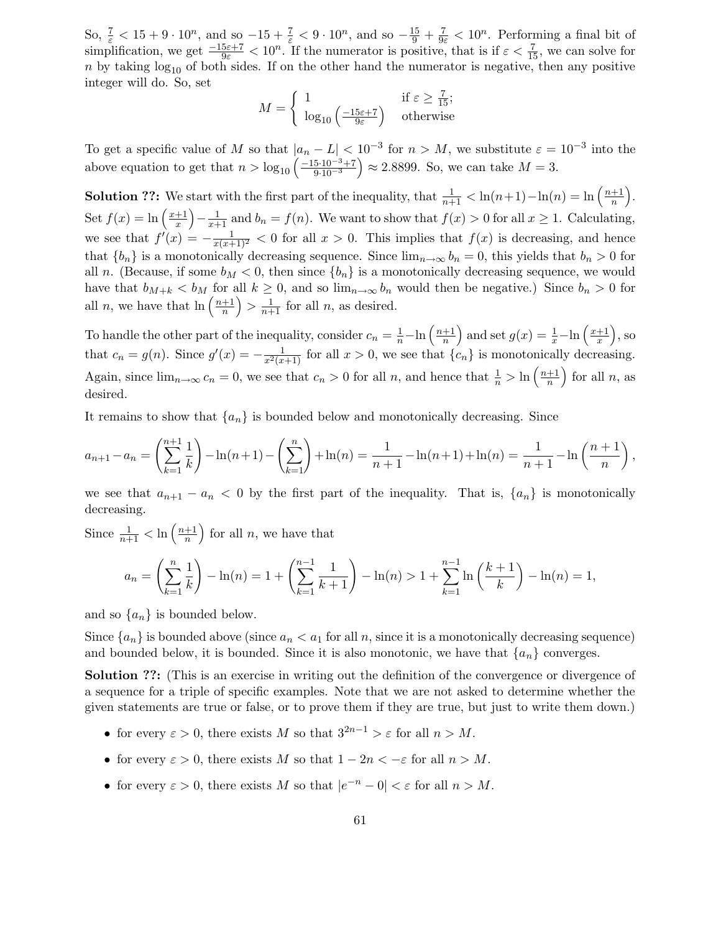So,  $\frac{7}{\varepsilon} < 15 + 9 \cdot 10^n$ , and so  $-15 + \frac{7}{\varepsilon} < 9 \cdot 10^n$ , and so  $-\frac{15}{9} + \frac{7}{9\varepsilon} < 10^n$ . Performing a final bit of simplification, we get  $\frac{-15\varepsilon+7}{9\varepsilon} < 10^n$ . If the numerator is positive, that is if  $\varepsilon < \frac{7}{15}$ , we can solve for n by taking  $log_{10}$  of both sides. If on the other hand the numerator is negative, then any positive integer will do. So, set

$$
M = \begin{cases} 1 & \text{if } \varepsilon \ge \frac{7}{15}; \\ \log_{10} \left( \frac{-15\varepsilon + 7}{9\varepsilon} \right) & \text{otherwise} \end{cases}
$$

To get a specific value of M so that  $|a_n - L| < 10^{-3}$  for  $n > M$ , we substitute  $\varepsilon = 10^{-3}$  into the above equation to get that  $n > log_{10} \left( \frac{-15 \cdot 10^{-3} + 7}{9 \cdot 10^{-3}} \right)$  $9.10^{-3}$  $\Big) \approx 2.8899.$  So, we can take  $M = 3.$ 

**Solution ??:** We start with the first part of the inequality, that  $\frac{1}{n+1} < \ln(n+1) - \ln(n) = \ln\left(\frac{n+1}{n}\right)$  $\frac{+1}{n}$ . Set  $f(x) = \ln\left(\frac{x+1}{x}\right)$  $\left(\frac{+1}{x}\right) - \frac{1}{x+1}$  and  $b_n = f(n)$ . We want to show that  $f(x) > 0$  for all  $x \ge 1$ . Calculating, we see that  $f'(x) = -\frac{1}{x(x+1)^2} < 0$  for all  $x > 0$ . This implies that  $f(x)$  is decreasing, and hence that  ${b_n}$  is a monotonically decreasing sequence. Since  $\lim_{n\to\infty} b_n = 0$ , this yields that  $b_n > 0$  for all n. (Because, if some  $b_M < 0$ , then since  $\{b_n\}$  is a monotonically decreasing sequence, we would have that  $b_{M+k} < b_M$  for all  $k \geq 0$ , and so  $\lim_{n\to\infty} b_n$  would then be negative.) Since  $b_n > 0$  for all *n*, we have that  $\ln\left(\frac{n+1}{n}\right)$  $\left(\frac{+1}{n}\right) > \frac{1}{n+1}$  for all *n*, as desired.

To handle the other part of the inequality, consider  $c_n = \frac{1}{n} - \ln\left(\frac{n+1}{n}\right)$  $\frac{+1}{n}$  and set  $g(x) = \frac{1}{x} - \ln\left(\frac{x+1}{x}\right)$  $\left(\frac{\pm 1}{x}\right)$ , so that  $c_n = g(n)$ . Since  $g'(x) = -\frac{1}{x^2(x+1)}$  for all  $x > 0$ , we see that  $\{c_n\}$  is monotonically decreasing. Again, since  $\lim_{n\to\infty} c_n = 0$ , we see that  $c_n > 0$  for all n, and hence that  $\frac{1}{n} > \ln\left(\frac{n+1}{n}\right)$  $\frac{+1}{n}$  for all n, as desired.

It remains to show that  $\{a_n\}$  is bounded below and monotonically decreasing. Since

$$
a_{n+1} - a_n = \left(\sum_{k=1}^{n+1} \frac{1}{k}\right) - \ln(n+1) - \left(\sum_{k=1}^{n}\right) + \ln(n) = \frac{1}{n+1} - \ln(n+1) + \ln(n) = \frac{1}{n+1} - \ln\left(\frac{n+1}{n}\right),
$$

we see that  $a_{n+1} - a_n < 0$  by the first part of the inequality. That is,  $\{a_n\}$  is monotonically decreasing.

Since  $\frac{1}{n+1} < \ln\left(\frac{n+1}{n}\right)$  $\left(\frac{+1}{n}\right)$  for all n, we have that

$$
a_n = \left(\sum_{k=1}^n \frac{1}{k}\right) - \ln(n) = 1 + \left(\sum_{k=1}^{n-1} \frac{1}{k+1}\right) - \ln(n) > 1 + \sum_{k=1}^{n-1} \ln\left(\frac{k+1}{k}\right) - \ln(n) = 1,
$$

and so  $\{a_n\}$  is bounded below.

Since  $\{a_n\}$  is bounded above (since  $a_n < a_1$  for all n, since it is a monotonically decreasing sequence) and bounded below, it is bounded. Since it is also monotonic, we have that  $\{a_n\}$  converges.

Solution ??: (This is an exercise in writing out the definition of the convergence or divergence of a sequence for a triple of specific examples. Note that we are not asked to determine whether the given statements are true or false, or to prove them if they are true, but just to write them down.)

- for every  $\varepsilon > 0$ , there exists M so that  $3^{2n-1} > \varepsilon$  for all  $n > M$ .
- for every  $\varepsilon > 0$ , there exists M so that  $1 2n < -\varepsilon$  for all  $n > M$ .
- for every  $\varepsilon > 0$ , there exists M so that  $|e^{-n} 0| < \varepsilon$  for all  $n > M$ .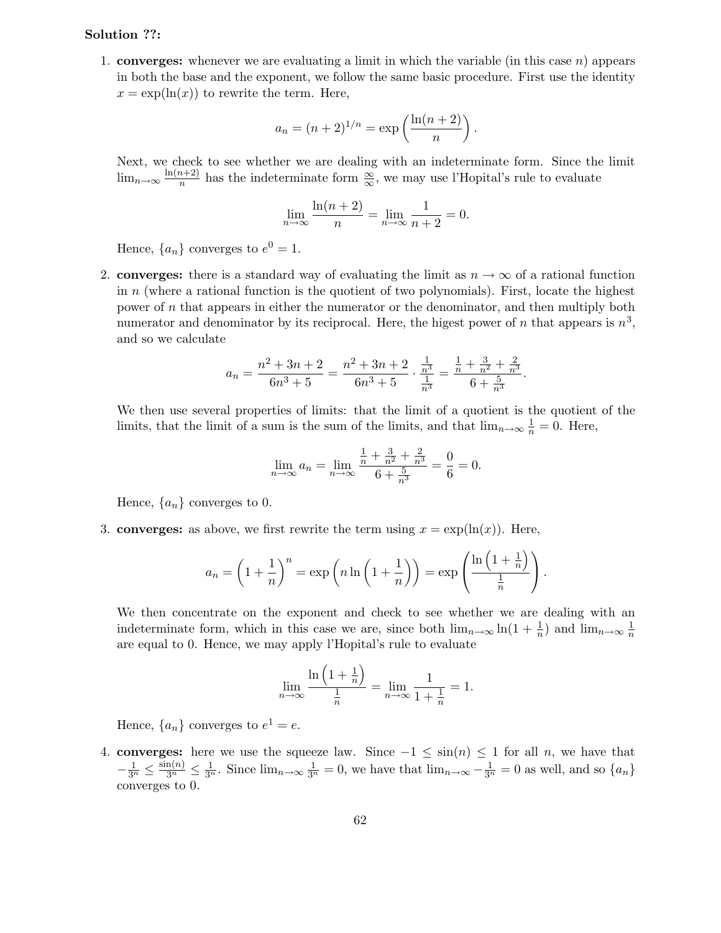### Solution ??:

1. **converges:** whenever we are evaluating a limit in which the variable (in this case  $n$ ) appears in both the base and the exponent, we follow the same basic procedure. First use the identity  $x = \exp(\ln(x))$  to rewrite the term. Here,

$$
a_n = (n+2)^{1/n} = \exp\left(\frac{\ln(n+2)}{n}\right).
$$

Next, we check to see whether we are dealing with an indeterminate form. Since the limit  $\lim_{n\to\infty}\frac{\ln(n+2)}{n}$  $\frac{n+2}{n}$  has the indeterminate form  $\frac{\infty}{\infty}$ , we may use l'Hopital's rule to evaluate

$$
\lim_{n \to \infty} \frac{\ln(n+2)}{n} = \lim_{n \to \infty} \frac{1}{n+2} = 0.
$$

Hence,  $\{a_n\}$  converges to  $e^0 = 1$ .

2. converges: there is a standard way of evaluating the limit as  $n \to \infty$  of a rational function in  $n$  (where a rational function is the quotient of two polynomials). First, locate the highest power of n that appears in either the numerator or the denominator, and then multiply both numerator and denominator by its reciprocal. Here, the higest power of n that appears is  $n^3$ , and so we calculate

$$
a_n = \frac{n^2 + 3n + 2}{6n^3 + 5} = \frac{n^2 + 3n + 2}{6n^3 + 5} \cdot \frac{\frac{1}{n^3}}{\frac{1}{n^3}} = \frac{\frac{1}{n} + \frac{3}{n^2} + \frac{2}{n^3}}{6 + \frac{5}{n^3}}.
$$

We then use several properties of limits: that the limit of a quotient is the quotient of the limits, that the limit of a sum is the sum of the limits, and that  $\lim_{n\to\infty}\frac{1}{n}=0$ . Here,

$$
\lim_{n \to \infty} a_n = \lim_{n \to \infty} \frac{\frac{1}{n} + \frac{3}{n^2} + \frac{2}{n^3}}{6 + \frac{5}{n^3}} = \frac{0}{6} = 0.
$$

Hence,  $\{a_n\}$  converges to 0.

3. converges: as above, we first rewrite the term using  $x = \exp(\ln(x))$ . Here,

$$
a_n = \left(1 + \frac{1}{n}\right)^n = \exp\left(n \ln\left(1 + \frac{1}{n}\right)\right) = \exp\left(\frac{\ln\left(1 + \frac{1}{n}\right)}{\frac{1}{n}}\right).
$$

We then concentrate on the exponent and check to see whether we are dealing with an indeterminate form, which in this case we are, since both  $\lim_{n\to\infty} \ln(1+\frac{1}{n})$  $\frac{1}{n}$ ) and  $\lim_{n\to\infty}\frac{1}{n}$ n are equal to 0. Hence, we may apply l'Hopital's rule to evaluate

$$
\lim_{n \to \infty} \frac{\ln\left(1 + \frac{1}{n}\right)}{\frac{1}{n}} = \lim_{n \to \infty} \frac{1}{1 + \frac{1}{n}} = 1.
$$

Hence,  $\{a_n\}$  converges to  $e^1 = e$ .

4. converges: here we use the squeeze law. Since  $-1 \le \sin(n) \le 1$  for all n, we have that  $-\frac{1}{3^n} \leq \frac{\sin(n)}{3^n} \leq \frac{1}{3^n}$ . Since  $\lim_{n\to\infty} \frac{1}{3^n} = 0$ , we have that  $\lim_{n\to\infty} -\frac{1}{3^n} = 0$  as well, and so  $\{a_n\}$ converges to 0.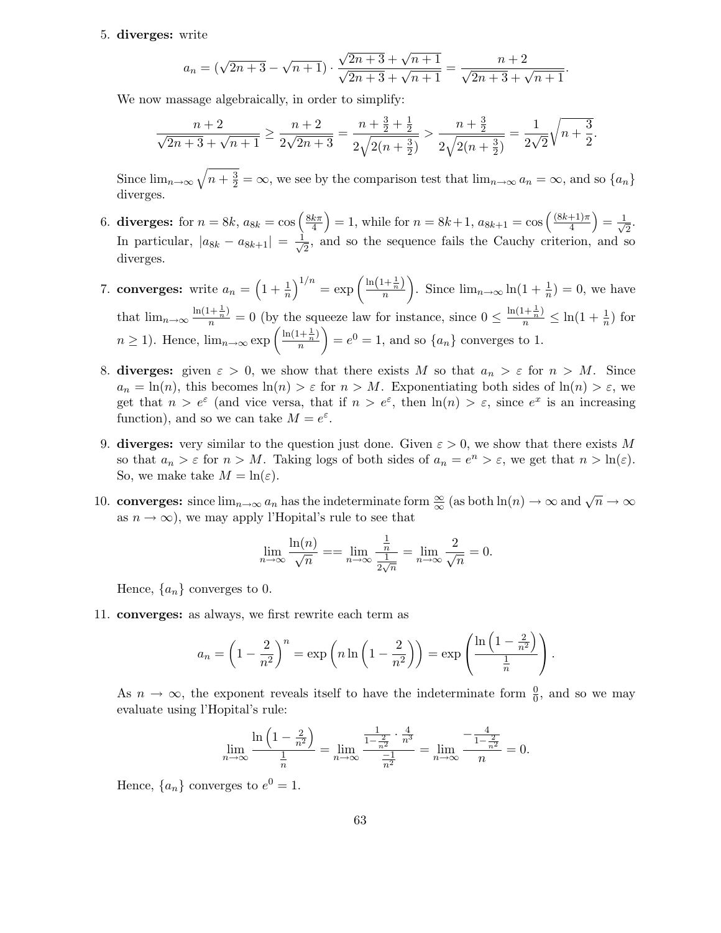#### 5. diverges: write

$$
a_n = (\sqrt{2n+3} - \sqrt{n+1}) \cdot \frac{\sqrt{2n+3} + \sqrt{n+1}}{\sqrt{2n+3} + \sqrt{n+1}} = \frac{n+2}{\sqrt{2n+3} + \sqrt{n+1}}
$$

.

We now massage algebraically, in order to simplify:

$$
\frac{n+2}{\sqrt{2n+3}+\sqrt{n+1}} \ge \frac{n+2}{2\sqrt{2n+3}} = \frac{n+\frac{3}{2}+\frac{1}{2}}{2\sqrt{2(n+\frac{3}{2})}} > \frac{n+\frac{3}{2}}{2\sqrt{2(n+\frac{3}{2})}} = \frac{1}{2\sqrt{2}}\sqrt{n+\frac{3}{2}}.
$$

Since  $\lim_{n\to\infty}\sqrt{n+\frac{3}{2}}=\infty$ , we see by the comparison test that  $\lim_{n\to\infty}a_n=\infty$ , and so  $\{a_n\}$ diverges.

- 6. diverges: for  $n = 8k$ ,  $a_{8k} = \cos\left(\frac{8k\pi}{4}\right)$  $\left(\frac{k\pi}{4}\right) = 1$ , while for  $n = 8k+1$ ,  $a_{8k+1} = \cos\left(\frac{(8k+1)\pi}{4}\right)$  $\frac{+1\pi}{4}\Big) = \frac{1}{\sqrt{2}}$  $\frac{1}{2}$ . In particular,  $|a_{8k} - a_{8k+1}| = \frac{1}{\sqrt{2}}$  $\frac{1}{2}$ , and so the sequence fails the Cauchy criterion, and so diverges.
- 7. converges: write  $a_n = \left(1 + \frac{1}{n}\right)$  $\frac{1}{n}\Big)^{1/n} = \exp\left(\frac{\ln\left(1+\frac{1}{n}\right)}{n}\right)$ n ). Since  $\lim_{n\to\infty} \ln(1+\frac{1}{n})$  $\frac{1}{n}$ ) = 0, we have that  $\lim_{n\to\infty} \frac{\ln(1+\frac{1}{n})}{n} = 0$  (by the squeeze law for instance, since  $0 \le \frac{\ln(1+\frac{1}{n})}{n} \le \ln(1+\frac{1}{n})$  $\frac{1}{n}$  for  $n \geq 1$ ). Hence,  $\lim_{n \to \infty} \exp\left(\frac{\ln(1+\frac{1}{n})}{n}\right)$ n  $= e^0 = 1$ , and so  $\{a_n\}$  converges to 1.
- 8. diverges: given  $\varepsilon > 0$ , we show that there exists M so that  $a_n > \varepsilon$  for  $n > M$ . Since  $a_n = \ln(n)$ , this becomes  $\ln(n) > \varepsilon$  for  $n > M$ . Exponentiating both sides of  $\ln(n) > \varepsilon$ , we get that  $n > e^{\varepsilon}$  (and vice versa, that if  $n > e^{\varepsilon}$ , then  $\ln(n) > \varepsilon$ , since  $e^x$  is an increasing function), and so we can take  $M = e^{\varepsilon}$ .
- 9. diverges: very similar to the question just done. Given  $\varepsilon > 0$ , we show that there exists M so that  $a_n > \varepsilon$  for  $n > M$ . Taking logs of both sides of  $a_n = e^n > \varepsilon$ , we get that  $n > \ln(\varepsilon)$ . So, we make take  $M = \ln(\varepsilon)$ .
- 10. **converges:** since  $\lim_{n\to\infty} a_n$  has the indeterminate form  $\frac{\infty}{\infty}$  (as both  $\ln(n) \to \infty$  and  $\sqrt{n} \to \infty$ as  $n \to \infty$ , we may apply l'Hopital's rule to see that

$$
\lim_{n \to \infty} \frac{\ln(n)}{\sqrt{n}} = \lim_{n \to \infty} \frac{\frac{1}{n}}{\frac{1}{2\sqrt{n}}} = \lim_{n \to \infty} \frac{2}{\sqrt{n}} = 0.
$$

Hence,  $\{a_n\}$  converges to 0.

11. converges: as always, we first rewrite each term as

$$
a_n = \left(1 - \frac{2}{n^2}\right)^n = \exp\left(n\ln\left(1 - \frac{2}{n^2}\right)\right) = \exp\left(\frac{\ln\left(1 - \frac{2}{n^2}\right)}{\frac{1}{n}}\right).
$$

As  $n \to \infty$ , the exponent reveals itself to have the indeterminate form  $\frac{0}{0}$ , and so we may evaluate using l'Hopital's rule:

$$
\lim_{n \to \infty} \frac{\ln\left(1 - \frac{2}{n^2}\right)}{\frac{1}{n}} = \lim_{n \to \infty} \frac{\frac{1}{1 - \frac{2}{n^2}} \cdot \frac{4}{n^3}}{\frac{-1}{n^2}} = \lim_{n \to \infty} \frac{-\frac{4}{1 - \frac{2}{n^2}}}{n} = 0.
$$

Hence,  $\{a_n\}$  converges to  $e^0 = 1$ .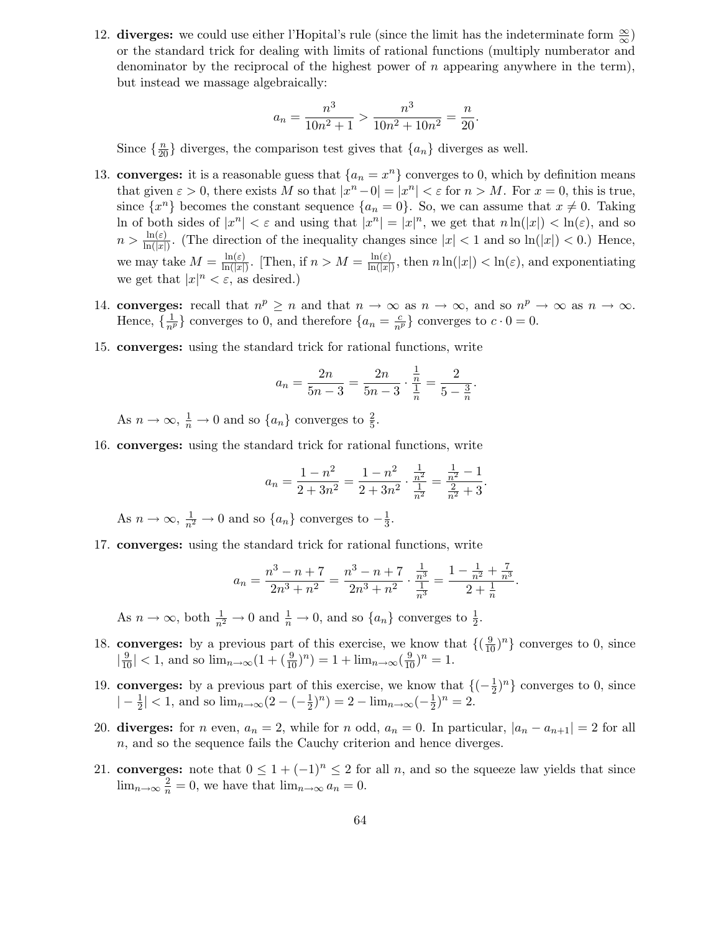12. **diverges:** we could use either l'Hopital's rule (since the limit has the indeterminate form  $\frac{\infty}{\infty}$ ) or the standard trick for dealing with limits of rational functions (multiply numberator and denominator by the reciprocal of the highest power of n appearing anywhere in the term), but instead we massage algebraically:

$$
a_n = \frac{n^3}{10n^2 + 1} > \frac{n^3}{10n^2 + 10n^2} = \frac{n}{20}.
$$

Since  $\{\frac{n}{20}\}\$  diverges, the comparison test gives that  $\{a_n\}$  diverges as well.

- 13. **converges:** it is a reasonable guess that  $\{a_n = x^n\}$  converges to 0, which by definition means that given  $\varepsilon > 0$ , there exists M so that  $|x^n - 0| = |x^n| < \varepsilon$  for  $n > M$ . For  $x = 0$ , this is true, since  $\{x^n\}$  becomes the constant sequence  $\{a_n = 0\}$ . So, we can assume that  $x \neq 0$ . Taking ln of both sides of  $|x^n| < \varepsilon$  and using that  $|x^n| = |x|^n$ , we get that  $n \ln(|x|) < \ln(\varepsilon)$ , and so  $n > \frac{\ln(\varepsilon)}{\ln(|x|)}$  $\frac{\ln(z)}{\ln(|x|)}$ . (The direction of the inequality changes since  $|x| < 1$  and so  $\ln(|x|) < 0$ .) Hence, we may take  $M = \frac{\ln(\varepsilon)}{\ln(|x|)}$  $\frac{\ln(\varepsilon)}{\ln(|x|)}$ . [Then, if  $n > M = \frac{\ln(\varepsilon)}{\ln(|x|)}$  $\frac{\ln(\varepsilon)}{\ln(|x|)}$ , then  $n \ln(|x|) < \ln(\varepsilon)$ , and exponentiating we get that  $|x|^n < \varepsilon$ , as desired.)
- 14. converges: recall that  $n^p \ge n$  and that  $n \to \infty$  as  $n \to \infty$ , and so  $n^p \to \infty$  as  $n \to \infty$ . Hence,  $\{\frac{1}{n^p}\}\)$  converges to 0, and therefore  $\{a_n = \frac{c}{n^p}\}\)$  converges to  $c \cdot 0 = 0$ .
- 15. converges: using the standard trick for rational functions, write

$$
a_n = \frac{2n}{5n-3} = \frac{2n}{5n-3} \cdot \frac{\frac{1}{n}}{\frac{1}{n}} = \frac{2}{5-\frac{3}{n}}.
$$

As  $n \to \infty$ ,  $\frac{1}{n} \to 0$  and so  $\{a_n\}$  converges to  $\frac{2}{5}$ .

16. converges: using the standard trick for rational functions, write

$$
a_n = \frac{1 - n^2}{2 + 3n^2} = \frac{1 - n^2}{2 + 3n^2} \cdot \frac{\frac{1}{n^2}}{\frac{1}{n^2}} = \frac{\frac{1}{n^2} - 1}{\frac{2}{n^2} + 3}.
$$

As  $n \to \infty$ ,  $\frac{1}{n^2} \to 0$  and so  $\{a_n\}$  converges to  $-\frac{1}{3}$  $\frac{1}{3}$ .

17. converges: using the standard trick for rational functions, write

$$
a_n = \frac{n^3 - n + 7}{2n^3 + n^2} = \frac{n^3 - n + 7}{2n^3 + n^2} \cdot \frac{\frac{1}{n^3}}{\frac{1}{n^3}} = \frac{1 - \frac{1}{n^2} + \frac{7}{n^3}}{2 + \frac{1}{n}}.
$$

As  $n \to \infty$ , both  $\frac{1}{n^2} \to 0$  and  $\frac{1}{n} \to 0$ , and so  $\{a_n\}$  converges to  $\frac{1}{2}$ .

- 18. **converges:** by a previous part of this exercise, we know that  $\left\{(\frac{9}{10})^n\right\}$  converges to 0, since  $\left|\frac{9}{10}\right|$  < 1, and so  $\lim_{n\to\infty} (1 + (\frac{9}{10})^n) = 1 + \lim_{n\to\infty} (\frac{9}{10})^n = 1$ .
- 19. converges: by a previous part of this exercise, we know that  $\{(-\frac{1}{2})\}$  $(\frac{1}{2})^n$  converges to 0, since  $\left|-\frac{1}{2}\right|$  $\frac{1}{2}$ | < 1, and so  $\lim_{n\to\infty}$  (2 – (- $\frac{1}{2}$ )  $(\frac{1}{2})^n$ ) = 2 –  $\lim_{n\to\infty}$  (- $\frac{1}{2}$ )  $(\frac{1}{2})^n = 2.$
- 20. diverges: for n even,  $a_n = 2$ , while for n odd,  $a_n = 0$ . In particular,  $|a_n a_{n+1}| = 2$  for all n, and so the sequence fails the Cauchy criterion and hence diverges.
- 21. converges: note that  $0 \leq 1 + (-1)^n \leq 2$  for all n, and so the squeeze law yields that since  $\lim_{n\to\infty}\frac{2}{n}=0$ , we have that  $\lim_{n\to\infty}a_n=0$ .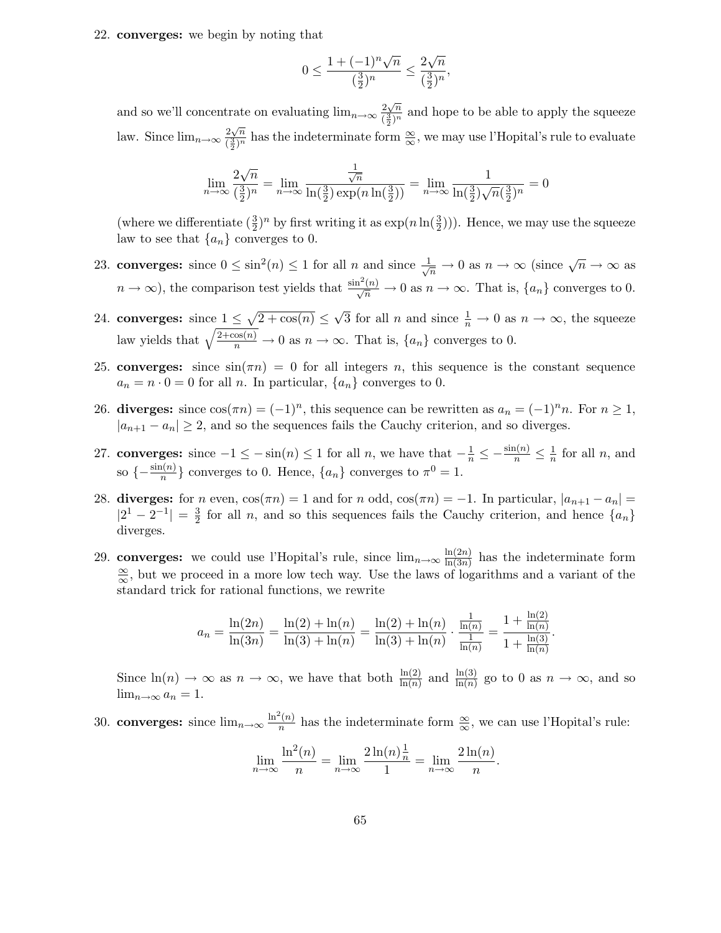22. converges: we begin by noting that

$$
0 \le \frac{1 + (-1)^n \sqrt{n}}{(\frac{3}{2})^n} \le \frac{2\sqrt{n}}{(\frac{3}{2})^n},
$$

and so we'll concentrate on evaluating  $\lim_{n\to\infty} \frac{2\sqrt{n}}{(\frac{3}{2})^n}$  $\frac{2\sqrt{n}}{(\frac{3}{2})^n}$  and hope to be able to apply the squeeze law. Since  $\lim_{n\to\infty} \frac{2\sqrt{n}}{(\frac{3}{2})^n}$  $\frac{2\sqrt{n}}{(\frac{3}{2})^n}$  has the indeterminate form  $\frac{\infty}{\infty}$ , we may use l'Hopital's rule to evaluate

$$
\lim_{n \to \infty} \frac{2\sqrt{n}}{\left(\frac{3}{2}\right)^n} = \lim_{n \to \infty} \frac{\frac{1}{\sqrt{n}}}{\ln\left(\frac{3}{2}\right) \exp\left(n \ln\left(\frac{3}{2}\right)\right)} = \lim_{n \to \infty} \frac{1}{\ln\left(\frac{3}{2}\right)\sqrt{n}\left(\frac{3}{2}\right)^n} = 0
$$

(where we differentiate  $(\frac{3}{2})$  $\frac{3}{2}$ <sup>n</sup> by first writing it as  $\exp(n \ln(\frac{3}{2}))$ . Hence, we may use the squeeze law to see that  $\{a_n\}$  converges to 0.

- 23. converges: since  $0 \le \sin^2(n) \le 1$  for all n and since  $\frac{1}{\sqrt{n}} \to 0$  as  $n \to \infty$  (since  $\sqrt{n} \to \infty$  as  $n \to \infty$ ), the comparison test yields that  $\frac{\sin^2(n)}{\sqrt{n}} \to 0$  as  $n \to \infty$ . That is,  $\{a_n\}$  converges to 0.
- 24. **converges:** since  $1 \leq \sqrt{2 + \cos(n)} \leq \sqrt{3}$  for all n and since  $\frac{1}{n} \to 0$  as  $n \to \infty$ , the squeeze law yields that  $\sqrt{\frac{2+\cos(n)}{n}} \to 0$  as  $n \to \infty$ . That is,  $\{a_n\}$  converges to 0.
- 25. converges: since  $sin(\pi n) = 0$  for all integers n, this sequence is the constant sequence  $a_n = n \cdot 0 = 0$  for all n. In particular,  $\{a_n\}$  converges to 0.
- 26. diverges: since  $\cos(\pi n) = (-1)^n$ , this sequence can be rewritten as  $a_n = (-1)^n n$ . For  $n \ge 1$ ,  $|a_{n+1} - a_n| \geq 2$ , and so the sequences fails the Cauchy criterion, and so diverges.
- 27. converges: since  $-1 \leq -\sin(n) \leq 1$  for all n, we have that  $-\frac{1}{n} \leq -\frac{\sin(n)}{n} \leq \frac{1}{n}$  $\frac{1}{n}$  for all n, and so  $\{-\frac{\sin(n)}{n}\}\)$  converges to 0. Hence,  $\{a_n\}$  converges to  $\pi^0 = 1$ .
- 28. diverges: for n even,  $\cos(\pi n) = 1$  and for n odd,  $\cos(\pi n) = -1$ . In particular,  $|a_{n+1} a_n|$  $|2^1 - 2^{-1}| = \frac{3}{2}$  $\frac{3}{2}$  for all *n*, and so this sequences fails the Cauchy criterion, and hence  $\{a_n\}$ diverges.
- 29. converges: we could use l'Hopital's rule, since  $\lim_{n\to\infty} \frac{\ln(2n)}{\ln(3n)}$  $\frac{\ln(2n)}{\ln(3n)}$  has the indeterminate form  $\frac{\infty}{\infty}$ , but we proceed in a more low tech way. Use the laws of logarithms and a variant of the standard trick for rational functions, we rewrite

$$
a_n = \frac{\ln(2n)}{\ln(3n)} = \frac{\ln(2) + \ln(n)}{\ln(3) + \ln(n)} = \frac{\ln(2) + \ln(n)}{\ln(3) + \ln(n)} \cdot \frac{\frac{1}{\ln(n)}}{\frac{1}{\ln(n)}} = \frac{1 + \frac{\ln(2)}{\ln(n)}}{1 + \frac{\ln(3)}{\ln(n)}}
$$

.

.

Since  $\ln(n) \to \infty$  as  $n \to \infty$ , we have that both  $\frac{\ln(2)}{\ln(n)}$  and  $\frac{\ln(3)}{\ln(n)}$  go to 0 as  $n \to \infty$ , and so  $\lim_{n\to\infty} a_n = 1.$ 

30. converges: since  $\lim_{n\to\infty} \frac{\ln^2(n)}{n}$  $\frac{(n)}{n}$  has the indeterminate form  $\frac{\infty}{\infty}$ , we can use l'Hopital's rule:

$$
\lim_{n \to \infty} \frac{\ln^2(n)}{n} = \lim_{n \to \infty} \frac{2\ln(n)\frac{1}{n}}{1} = \lim_{n \to \infty} \frac{2\ln(n)}{n}
$$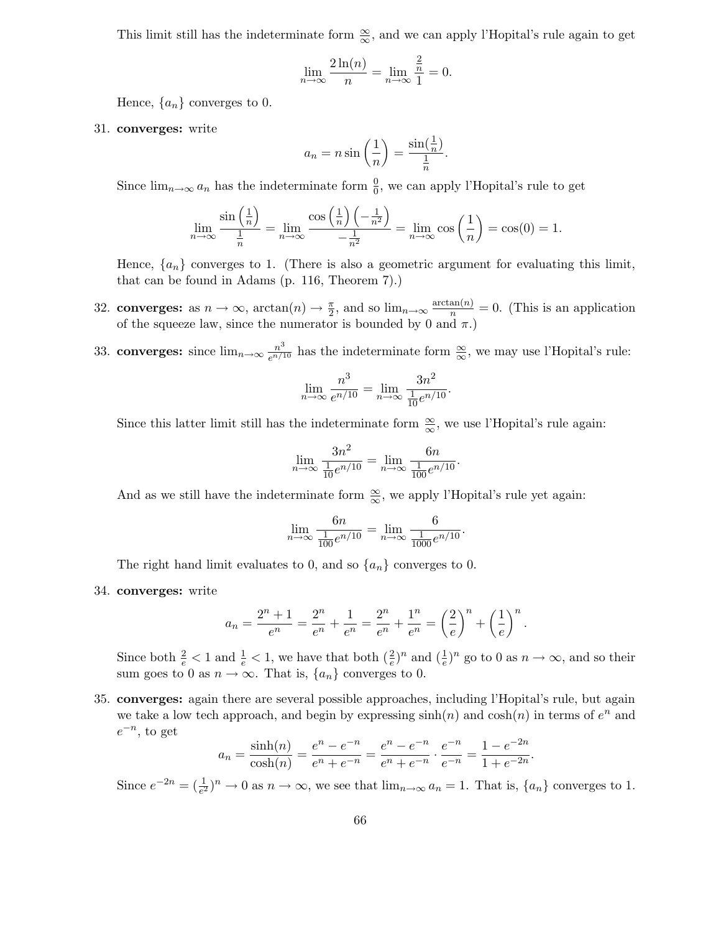This limit still has the indeterminate form  $\frac{\infty}{\infty}$ , and we can apply l'Hopital's rule again to get

$$
\lim_{n \to \infty} \frac{2\ln(n)}{n} = \lim_{n \to \infty} \frac{\frac{2}{n}}{1} = 0.
$$

Hence,  $\{a_n\}$  converges to 0.

31. converges: write

$$
a_n = n \sin\left(\frac{1}{n}\right) = \frac{\sin(\frac{1}{n})}{\frac{1}{n}}.
$$

Since  $\lim_{n\to\infty} a_n$  has the indeterminate form  $\frac{0}{0}$ , we can apply l'Hopital's rule to get

$$
\lim_{n \to \infty} \frac{\sin\left(\frac{1}{n}\right)}{\frac{1}{n}} = \lim_{n \to \infty} \frac{\cos\left(\frac{1}{n}\right)\left(-\frac{1}{n^2}\right)}{-\frac{1}{n^2}} = \lim_{n \to \infty} \cos\left(\frac{1}{n}\right) = \cos(0) = 1.
$$

Hence,  $\{a_n\}$  converges to 1. (There is also a geometric argument for evaluating this limit, that can be found in Adams (p. 116, Theorem 7).)

- 32. converges: as  $n \to \infty$ ,  $\arctan(n) \to \frac{\pi}{2}$ , and so  $\lim_{n \to \infty} \frac{\arctan(n)}{n} = 0$ . (This is an application of the squeeze law, since the numerator is bounded by 0 and  $\pi$ .)
- 33. converges: since  $\lim_{n\to\infty} \frac{n^3}{e^{n/1}}$  $\frac{n^{\sigma}}{e^{n/10}}$  has the indeterminate form  $\frac{\infty}{\infty}$ , we may use l'Hopital's rule:

$$
\lim_{n \to \infty} \frac{n^3}{e^{n/10}} = \lim_{n \to \infty} \frac{3n^2}{\frac{1}{10}e^{n/10}}.
$$

Since this latter limit still has the indeterminate form  $\frac{\infty}{\infty}$ , we use l'Hopital's rule again:

$$
\lim_{n \to \infty} \frac{3n^2}{\frac{1}{10}e^{n/10}} = \lim_{n \to \infty} \frac{6n}{\frac{1}{100}e^{n/10}}.
$$

And as we still have the indeterminate form  $\frac{\infty}{\infty}$ , we apply l'Hopital's rule yet again:

$$
\lim_{n \to \infty} \frac{6n}{\frac{1}{100}e^{n/10}} = \lim_{n \to \infty} \frac{6}{\frac{1}{1000}e^{n/10}}.
$$

The right hand limit evaluates to 0, and so  $\{a_n\}$  converges to 0.

34. converges: write

$$
a_n = \frac{2^n + 1}{e^n} = \frac{2^n}{e^n} + \frac{1}{e^n} = \frac{2^n}{e^n} + \frac{1^n}{e^n} = \left(\frac{2}{e}\right)^n + \left(\frac{1}{e}\right)^n.
$$

Since both  $\frac{2}{e} < 1$  and  $\frac{1}{e} < 1$ , we have that both  $\left(\frac{2}{e}\right)$  $(\frac{2}{e})^n$  and  $(\frac{1}{e})^n$  $\frac{1}{e}$ <sup>n</sup> go to 0 as  $n \to \infty$ , and so their sum goes to 0 as  $n \to \infty$ . That is,  $\{a_n\}$  converges to 0.

35. converges: again there are several possible approaches, including l'Hopital's rule, but again we take a low tech approach, and begin by expressing  $\sinh(n)$  and  $\cosh(n)$  in terms of  $e^n$  and  $e^{-n}$ , to get

$$
a_n = \frac{\sinh(n)}{\cosh(n)} = \frac{e^n - e^{-n}}{e^n + e^{-n}} = \frac{e^n - e^{-n}}{e^n + e^{-n}} \cdot \frac{e^{-n}}{e^{-n}} = \frac{1 - e^{-2n}}{1 + e^{-2n}}
$$

.

Since  $e^{-2n} = \left(\frac{1}{e^2}\right)$  $\frac{1}{e^2}$ ,<sup>n</sup>  $\rightarrow$  0 as  $n \rightarrow \infty$ , we see that  $\lim_{n \to \infty} a_n = 1$ . That is,  $\{a_n\}$  converges to 1.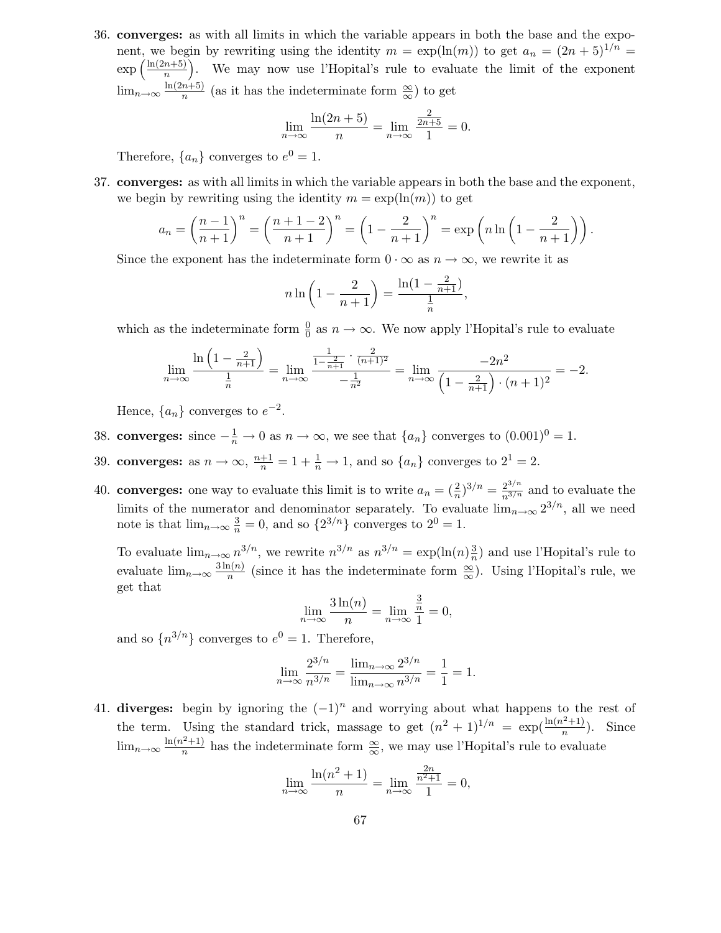36. converges: as with all limits in which the variable appears in both the base and the exponent, we begin by rewriting using the identity  $m = \exp(\ln(m))$  to get  $a_n = (2n + 5)^{1/n} =$  $\exp\left(\frac{\ln(2n+5)}{n}\right)$  $\frac{n+5}{n}$ . We may now use l'Hopital's rule to evaluate the limit of the exponent  $\lim_{n\to\infty}\frac{\ln(2n+5)}{n}$  $\frac{n+3j}{n}$  (as it has the indeterminate form  $\frac{\infty}{\infty}$ ) to get

$$
\lim_{n \to \infty} \frac{\ln(2n+5)}{n} = \lim_{n \to \infty} \frac{\frac{2}{2n+5}}{1} = 0.
$$

Therefore,  $\{a_n\}$  converges to  $e^0 = 1$ .

37. converges: as with all limits in which the variable appears in both the base and the exponent, we begin by rewriting using the identity  $m = \exp(\ln(m))$  to get

$$
a_n = \left(\frac{n-1}{n+1}\right)^n = \left(\frac{n+1-2}{n+1}\right)^n = \left(1 - \frac{2}{n+1}\right)^n = \exp\left(n\ln\left(1 - \frac{2}{n+1}\right)\right).
$$

Since the exponent has the indeterminate form  $0 \cdot \infty$  as  $n \to \infty$ , we rewrite it as

$$
n\ln\left(1-\frac{2}{n+1}\right) = \frac{\ln(1-\frac{2}{n+1})}{\frac{1}{n}},
$$

which as the indeterminate form  $\frac{0}{0}$  as  $n \to \infty$ . We now apply l'Hopital's rule to evaluate

$$
\lim_{n \to \infty} \frac{\ln\left(1 - \frac{2}{n+1}\right)}{\frac{1}{n}} = \lim_{n \to \infty} \frac{\frac{1}{1 - \frac{2}{n+1}} \cdot \frac{2}{(n+1)^2}}{-\frac{1}{n^2}} = \lim_{n \to \infty} \frac{-2n^2}{\left(1 - \frac{2}{n+1}\right) \cdot (n+1)^2} = -2.
$$

Hence,  $\{a_n\}$  converges to  $e^{-2}$ .

- 38. converges: since  $-\frac{1}{n} \to 0$  as  $n \to \infty$ , we see that  $\{a_n\}$  converges to  $(0.001)^0 = 1$ .
- 39. converges: as  $n \to \infty$ ,  $\frac{n+1}{n} = 1 + \frac{1}{n} \to 1$ , and so  $\{a_n\}$  converges to  $2^1 = 2$ .
- 40. converges: one way to evaluate this limit is to write  $a_n = \left(\frac{2}{n}\right)^n$  $\left(\frac{2}{n}\right)^{3/n} = \frac{2^{3/n}}{n^{3/n}}$  and to evaluate the limits of the numerator and denominator separately. To evaluate  $\lim_{n\to\infty} 2^{3/n}$ , all we need note is that  $\lim_{n\to\infty} \frac{3}{n} = 0$ , and so  $\{2^{3/n}\}\)$  converges to  $2^0 = 1$ .

To evaluate  $\lim_{n\to\infty} n^{3/n}$ , we rewrite  $n^{3/n}$  as  $n^{3/n} = \exp(\ln(n)\frac{3}{n})$  $\frac{3}{n}$ ) and use l'Hopital's rule to evaluate  $\lim_{n\to\infty} \frac{3\ln(n)}{n}$  $\frac{\ln(n)}{n}$  (since it has the indeterminate form  $\frac{\infty}{\infty}$ ). Using l'Hopital's rule, we get that

$$
\lim_{n \to \infty} \frac{3\ln(n)}{n} = \lim_{n \to \infty} \frac{\frac{3}{n}}{1} = 0,
$$

and so  $\{n^{3/n}\}\$ converges to  $e^0 = 1$ . Therefore,

$$
\lim_{n \to \infty} \frac{2^{3/n}}{n^{3/n}} = \frac{\lim_{n \to \infty} 2^{3/n}}{\lim_{n \to \infty} n^{3/n}} = \frac{1}{1} = 1.
$$

41. diverges: begin by ignoring the  $(-1)^n$  and worrying about what happens to the rest of the term. Using the standard trick, massage to get  $(n^2 + 1)^{1/n} = \exp(\frac{\ln(n^2+1)}{n})$  $\frac{n^{(n+1)}}{n}$ ). Since  $\lim_{n\to\infty}\frac{\ln(n^2+1)}{n}$  $\frac{n^{(n+1)}}{n}$  has the indeterminate form  $\frac{\infty}{\infty}$ , we may use l'Hopital's rule to evaluate

$$
\lim_{n \to \infty} \frac{\ln(n^2 + 1)}{n} = \lim_{n \to \infty} \frac{\frac{2n}{n^2 + 1}}{1} = 0,
$$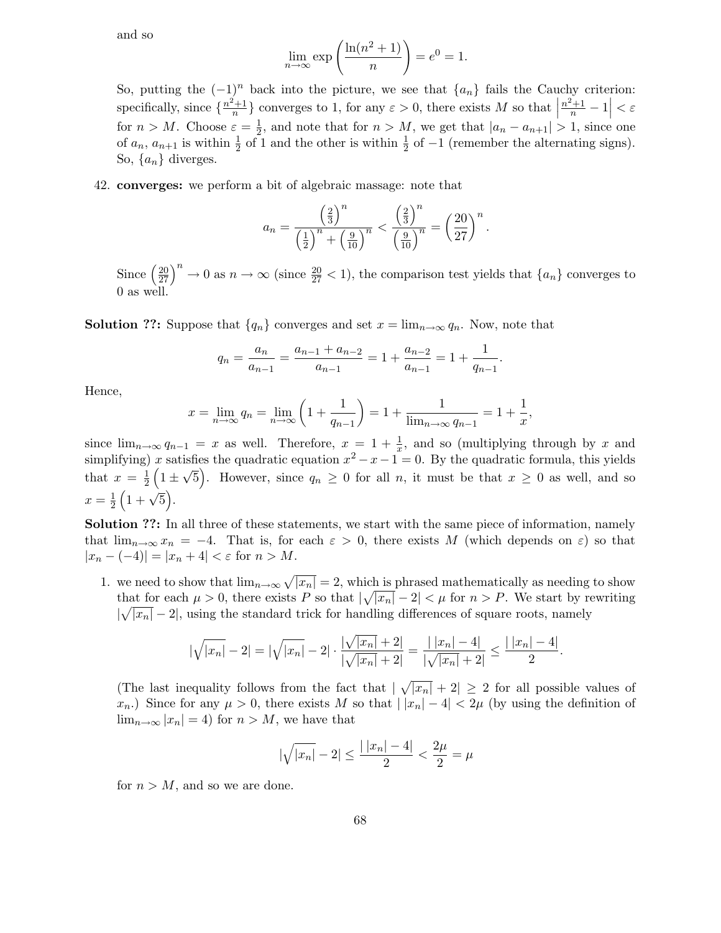and so

$$
\lim_{n \to \infty} \exp\left(\frac{\ln(n^2 + 1)}{n}\right) = e^0 = 1.
$$

So, putting the  $(-1)^n$  back into the picture, we see that  $\{a_n\}$  fails the Cauchy criterion: specifically, since  $\{\frac{n^2+1}{n}$  $\left\{\frac{a+1}{n}\right\}$  converges to 1, for any  $\varepsilon > 0$ , there exists M so that  $\left|\frac{n^2+1}{n}-1\right| < \varepsilon$ for  $n > M$ . Choose  $\varepsilon = \frac{1}{2}$  $\frac{1}{2}$ , and note that for  $n > M$ , we get that  $|a_n - a_{n+1}| > 1$ , since one of  $a_n$ ,  $a_{n+1}$  is within  $\frac{1}{2}$  of 1 and the other is within  $\frac{1}{2}$  of  $-1$  (remember the alternating signs). So,  $\{a_n\}$  diverges.

42. converges: we perform a bit of algebraic massage: note that

$$
a_n = \frac{\left(\frac{2}{3}\right)^n}{\left(\frac{1}{2}\right)^n + \left(\frac{9}{10}\right)^n} < \frac{\left(\frac{2}{3}\right)^n}{\left(\frac{9}{10}\right)^n} = \left(\frac{20}{27}\right)^n.
$$

Since  $\left(\frac{20}{27}\right)^n \to 0$  as  $n \to \infty$  (since  $\frac{20}{27} < 1$ ), the comparison test yields that  $\{a_n\}$  converges to 0 as well.

**Solution ??:** Suppose that  $\{q_n\}$  converges and set  $x = \lim_{n \to \infty} q_n$ . Now, note that

$$
q_n = \frac{a_n}{a_{n-1}} = \frac{a_{n-1} + a_{n-2}}{a_{n-1}} = 1 + \frac{a_{n-2}}{a_{n-1}} = 1 + \frac{1}{q_{n-1}}.
$$

Hence,

$$
x = \lim_{n \to \infty} q_n = \lim_{n \to \infty} \left( 1 + \frac{1}{q_{n-1}} \right) = 1 + \frac{1}{\lim_{n \to \infty} q_{n-1}} = 1 + \frac{1}{x},
$$

since  $\lim_{n\to\infty} q_{n-1} = x$  as well. Therefore,  $x = 1 + \frac{1}{x}$  $\frac{1}{x}$ , and so (multiplying through by x and simplifying) x satisfies the quadratic equation  $x^2 - x - 1 = 0$ . By the quadratic formula, this yields that  $x = \frac{1}{2}$  $\frac{1}{2}(1\pm\sqrt{5})$ . However, since  $q_n \geq 0$  for all n, it must be that  $x \geq 0$  as well, and so  $x=\frac{1}{2}$  $rac{1}{2}(1+\sqrt{5}).$ 

Solution ??: In all three of these statements, we start with the same piece of information, namely that  $\lim_{n\to\infty}x_n=-4$ . That is, for each  $\varepsilon>0$ , there exists M (which depends on  $\varepsilon$ ) so that  $|x_n - (-4)| = |x_n + 4| < \varepsilon$  for  $n > M$ .

1. we need to show that  $\lim_{n\to\infty}\sqrt{|x_n|}=2$ , which is phrased mathematically as needing to show that for each  $\mu > 0$ , there exists P so that  $|\sqrt{|x_n|} - 2| < \mu$  for  $n > P$ . We start by rewriting  $|\sqrt{|x_n|} - 2|$ , using the standard trick for handling differences of square roots, namely

$$
|\sqrt{|x_n|}-2|=|\sqrt{|x_n|}-2|\cdot\frac{|\sqrt{|x_n|}+2|}{|\sqrt{|x_n|}+2|}=\frac{|\,|x_n|-4|}{|\sqrt{|x_n|}+2|}\leq\frac{|\,|x_n|-4|}{2}.
$$

(The last inequality follows from the fact that  $|\sqrt{|x_n|} + 2| \geq 2$  for all possible values of  $x_n$ ) Since for any  $\mu > 0$ , there exists M so that  $||x_n| - 4| < 2\mu$  (by using the definition of  $\lim_{n\to\infty} |x_n| = 4$  for  $n > M$ , we have that

$$
|\sqrt{|x_n|} - 2| \le \frac{|\,|x_n| - 4|}{2} < \frac{2\mu}{2} = \mu
$$

for  $n > M$ , and so we are done.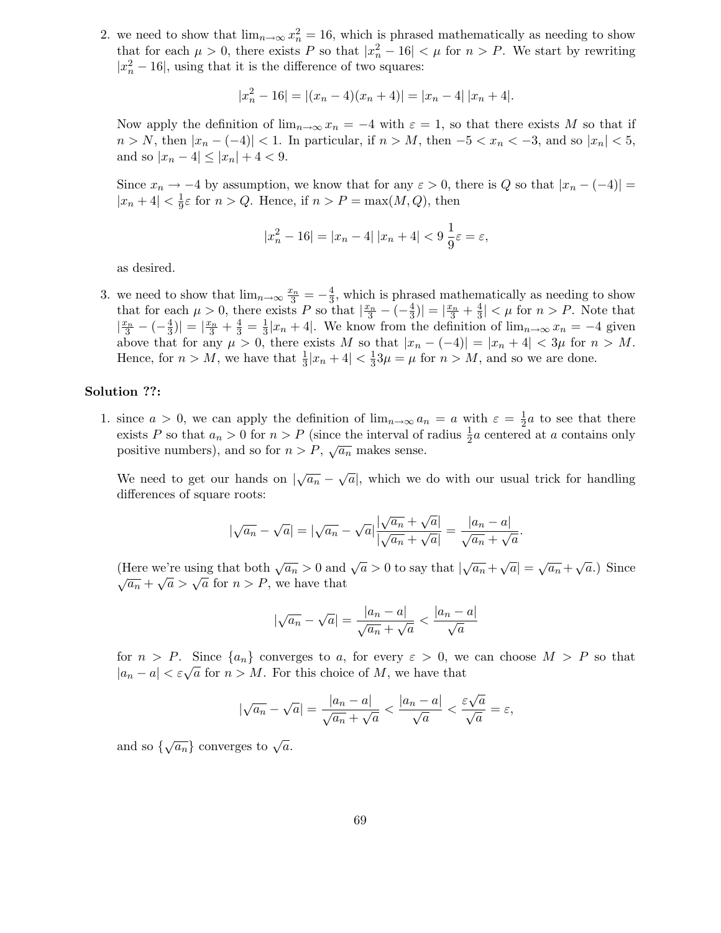2. we need to show that  $\lim_{n\to\infty} x_n^2 = 16$ , which is phrased mathematically as needing to show that for each  $\mu > 0$ , there exists P so that  $|x_n^2 - 16| < \mu$  for  $n > P$ . We start by rewriting  $|x_n^2 - 16|$ , using that it is the difference of two squares:

$$
|x_n^2 - 16| = |(x_n - 4)(x_n + 4)| = |x_n - 4| |x_n + 4|.
$$

Now apply the definition of  $\lim_{n\to\infty}x_n=-4$  with  $\varepsilon=1$ , so that there exists M so that if  $n > N$ , then  $|x_n - (-4)| < 1$ . In particular, if  $n > M$ , then  $-5 < x_n < -3$ , and so  $|x_n| < 5$ , and so  $|x_n - 4| \leq |x_n| + 4 < 9$ .

Since  $x_n \to -4$  by assumption, we know that for any  $\varepsilon > 0$ , there is Q so that  $|x_n - (-4)| =$  $|x_n+4|<\frac{1}{9}$  $\frac{1}{9}\varepsilon$  for  $n > Q$ . Hence, if  $n > P = \max(M, Q)$ , then

$$
|x_n^2 - 16| = |x_n - 4| \, |x_n + 4| < 9 \, \frac{1}{9} \varepsilon = \varepsilon
$$

as desired.

3. we need to show that  $\lim_{n\to\infty} \frac{x_n}{3} = -\frac{4}{3}$  $\frac{4}{3}$ , which is phrased mathematically as needing to show that for each  $\mu > 0$ , there exists P so that  $\frac{x_n}{3} - (-\frac{4}{3})$  $\left|\frac{4}{3}\right| = \left|\frac{x_n}{3} + \frac{4}{3}\right|$  $\frac{4}{3}$  |  $\lt \mu$  for  $n > P$ . Note that  $\frac{x_n}{3} - (-\frac{4}{3})$  $\left|\frac{4}{3}\right| = \left|\frac{x_n}{3} + \frac{4}{3}\right| = \frac{1}{3}$  $\frac{1}{3}|x_n+4|$ . We know from the definition of  $\lim_{n\to\infty}x_n=-4$  given above that for any  $\mu > 0$ , there exists M so that  $|x_n - (-4)| = |x_n + 4| < 3\mu$  for  $n > M$ . Hence, for  $n > M$ , we have that  $\frac{1}{3}|x_n + 4| < \frac{1}{3}$  $\frac{1}{3}3\mu = \mu$  for  $n > M$ , and so we are done.

#### Solution ??:

1. since  $a > 0$ , we can apply the definition of  $\lim_{n\to\infty} a_n = a$  with  $\varepsilon = \frac{1}{2}$  $\frac{1}{2}a$  to see that there exists P so that  $a_n > 0$  for  $n > P$  (since the interval of radius  $\frac{1}{2}a$  centered at a contains only positive numbers), and so for  $n > P$ ,  $\sqrt{a_n}$  makes sense.

We need to get our hands on  $\left|\sqrt{a_n} - \sqrt{a}\right|$ , which we do with our usual trick for handling differences of square roots:

$$
\left|\sqrt{a_n} - \sqrt{a}\right| = \left|\sqrt{a_n} - \sqrt{a}\right| \frac{\left|\sqrt{a_n} + \sqrt{a}\right|}{\left|\sqrt{a_n} + \sqrt{a}\right|} = \frac{\left|a_n - a\right|}{\sqrt{a_n} + \sqrt{a}}.
$$

(Here we're using that both  $\sqrt{a_n} > 0$  and  $\sqrt{a} > 0$  to say that  $|\sqrt{a_n} + \sqrt{a}| = \sqrt{a_n} + \sqrt{a}$ .) Since  $\sqrt{a_n} + \sqrt{a} > \sqrt{a}$  for  $n > P$ , we have that

$$
\left|\sqrt{a_n} - \sqrt{a}\right| = \frac{|a_n - a|}{\sqrt{a_n} + \sqrt{a}} < \frac{|a_n - a|}{\sqrt{a}}
$$

for  $n > P$ . Since  $\{a_n\}$  converges to a, for every  $\varepsilon > 0$ , we can choose  $M > P$  so that  $|a_n - a| < \varepsilon \sqrt{a}$  for  $n > M$ . For this choice of M, we have that

$$
|\sqrt{a_n}-\sqrt{a}|=\frac{|a_n-a|}{\sqrt{a_n}+\sqrt{a}}<\frac{|a_n-a|}{\sqrt{a}}<\frac{\varepsilon\sqrt{a}}{\sqrt{a}}=\varepsilon,
$$

and so  $\{\sqrt{a_n}\}$  converges to  $\sqrt{a}$ .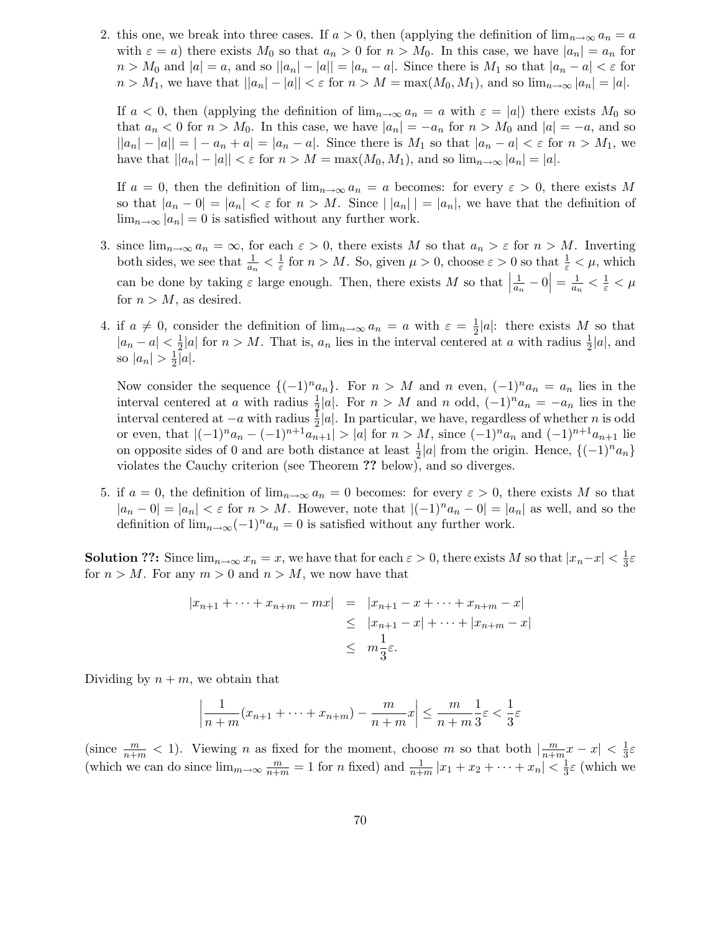2. this one, we break into three cases. If  $a > 0$ , then (applying the definition of  $\lim_{n\to\infty} a_n = a$ with  $\varepsilon = a$ ) there exists  $M_0$  so that  $a_n > 0$  for  $n > M_0$ . In this case, we have  $|a_n| = a_n$  for  $n > M_0$  and  $|a| = a$ , and so  $||a_n| - |a|| = |a_n - a|$ . Since there is  $M_1$  so that  $|a_n - a| < \varepsilon$  for  $n > M_1$ , we have that  $||a_n| - |a|| < \varepsilon$  for  $n > M = \max(M_0, M_1)$ , and so  $\lim_{n \to \infty} |a_n| = |a|$ .

If  $a < 0$ , then (applying the definition of  $\lim_{n\to\infty} a_n = a$  with  $\varepsilon = |a|$ ) there exists  $M_0$  so that  $a_n < 0$  for  $n > M_0$ . In this case, we have  $|a_n| = -a_n$  for  $n > M_0$  and  $|a| = -a$ , and so  $||a_n| - |a|| = |-a_n + a| = |a_n - a|$ . Since there is  $M_1$  so that  $|a_n - a| < \varepsilon$  for  $n > M_1$ , we have that  $||a_n|-|a|| < \varepsilon$  for  $n > M = \max(M_0, M_1)$ , and so  $\lim_{n\to\infty} |a_n| = |a|$ .

If  $a = 0$ , then the definition of  $\lim_{n\to\infty} a_n = a$  becomes: for every  $\varepsilon > 0$ , there exists M so that  $|a_n - 0| = |a_n| < \varepsilon$  for  $n > M$ . Since  $||a_n|| = |a_n|$ , we have that the definition of  $\lim_{n\to\infty} |a_n| = 0$  is satisfied without any further work.

- 3. since  $\lim_{n\to\infty} a_n = \infty$ , for each  $\varepsilon > 0$ , there exists M so that  $a_n > \varepsilon$  for  $n > M$ . Inverting both sides, we see that  $\frac{1}{a_n} < \frac{1}{\varepsilon}$  $\frac{1}{\varepsilon}$  for  $n > M$ . So, given  $\mu > 0$ , choose  $\varepsilon > 0$  so that  $\frac{1}{\varepsilon} < \mu$ , which can be done by taking  $\varepsilon$  large enough. Then, there exists M so that  $\left| \begin{array}{c} 1 \end{array} \right|$ 1  $\frac{1}{a_n} - 0$  =  $\frac{1}{a_n}$  $\frac{1}{a_n} < \frac{1}{\varepsilon} < \mu$ for  $n > M$ , as desired.
- 4. if  $a \neq 0$ , consider the definition of  $\lim_{n\to\infty} a_n = a$  with  $\varepsilon = \frac{1}{2}$  $\frac{1}{2}|a|$ : there exists M so that  $|a_n - a| < \frac{1}{2}$  $\frac{1}{2}|a|$  for  $n > M$ . That is,  $a_n$  lies in the interval centered at a with radius  $\frac{1}{2}|a|$ , and so  $|a_n| > \frac{1}{2}$  $rac{1}{2}|a|.$

Now consider the sequence  $\{(-1)^n a_n\}$ . For  $n > M$  and n even,  $(-1)^n a_n = a_n$  lies in the interval centered at a with radius  $\frac{1}{2}|a|$ . For  $n > M$  and n odd,  $(-1)^n a_n = -a_n$  lies in the interval centered at  $-a$  with radius  $\frac{1}{2}|a|$ . In particular, we have, regardless of whether n is odd or even, that  $|(-1)^n a_n - (-1)^{n+1} a_{n+1}| > |a|$  for  $n > M$ , since  $(-1)^n a_n$  and  $(-1)^{n+1} a_{n+1}$  lie on opposite sides of 0 and are both distance at least  $\frac{1}{2}|a|$  from the origin. Hence,  $\{(-1)^n a_n\}$ violates the Cauchy criterion (see Theorem ?? below), and so diverges.

5. if  $a = 0$ , the definition of  $\lim_{n\to\infty} a_n = 0$  becomes: for every  $\varepsilon > 0$ , there exists M so that  $|a_n - 0| = |a_n| < \varepsilon$  for  $n > M$ . However, note that  $|(-1)^n a_n - 0| = |a_n|$  as well, and so the definition of  $\lim_{n\to\infty}(-1)^n a_n=0$  is satisfied without any further work.

**Solution ??:** Since  $\lim_{n\to\infty} x_n = x$ , we have that for each  $\varepsilon > 0$ , there exists M so that  $|x_n-x| < \frac{1}{3}$  $rac{1}{3}\varepsilon$ for  $n > M$ . For any  $m > 0$  and  $n > M$ , we now have that

$$
|x_{n+1} + \dots + x_{n+m} - mx| = |x_{n+1} - x + \dots + x_{n+m} - x|
$$
  
\n
$$
\leq |x_{n+1} - x| + \dots + |x_{n+m} - x|
$$
  
\n
$$
\leq m \frac{1}{3} \varepsilon.
$$

Dividing by  $n + m$ , we obtain that

$$
\left|\frac{1}{n+m}(x_{n+1}+\cdots+x_{n+m})-\frac{m}{n+m}x\right|\leq \frac{m}{n+m}\frac{1}{3}\varepsilon<\frac{1}{3}\varepsilon
$$

(since  $\frac{m}{n+m} < 1$ ). Viewing *n* as fixed for the moment, choose *m* so that both  $\left|\frac{m}{n+m}\right|$  $\frac{m}{n+m}x-x\vert \langle \frac{1}{3}% ,\frac{1}{3},\frac{1}{3}\rangle \vert \langle \frac{1}{3},\frac{1}{3}\rangle \vert \langle \frac{1}{3}\rangle \vert$  $rac{1}{3}\varepsilon$ (which we can do since  $\lim_{m\to\infty} \frac{m}{n+m} = 1$  for n fixed) and  $\frac{1}{n+m} |x_1 + x_2 + \cdots + x_n| < \frac{1}{3}$  $\frac{1}{3}\varepsilon$  (which we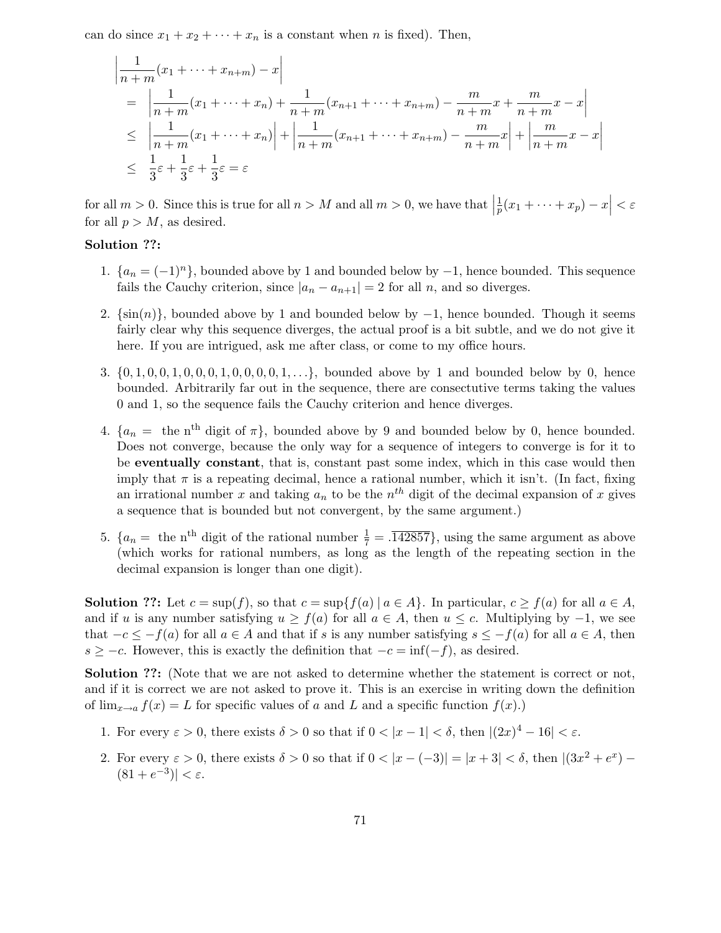can do since  $x_1 + x_2 + \cdots + x_n$  is a constant when n is fixed). Then,

$$
\begin{aligned}\n\left| \frac{1}{n+m}(x_1 + \dots + x_{n+m}) - x \right| \\
&= \left| \frac{1}{n+m}(x_1 + \dots + x_n) + \frac{1}{n+m}(x_{n+1} + \dots + x_{n+m}) - \frac{m}{n+m}x + \frac{m}{n+m}x - x \right| \\
&\le \left| \frac{1}{n+m}(x_1 + \dots + x_n) \right| + \left| \frac{1}{n+m}(x_{n+1} + \dots + x_{n+m}) - \frac{m}{n+m}x \right| + \left| \frac{m}{n+m}x - x \right| \\
&\le \frac{1}{3}\varepsilon + \frac{1}{3}\varepsilon + \frac{1}{3}\varepsilon = \varepsilon\n\end{aligned}
$$

for all  $m > 0$ . Since this is true for all  $n > M$  and all  $m > 0$ , we have that 1  $\frac{1}{p}(x_1 + \cdots + x_p) - x \Big| < \varepsilon$ for all  $p > M$ , as desired.

## Solution ??:

- 1.  $\{a_n=(-1)^n\}$ , bounded above by 1 and bounded below by  $-1$ , hence bounded. This sequence fails the Cauchy criterion, since  $|a_n - a_{n+1}| = 2$  for all n, and so diverges.
- 2.  $\{\sin(n)\}\$ , bounded above by 1 and bounded below by  $-1$ , hence bounded. Though it seems fairly clear why this sequence diverges, the actual proof is a bit subtle, and we do not give it here. If you are intrigued, ask me after class, or come to my office hours.
- 3.  $\{0, 1, 0, 0, 1, 0, 0, 0, 1, 0, 0, 0, 1, \ldots\}$ , bounded above by 1 and bounded below by 0, hence bounded. Arbitrarily far out in the sequence, there are consectutive terms taking the values 0 and 1, so the sequence fails the Cauchy criterion and hence diverges.
- 4.  $\{a_n = \text{ the } n^{\text{th}} \text{ digit of } \pi\}$ , bounded above by 9 and bounded below by 0, hence bounded. Does not converge, because the only way for a sequence of integers to converge is for it to be eventually constant, that is, constant past some index, which in this case would then imply that  $\pi$  is a repeating decimal, hence a rational number, which it isn't. (In fact, fixing an irrational number x and taking  $a_n$  to be the  $n^{th}$  digit of the decimal expansion of x gives a sequence that is bounded but not convergent, by the same argument.)
- 5.  $\{a_n = \text{ the n}^{\text{th}}\}$  digit of the rational number  $\frac{1}{7} = .142857$ , using the same argument as above (which works for rational numbers, as long as the length of the repeating section in the decimal expansion is longer than one digit).

**Solution ??:** Let  $c = \sup(f)$ , so that  $c = \sup\{f(a) | a \in A\}$ . In particular,  $c \ge f(a)$  for all  $a \in A$ , and if u is any number satisfying  $u \ge f(a)$  for all  $a \in A$ , then  $u \le c$ . Multiplying by  $-1$ , we see that  $-c \leq -f(a)$  for all  $a \in A$  and that if s is any number satisfying  $s \leq -f(a)$  for all  $a \in A$ , then  $s \geq -c$ . However, this is exactly the definition that  $-c = \inf(-f)$ , as desired.

Solution ??: (Note that we are not asked to determine whether the statement is correct or not, and if it is correct we are not asked to prove it. This is an exercise in writing down the definition of  $\lim_{x\to a} f(x) = L$  for specific values of a and L and a specific function  $f(x)$ .

- 1. For every  $\varepsilon > 0$ , there exists  $\delta > 0$  so that if  $0 < |x 1| < \delta$ , then  $|(2x)^4 16| < \varepsilon$ .
- 2. For every  $\varepsilon > 0$ , there exists  $\delta > 0$  so that if  $0 < |x (-3)| = |x + 3| < \delta$ , then  $|(3x^2 + e^x) (81 + e^{-3})$ | <  $\varepsilon$ .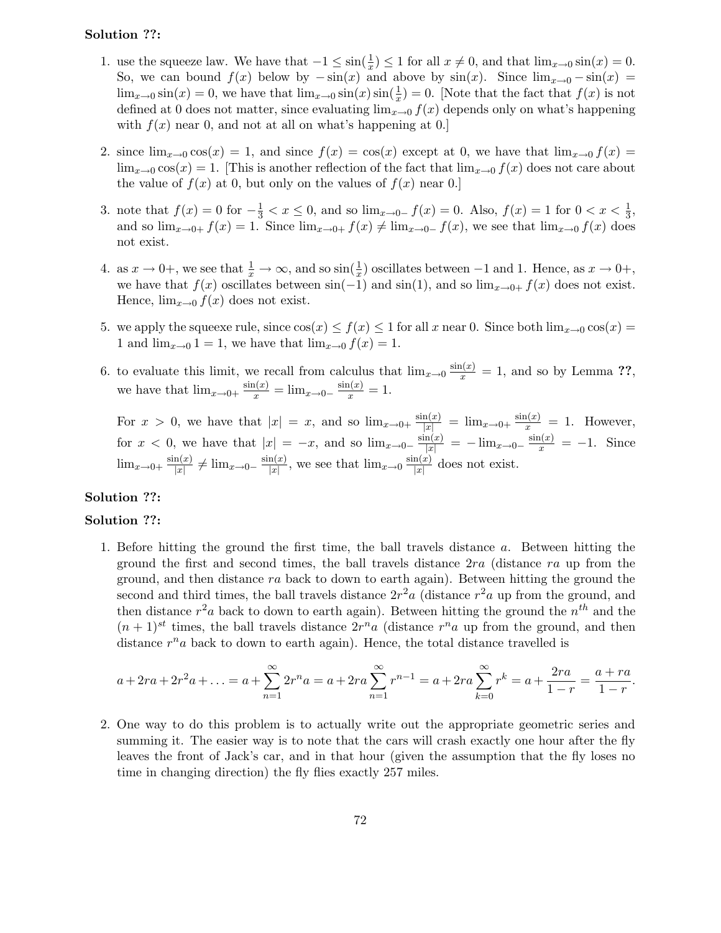## Solution ??:

- 1. use the squeeze law. We have that  $-1 \le \sin(\frac{1}{x}) \le 1$  for all  $x \ne 0$ , and that  $\lim_{x\to 0} \sin(x) = 0$ . So, we can bound  $f(x)$  below by  $-\sin(x)$  and above by  $\sin(x)$ . Since  $\lim_{x\to 0} -\sin(x)$  $\lim_{x\to 0} \sin(x) = 0$ , we have that  $\lim_{x\to 0} \sin(x) \sin(\frac{1}{x})$  $(\frac{1}{x}) = 0$ . [Note that the fact that  $f(x)$  is not defined at 0 does not matter, since evaluating  $\lim_{x\to 0} f(x)$  depends only on what's happening with  $f(x)$  near 0, and not at all on what's happening at 0.
- 2. since  $\lim_{x\to 0} \cos(x) = 1$ , and since  $f(x) = \cos(x)$  except at 0, we have that  $\lim_{x\to 0} f(x) =$  $\lim_{x\to 0} \cos(x) = 1$ . [This is another reflection of the fact that  $\lim_{x\to 0} f(x)$  does not care about the value of  $f(x)$  at 0, but only on the values of  $f(x)$  near 0.
- 3. note that  $f(x) = 0$  for  $-\frac{1}{3} < x \le 0$ , and so  $\lim_{x\to 0^-} f(x) = 0$ . Also,  $f(x) = 1$  for  $0 < x < \frac{1}{3}$  $\frac{1}{3}$ , and so  $\lim_{x\to 0+} f(x) = 1$ . Since  $\lim_{x\to 0+} f(x) \neq \lim_{x\to 0-} f(x)$ , we see that  $\lim_{x\to 0} f(x)$  does not exist.
- 4. as  $x \to 0^+$ , we see that  $\frac{1}{x} \to \infty$ , and so  $\sin(\frac{1}{x})$  oscillates between  $-1$  and 1. Hence, as  $x \to 0^+$ , we have that  $f(x)$  oscillates between  $sin(-1)$  and  $sin(1)$ , and so  $lim_{x\to 0+} f(x)$  does not exist. Hence,  $\lim_{x\to 0} f(x)$  does not exist.
- 5. we apply the squeexe rule, since  $\cos(x) \le f(x) \le 1$  for all x near 0. Since both  $\lim_{x\to 0} \cos(x) =$ 1 and  $\lim_{x\to 0} 1 = 1$ , we have that  $\lim_{x\to 0} f(x) = 1$ .
- 6. to evaluate this limit, we recall from calculus that  $\lim_{x\to 0} \frac{\sin(x)}{x} = 1$ , and so by Lemma ??, we have that  $\lim_{x\to 0^+} \frac{\sin(x)}{x} = \lim_{x\to 0^-} \frac{\sin(x)}{x} = 1.$

For  $x > 0$ , we have that  $|x| = x$ , and so  $\lim_{x\to 0^+} \frac{\sin(x)}{|x|} = \lim_{x\to 0^+} \frac{\sin(x)}{x} = 1$ . However, for  $x < 0$ , we have that  $|x| = -x$ , and so  $\lim_{x\to 0^-} \frac{\sin(x)}{|x|} = -\lim_{x\to 0^-} \frac{\sin(x)}{x} = -1$ . Since  $\lim_{x\to 0+} \frac{\sin(x)}{|x|}$  $\frac{\ln(x)}{|x|} \neq \lim_{x\to 0^-} \frac{\sin(x)}{|x|}$  $\frac{\ln(x)}{|x|}$ , we see that  $\lim_{x\to 0} \frac{\sin(x)}{|x|}$  $\frac{\ln(x)}{|x|}$  does not exist.

## Solution ??:

### Solution ??:

1. Before hitting the ground the first time, the ball travels distance a. Between hitting the ground the first and second times, the ball travels distance  $2ra$  (distance  $ra$  up from the ground, and then distance ra back to down to earth again). Between hitting the ground the second and third times, the ball travels distance  $2r^2a$  (distance  $r^2a$  up from the ground, and then distance  $r^2a$  back to down to earth again). Between hitting the ground the  $n^{th}$  and the  $(n+1)^{st}$  times, the ball travels distance  $2r^n a$  (distance  $r^n a$  up from the ground, and then distance  $r^n a$  back to down to earth again). Hence, the total distance travelled is

$$
a + 2ra + 2r^2a + \dots = a + \sum_{n=1}^{\infty} 2r^n a = a + 2ra \sum_{n=1}^{\infty} r^{n-1} = a + 2ra \sum_{k=0}^{\infty} r^k = a + \frac{2ra}{1-r} = \frac{a+ra}{1-r}.
$$

2. One way to do this problem is to actually write out the appropriate geometric series and summing it. The easier way is to note that the cars will crash exactly one hour after the fly leaves the front of Jack's car, and in that hour (given the assumption that the fly loses no time in changing direction) the fly flies exactly 257 miles.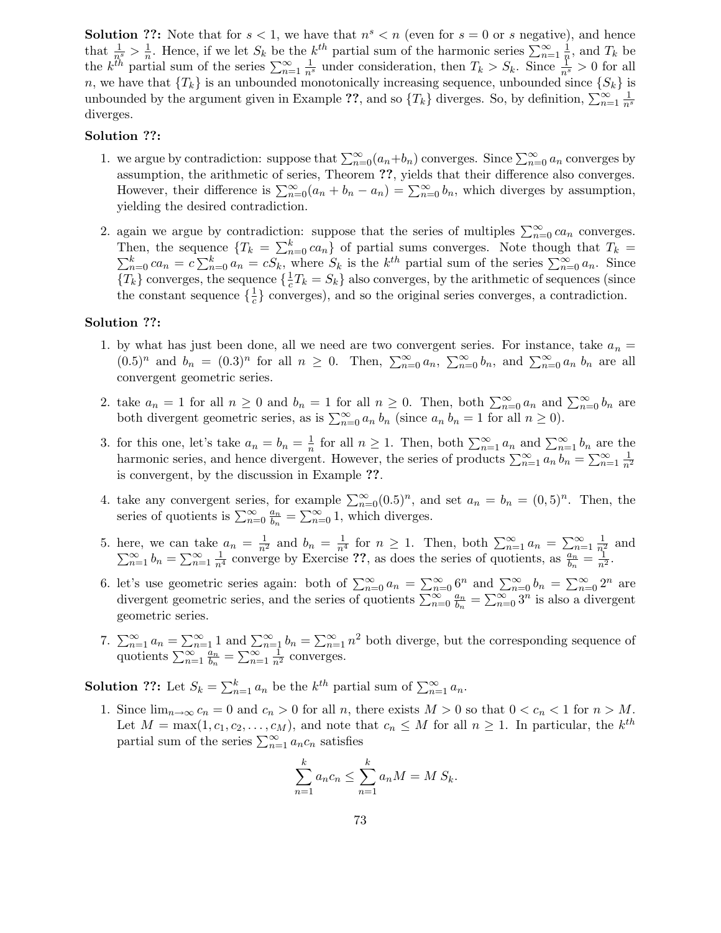**Solution ??:** Note that for  $s < 1$ , we have that  $n<sup>s</sup> < n$  (even for  $s = 0$  or s negative), and hence that  $\frac{1}{n^s} > \frac{1}{n}$ <sup>1</sup>/<sub>n</sub>. Hence, if we let  $S_k$  be the  $k^{th}$  partial sum of the harmonic series  $\sum_{n=1}^{\infty} \frac{1}{n}$  $\frac{1}{n}$ , and  $T_k$  be the  $k^{th}$  partial sum of the series  $\sum_{n=1}^{\infty} \frac{1}{n^s}$  under consideration, then  $T_k > S_k$ . Since  $\frac{1}{n^s} > 0$  for all n, we have that  $\{T_k\}$  is an unbounded monotonically increasing sequence, unbounded since  $\{S_k\}$  is unbounded by the argument given in Example ??, and so  $\{T_k\}$  diverges. So, by definition,  $\sum_{n=1}^{\infty} \frac{1}{n^s}$ diverges.

#### Solution ??:

- 1. we argue by contradiction: suppose that  $\sum_{n=0}^{\infty} (a_n + b_n)$  converges. Since  $\sum_{n=0}^{\infty} a_n$  converges by assumption, the arithmetic of series, Theorem ??, yields that their difference also converges. However, their difference is  $\sum_{n=0}^{\infty} (a_n + b_n - a_n) = \sum_{n=0}^{\infty} b_n$ , which diverges by assumption, yielding the desired contradiction.
- 2. again we argue by contradiction: suppose that the series of multiples  $\sum_{n=0}^{\infty} ca_n$  converges. Then, the sequence  $\{T_k = \sum_{n=1}^k T_k\}$ Then, the sequence  $\{T_k = \sum_{n=0}^k ca_n\}$  of partial sums converges. Note though that  $T_k = \sum_{n=0}^k ca_n = c \sum_{n=0}^k a_n = cS_k$ , where  $S_k$  is the  $k^{th}$  partial sum of the series  $\sum_{n=0}^{\infty} a_n$ . Since  ${T_k}$  converges, the sequence  $\{\frac{1}{c}\}$  $\frac{1}{c}T_k = S_k$  also converges, by the arithmetic of sequences (since the constant sequence  $\{\frac{1}{c}$  $\frac{1}{c}$  converges), and so the original series converges, a contradiction.

### Solution ??:

- 1. by what has just been done, all we need are two convergent series. For instance, take  $a_n =$  $(0.5)^n$  and  $b_n = (0.3)^n$  for all  $n \ge 0$ . Then,  $\sum_{n=0}^{\infty} a_n$ ,  $\sum_{n=0}^{\infty} b_n$ , and  $\sum_{n=0}^{\infty} a_n b_n$  are all convergent geometric series.
- 2. take  $a_n = 1$  for all  $n \geq 0$  and  $b_n = 1$  for all  $n \geq 0$ . Then, both  $\sum_{n=0}^{\infty} a_n$  and  $\sum_{n=0}^{\infty} b_n$  are both divergent geometric series, as is  $\sum_{n=0}^{\infty} a_n b_n$  (since  $a_n b_n = 1$  for all  $n \ge 0$ ).
- 3. for this one, let's take  $a_n = b_n = \frac{1}{n}$  $\frac{1}{n}$  for all  $n \geq 1$ . Then, both  $\sum_{n=1}^{\infty} a_n$  and  $\sum_{n=1}^{\infty} b_n$  are the harmonic series, and hence divergent. However, the series of products  $\sum_{n=1}^{\infty} a_n b_n = \sum_{n=1}^{\infty} \frac{1}{n^2}$ is convergent, by the discussion in Example ??.
- 4. take any convergent series, for example  $\sum_{n=0}^{\infty} (0.5)^n$ , and set  $a_n = b_n = (0,5)^n$ . Then, the series of quotients is  $\sum_{n=0}^{\infty} \frac{a_n}{b_n}$  $\frac{a_n}{b_n} = \sum_{n=0}^{\infty} 1$ , which diverges.
- 5. here, we can take  $a_n = \frac{1}{n^2}$  and  $b_n = \frac{1}{n^4}$  for  $n \ge 1$ . Then, both  $\sum_{n=1}^{\infty} a_n = \sum_{n=1}^{\infty} \frac{1}{n^2}$  and  $\sum_{n=1}^{\infty} b_n = \sum_{n=1}^{\infty} \frac{1}{n^4}$  converge by Exercise ??, as does the series of quotients, as  $\frac{a_n}{b_n} = \frac{1}{n^2}$ .
- 6. let's use geometric series again: both of  $\sum_{n=0}^{\infty} a_n = \sum_{n=0}^{\infty} 6^n$  and  $\sum_{n=0}^{\infty} b_n = \sum_{n=0}^{\infty} 2^n$  are divergent geometric series, and the series of quotients  $\sum_{n=0}^{\infty} \frac{a_n}{b_n}$  $\frac{a_n}{b_n} = \sum_{n=0}^{\infty} 3^n$  is also a divergent geometric series.
- 7.  $\sum_{n=1}^{\infty} a_n = \sum_{n=1}^{\infty} 1$  and  $\sum_{n=1}^{\infty} b_n = \sum_{n=1}^{\infty} n^2$  both diverge, but the corresponding sequence of quotients  $\sum_{n=1}^{\infty} \frac{a_n}{b_n}$  $\frac{a_n}{b_n} = \sum_{n=1}^{\infty} \frac{1}{n^2}$  converges.

**Solution ??:** Let  $S_k = \sum_{n=1}^k a_n$  be the  $k^{th}$  partial sum of  $\sum_{n=1}^{\infty} a_n$ .

1. Since  $\lim_{n\to\infty} c_n = 0$  and  $c_n > 0$  for all n, there exists  $M > 0$  so that  $0 < c_n < 1$  for  $n > M$ . Let  $M = \max(1, c_1, c_2, \dots, c_M)$ , and note that  $c_n \leq M$  for all  $n \geq 1$ . In particular, the  $k^{th}$ partial sum of the series  $\sum_{n=1}^{\infty} a_n c_n$  satisfies

$$
\sum_{n=1}^{k} a_n c_n \le \sum_{n=1}^{k} a_n M = M S_k.
$$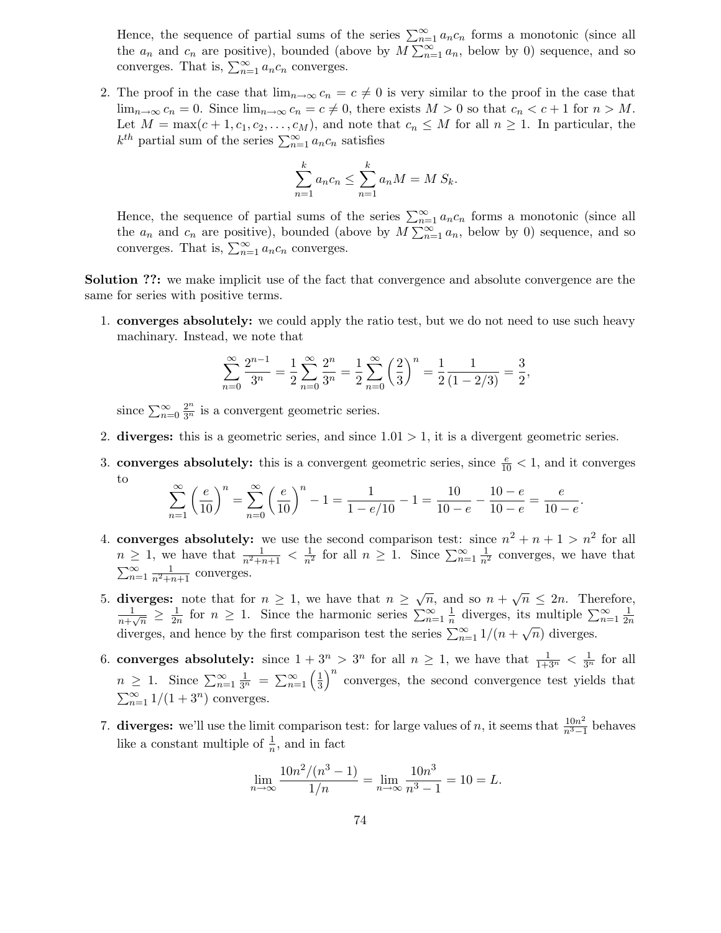Hence, the sequence of partial sums of the series  $\sum_{n=1}^{\infty} a_n c_n$  forms a monotonic (since all the  $a_n$  and  $c_n$  are positive), bounded (above by  $M \sum_{n=1}^{\infty} a_n$ , below by 0) sequence, and so converges. That is,  $\sum_{n=1}^{\infty} a_n c_n$  converges.

2. The proof in the case that  $\lim_{n\to\infty} c_n = c \neq 0$  is very similar to the proof in the case that  $\lim_{n\to\infty} c_n = 0$ . Since  $\lim_{n\to\infty} c_n = c \neq 0$ , there exists  $M > 0$  so that  $c_n < c+1$  for  $n > M$ . Let  $M = \max(c+1, c_1, c_2, \ldots, c_M)$ , and note that  $c_n \leq M$  for all  $n \geq 1$ . In particular, the  $k^{th}$  partial sum of the series  $\sum_{n=1}^{\infty} a_n c_n$  satisfies

$$
\sum_{n=1}^{k} a_n c_n \le \sum_{n=1}^{k} a_n M = M S_k.
$$

Hence, the sequence of partial sums of the series  $\sum_{n=1}^{\infty} a_n c_n$  forms a monotonic (since all the  $a_n$  and  $c_n$  are positive), bounded (above by  $M \sum_{n=1}^{\infty} a_n$ , below by 0) sequence, and so converges. That is,  $\sum_{n=1}^{\infty} a_n c_n$  converges.

Solution ??: we make implicit use of the fact that convergence and absolute convergence are the same for series with positive terms.

1. converges absolutely: we could apply the ratio test, but we do not need to use such heavy machinary. Instead, we note that

$$
\sum_{n=0}^{\infty} \frac{2^{n-1}}{3^n} = \frac{1}{2} \sum_{n=0}^{\infty} \frac{2^n}{3^n} = \frac{1}{2} \sum_{n=0}^{\infty} \left(\frac{2}{3}\right)^n = \frac{1}{2} \frac{1}{(1-2/3)} = \frac{3}{2},
$$

since  $\sum_{n=0}^{\infty} \frac{2^n}{3^n}$  is a convergent geometric series.

- 2. diverges: this is a geometric series, and since  $1.01 > 1$ , it is a divergent geometric series.
- 3. **converges absolutely:** this is a convergent geometric series, since  $\frac{e}{10} < 1$ , and it converges to

$$
\sum_{n=1}^{\infty} \left(\frac{e}{10}\right)^n = \sum_{n=0}^{\infty} \left(\frac{e}{10}\right)^n - 1 = \frac{1}{1 - e/10} - 1 = \frac{10}{10 - e} - \frac{10 - e}{10 - e} = \frac{e}{10 - e}.
$$

- 4. converges absolutely: we use the second comparison test: since  $n^2 + n + 1 > n^2$  for all  $n \geq 1$ , we have that  $\frac{1}{n^2+n+1} < \frac{1}{n^2}$  for all  $n \geq 1$ . Since  $\sum_{n=1}^{\infty} \frac{1}{n^2}$  converges, we have that  $\sum_{n=1}^{\infty} \frac{1}{n^2+n+1}$  converges.
- 5. diverges: note that for  $n \geq 1$ , we have that  $n \geq \sqrt{n}$ , and so  $n + \sqrt{n} \leq 2n$ . Therefore, 1  $\frac{1}{n+\sqrt{n}} \geq \frac{1}{2n}$  $\frac{1}{2n}$  for  $n \geq 1$ . Since the harmonic series  $\sum_{n=1}^{\infty} \frac{1}{n}$  $\frac{1}{n}$  diverges, its multiple  $\sum_{n=1}^{\infty} \frac{1}{2n}$  $\overline{2n}$ diverges, and hence by the first comparison test the series  $\sum_{n=1}^{\infty} 1/(n+\sqrt{n})$  diverges.
- 6. converges absolutely: since  $1 + 3^n > 3^n$  for all  $n \ge 1$ , we have that  $\frac{1}{1+3^n} < \frac{1}{3^n}$  for all  $n \geq 1$ . Since  $\sum_{n=1}^{\infty} \frac{1}{3^n} = \sum_{n=1}^{\infty} \left( \frac{1}{3} \right)$  $\frac{1}{3}$ <sup>n</sup> converges, the second convergence test yields that  $\sum_{n=1}^{\infty} 1/(1+3^n)$  converges.
- 7. diverges: we'll use the limit comparison test: for large values of n, it seems that  $\frac{10n^2}{n^3-1}$  $\frac{10n^2}{n^3-1}$  behaves like a constant multiple of  $\frac{1}{n}$ , and in fact

$$
\lim_{n \to \infty} \frac{10n^2/(n^3 - 1)}{1/n} = \lim_{n \to \infty} \frac{10n^3}{n^3 - 1} = 10 = L.
$$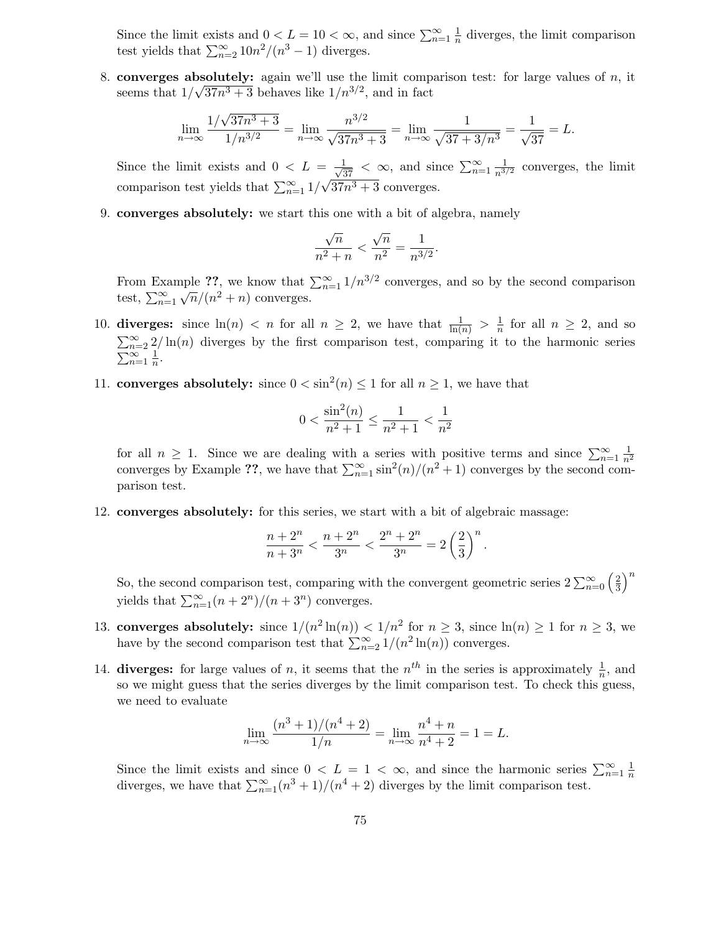Since the limit exists and  $0 < L = 10 < \infty$ , and since  $\sum_{n=1}^{\infty} \frac{1}{n}$  $\frac{1}{n}$  diverges, the limit comparison test yields that  $\sum_{n=2}^{\infty} 10n^2/(n^3-1)$  diverges.

8. converges absolutely: again we'll use the limit comparison test: for large values of  $n$ , it seems that  $1/\sqrt{37n^3+3}$  behaves like  $1/n^{3/2}$ , and in fact

$$
\lim_{n \to \infty} \frac{1/\sqrt{37n^3 + 3}}{1/n^{3/2}} = \lim_{n \to \infty} \frac{n^{3/2}}{\sqrt{37n^3 + 3}} = \lim_{n \to \infty} \frac{1}{\sqrt{37 + 3/n^3}} = \frac{1}{\sqrt{37}} = L.
$$

Since the limit exists and  $0 < L = \frac{1}{\sqrt{37}} < \infty$ , and since  $\sum_{n=1}^{\infty} \frac{1}{n^{3/2}}$  converges, the limit comparison test yields that  $\sum_{n=1}^{\infty} 1/\sqrt{37n^3+3}$  converges.

9. converges absolutely: we start this one with a bit of algebra, namely

$$
\frac{\sqrt{n}}{n^2 + n} < \frac{\sqrt{n}}{n^2} = \frac{1}{n^{3/2}}
$$

.

From Example ??, we know that  $\sum_{n=1}^{\infty} 1/n^{3/2}$  converges, and so by the second comparison test,  $\sum_{n=1}^{\infty} \sqrt{n}/(n^2 + n)$  converges.

- 10. diverges: since  $\ln(n) < n$  for all  $n \geq 2$ , we have that  $\frac{1}{\ln(n)} > \frac{1}{n}$  $\frac{1}{n}$  for all  $n \geq 2$ , and so  $\sum_{n=2}^{\infty} 2/\ln(n)$  diverges by the first comparison test, comparing it to the harmonic series  $\sum_{n=1}^{\infty} \frac{1}{n}$  $\frac{1}{n}$ .
- 11. **converges absolutely:** since  $0 < \sin^2(n) \le 1$  for all  $n \ge 1$ , we have that

$$
0 < \frac{\sin^2(n)}{n^2 + 1} \le \frac{1}{n^2 + 1} < \frac{1}{n^2}
$$

for all  $n \geq 1$ . Since we are dealing with a series with positive terms and since  $\sum_{n=1}^{\infty} \frac{1}{n^2}$ converges by Example ??, we have that  $\sum_{n=1}^{\infty} \sin^2(n)/(n^2+1)$  converges by the second comparison test.

12. converges absolutely: for this series, we start with a bit of algebraic massage:

$$
\frac{n+2^n}{n+3^n} < \frac{n+2^n}{3^n} < \frac{2^n+2^n}{3^n} = 2\left(\frac{2}{3}\right)^n.
$$

So, the second comparison test, comparing with the convergent geometric series  $2 \sum_{n=0}^{\infty} \left(\frac{2}{3}\right)$  $\left(\frac{2}{3}\right)^n$ yields that  $\sum_{n=1}^{\infty} (n+2^n)/(n+3^n)$  converges.

- 13. **converges absolutely:** since  $1/(n^2 \ln(n)) < 1/n^2$  for  $n \ge 3$ , since  $\ln(n) \ge 1$  for  $n \ge 3$ , we have by the second comparison test that  $\sum_{n=2}^{\infty} 1/(n^2 \ln(n))$  converges.
- 14. diverges: for large values of n, it seems that the  $n^{th}$  in the series is approximately  $\frac{1}{n}$ , and so we might guess that the series diverges by the limit comparison test. To check this guess, we need to evaluate

$$
\lim_{n \to \infty} \frac{(n^3 + 1)/(n^4 + 2)}{1/n} = \lim_{n \to \infty} \frac{n^4 + n}{n^4 + 2} = 1 = L.
$$

Since the limit exists and since  $0 < L = 1 < \infty$ , and since the harmonic series  $\sum_{n=1}^{\infty} \frac{1}{n}$ n diverges, we have that  $\sum_{n=1}^{\infty} (n^3 + 1)/(n^4 + 2)$  diverges by the limit comparison test.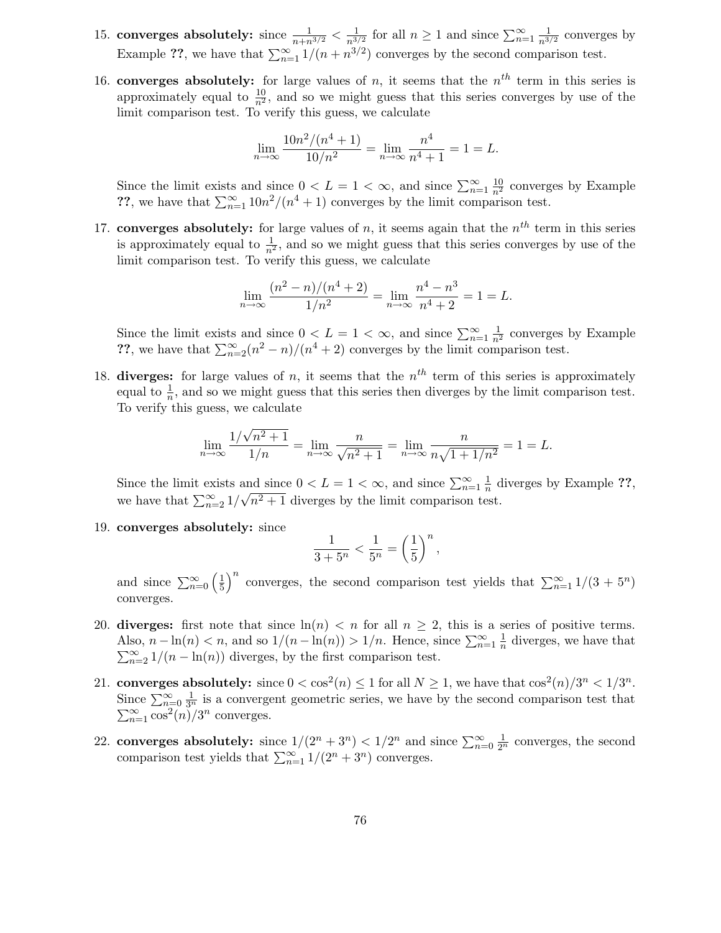- 15. converges absolutely: since  $\frac{1}{n+n^{3/2}} < \frac{1}{n^{3/2}}$  $\frac{1}{n^{3/2}}$  for all  $n \ge 1$  and since  $\sum_{n=1}^{\infty} \frac{1}{n^{3/2}}$  converges by Example ??, we have that  $\sum_{n=1}^{\infty} 1/(n + n^{3/2})$  converges by the second comparison test.
- 16. converges absolutely: for large values of n, it seems that the  $n<sup>th</sup>$  term in this series is approximately equal to  $\frac{10}{n^2}$ , and so we might guess that this series converges by use of the limit comparison test. To verify this guess, we calculate

$$
\lim_{n \to \infty} \frac{10n^2/(n^4+1)}{10/n^2} = \lim_{n \to \infty} \frac{n^4}{n^4+1} = 1 = L.
$$

Since the limit exists and since  $0 < L = 1 < \infty$ , and since  $\sum_{n=1}^{\infty} \frac{10}{n^2}$  converges by Example ??, we have that  $\sum_{n=1}^{\infty} 10n^2/(n^4+1)$  converges by the limit comparison test.

17. converges absolutely: for large values of n, it seems again that the  $n<sup>th</sup>$  term in this series is approximately equal to  $\frac{1}{n^2}$ , and so we might guess that this series converges by use of the limit comparison test. To verify this guess, we calculate

$$
\lim_{n \to \infty} \frac{(n^2 - n)/(n^4 + 2)}{1/n^2} = \lim_{n \to \infty} \frac{n^4 - n^3}{n^4 + 2} = 1 = L.
$$

Since the limit exists and since  $0 < L = 1 < \infty$ , and since  $\sum_{n=1}^{\infty} \frac{1}{n^2}$  converges by Example ??, we have that  $\sum_{n=2}^{\infty} (n^2 - n)/(n^4 + 2)$  converges by the limit comparison test.

18. diverges: for large values of n, it seems that the  $n<sup>th</sup>$  term of this series is approximately equal to  $\frac{1}{n}$ , and so we might guess that this series then diverges by the limit comparison test. To verify this guess, we calculate

$$
\lim_{n \to \infty} \frac{1/\sqrt{n^2 + 1}}{1/n} = \lim_{n \to \infty} \frac{n}{\sqrt{n^2 + 1}} = \lim_{n \to \infty} \frac{n}{n\sqrt{1 + 1/n^2}} = 1 = L.
$$

Since the limit exists and since  $0 < L = 1 < \infty$ , and since  $\sum_{n=1}^{\infty} \frac{1}{n}$  $\frac{1}{n}$  diverges by Example ??, we have that  $\sum_{n=2}^{\infty} 1/\sqrt{n^2+1}$  diverges by the limit comparison test.

19. converges absolutely: since

$$
\frac{1}{3+5^n} < \frac{1}{5^n} = \left(\frac{1}{5}\right)^n,
$$

and since  $\sum_{n=0}^{\infty} \left( \frac{1}{5} \right)$  $\frac{1}{5}$  onverges, the second comparison test yields that  $\sum_{n=1}^{\infty} 1/(3 + 5^n)$ converges.

- 20. diverges: first note that since  $\ln(n) < n$  for all  $n \geq 2$ , this is a series of positive terms. Also,  $n - \ln(n) < n$ , and so  $1/(n - \ln(n)) > 1/n$ . Hence, since  $\sum_{n=1}^{\infty} \frac{1}{n}$  $\frac{1}{n}$  diverges, we have that  $\sum_{n=2}^{\infty} 1/(n - \ln(n))$  diverges, by the first comparison test.
- 21. converges absolutely: since  $0 < \cos^2(n) \le 1$  for all  $N \ge 1$ , we have that  $\cos^2(n)/3^n < 1/3^n$ . Since  $\sum_{n=0}^{\infty} \frac{1}{3^n}$  is a convergent geometric series, we have by the second comparison test that  $\sum_{n=1}^{\infty} \cos^2(n)/3^n$  converges.
- 22. converges absolutely: since  $1/(2^n + 3^n) < 1/2^n$  and since  $\sum_{n=0}^{\infty} \frac{1}{2^n}$  converges, the second comparison test yields that  $\sum_{n=1}^{\infty} 1/(2^n + 3^n)$  converges.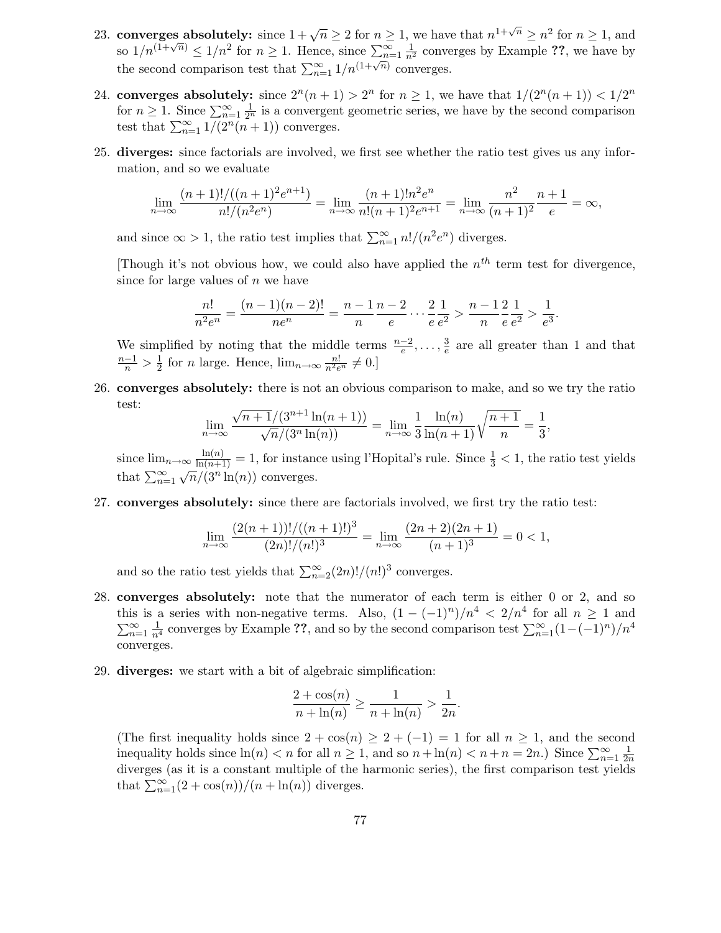- 23. converges absolutely: since  $1 + \sqrt{n} \ge 2$  for  $n \ge 1$ , we have that  $n^{1+\sqrt{n}} \ge n^2$  for  $n \ge 1$ , and so  $1/n^{(1+\sqrt{n})} \leq 1/n^2$  for  $n \geq 1$ . Hence, since  $\sum_{n=1}^{\infty} \frac{1}{n^2}$  converges by Example ??, we have by the second comparison test that  $\sum_{n=1}^{\infty} 1/n^{(1+\sqrt{n})}$  converges.
- 24. converges absolutely: since  $2^n(n+1) > 2^n$  for  $n \ge 1$ , we have that  $1/(2^n(n+1)) < 1/2^n$ for  $n \geq 1$ . Since  $\sum_{n=1}^{\infty} \frac{1}{2^n}$  is a convergent geometric series, we have by the second comparison test that  $\sum_{n=1}^{\infty} 1/(2^n(n+1))$  converges.
- 25. diverges: since factorials are involved, we first see whether the ratio test gives us any information, and so we evaluate

$$
\lim_{n \to \infty} \frac{(n+1)!/((n+1)^2 e^{n+1})}{n!/(n^2 e^n)} = \lim_{n \to \infty} \frac{(n+1)! n^2 e^n}{n!(n+1)^2 e^{n+1}} = \lim_{n \to \infty} \frac{n^2}{(n+1)^2} \frac{n+1}{e} = \infty,
$$

and since  $\infty > 1$ , the ratio test implies that  $\sum_{n=1}^{\infty} n!/(n^2 e^n)$  diverges.

[Though it's not obvious how, we could also have applied the  $n^{th}$  term test for divergence, since for large values of  $n$  we have

$$
\frac{n!}{n^2 e^n} = \frac{(n-1)(n-2)!}{n e^n} = \frac{n-1}{n} \frac{n-2}{e} \cdots \frac{2}{e} \frac{1}{e^2} > \frac{n-1}{n} \frac{2}{e} \frac{1}{e^2} > \frac{1}{e^3}.
$$

We simplified by noting that the middle terms  $\frac{n-2}{e}, \ldots, \frac{3}{e}$  $\frac{3}{e}$  are all greater than 1 and that  $\frac{n-1}{n} > \frac{1}{2}$  $\frac{1}{2}$  for *n* large. Hence,  $\lim_{n\to\infty} \frac{n!}{n^2 e^n} \neq 0$ .

26. converges absolutely: there is not an obvious comparison to make, and so we try the ratio test:

$$
\lim_{n \to \infty} \frac{\sqrt{n+1}/(3^{n+1}\ln(n+1))}{\sqrt{n}/(3^n\ln(n))} = \lim_{n \to \infty} \frac{1}{3} \frac{\ln(n)}{\ln(n+1)} \sqrt{\frac{n+1}{n}} = \frac{1}{3},
$$

since  $\lim_{n\to\infty} \frac{\ln(n)}{\ln(n+1)} = 1$ , for instance using l'Hopital's rule. Since  $\frac{1}{3} < 1$ , the ratio test yields that  $\sum_{n=1}^{\infty} \sqrt{n}/(3^n \ln(n))$  converges.

27. converges absolutely: since there are factorials involved, we first try the ratio test:

$$
\lim_{n \to \infty} \frac{(2(n+1))!/((n+1)!)^3}{(2n)!/(n!)^3} = \lim_{n \to \infty} \frac{(2n+2)(2n+1)}{(n+1)^3} = 0 < 1,
$$

and so the ratio test yields that  $\sum_{n=2}^{\infty} (2n)!/(n!)^3$  converges.

- 28. converges absolutely: note that the numerator of each term is either 0 or 2, and so this is a series with non-negative terms. Also,  $(1 - (-1)^n)/n^4 < 2/n^4$  for all  $n \ge 1$  and  $\sum_{n=1}^{\infty} \frac{1}{n^4}$  converges by Example ??, and so by the second comparison test  $\sum_{n=1}^{\infty} (1 - (-1)^n)/n^4$ converges.
- 29. diverges: we start with a bit of algebraic simplification:

$$
\frac{2 + \cos(n)}{n + \ln(n)} \ge \frac{1}{n + \ln(n)} > \frac{1}{2n}.
$$

(The first inequality holds since  $2 + \cos(n) \ge 2 + (-1) = 1$  for all  $n \ge 1$ , and the second inequality holds since  $\ln(n) < n$  for all  $n \ge 1$ , and so  $n + \ln(n) < n + n = 2n$ .) Since  $\sum_{n=1}^{\infty} \frac{1}{2n}$  $2n$ diverges (as it is a constant multiple of the harmonic series), the first comparison test yields that  $\sum_{n=1}^{\infty} (2 + \cos(n))/(n + \ln(n))$  diverges.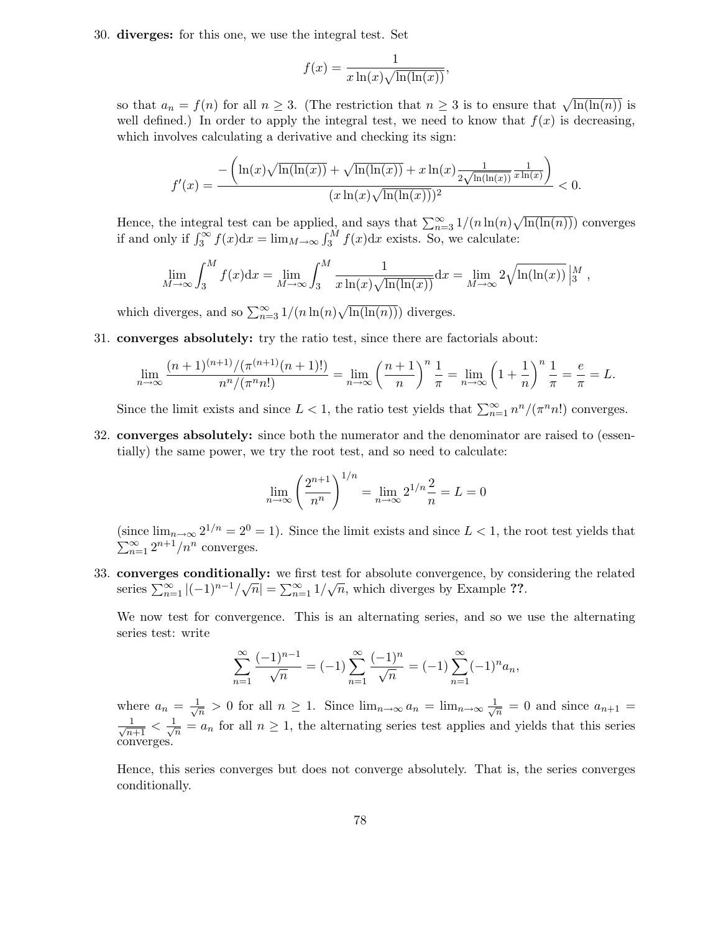30. diverges: for this one, we use the integral test. Set

$$
f(x) = \frac{1}{x \ln(x) \sqrt{\ln(\ln(x))}}
$$

,

so that  $a_n = f(n)$  for all  $n \geq 3$ . (The restriction that  $n \geq 3$  is to ensure that  $\sqrt{\ln(\ln(n))}$  is well defined.) In order to apply the integral test, we need to know that  $f(x)$  is decreasing, which involves calculating a derivative and checking its sign:

$$
f'(x) = \frac{-\left(\ln(x)\sqrt{\ln(\ln(x))} + \sqrt{\ln(\ln(x))} + x\ln(x)\frac{1}{2\sqrt{\ln(\ln(x))}}\frac{1}{x\ln(x)}\right)}{(x\ln(x)\sqrt{\ln(\ln(x))})^2} < 0.
$$

Hence, the integral test can be applied, and says that  $\sum_{n=3}^{\infty} 1/(n \ln(n) \sqrt{\ln(\ln(n))})$  converges if and only if  $\int_3^\infty f(x)dx = \lim_{M \to \infty} \int_3^M f(x)dx$  exists. So, we calculate:

$$
\lim_{M \to \infty} \int_3^M f(x) dx = \lim_{M \to \infty} \int_3^M \frac{1}{x \ln(x) \sqrt{\ln(\ln(x))}} dx = \lim_{M \to \infty} 2 \sqrt{\ln(\ln(x))} \Big|_3^M,
$$

which diverges, and so  $\sum_{n=3}^{\infty} 1/(n \ln(n) \sqrt{\ln(\ln(n))})$  diverges.

31. converges absolutely: try the ratio test, since there are factorials about:

$$
\lim_{n \to \infty} \frac{(n+1)^{(n+1)} / (\pi^{(n+1)}(n+1)!)}{n^n / (\pi^n n!)} = \lim_{n \to \infty} \left(\frac{n+1}{n}\right)^n \frac{1}{\pi} = \lim_{n \to \infty} \left(1 + \frac{1}{n}\right)^n \frac{1}{\pi} = \frac{e}{\pi} = L.
$$

Since the limit exists and since  $L < 1$ , the ratio test yields that  $\sum_{n=1}^{\infty} n^n/(\pi^n n!)$  converges.

32. converges absolutely: since both the numerator and the denominator are raised to (essentially) the same power, we try the root test, and so need to calculate:

$$
\lim_{n \to \infty} \left( \frac{2^{n+1}}{n^n} \right)^{1/n} = \lim_{n \to \infty} 2^{1/n} \frac{2}{n} = L = 0
$$

(since  $\lim_{n\to\infty} 2^{1/n} = 2^0 = 1$ ). Since the limit exists and since  $L < 1$ , the root test yields that  $\sum_{n=1}^{\infty} 2^{n+1}/n^n$  converges.

33. converges conditionally: we first test for absolute convergence, by considering the related series  $\sum_{n=1}^{\infty} |(-1)^{n-1}/\sqrt{n}| = \sum_{n=1}^{\infty} 1/\sqrt{n}$ , which diverges by Example ??.

We now test for convergence. This is an alternating series, and so we use the alternating series test: write

$$
\sum_{n=1}^{\infty} \frac{(-1)^{n-1}}{\sqrt{n}} = (-1) \sum_{n=1}^{\infty} \frac{(-1)^n}{\sqrt{n}} = (-1) \sum_{n=1}^{\infty} (-1)^n a_n,
$$

where  $a_n = \frac{1}{\sqrt{2}}$  $\frac{1}{n} > 0$  for all  $n \geq 1$ . Since  $\lim_{n \to \infty} a_n = \lim_{n \to \infty} \frac{1}{\sqrt{n}}$  $\frac{1}{n} = 0$  and since  $a_{n+1} =$  $\frac{1}{\sqrt{n+1}} < \frac{1}{\sqrt{n}}$  $\frac{1}{n} = a_n$  for all  $n \geq 1$ , the alternating series test applies and yields that this series converges.

Hence, this series converges but does not converge absolutely. That is, the series converges conditionally.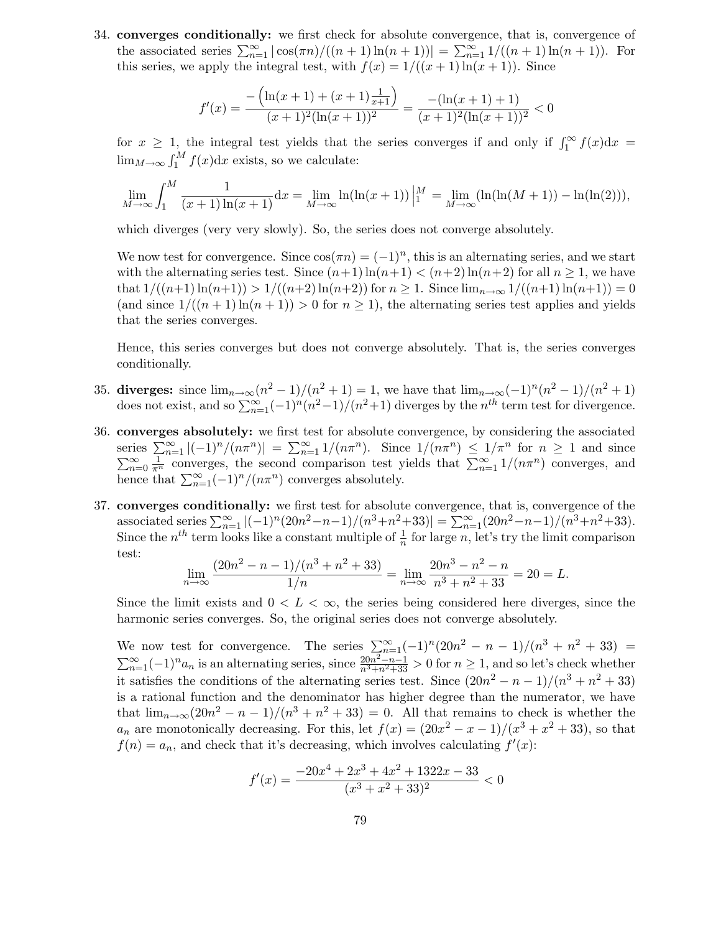34. converges conditionally: we first check for absolute convergence, that is, convergence of the associated series  $\sum_{n=1}^{\infty} |\cos(\pi n)/((n+1)\ln(n+1))| = \sum_{n=1}^{\infty} 1/((n+1)\ln(n+1)).$  For this series, we apply the integral test, with  $f(x) = 1/((x + 1)\ln(x + 1))$ . Since

$$
f'(x) = \frac{-\left(\ln(x+1) + (x+1)\frac{1}{x+1}\right)}{(x+1)^2(\ln(x+1))^2} = \frac{-(\ln(x+1)+1)}{(x+1)^2(\ln(x+1))^2} < 0
$$

for  $x \geq 1$ , the integral test yields that the series converges if and only if  $\int_1^{\infty} f(x) dx =$  $\lim_{M\to\infty} \int_1^M f(x) dx$  exists, so we calculate:

$$
\lim_{M \to \infty} \int_1^M \frac{1}{(x+1)\ln(x+1)} dx = \lim_{M \to \infty} \ln(\ln(x+1)) \Big|_1^M = \lim_{M \to \infty} (\ln(\ln(M+1)) - \ln(\ln(2))),
$$

which diverges (very very slowly). So, the series does not converge absolutely.

We now test for convergence. Since  $\cos(\pi n) = (-1)^n$ , this is an alternating series, and we start with the alternating series test. Since  $(n+1)\ln(n+1) < (n+2)\ln(n+2)$  for all  $n \geq 1$ , we have that  $1/((n+1)\ln(n+1)) > 1/((n+2)\ln(n+2))$  for  $n \geq 1$ . Since  $\lim_{n\to\infty} 1/((n+1)\ln(n+1)) = 0$ (and since  $1/((n+1)\ln(n+1)) > 0$  for  $n \ge 1$ ), the alternating series test applies and yields that the series converges.

Hence, this series converges but does not converge absolutely. That is, the series converges conditionally.

- 35. diverges: since  $\lim_{n\to\infty} (n^2-1)/(n^2+1) = 1$ , we have that  $\lim_{n\to\infty} (-1)^n (n^2-1)/(n^2+1)$ does not exist, and so  $\sum_{n=1}^{\infty}(-1)^n(n^2-1)/(n^2+1)$  diverges by the  $n^{th}$  term test for divergence.
- 36. converges absolutely: we first test for absolute convergence, by considering the associated series  $\sum_{n=1}^{\infty} |(-1)^n/(n\pi^n)| = \sum_{n=1}^{\infty} 1/(n\pi^n)$ . Since  $1/(n\pi^n) \le 1/\pi^n$  for  $n \ge 1$  and since  $\sum_{n=0}^{\infty} \frac{1}{\pi^n}$  converges, the second comparison test yields that  $\sum_{n=1}^{\infty} 1/(n\pi^n)$  converges, and hence that  $\sum_{n=1}^{\infty}(-1)^n/(n\pi^n)$  converges absolutely.
- 37. converges conditionally: we first test for absolute convergence, that is, convergence of the associated series  $\sum_{n=1}^{\infty} |(-1)^n (20n^2 - n - 1)/(n^3 + n^2 + 33)| = \sum_{n=1}^{\infty} (20n^2 - n - 1)/(n^3 + n^2 + 33).$ Since the  $n^{th}$  term looks like a constant multiple of  $\frac{1}{n}$  for large n, let's try the limit comparison test:

$$
\lim_{n \to \infty} \frac{(20n^2 - n - 1)/(n^3 + n^2 + 33)}{1/n} = \lim_{n \to \infty} \frac{20n^3 - n^2 - n}{n^3 + n^2 + 33} = 20 = L.
$$

Since the limit exists and  $0 < L < \infty$ , the series being considered here diverges, since the harmonic series converges. So, the original series does not converge absolutely.

We now test for convergence. The series  $\sum_{n=1}^{\infty}(-1)^n(20n^2 - n - 1)/(n^3 + n^2 + 33)$  $\sum_{n=1}^{\infty}(-1)^n a_n$  is an alternating series, since  $\frac{20n^2-n-1}{n^3+n^2+33} > 0$  for  $n \ge 1$ , and so let's check whether it satisfies the conditions of the alternating series test. Since  $(20n^2 - n - 1)/(n^3 + n^2 + 33)$ is a rational function and the denominator has higher degree than the numerator, we have that  $\lim_{n\to\infty} (20n^2 - n - 1)/(n^3 + n^2 + 33) = 0$ . All that remains to check is whether the  $a_n$  are monotonically decreasing. For this, let  $f(x) = (20x^2 - x - 1)/(x^3 + x^2 + 33)$ , so that  $f(n) = a_n$ , and check that it's decreasing, which involves calculating  $f'(x)$ :

$$
f'(x) = \frac{-20x^4 + 2x^3 + 4x^2 + 1322x - 33}{(x^3 + x^2 + 33)^2} < 0
$$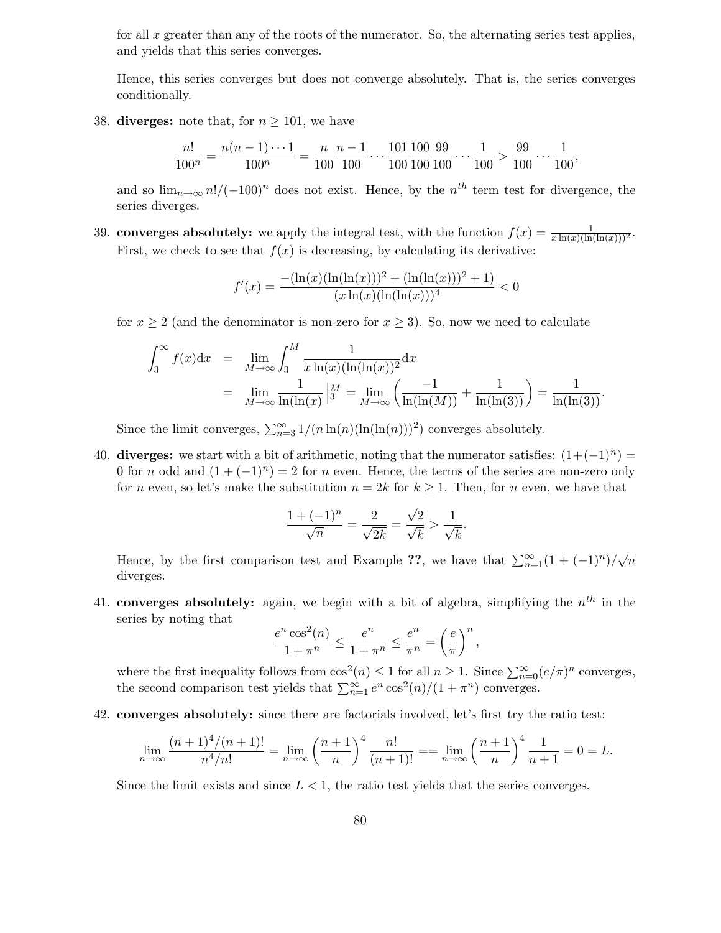for all x greater than any of the roots of the numerator. So, the alternating series test applies, and yields that this series converges.

Hence, this series converges but does not converge absolutely. That is, the series converges conditionally.

38. diverges: note that, for  $n \geq 101$ , we have

$$
\frac{n!}{100^n} = \frac{n(n-1)\cdots 1}{100^n} = \frac{n}{100} \cdot \frac{n-1}{100} \cdots \frac{101}{100} \cdot \frac{100}{100} \cdot \frac{99}{100} \cdots \frac{1}{100} > \frac{99}{100} \cdots \frac{1}{100},
$$

and so  $\lim_{n\to\infty} n!/(-100)^n$  does not exist. Hence, by the  $n^{th}$  term test for divergence, the series diverges.

39. converges absolutely: we apply the integral test, with the function  $f(x) = \frac{1}{x \ln(x)(\ln(\ln(x)))^2}$ . First, we check to see that  $f(x)$  is decreasing, by calculating its derivative:

$$
f'(x) = \frac{-\left(\ln(x)(\ln(\ln(x)))^2 + (\ln(\ln(x)))^2 + 1\right)}{(x \ln(x)(\ln(\ln(x)))^4} < 0
$$

for  $x \ge 2$  (and the denominator is non-zero for  $x \ge 3$ ). So, now we need to calculate

$$
\int_3^{\infty} f(x) dx = \lim_{M \to \infty} \int_3^M \frac{1}{x \ln(x) (\ln(\ln(x))^2} dx
$$
  
= 
$$
\lim_{M \to \infty} \frac{1}{\ln(\ln(x))} \Big|_3^M = \lim_{M \to \infty} \left( \frac{-1}{\ln(\ln(M))} + \frac{1}{\ln(\ln(3))} \right) = \frac{1}{\ln(\ln(3))}.
$$

Since the limit converges,  $\sum_{n=3}^{\infty} 1/(n \ln(n)(\ln(\ln(n)))^2)$  converges absolutely.

40. diverges: we start with a bit of arithmetic, noting that the numerator satisfies:  $(1+(-1)^n)$ 0 for *n* odd and  $(1 + (-1)^n) = 2$  for *n* even. Hence, the terms of the series are non-zero only for n even, so let's make the substitution  $n = 2k$  for  $k \ge 1$ . Then, for n even, we have that

$$
\frac{1 + (-1)^n}{\sqrt{n}} = \frac{2}{\sqrt{2k}} = \frac{\sqrt{2}}{\sqrt{k}} > \frac{1}{\sqrt{k}}.
$$

Hence, by the first comparison test and Example ??, we have that  $\sum_{n=1}^{\infty} (1 + (-1)^n)/\sqrt{n}$ diverges.

41. converges absolutely: again, we begin with a bit of algebra, simplifying the  $n^{th}$  in the series by noting that

$$
\frac{e^n \cos^2(n)}{1+\pi^n} \le \frac{e^n}{1+\pi^n} \le \frac{e^n}{\pi^n} = \left(\frac{e}{\pi}\right)^n,
$$

where the first inequality follows from  $\cos^2(n) \leq 1$  for all  $n \geq 1$ . Since  $\sum_{n=0}^{\infty} (e/\pi)^n$  converges, the second comparison test yields that  $\sum_{n=1}^{\infty} e^n \cos^2(n)/(1 + \pi^n)$  converges.

42. converges absolutely: since there are factorials involved, let's first try the ratio test:

$$
\lim_{n \to \infty} \frac{(n+1)^4/(n+1)!}{n^4/n!} = \lim_{n \to \infty} \left(\frac{n+1}{n}\right)^4 \frac{n!}{(n+1)!} = \lim_{n \to \infty} \left(\frac{n+1}{n}\right)^4 \frac{1}{n+1} = 0 = L.
$$

Since the limit exists and since  $L < 1$ , the ratio test yields that the series converges.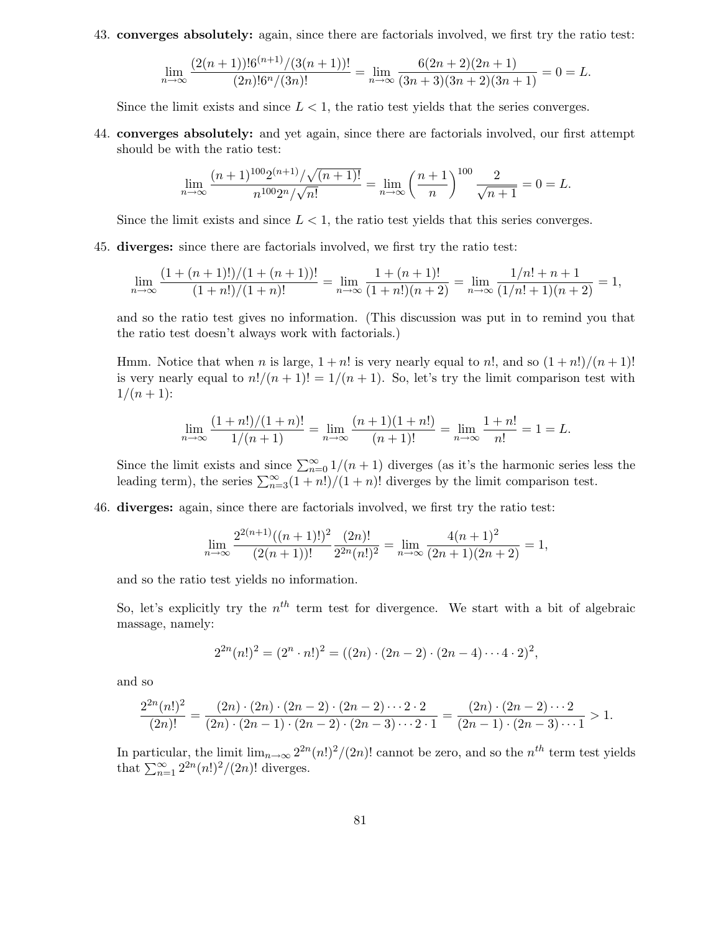43. converges absolutely: again, since there are factorials involved, we first try the ratio test:

$$
\lim_{n \to \infty} \frac{(2(n+1))! 6^{(n+1)}/(3(n+1))!}{(2n)! 6^n/(3n)!} = \lim_{n \to \infty} \frac{6(2n+2)(2n+1)}{(3n+3)(3n+2)(3n+1)} = 0 = L.
$$

Since the limit exists and since  $L < 1$ , the ratio test yields that the series converges.

44. converges absolutely: and yet again, since there are factorials involved, our first attempt should be with the ratio test:

$$
\lim_{n \to \infty} \frac{(n+1)^{100} 2^{(n+1)} / \sqrt{(n+1)!}}{n^{100} 2^n / \sqrt{n!}} = \lim_{n \to \infty} \left(\frac{n+1}{n}\right)^{100} \frac{2}{\sqrt{n+1}} = 0 = L.
$$

Since the limit exists and since  $L < 1$ , the ratio test yields that this series converges.

45. diverges: since there are factorials involved, we first try the ratio test:

$$
\lim_{n \to \infty} \frac{(1 + (n+1)!)/(1 + (n+1))!}{(1 + n!)/(1 + n)!} = \lim_{n \to \infty} \frac{1 + (n+1)!}{(1 + n!)(n+2)} = \lim_{n \to \infty} \frac{1/n! + n + 1}{(1/n! + 1)(n+2)} = 1,
$$

and so the ratio test gives no information. (This discussion was put in to remind you that the ratio test doesn't always work with factorials.)

Hmm. Notice that when n is large,  $1 + n!$  is very nearly equal to n!, and so  $(1 + n!)/(n + 1)!$ is very nearly equal to  $n!/(n+1)! = 1/(n+1)$ . So, let's try the limit comparison test with  $1/(n+1)$ :

$$
\lim_{n \to \infty} \frac{(1+n!)/(1+n)!}{1/(n+1)} = \lim_{n \to \infty} \frac{(n+1)(1+n!)}{(n+1)!} = \lim_{n \to \infty} \frac{1+n!}{n!} = 1 = L.
$$

Since the limit exists and since  $\sum_{n=0}^{\infty} 1/(n+1)$  diverges (as it's the harmonic series less the leading term), the series  $\sum_{n=3}^{\infty} (1+n!)/(1+n)!$  diverges by the limit comparison test.

46. diverges: again, since there are factorials involved, we first try the ratio test:

$$
\lim_{n \to \infty} \frac{2^{2(n+1)}((n+1)!)^2}{(2(n+1))!} \frac{(2n)!}{2^{2n}(n!)^2} = \lim_{n \to \infty} \frac{4(n+1)^2}{(2n+1)(2n+2)} = 1,
$$

and so the ratio test yields no information.

So, let's explicitly try the  $n<sup>th</sup>$  term test for divergence. We start with a bit of algebraic massage, namely:

$$
2^{2n}(n!)^2 = (2^n \cdot n!)^2 = ((2n) \cdot (2n-2) \cdot (2n-4) \cdots 4 \cdot 2)^2,
$$

and so

$$
\frac{2^{2n}(n!)^2}{(2n)!} = \frac{(2n) \cdot (2n) \cdot (2n-2) \cdot (2n-2) \cdot \cdot \cdot 2 \cdot 2}{(2n) \cdot (2n-1) \cdot (2n-2) \cdot (2n-3) \cdot \cdot \cdot 2 \cdot 1} = \frac{(2n) \cdot (2n-2) \cdot \cdot \cdot 2}{(2n-1) \cdot (2n-3) \cdot \cdot \cdot 1} > 1.
$$

In particular, the limit  $\lim_{n\to\infty} 2^{2n} (n!)^2/(2n)!$  cannot be zero, and so the  $n^{th}$  term test yields that  $\sum_{n=1}^{\infty} 2^{2n} (n!)^2 / (2n)!$  diverges.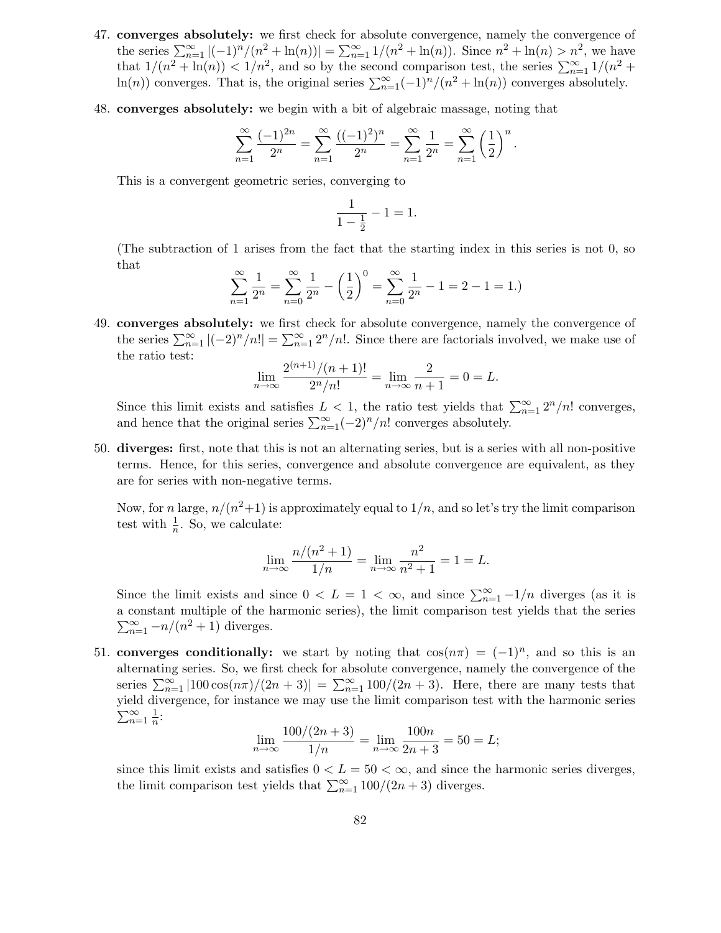- 47. converges absolutely: we first check for absolute convergence, namely the convergence of the series  $\sum_{n=1}^{\infty} |(-1)^n/(n^2 + \ln(n))| = \sum_{n=1}^{\infty} 1/(n^2 + \ln(n))$ . Since  $n^2 + \ln(n) > n^2$ , we have that  $1/(n^2 + \ln(n)) < 1/n^2$ , and so by the second comparison test, the series  $\sum_{n=1}^{\infty} 1/(n^2 +$ ln(n)) converges. That is, the original series  $\sum_{n=1}^{\infty}(-1)^n/(n^2 + \ln(n))$  converges absolutely.
- 48. converges absolutely: we begin with a bit of algebraic massage, noting that

$$
\sum_{n=1}^{\infty} \frac{(-1)^{2n}}{2^n} = \sum_{n=1}^{\infty} \frac{((-1)^2)^n}{2^n} = \sum_{n=1}^{\infty} \frac{1}{2^n} = \sum_{n=1}^{\infty} \left(\frac{1}{2}\right)^n.
$$

This is a convergent geometric series, converging to

$$
\frac{1}{1 - \frac{1}{2}} - 1 = 1.
$$

(The subtraction of 1 arises from the fact that the starting index in this series is not 0, so that

$$
\sum_{n=1}^{\infty} \frac{1}{2^n} = \sum_{n=0}^{\infty} \frac{1}{2^n} - \left(\frac{1}{2}\right)^0 = \sum_{n=0}^{\infty} \frac{1}{2^n} - 1 = 2 - 1 = 1.
$$

49. converges absolutely: we first check for absolute convergence, namely the convergence of the series  $\sum_{n=1}^{\infty} |(-2)^n/n!| = \sum_{n=1}^{\infty} 2^n/n!$ . Since there are factorials involved, we make use of the ratio test:

$$
\lim_{n \to \infty} \frac{2^{(n+1)}/(n+1)!}{2^n/n!} = \lim_{n \to \infty} \frac{2}{n+1} = 0 = L.
$$

Since this limit exists and satisfies  $L < 1$ , the ratio test yields that  $\sum_{n=1}^{\infty} 2^n/n!$  converges, and hence that the original series  $\sum_{n=1}^{\infty}(-2)^n/n!$  converges absolutely.

50. diverges: first, note that this is not an alternating series, but is a series with all non-positive terms. Hence, for this series, convergence and absolute convergence are equivalent, as they are for series with non-negative terms.

Now, for n large,  $n/(n^2+1)$  is approximately equal to  $1/n$ , and so let's try the limit comparison test with  $\frac{1}{n}$ . So, we calculate:

$$
\lim_{n \to \infty} \frac{n/(n^2 + 1)}{1/n} = \lim_{n \to \infty} \frac{n^2}{n^2 + 1} = 1 = L.
$$

Since the limit exists and since  $0 < L = 1 < \infty$ , and since  $\sum_{n=1}^{\infty} -1/n$  diverges (as it is a constant multiple of the harmonic series), the limit comparison test yields that the series  $\sum_{n=1}^{\infty}$  -n/(n<sup>2</sup> + 1) diverges.

51. converges conditionally: we start by noting that  $cos(n\pi) = (-1)^n$ , and so this is an alternating series. So, we first check for absolute convergence, namely the convergence of the series  $\sum_{n=1}^{\infty} |100 \cos(n\pi)/(2n+3)| = \sum_{n=1}^{\infty} 100/(2n+3)$ . Here, there are many tests that yield divergence, for instance we may use the limit comparison test with the harmonic series  $\sum_{n=1}^{\infty} \frac{1}{n}$  $\frac{1}{n}$ :

$$
\lim_{n \to \infty} \frac{100/(2n+3)}{1/n} = \lim_{n \to \infty} \frac{100n}{2n+3} = 50 = L;
$$

since this limit exists and satisfies  $0 < L = 50 < \infty$ , and since the harmonic series diverges, the limit comparison test yields that  $\sum_{n=1}^{\infty} 100/(2n+3)$  diverges.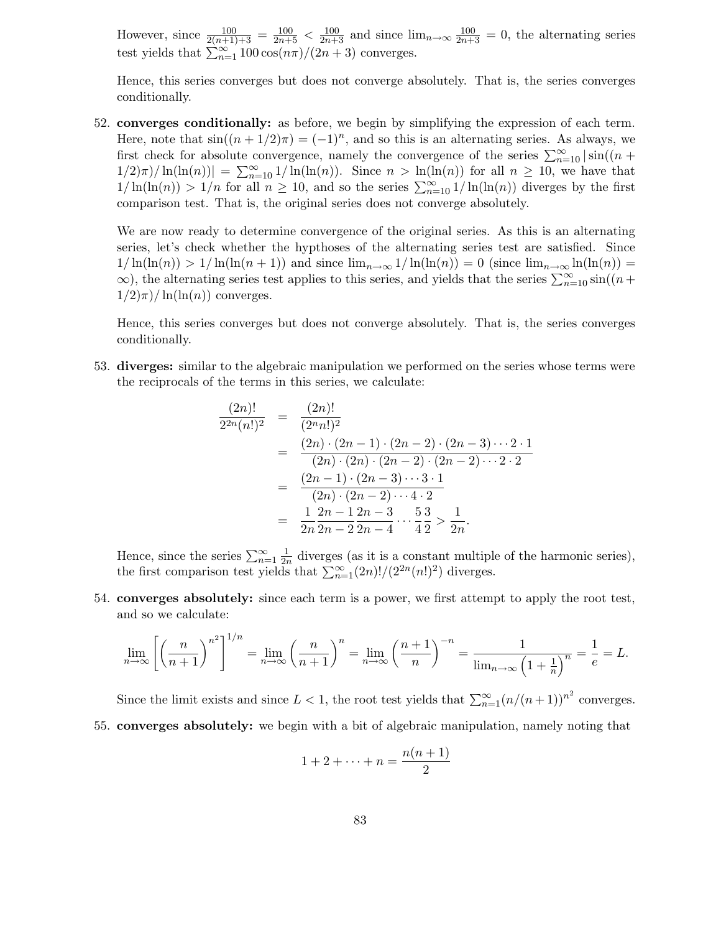However, since  $\frac{100}{2(n+1)+3} = \frac{100}{2n+5} < \frac{100}{2n+3}$  and since  $\lim_{n\to\infty} \frac{100}{2n+3} = 0$ , the alternating series test yields that  $\sum_{n=1}^{\infty} 100 \cos(n\pi)/(2n+3)$  converges.

Hence, this series converges but does not converge absolutely. That is, the series converges conditionally.

52. converges conditionally: as before, we begin by simplifying the expression of each term. Here, note that  $sin((n + 1/2)\pi) = (-1)^n$ , and so this is an alternating series. As always, we first check for absolute convergence, namely the convergence of the series  $\sum_{n=10}^{\infty} |\sin((n +$  $\frac{1}{2}\pi$ / $\ln(\ln(n))$  =  $\sum_{n=10}^{\infty} \frac{1}{\ln(\ln(n))}$ . Since  $n > \ln(\ln(n))$  for all  $n \ge 10$ , we have that  $1/\ln(\ln(n)) > 1/n$  for all  $n \ge 10$ , and so the series  $\sum_{n=10}^{\infty} 1/\ln(\ln(n))$  diverges by the first comparison test. That is, the original series does not converge absolutely.

We are now ready to determine convergence of the original series. As this is an alternating series, let's check whether the hypthoses of the alternating series test are satisfied. Since  $1/\ln(\ln(n)) > 1/\ln(\ln(n+1))$  and since  $\lim_{n\to\infty} 1/\ln(\ln(n)) = 0$  (since  $\lim_{n\to\infty} \ln(\ln(n)) =$  $\infty$ ), the alternating series test applies to this series, and yields that the series  $\sum_{n=10}^{\infty} \sin((n +$  $1/2\pi$ / $\ln(\ln(n))$  converges.

Hence, this series converges but does not converge absolutely. That is, the series converges conditionally.

53. diverges: similar to the algebraic manipulation we performed on the series whose terms were the reciprocals of the terms in this series, we calculate:

$$
\frac{(2n)!}{2^{2n}(n!)^2} = \frac{(2n)!}{(2^n n!)^2}
$$
  
= 
$$
\frac{(2n) \cdot (2n-1) \cdot (2n-2) \cdot (2n-3) \cdots 2 \cdot 1}{(2n) \cdot (2n) \cdot (2n-2) \cdot (2n-2) \cdots 2 \cdot 2}
$$
  
= 
$$
\frac{(2n-1) \cdot (2n-3) \cdots 3 \cdot 1}{(2n) \cdot (2n-2) \cdots 4 \cdot 2}
$$
  
= 
$$
\frac{1}{2n} \frac{2n-1}{2n-2} \frac{2n-3}{2n-4} \cdots \frac{5}{4} \frac{3}{2} > \frac{1}{2n}.
$$

Hence, since the series  $\sum_{n=1}^{\infty} \frac{1}{2n}$  $\frac{1}{2n}$  diverges (as it is a constant multiple of the harmonic series), the first comparison test yields that  $\sum_{n=1}^{\infty} (2n)!/(2^{2n}(n!)^2)$  diverges.

54. converges absolutely: since each term is a power, we first attempt to apply the root test, and so we calculate:

$$
\lim_{n \to \infty} \left[ \left( \frac{n}{n+1} \right)^{n^2} \right]^{1/n} = \lim_{n \to \infty} \left( \frac{n}{n+1} \right)^n = \lim_{n \to \infty} \left( \frac{n+1}{n} \right)^{-n} = \frac{1}{\lim_{n \to \infty} \left( 1 + \frac{1}{n} \right)^n} = \frac{1}{e} = L.
$$

Since the limit exists and since  $L < 1$ , the root test yields that  $\sum_{n=1}^{\infty} (n/(n+1))^{n^2}$  converges.

55. converges absolutely: we begin with a bit of algebraic manipulation, namely noting that

$$
1+2+\cdots+n=\frac{n(n+1)}{2}
$$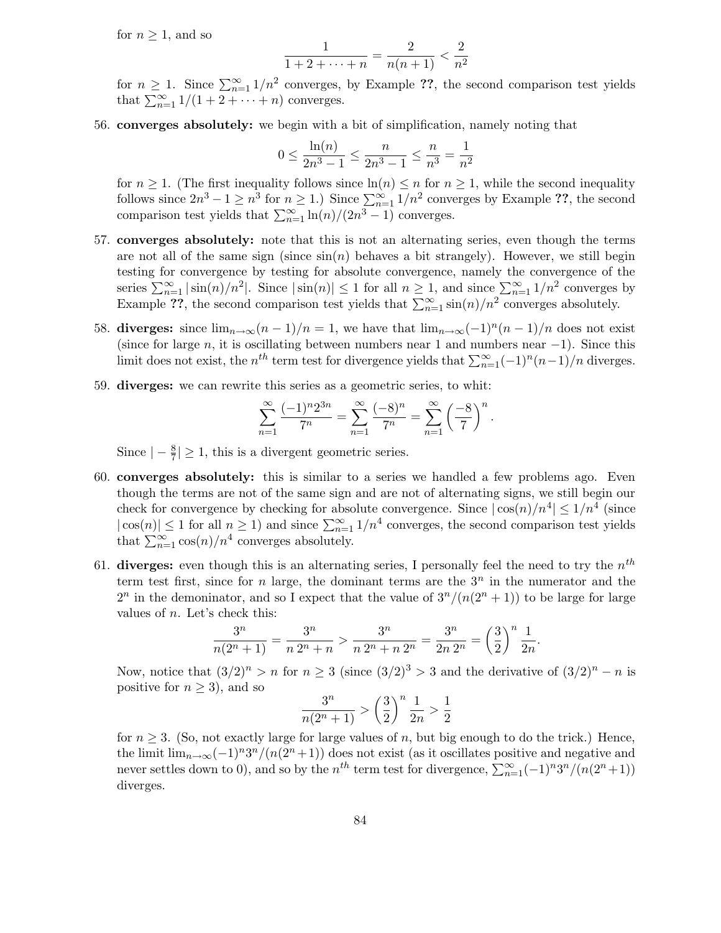for  $n \geq 1$ , and so

$$
\frac{1}{1+2+\cdots+n} = \frac{2}{n(n+1)} < \frac{2}{n^2}
$$

for  $n \geq 1$ . Since  $\sum_{n=1}^{\infty} 1/n^2$  converges, by Example ??, the second comparison test yields that  $\sum_{n=1}^{\infty} 1/(1+2+\cdots+n)$  converges.

56. converges absolutely: we begin with a bit of simplification, namely noting that

$$
0 \le \frac{\ln(n)}{2n^3 - 1} \le \frac{n}{2n^3 - 1} \le \frac{n}{n^3} = \frac{1}{n^2}
$$

for  $n \geq 1$ . (The first inequality follows since  $\ln(n) \leq n$  for  $n \geq 1$ , while the second inequality follows since  $2n^3 - 1 \geq n^3$  for  $n \geq 1$ .) Since  $\sum_{n=1}^{\infty} 1/n^2$  converges by Example ??, the second comparison test yields that  $\sum_{n=1}^{\infty} \ln(n)/(2n^3 - 1)$  converges.

- 57. converges absolutely: note that this is not an alternating series, even though the terms are not all of the same sign (since  $sin(n)$  behaves a bit strangely). However, we still begin testing for convergence by testing for absolute convergence, namely the convergence of the series  $\sum_{n=1}^{\infty} |\sin(n)/n^2|$ . Since  $|\sin(n)| \leq 1$  for all  $n \geq 1$ , and since  $\sum_{n=1}^{\infty} 1/n^2$  converges by Example ??, the second comparison test yields that  $\sum_{n=1}^{\infty} \sin(n)/n^2$  converges absolutely.
- 58. diverges: since  $\lim_{n\to\infty}$  $\frac{(n-1)}{n} = 1$ , we have that  $\lim_{n\to\infty}$  $\frac{(-1)^n(n-1)}{n}$  does not exist (since for large n, it is oscillating between numbers near 1 and numbers near  $-1$ ). Since this limit does not exist, the  $n^{th}$  term test for divergence yields that  $\sum_{n=1}^{\infty}(-1)^n(n-1)/n$  diverges.
- 59. diverges: we can rewrite this series as a geometric series, to whit:

$$
\sum_{n=1}^{\infty} \frac{(-1)^n 2^{3n}}{7^n} = \sum_{n=1}^{\infty} \frac{(-8)^n}{7^n} = \sum_{n=1}^{\infty} \left(\frac{-8}{7}\right)^n.
$$

Since  $\vert - \frac{8}{7}$  $\frac{8}{7}$   $\geq$  1, this is a divergent geometric series.

- 60. converges absolutely: this is similar to a series we handled a few problems ago. Even though the terms are not of the same sign and are not of alternating signs, we still begin our check for convergence by checking for absolute convergence. Since  $|\cos(n)/n^4| \leq 1/n^4$  (since  $|\cos(n)| \leq 1$  for all  $n \geq 1$ ) and since  $\sum_{n=1}^{\infty} 1/n^4$  converges, the second comparison test yields that  $\sum_{n=1}^{\infty} \cos(n)/n^4$  converges absolutely.
- 61. diverges: even though this is an alternating series, I personally feel the need to try the  $n^{th}$ term test first, since for n large, the dominant terms are the  $3<sup>n</sup>$  in the numerator and the  $2^n$  in the demoninator, and so I expect that the value of  $3^n/(n(2^n+1))$  to be large for large values of  $n$ . Let's check this:

$$
\frac{3^n}{n(2^n+1)} = \frac{3^n}{n \cdot 2^n + n} > \frac{3^n}{n \cdot 2^n + n \cdot 2^n} = \frac{3^n}{2n \cdot 2^n} = \left(\frac{3}{2}\right)^n \frac{1}{2n}.
$$

Now, notice that  $(3/2)^n > n$  for  $n \ge 3$  (since  $(3/2)^3 > 3$  and the derivative of  $(3/2)^n - n$  is positive for  $n \geq 3$ , and so

$$
\frac{3^n}{n(2^n+1)} > \left(\frac{3}{2}\right)^n \frac{1}{2n} > \frac{1}{2}
$$

for  $n \geq 3$ . (So, not exactly large for large values of n, but big enough to do the trick.) Hence, the limit  $\lim_{n\to\infty}(-1)^n3^n/(n(2^n+1))$  does not exist (as it oscillates positive and negative and never settles down to 0), and so by the  $n^{th}$  term test for divergence,  $\sum_{n=1}^{\infty}(-1)^{n}3^{n}/(n(2^{n}+1))$ diverges.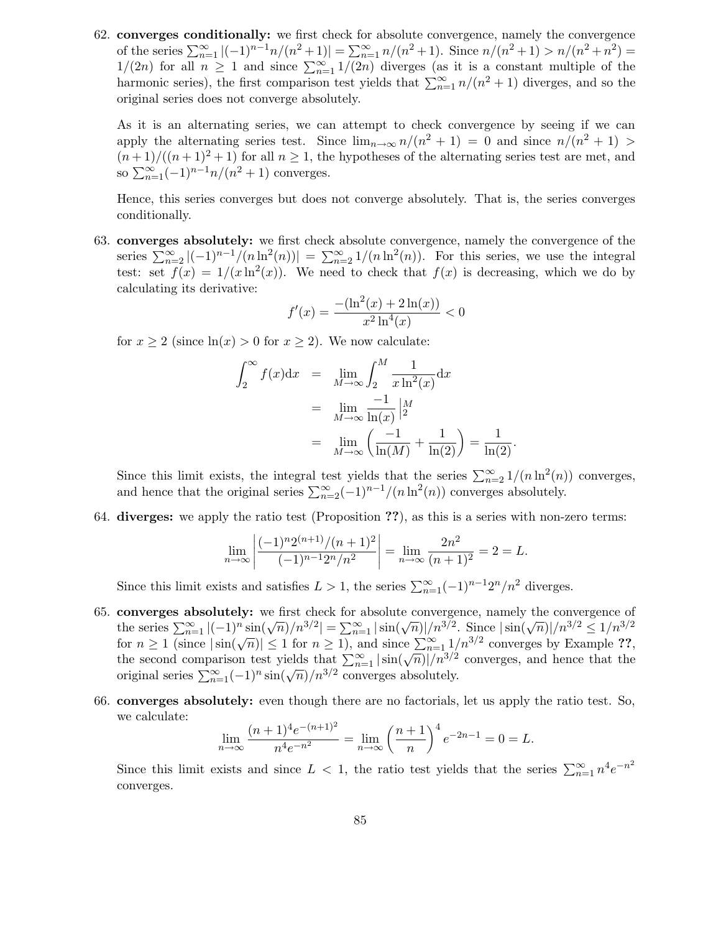62. converges conditionally: we first check for absolute convergence, namely the convergence of the series  $\sum_{n=1}^{\infty} |(-1)^{n-1}n/(n^2+1)| = \sum_{n=1}^{\infty} n/(n^2+1)$ . Since  $n/(n^2+1) > n/(n^2+n^2) =$  $1/(2n)$  for all  $n \geq 1$  and since  $\sum_{n=1}^{\infty} 1/(2n)$  diverges (as it is a constant multiple of the harmonic series), the first comparison test yields that  $\sum_{n=1}^{\infty} n/(n^2+1)$  diverges, and so the original series does not converge absolutely.

As it is an alternating series, we can attempt to check convergence by seeing if we can apply the alternating series test. Since  $\lim_{n\to\infty} n/(n^2+1) = 0$  and since  $n/(n^2+1) >$  $(n+1)/((n+1)^2+1)$  for all  $n\geq 1$ , the hypotheses of the alternating series test are met, and so  $\sum_{n=1}^{\infty} (-1)^{n-1} n/(n^2+1)$  converges.

Hence, this series converges but does not converge absolutely. That is, the series converges conditionally.

63. converges absolutely: we first check absolute convergence, namely the convergence of the series  $\sum_{n=2}^{\infty} |(-1)^{n-1}/(n \ln^2(n))| = \sum_{n=2}^{\infty} 1/(n \ln^2(n))$ . For this series, we use the integral test: set  $f(x) = 1/(x \ln^2(x))$ . We need to check that  $f(x)$  is decreasing, which we do by calculating its derivative:

$$
f'(x) = \frac{-(\ln^2(x) + 2\ln(x))}{x^2 \ln^4(x)} < 0
$$

for  $x \ge 2$  (since  $\ln(x) > 0$  for  $x \ge 2$ ). We now calculate:

$$
\int_2^{\infty} f(x) dx = \lim_{M \to \infty} \int_2^M \frac{1}{x \ln^2(x)} dx
$$
  
= 
$$
\lim_{M \to \infty} \frac{-1}{\ln(x)} \Big|_2^M
$$
  
= 
$$
\lim_{M \to \infty} \left( \frac{-1}{\ln(M)} + \frac{1}{\ln(2)} \right) = \frac{1}{\ln(2)}.
$$

Since this limit exists, the integral test yields that the series  $\sum_{n=2}^{\infty} 1/(n \ln^2(n))$  converges, and hence that the original series  $\sum_{n=2}^{\infty}(-1)^{n-1}/(n \ln^2(n))$  converges absolutely.

64. diverges: we apply the ratio test (Proposition ??), as this is a series with non-zero terms:

$$
\lim_{n \to \infty} \left| \frac{(-1)^n 2^{(n+1)}/(n+1)^2}{(-1)^{n-1} 2^n/n^2} \right| = \lim_{n \to \infty} \frac{2n^2}{(n+1)^2} = 2 = L.
$$

Since this limit exists and satisfies  $L > 1$ , the series  $\sum_{n=1}^{\infty} (-1)^{n-1} 2^n/n^2$  diverges.

- 65. converges absolutely: we first check for absolute convergence, namely the convergence of the series  $\sum_{n=1}^{\infty} |(-1)^n \sin(\sqrt{n})/n^{3/2}| = \sum_{n=1}^{\infty} |\sin(\sqrt{n})|/n^{3/2}$ . Since  $|\sin(\sqrt{n})|/n^{3/2} \le 1/n^{3/2}$ for  $n \geq 1$  (since  $|\sin(\sqrt{n})| \leq 1$  for  $n \geq 1$ ), and since  $\sum_{n=1}^{\infty} 1/n^{3/2}$  converges by Example ??, the second comparison test yields that  $\sum_{n=1}^{\infty} |\sin(\sqrt{n})|/n^{3/2}$  converges, and hence that the original series  $\sum_{n=1}^{\infty}(-1)^n \sin(\sqrt{n})/n^{3/2}$  converges absolutely.
- 66. converges absolutely: even though there are no factorials, let us apply the ratio test. So, we calculate:

$$
\lim_{n \to \infty} \frac{(n+1)^4 e^{-(n+1)^2}}{n^4 e^{-n^2}} = \lim_{n \to \infty} \left(\frac{n+1}{n}\right)^4 e^{-2n-1} = 0 = L.
$$

Since this limit exists and since  $L < 1$ , the ratio test yields that the series  $\sum_{n=1}^{\infty} n^4 e^{-n^2}$ converges.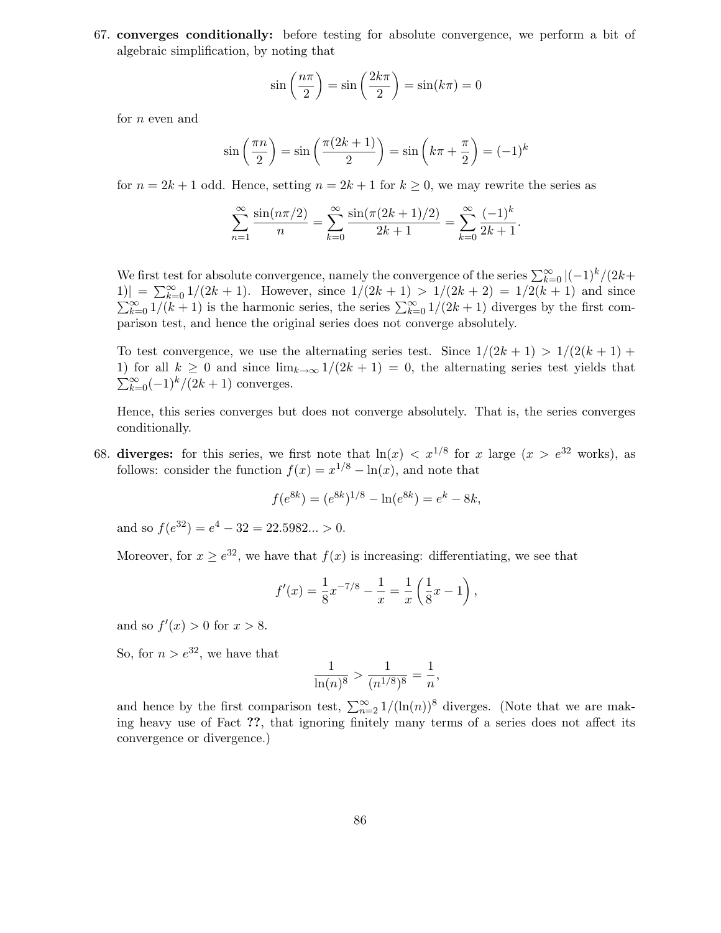67. converges conditionally: before testing for absolute convergence, we perform a bit of algebraic simplification, by noting that

$$
\sin\left(\frac{n\pi}{2}\right) = \sin\left(\frac{2k\pi}{2}\right) = \sin(k\pi) = 0
$$

for  $n$  even and

$$
\sin\left(\frac{\pi n}{2}\right) = \sin\left(\frac{\pi (2k+1)}{2}\right) = \sin\left(k\pi + \frac{\pi}{2}\right) = (-1)^k
$$

for  $n = 2k + 1$  odd. Hence, setting  $n = 2k + 1$  for  $k \geq 0$ , we may rewrite the series as

$$
\sum_{n=1}^{\infty} \frac{\sin(n\pi/2)}{n} = \sum_{k=0}^{\infty} \frac{\sin(\pi(2k+1)/2)}{2k+1} = \sum_{k=0}^{\infty} \frac{(-1)^k}{2k+1}.
$$

We first test for absolute convergence, namely the convergence of the series  $\sum_{k=0}^{\infty} |(-1)^k/(2k+1)$  $|1\rangle| = \sum_{k=0}^{\infty} 1/(2k+1)$ . However, since  $1/(2k+1) > 1/(2k+2) = 1/2(k+1)$  and since  $\sum_{k=0}^{\infty} 1/(k+1)$  is the harmonic series, the series  $\sum_{k=0}^{\infty} 1/(2k+1)$  diverges by the first comparison test, and hence the original series does not converge absolutely.

To test convergence, we use the alternating series test. Since  $1/(2k+1) > 1/(2(k+1) +$ 1) for all  $k \geq 0$  and since  $\lim_{k\to\infty} 1/(2k+1) = 0$ , the alternating series test yields that  $\sum_{k=0}^{\infty}(-1)^k/(2k+1)$  converges.

Hence, this series converges but does not converge absolutely. That is, the series converges conditionally.

68. diverges: for this series, we first note that  $\ln(x) < x^{1/8}$  for x large  $(x > e^{32}$  works), as follows: consider the function  $f(x) = x^{1/8} - \ln(x)$ , and note that

$$
f(e^{8k}) = (e^{8k})^{1/8} - \ln(e^{8k}) = e^k - 8k,
$$

and so  $f(e^{32}) = e^4 - 32 = 22.5982... > 0.$ 

Moreover, for  $x \ge e^{32}$ , we have that  $f(x)$  is increasing: differentiating, we see that

$$
f'(x) = \frac{1}{8}x^{-7/8} - \frac{1}{x} = \frac{1}{x} \left(\frac{1}{8}x - 1\right),
$$

and so  $f'(x) > 0$  for  $x > 8$ .

So, for  $n > e^{32}$ , we have that

$$
\frac{1}{\ln(n)^8} > \frac{1}{(n^{1/8})^8} = \frac{1}{n},
$$

and hence by the first comparison test,  $\sum_{n=2}^{\infty} 1/(\ln(n))^8$  diverges. (Note that we are making heavy use of Fact ??, that ignoring finitely many terms of a series does not affect its convergence or divergence.)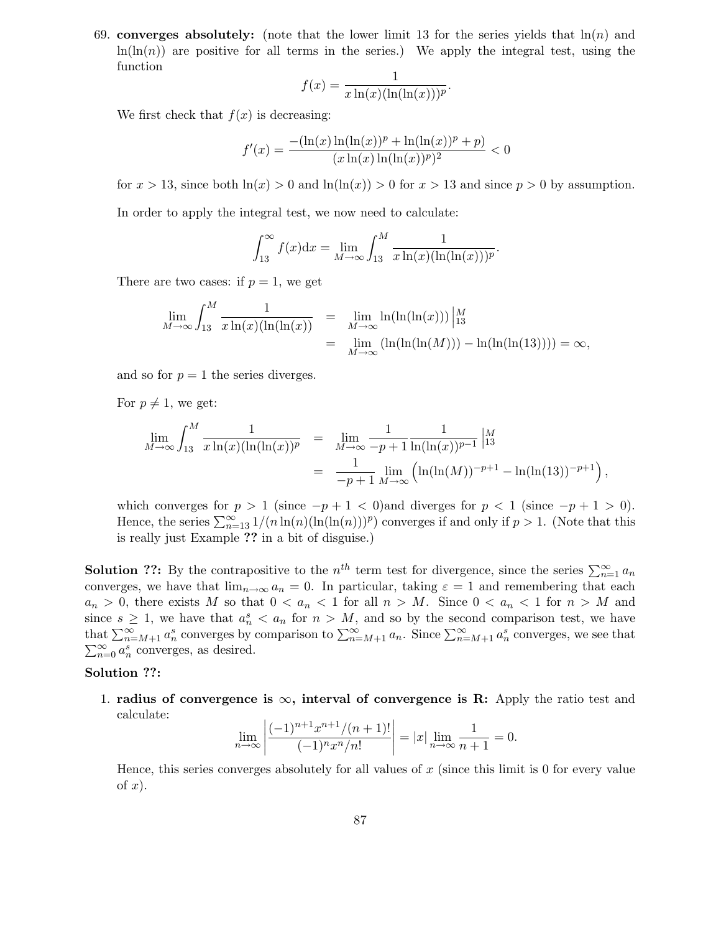69. converges absolutely: (note that the lower limit 13 for the series yields that  $\ln(n)$  and  $\ln(\ln(n))$  are positive for all terms in the series.) We apply the integral test, using the function

$$
f(x) = \frac{1}{x \ln(x)(\ln(\ln(x)))^p}
$$

.

We first check that  $f(x)$  is decreasing:

$$
f'(x) = \frac{- (\ln(x)\ln(\ln(x))^p + \ln(\ln(x))^p + p)}{(x\ln(x)\ln(\ln(x))^p)^2} < 0
$$

for  $x > 13$ , since both  $\ln(x) > 0$  and  $\ln(\ln(x)) > 0$  for  $x > 13$  and since  $p > 0$  by assumption.

In order to apply the integral test, we now need to calculate:

$$
\int_{13}^{\infty} f(x) dx = \lim_{M \to \infty} \int_{13}^{M} \frac{1}{x \ln(x) (\ln(\ln(x)))^p}.
$$

There are two cases: if  $p = 1$ , we get

$$
\lim_{M \to \infty} \int_{13}^{M} \frac{1}{x \ln(x) (\ln(\ln(x)))} = \lim_{M \to \infty} \ln(\ln(\ln(x))) \Big|_{13}^{M} = \lim_{M \to \infty} (\ln(\ln(\ln(M))) - \ln(\ln(\ln(13)))) = \infty,
$$

and so for  $p = 1$  the series diverges.

For  $p \neq 1$ , we get:

$$
\lim_{M \to \infty} \int_{13}^{M} \frac{1}{x \ln(x) (\ln(\ln(x))^{p}} = \lim_{M \to \infty} \frac{1}{-p+1} \frac{1}{\ln(\ln(x))^{p-1}} \Big|_{13}^{M}
$$
  
= 
$$
\frac{1}{-p+1} \lim_{M \to \infty} (\ln(\ln(M))^{-p+1} - \ln(\ln(13))^{-p+1}),
$$

which converges for  $p > 1$  (since  $-p+1 < 0$ ) and diverges for  $p < 1$  (since  $-p+1 > 0$ ). Hence, the series  $\sum_{n=13}^{\infty} 1/(n \ln(n)(\ln(\ln(n)))^p)$  converges if and only if  $p > 1$ . (Note that this is really just Example ?? in a bit of disguise.)

**Solution ??:** By the contrapositive to the  $n^{th}$  term test for divergence, since the series  $\sum_{n=1}^{\infty} a_n$ converges, we have that  $\lim_{n\to\infty} a_n = 0$ . In particular, taking  $\varepsilon = 1$  and remembering that each  $a_n > 0$ , there exists M so that  $0 < a_n < 1$  for all  $n > M$ . Since  $0 < a_n < 1$  for  $n > M$  and since  $s \geq 1$ , we have that  $a_n^s < a_n$  for  $n > M$ , and so by the second comparison test, we have that  $\sum_{n=M+1}^{\infty} a_n^s$  converges by comparison to  $\sum_{n=M+1}^{\infty} a_n$ . Since  $\sum_{n=M+1}^{\infty} a_n^s$  converges, we see that  $\sum_{n=0}^{\infty} a_n^s$  converges, as desired.

### Solution ??:

1. radius of convergence is  $\infty$ , interval of convergence is R: Apply the ratio test and calculate:

$$
\lim_{n \to \infty} \left| \frac{(-1)^{n+1} x^{n+1} / (n+1)!}{(-1)^n x^n / n!} \right| = |x| \lim_{n \to \infty} \frac{1}{n+1} = 0.
$$

Hence, this series converges absolutely for all values of  $x$  (since this limit is 0 for every value of  $x$ ).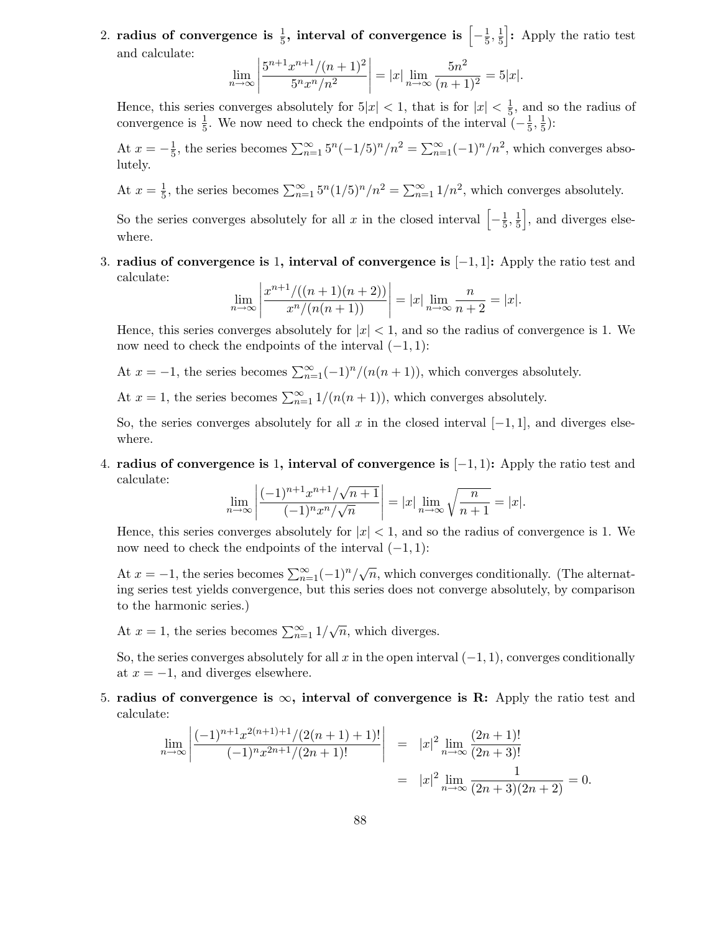2. radius of convergence is  $\frac{1}{5}$ , interval of convergence is  $\left[-\frac{1}{5}\right]$  $\frac{1}{5}, \frac{1}{5}$  $\frac{1}{5}$ : Apply the ratio test and calculate:

$$
\lim_{n \to \infty} \left| \frac{5^{n+1} x^{n+1} / (n+1)^2}{5^n x^n / n^2} \right| = |x| \lim_{n \to \infty} \frac{5n^2}{(n+1)^2} = 5|x|.
$$

Hence, this series converges absolutely for  $5|x| < 1$ , that is for  $|x| < \frac{1}{5}$  $\frac{1}{5}$ , and so the radius of convergence is  $\frac{1}{5}$ . We now need to check the endpoints of the interval  $\left(-\frac{1}{5}\right)$  $\frac{1}{5}, \frac{1}{5}$  $(\frac{1}{5})$ :

At  $x = -\frac{1}{5}$  $\frac{1}{5}$ , the series becomes  $\sum_{n=1}^{\infty} 5^n(-1/5)^n/n^2 = \sum_{n=1}^{\infty} (-1)^n/n^2$ , which converges absolutely.

At  $x=\frac{1}{5}$  $\frac{1}{5}$ , the series becomes  $\sum_{n=1}^{\infty} 5^n (1/5)^n/n^2 = \sum_{n=1}^{\infty} 1/n^2$ , which converges absolutely.

So the series converges absolutely for all x in the closed interval  $\left[-\frac{1}{5}\right]$  $\frac{1}{5}, \frac{1}{5}$  $\frac{1}{5}$ , and diverges elsewhere.

3. radius of convergence is 1, interval of convergence is  $[-1, 1]$ : Apply the ratio test and calculate:

$$
\lim_{n \to \infty} \left| \frac{x^{n+1}/((n+1)(n+2))}{x^n/(n(n+1))} \right| = |x| \lim_{n \to \infty} \frac{n}{n+2} = |x|.
$$

Hence, this series converges absolutely for  $|x| < 1$ , and so the radius of convergence is 1. We now need to check the endpoints of the interval  $(-1, 1)$ :

At  $x = -1$ , the series becomes  $\sum_{n=1}^{\infty} (-1)^n/(n(n+1))$ , which converges absolutely.

At  $x = 1$ , the series becomes  $\sum_{n=1}^{\infty} 1/(n(n+1))$ , which converges absolutely.

So, the series converges absolutely for all x in the closed interval  $[-1, 1]$ , and diverges elsewhere.

4. radius of convergence is 1, interval of convergence is  $[-1, 1)$ : Apply the ratio test and calculate:

$$
\lim_{n \to \infty} \left| \frac{(-1)^{n+1} x^{n+1} / \sqrt{n+1}}{(-1)^n x^n / \sqrt{n}} \right| = |x| \lim_{n \to \infty} \sqrt{\frac{n}{n+1}} = |x|.
$$

Hence, this series converges absolutely for  $|x| < 1$ , and so the radius of convergence is 1. We now need to check the endpoints of the interval  $(-1, 1)$ :

At  $x = -1$ , the series becomes  $\sum_{n=1}^{\infty} (-1)^n / \sqrt{n}$ , which converges conditionally. (The alternating series test yields convergence, but this series does not converge absolutely, by comparison to the harmonic series.)

At  $x = 1$ , the series becomes  $\sum_{n=1}^{\infty} 1/\sqrt{n}$ , which diverges.

So, the series converges absolutely for all x in the open interval  $(-1, 1)$ , converges conditionally at  $x = -1$ , and diverges elsewhere.

5. radius of convergence is  $\infty$ , interval of convergence is R: Apply the ratio test and calculate:

$$
\lim_{n \to \infty} \left| \frac{(-1)^{n+1} x^{2(n+1)+1} / (2(n+1)+1)!}{(-1)^n x^{2n+1} / (2n+1)!} \right| = |x|^2 \lim_{n \to \infty} \frac{(2n+1)!}{(2n+3)!}
$$
  
=  $|x|^2 \lim_{n \to \infty} \frac{1}{(2n+3)(2n+2)} = 0.$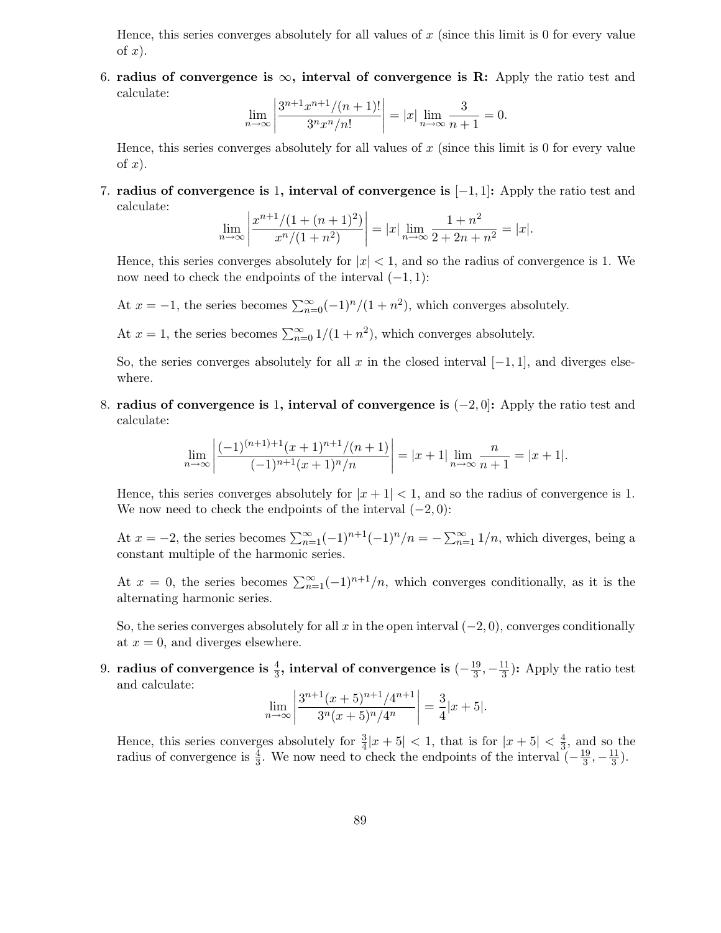Hence, this series converges absolutely for all values of  $x$  (since this limit is 0 for every value of  $x$ ).

6. radius of convergence is  $\infty$ , interval of convergence is R: Apply the ratio test and calculate:

$$
\lim_{n \to \infty} \left| \frac{3^{n+1} x^{n+1} / (n+1)!}{3^n x^n / n!} \right| = |x| \lim_{n \to \infty} \frac{3}{n+1} = 0.
$$

Hence, this series converges absolutely for all values of  $x$  (since this limit is 0 for every value of  $x$ ).

7. radius of convergence is 1, interval of convergence is  $[-1, 1]$ : Apply the ratio test and calculate:

$$
\lim_{n \to \infty} \left| \frac{x^{n+1}/(1 + (n+1)^2)}{x^n/(1+n^2)} \right| = |x| \lim_{n \to \infty} \frac{1+n^2}{2+2n+n^2} = |x|.
$$

Hence, this series converges absolutely for  $|x| < 1$ , and so the radius of convergence is 1. We now need to check the endpoints of the interval  $(-1, 1)$ :

At  $x = -1$ , the series becomes  $\sum_{n=0}^{\infty} (-1)^n/(1+n^2)$ , which converges absolutely.

At  $x = 1$ , the series becomes  $\sum_{n=0}^{\infty} 1/(1 + n^2)$ , which converges absolutely.

So, the series converges absolutely for all x in the closed interval  $[-1, 1]$ , and diverges elsewhere.

8. radius of convergence is 1, interval of convergence is  $(-2, 0]$ : Apply the ratio test and calculate:

$$
\lim_{n \to \infty} \left| \frac{(-1)^{(n+1)+1}(x+1)^{n+1}/(n+1)}{(-1)^{n+1}(x+1)^n/n} \right| = |x+1| \lim_{n \to \infty} \frac{n}{n+1} = |x+1|.
$$

Hence, this series converges absolutely for  $|x + 1| < 1$ , and so the radius of convergence is 1. We now need to check the endpoints of the interval  $(-2, 0)$ :

At  $x = -2$ , the series becomes  $\sum_{n=1}^{\infty} (-1)^{n+1}(-1)^n/n = -\sum_{n=1}^{\infty} 1/n$ , which diverges, being a constant multiple of the harmonic series.

At  $x = 0$ , the series becomes  $\sum_{n=1}^{\infty} (-1)^{n+1}/n$ , which converges conditionally, as it is the alternating harmonic series.

So, the series converges absolutely for all x in the open interval  $(-2, 0)$ , converges conditionally at  $x = 0$ , and diverges elsewhere.

9. radius of convergence is  $\frac{4}{3}$ , interval of convergence is  $(-\frac{19}{3}$  $\frac{19}{3}, -\frac{11}{3}$  $\frac{11}{3}$ : Apply the ratio test and calculate:

$$
\lim_{n \to \infty} \left| \frac{3^{n+1}(x+5)^{n+1}/4^{n+1}}{3^n(x+5)^n/4^n} \right| = \frac{3}{4} |x+5|.
$$

Hence, this series converges absolutely for  $\frac{3}{4}|x+5| < 1$ , that is for  $|x+5| < \frac{4}{3}$  $\frac{4}{3}$ , and so the radius of convergence is  $\frac{4}{3}$ . We now need to check the endpoints of the interval  $\left(-\frac{19}{3}\right)$  $\frac{19}{3}, -\frac{11}{3}$  $\frac{11}{3}$ .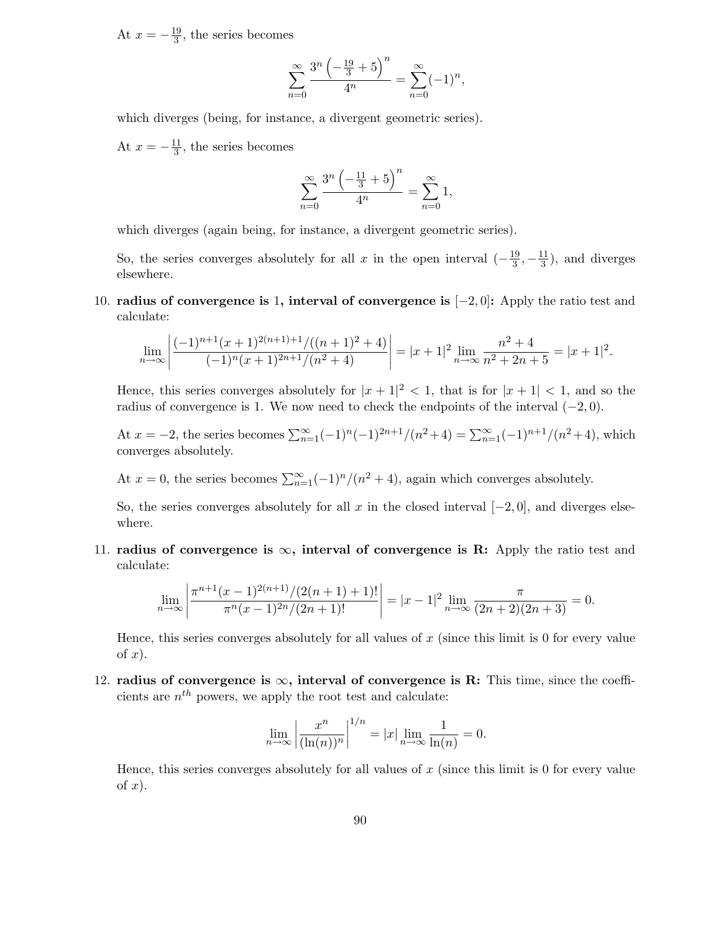At  $x = -\frac{19}{3}$  $\frac{19}{3}$ , the series becomes

$$
\sum_{n=0}^{\infty} \frac{3^n \left(-\frac{19}{3} + 5\right)^n}{4^n} = \sum_{n=0}^{\infty} (-1)^n,
$$

which diverges (being, for instance, a divergent geometric series).

At  $x = -\frac{11}{3}$  $\frac{11}{3}$ , the series becomes

$$
\sum_{n=0}^{\infty} \frac{3^n \left(-\frac{11}{3} + 5\right)^n}{4^n} = \sum_{n=0}^{\infty} 1,
$$

which diverges (again being, for instance, a divergent geometric series).

So, the series converges absolutely for all x in the open interval  $\left(-\frac{19}{3}\right)$  $\frac{19}{3}, -\frac{11}{3}$  $\frac{11}{3}$ , and diverges elsewhere.

10. radius of convergence is 1, interval of convergence is [−2, 0]: Apply the ratio test and calculate:

$$
\lim_{n \to \infty} \left| \frac{(-1)^{n+1}(x+1)^{2(n+1)+1}/((n+1)^2+4)}{(-1)^n(x+1)^{2n+1}/(n^2+4)} \right| = |x+1|^2 \lim_{n \to \infty} \frac{n^2+4}{n^2+2n+5} = |x+1|^2.
$$

Hence, this series converges absolutely for  $|x+1|^2 < 1$ , that is for  $|x+1| < 1$ , and so the radius of convergence is 1. We now need to check the endpoints of the interval  $(-2, 0)$ .

At  $x = -2$ , the series becomes  $\sum_{n=1}^{\infty} (-1)^n (-1)^{2n+1}/(n^2+4) = \sum_{n=1}^{\infty} (-1)^{n+1}/(n^2+4)$ , which converges absolutely.

At  $x = 0$ , the series becomes  $\sum_{n=1}^{\infty} (-1)^n/(n^2 + 4)$ , again which converges absolutely.

So, the series converges absolutely for all x in the closed interval  $[-2, 0]$ , and diverges elsewhere.

11. radius of convergence is  $\infty$ , interval of convergence is R: Apply the ratio test and calculate:

$$
\lim_{n \to \infty} \left| \frac{\pi^{n+1}(x-1)^{2(n+1)}/(2(n+1)+1)!}{\pi^n(x-1)^{2n}/(2n+1)!} \right| = |x-1|^2 \lim_{n \to \infty} \frac{\pi}{(2n+2)(2n+3)} = 0.
$$

Hence, this series converges absolutely for all values of  $x$  (since this limit is 0 for every value of  $x$ ).

12. radius of convergence is  $\infty$ , interval of convergence is R: This time, since the coefficients are  $n^{th}$  powers, we apply the root test and calculate:

$$
\lim_{n \to \infty} \left| \frac{x^n}{(\ln(n))^n} \right|^{1/n} = |x| \lim_{n \to \infty} \frac{1}{\ln(n)} = 0.
$$

Hence, this series converges absolutely for all values of  $x$  (since this limit is 0 for every value of  $x$ ).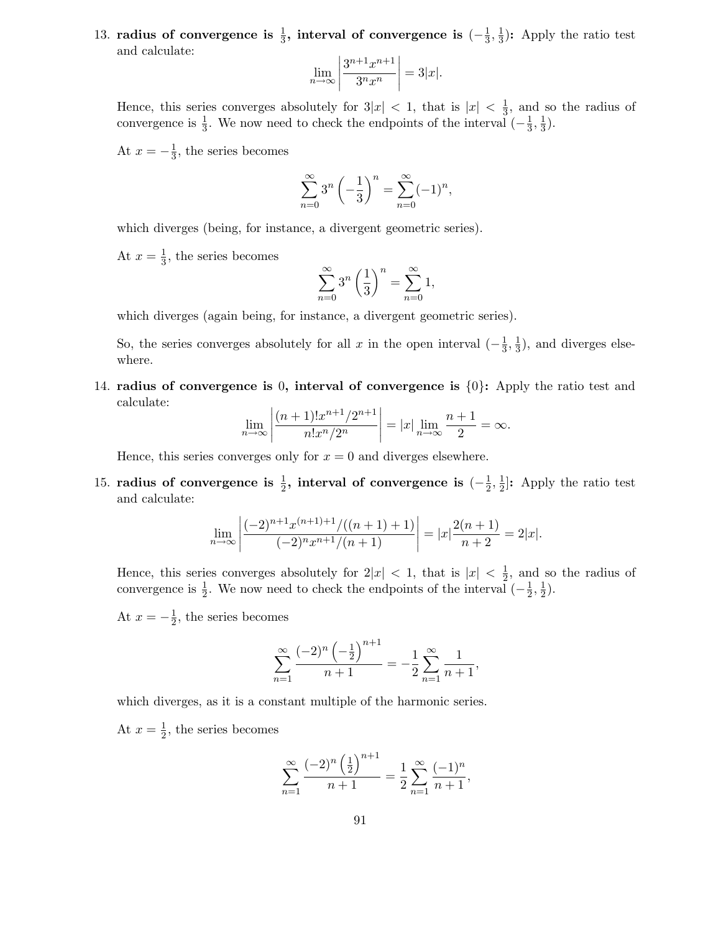13. radius of convergence is  $\frac{1}{3}$ , interval of convergence is  $(-\frac{1}{3})$  $\frac{1}{3}, \frac{1}{3}$  $\frac{1}{3}$ : Apply the ratio test and calculate:

$$
\lim_{n \to \infty} \left| \frac{3^{n+1} x^{n+1}}{3^n x^n} \right| = 3|x|.
$$

Hence, this series converges absolutely for  $3|x| < 1$ , that is  $|x| < \frac{1}{3}$  $\frac{1}{3}$ , and so the radius of convergence is  $\frac{1}{3}$ . We now need to check the endpoints of the interval  $\left(-\frac{1}{3}\right)$  $\frac{1}{3}, \frac{1}{3}$  $\frac{1}{3}$ .

At  $x = -\frac{1}{3}$  $\frac{1}{3}$ , the series becomes

$$
\sum_{n=0}^{\infty} 3^n \left(-\frac{1}{3}\right)^n = \sum_{n=0}^{\infty} (-1)^n,
$$

which diverges (being, for instance, a divergent geometric series).

At  $x=\frac{1}{3}$  $\frac{1}{3}$ , the series becomes

$$
\sum_{n=0}^{\infty} 3^n \left(\frac{1}{3}\right)^n = \sum_{n=0}^{\infty} 1,
$$

which diverges (again being, for instance, a divergent geometric series).

So, the series converges absolutely for all x in the open interval  $\left(-\frac{1}{3}\right)$  $\frac{1}{3}, \frac{1}{3}$  $\frac{1}{3}$ , and diverges elsewhere.

14. radius of convergence is 0, interval of convergence is  $\{0\}$ : Apply the ratio test and calculate:

$$
\lim_{n \to \infty} \left| \frac{(n+1)! x^{n+1} / 2^{n+1}}{n! x^n / 2^n} \right| = |x| \lim_{n \to \infty} \frac{n+1}{2} = \infty.
$$

Hence, this series converges only for  $x = 0$  and diverges elsewhere.

15. radius of convergence is  $\frac{1}{2}$ , interval of convergence is  $(-\frac{1}{2})$  $\frac{1}{2}, \frac{1}{2}$  $\frac{1}{2}$ : Apply the ratio test and calculate:

$$
\lim_{n \to \infty} \left| \frac{(-2)^{n+1} x^{(n+1)+1} / ((n+1)+1)}{(-2)^n x^{n+1} / (n+1)} \right| = |x| \frac{2(n+1)}{n+2} = 2|x|.
$$

Hence, this series converges absolutely for  $2|x| < 1$ , that is  $|x| < \frac{1}{2}$  $\frac{1}{2}$ , and so the radius of convergence is  $\frac{1}{2}$ . We now need to check the endpoints of the interval  $\left(-\frac{1}{2}\right)$  $\frac{1}{2}, \frac{1}{2}$  $(\frac{1}{2})$ .

At  $x = -\frac{1}{2}$  $\frac{1}{2}$ , the series becomes

$$
\sum_{n=1}^{\infty} \frac{(-2)^n \left(-\frac{1}{2}\right)^{n+1}}{n+1} = -\frac{1}{2} \sum_{n=1}^{\infty} \frac{1}{n+1},
$$

which diverges, as it is a constant multiple of the harmonic series.

At  $x=\frac{1}{2}$  $\frac{1}{2}$ , the series becomes

$$
\sum_{n=1}^{\infty} \frac{(-2)^n \left(\frac{1}{2}\right)^{n+1}}{n+1} = \frac{1}{2} \sum_{n=1}^{\infty} \frac{(-1)^n}{n+1},
$$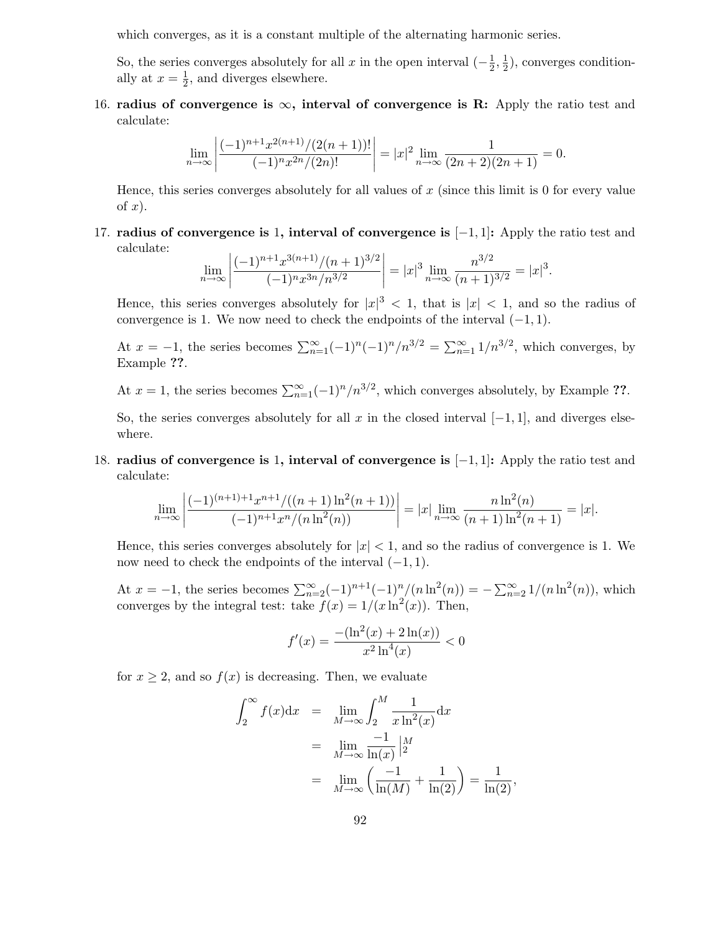which converges, as it is a constant multiple of the alternating harmonic series.

So, the series converges absolutely for all x in the open interval  $\left(-\frac{1}{2}\right)$  $\frac{1}{2}, \frac{1}{2}$  $(\frac{1}{2})$ , converges conditionally at  $x=\frac{1}{2}$  $\frac{1}{2}$ , and diverges elsewhere.

16. radius of convergence is  $\infty$ , interval of convergence is R: Apply the ratio test and calculate:

$$
\lim_{n \to \infty} \left| \frac{(-1)^{n+1} x^{2(n+1)}/(2(n+1))!}{(-1)^n x^{2n}/(2n)!} \right| = |x|^2 \lim_{n \to \infty} \frac{1}{(2n+2)(2n+1)} = 0.
$$

Hence, this series converges absolutely for all values of  $x$  (since this limit is 0 for every value of  $x$ ).

17. radius of convergence is 1, interval of convergence is [−1, 1]: Apply the ratio test and calculate:

$$
\lim_{n \to \infty} \left| \frac{(-1)^{n+1} x^{3(n+1)} / (n+1)^{3/2}}{(-1)^n x^{3n} / n^{3/2}} \right| = |x|^3 \lim_{n \to \infty} \frac{n^{3/2}}{(n+1)^{3/2}} = |x|^3.
$$

Hence, this series converges absolutely for  $|x|^3 < 1$ , that is  $|x| < 1$ , and so the radius of convergence is 1. We now need to check the endpoints of the interval  $(-1, 1)$ .

At  $x = -1$ , the series becomes  $\sum_{n=1}^{\infty} (-1)^n (-1)^n/n^{3/2} = \sum_{n=1}^{\infty} 1/n^{3/2}$ , which converges, by Example ??.

At  $x = 1$ , the series becomes  $\sum_{n=1}^{\infty} (-1)^n/n^{3/2}$ , which converges absolutely, by Example ??.

So, the series converges absolutely for all x in the closed interval  $[-1, 1]$ , and diverges elsewhere.

18. radius of convergence is 1, interval of convergence is [−1, 1]: Apply the ratio test and calculate:

$$
\lim_{n \to \infty} \left| \frac{(-1)^{(n+1)+1} x^{n+1} / ((n+1) \ln^2(n+1))}{(-1)^{n+1} x^n / (n \ln^2(n))} \right| = |x| \lim_{n \to \infty} \frac{n \ln^2(n)}{(n+1) \ln^2(n+1)} = |x|.
$$

Hence, this series converges absolutely for  $|x| < 1$ , and so the radius of convergence is 1. We now need to check the endpoints of the interval  $(-1, 1)$ .

At  $x = -1$ , the series becomes  $\sum_{n=2}^{\infty} (-1)^{n+1} (-1)^n / (n \ln^2(n)) = -\sum_{n=2}^{\infty} 1/(n \ln^2(n))$ , which converges by the integral test: take  $f(x) = 1/(x \ln^2(x))$ . Then,

$$
f'(x) = \frac{-\left(\ln^2(x) + 2\ln(x)\right)}{x^2 \ln^4(x)} < 0
$$

for  $x \geq 2$ , and so  $f(x)$  is decreasing. Then, we evaluate

$$
\int_2^{\infty} f(x) dx = \lim_{M \to \infty} \int_2^M \frac{1}{x \ln^2(x)} dx
$$
  
= 
$$
\lim_{M \to \infty} \frac{-1}{\ln(x)} \Big|_2^M
$$
  
= 
$$
\lim_{M \to \infty} \left( \frac{-1}{\ln(M)} + \frac{1}{\ln(2)} \right) = \frac{1}{\ln(2)},
$$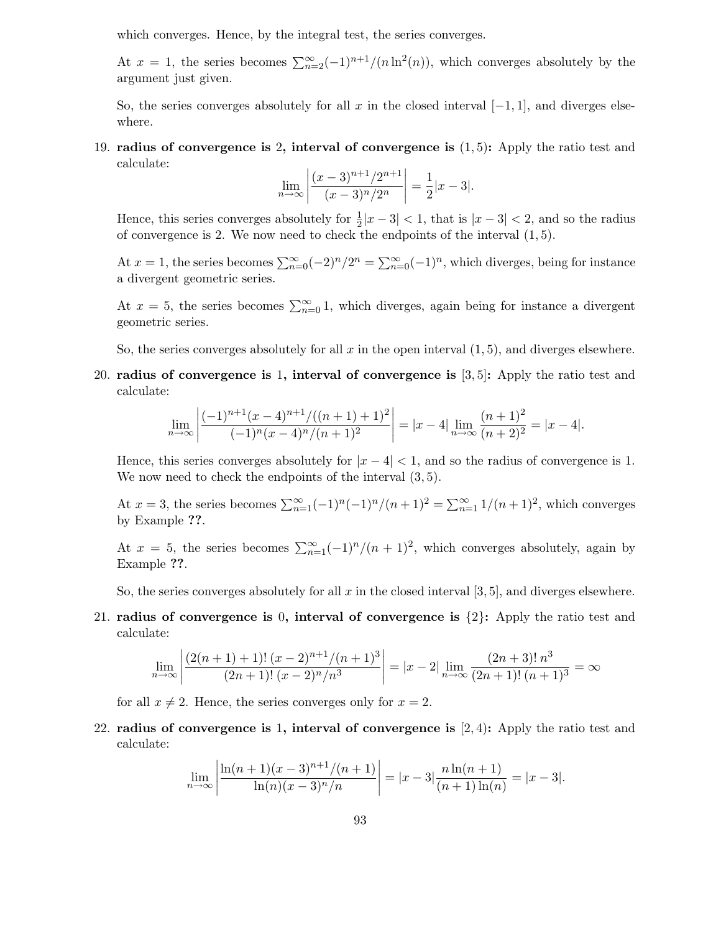which converges. Hence, by the integral test, the series converges.

At  $x = 1$ , the series becomes  $\sum_{n=2}^{\infty} (-1)^{n+1}/(n \ln^2(n))$ , which converges absolutely by the argument just given.

So, the series converges absolutely for all x in the closed interval  $[-1, 1]$ , and diverges elsewhere.

19. radius of convergence is 2, interval of convergence is  $(1, 5)$ : Apply the ratio test and calculate:

$$
\lim_{n \to \infty} \left| \frac{(x-3)^{n+1}/2^{n+1}}{(x-3)^n/2^n} \right| = \frac{1}{2}|x-3|.
$$

Hence, this series converges absolutely for  $\frac{1}{2}|x-3| < 1$ , that is  $|x-3| < 2$ , and so the radius of convergence is 2. We now need to check the endpoints of the interval  $(1, 5)$ .

At  $x = 1$ , the series becomes  $\sum_{n=0}^{\infty} (-2)^n / 2^n = \sum_{n=0}^{\infty} (-1)^n$ , which diverges, being for instance a divergent geometric series.

At  $x = 5$ , the series becomes  $\sum_{n=0}^{\infty} 1$ , which diverges, again being for instance a divergent geometric series.

So, the series converges absolutely for all  $x$  in the open interval  $(1, 5)$ , and diverges elsewhere.

20. radius of convergence is 1, interval of convergence is [3, 5]: Apply the ratio test and calculate:

$$
\lim_{n \to \infty} \left| \frac{(-1)^{n+1}(x-4)^{n+1}/((n+1)+1)^2}{(-1)^n(x-4)^n/(n+1)^2} \right| = |x-4| \lim_{n \to \infty} \frac{(n+1)^2}{(n+2)^2} = |x-4|.
$$

Hence, this series converges absolutely for  $|x-4| < 1$ , and so the radius of convergence is 1. We now need to check the endpoints of the interval  $(3, 5)$ .

At  $x = 3$ , the series becomes  $\sum_{n=1}^{\infty} (-1)^n (-1)^n/(n+1)^2 = \sum_{n=1}^{\infty} 1/(n+1)^2$ , which converges by Example ??.

At  $x = 5$ , the series becomes  $\sum_{n=1}^{\infty} (-1)^n/(n+1)^2$ , which converges absolutely, again by Example ??.

So, the series converges absolutely for all  $x$  in the closed interval [3, 5], and diverges elsewhere.

21. radius of convergence is 0, interval of convergence is  $\{2\}$ : Apply the ratio test and calculate:

$$
\lim_{n \to \infty} \left| \frac{(2(n+1)+1)!(x-2)^{n+1}/(n+1)^3}{(2n+1)!(x-2)^n/n^3} \right| = |x-2| \lim_{n \to \infty} \frac{(2n+3)! \, n^3}{(2n+1)!(n+1)^3} = \infty
$$

for all  $x \neq 2$ . Hence, the series converges only for  $x = 2$ .

22. radius of convergence is 1, interval of convergence is  $[2, 4)$ : Apply the ratio test and calculate:

$$
\lim_{n \to \infty} \left| \frac{\ln(n+1)(x-3)^{n+1}/(n+1)}{\ln(n)(x-3)^n/n} \right| = |x-3| \frac{n \ln(n+1)}{(n+1)\ln(n)} = |x-3|.
$$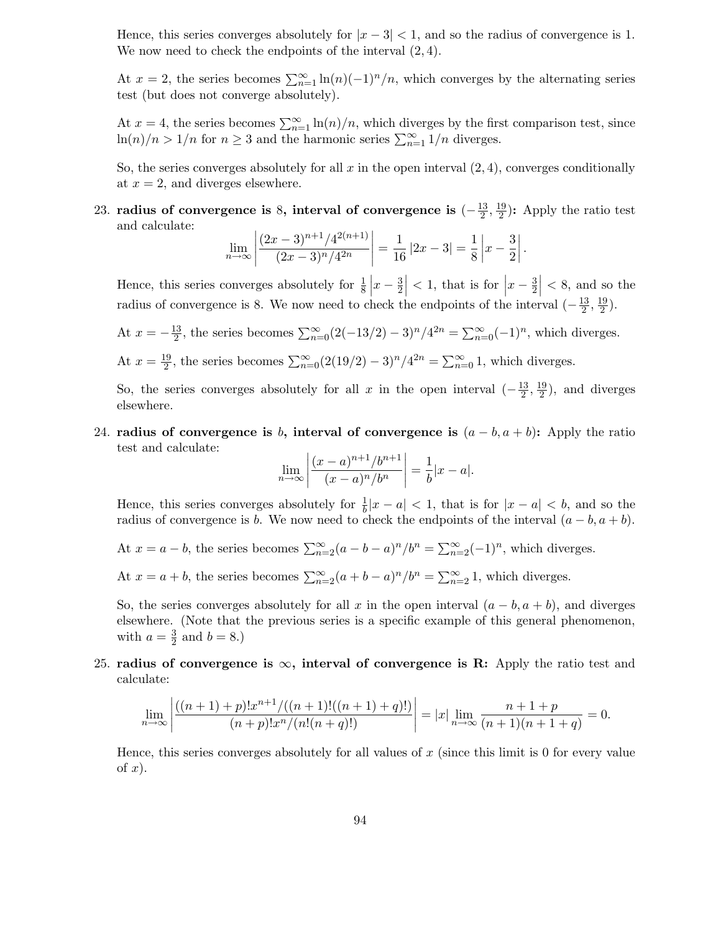Hence, this series converges absolutely for  $|x-3| < 1$ , and so the radius of convergence is 1. We now need to check the endpoints of the interval  $(2, 4)$ .

At  $x = 2$ , the series becomes  $\sum_{n=1}^{\infty} \ln(n)(-1)^n/n$ , which converges by the alternating series test (but does not converge absolutely).

At  $x = 4$ , the series becomes  $\sum_{n=1}^{\infty} \ln(n)/n$ , which diverges by the first comparison test, since  $\ln(n)/n > 1/n$  for  $n \geq 3$  and the harmonic series  $\sum_{n=1}^{\infty} 1/n$  diverges.

So, the series converges absolutely for all  $x$  in the open interval  $(2, 4)$ , converges conditionally at  $x = 2$ , and diverges elsewhere.

23. radius of convergence is 8, interval of convergence is  $(-\frac{13}{2})$  $\frac{13}{2}, \frac{19}{2}$  $\frac{19}{2}$ : Apply the ratio test and calculate:

$$
\lim_{n \to \infty} \left| \frac{(2x-3)^{n+1}/4^{2(n+1)}}{(2x-3)^n/4^{2n}} \right| = \frac{1}{16} |2x-3| = \frac{1}{8} \left| x - \frac{3}{2} \right|.
$$

Hence, this series converges absolutely for  $\frac{1}{8}$   $\left| x - \frac{3}{2} \right|$  $\left|\frac{3}{2}\right|$  < 1, that is for  $\left|x-\frac{3}{2}\right|$  $\left|\frac{3}{2}\right|$  < 8, and so the radius of convergence is 8. We now need to check the endpoints of the interval  $\left(-\frac{13}{2}\right)$  $\frac{13}{2}, \frac{19}{2}$  $\frac{19}{2}$ ).

- At  $x = -\frac{13}{2}$  $\frac{13}{2}$ , the series becomes  $\sum_{n=0}^{\infty} (2(-13/2) - 3)^n/4^{2n} = \sum_{n=0}^{\infty} (-1)^n$ , which diverges.
- At  $x = \frac{19}{2}$  $\frac{19}{2}$ , the series becomes  $\sum_{n=0}^{\infty} (2(19/2) - 3)^n/4^{2n} = \sum_{n=0}^{\infty} 1$ , which diverges.

So, the series converges absolutely for all x in the open interval  $\left(-\frac{13}{2}\right)$  $\frac{13}{2}, \frac{19}{2}$  $\frac{19}{2}$ , and diverges elsewhere.

24. radius of convergence is b, interval of convergence is  $(a - b, a + b)$ : Apply the ratio test and calculate:

$$
\lim_{n \to \infty} \left| \frac{(x-a)^{n+1}/b^{n+1}}{(x-a)^n/b^n} \right| = \frac{1}{b}|x-a|.
$$

Hence, this series converges absolutely for  $\frac{1}{b}|x-a| < 1$ , that is for  $|x-a| < b$ , and so the radius of convergence is b. We now need to check the endpoints of the interval  $(a - b, a + b)$ .

- At  $x = a b$ , the series becomes  $\sum_{n=2}^{\infty} (a b a)^n / b^n = \sum_{n=2}^{\infty} (-1)^n$ , which diverges.
- At  $x = a + b$ , the series becomes  $\sum_{n=2}^{\infty} (a + b a)^n / b^n = \sum_{n=2}^{\infty} 1$ , which diverges.

So, the series converges absolutely for all x in the open interval  $(a - b, a + b)$ , and diverges elsewhere. (Note that the previous series is a specific example of this general phenomenon, with  $a=\frac{3}{2}$  $\frac{3}{2}$  and  $b = 8.$ )

25. radius of convergence is  $\infty$ , interval of convergence is R: Apply the ratio test and calculate:

$$
\lim_{n \to \infty} \left| \frac{((n+1)+p)!x^{n+1}/((n+1)!((n+1)+q)!)}{(n+p)!x^n/(n!(n+q)!)} \right| = |x| \lim_{n \to \infty} \frac{n+1+p}{(n+1)(n+1+q)} = 0.
$$

Hence, this series converges absolutely for all values of  $x$  (since this limit is 0 for every value of  $x$ ).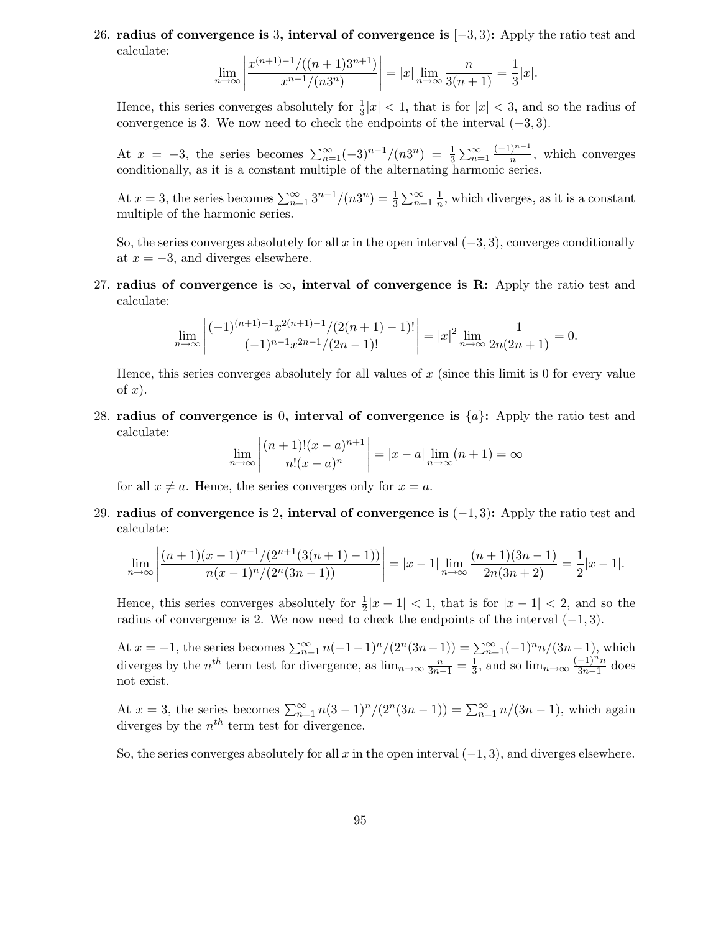26. radius of convergence is 3, interval of convergence is [−3, 3): Apply the ratio test and calculate:

$$
\lim_{n \to \infty} \left| \frac{x^{(n+1)-1}/((n+1)3^{n+1})}{x^{n-1}/(n3^n)} \right| = |x| \lim_{n \to \infty} \frac{n}{3(n+1)} = \frac{1}{3}|x|.
$$

Hence, this series converges absolutely for  $\frac{1}{3}|x| < 1$ , that is for  $|x| < 3$ , and so the radius of convergence is 3. We now need to check the endpoints of the interval  $(-3, 3)$ .

At  $x = -3$ , the series becomes  $\sum_{n=1}^{\infty} (-3)^{n-1}/(n3^n) = \frac{1}{3}$  $\frac{1}{3}\sum_{n=1}^{\infty}\frac{(-1)^{n-1}}{n}$ , which converges conditionally, as it is a constant multiple of the alternating harmonic series.

At  $x = 3$ , the series becomes  $\sum_{n=1}^{\infty} 3^{n-1}/(n3^n) = \frac{1}{3}$  $\frac{1}{3}\sum_{n=1}^{\infty}\frac{1}{n}$  $\frac{1}{n}$ , which diverges, as it is a constant multiple of the harmonic series.

So, the series converges absolutely for all x in the open interval  $(-3, 3)$ , converges conditionally at  $x = -3$ , and diverges elsewhere.

27. radius of convergence is  $\infty$ , interval of convergence is R: Apply the ratio test and calculate:

$$
\lim_{n \to \infty} \left| \frac{(-1)^{(n+1)-1} x^{2(n+1)-1} / (2(n+1)-1)!}{(-1)^{n-1} x^{2n-1} / (2n-1)!} \right| = |x|^2 \lim_{n \to \infty} \frac{1}{2n(2n+1)} = 0.
$$

Hence, this series converges absolutely for all values of  $x$  (since this limit is 0 for every value of  $x$ ).

28. radius of convergence is 0, interval of convergence is  $\{a\}$ : Apply the ratio test and calculate:

$$
\lim_{n \to \infty} \left| \frac{(n+1)!(x-a)^{n+1}}{n!(x-a)^n} \right| = |x-a| \lim_{n \to \infty} (n+1) = \infty
$$

for all  $x \neq a$ . Hence, the series converges only for  $x = a$ .

29. radius of convergence is 2, interval of convergence is  $(-1, 3)$ : Apply the ratio test and calculate:

$$
\lim_{n \to \infty} \left| \frac{(n+1)(x-1)^{n+1}/(2^{n+1}(3(n+1)-1))}{n(x-1)^n/(2^n(3n-1))} \right| = |x-1| \lim_{n \to \infty} \frac{(n+1)(3n-1)}{2n(3n+2)} = \frac{1}{2}|x-1|.
$$

Hence, this series converges absolutely for  $\frac{1}{2}|x-1| < 1$ , that is for  $|x-1| < 2$ , and so the radius of convergence is 2. We now need to check the endpoints of the interval  $(-1, 3)$ .

At  $x = -1$ , the series becomes  $\sum_{n=1}^{\infty} n(-1-1)^n/(2^n(3n-1)) = \sum_{n=1}^{\infty} (-1)^n n/(3n-1)$ , which diverges by the  $n^{th}$  term test for divergence, as  $\lim_{n\to\infty} \frac{n}{3n-1} = \frac{1}{3}$  $\frac{1}{3}$ , and so  $\lim_{n\to\infty} \frac{(-1)^n n}{3n-1}$  $\frac{-1)^n}{3n-1}$  does not exist.

At  $x = 3$ , the series becomes  $\sum_{n=1}^{\infty} n(3-1)^n/(2^n(3n-1)) = \sum_{n=1}^{\infty} n/(3n-1)$ , which again diverges by the  $n^{th}$  term test for divergence.

So, the series converges absolutely for all x in the open interval  $(-1, 3)$ , and diverges elsewhere.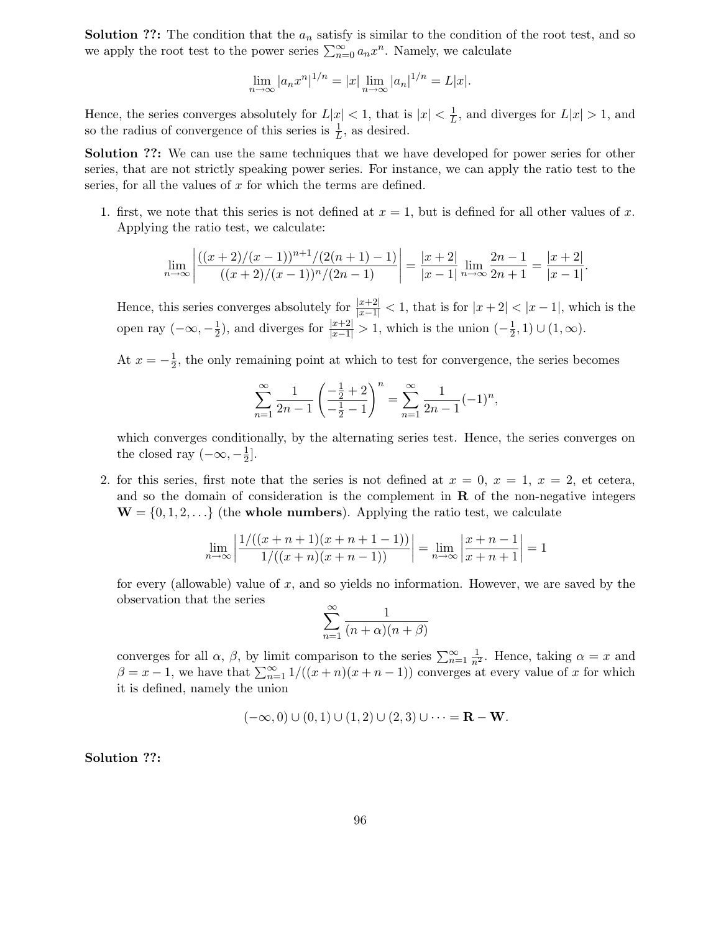**Solution ??:** The condition that the  $a_n$  satisfy is similar to the condition of the root test, and so we apply the root test to the power series  $\sum_{n=0}^{\infty} a_n x^n$ . Namely, we calculate

$$
\lim_{n \to \infty} |a_n x^n|^{1/n} = |x| \lim_{n \to \infty} |a_n|^{1/n} = L|x|.
$$

Hence, the series converges absolutely for  $L|x| < 1$ , that is  $|x| < \frac{1}{L}$  $\frac{1}{L}$ , and diverges for  $L|x| > 1$ , and so the radius of convergence of this series is  $\frac{1}{L}$ , as desired.

Solution ??: We can use the same techniques that we have developed for power series for other series, that are not strictly speaking power series. For instance, we can apply the ratio test to the series, for all the values of  $x$  for which the terms are defined.

1. first, we note that this series is not defined at  $x = 1$ , but is defined for all other values of x. Applying the ratio test, we calculate:

$$
\lim_{n \to \infty} \left| \frac{((x+2)/(x-1))^{n+1}/(2(n+1)-1)}{((x+2)/(x-1))^{n}/(2n-1)} \right| = \frac{|x+2|}{|x-1|} \lim_{n \to \infty} \frac{2n-1}{2n+1} = \frac{|x+2|}{|x-1|}
$$

.

Hence, this series converges absolutely for  $\frac{|x+2|}{|x-1|} < 1$ , that is for  $|x+2| < |x-1|$ , which is the open ray  $(-\infty, -\frac{1}{2})$  $(\frac{1}{2})$ , and diverges for  $\frac{|x+2|}{|x-1|} > 1$ , which is the union  $(-\frac{1}{2})$  $(\frac{1}{2}, 1) \cup (1, \infty).$ 

At  $x = -\frac{1}{2}$  $\frac{1}{2}$ , the only remaining point at which to test for convergence, the series becomes

$$
\sum_{n=1}^{\infty} \frac{1}{2n-1} \left( \frac{-\frac{1}{2} + 2}{-\frac{1}{2} - 1} \right)^n = \sum_{n=1}^{\infty} \frac{1}{2n-1} (-1)^n,
$$

which converges conditionally, by the alternating series test. Hence, the series converges on the closed ray  $(-\infty, -\frac{1}{2})$  $\frac{1}{2}$ .

2. for this series, first note that the series is not defined at  $x = 0, x = 1, x = 2$ , et cetera, and so the domain of consideration is the complement in  $\bf{R}$  of the non-negative integers  $\mathbf{W} = \{0, 1, 2, \ldots\}$  (the whole numbers). Applying the ratio test, we calculate

$$
\lim_{n \to \infty} \left| \frac{1/((x+n+1)(x+n+1-1))}{1/((x+n)(x+n-1))} \right| = \lim_{n \to \infty} \left| \frac{x+n-1}{x+n+1} \right| = 1
$$

for every (allowable) value of  $x$ , and so yields no information. However, we are saved by the observation that the series

$$
\sum_{n=1}^{\infty} \frac{1}{(n+\alpha)(n+\beta)}
$$

converges for all  $\alpha$ ,  $\beta$ , by limit comparison to the series  $\sum_{n=1}^{\infty} \frac{1}{n^2}$ . Hence, taking  $\alpha = x$  and  $\beta = x - 1$ , we have that  $\sum_{n=1}^{\infty} 1/((x + n)(x + n - 1))$  converges at every value of x for which it is defined, namely the union

$$
(-\infty,0) \cup (0,1) \cup (1,2) \cup (2,3) \cup \cdots = \mathbf{R} - \mathbf{W}.
$$

Solution ??: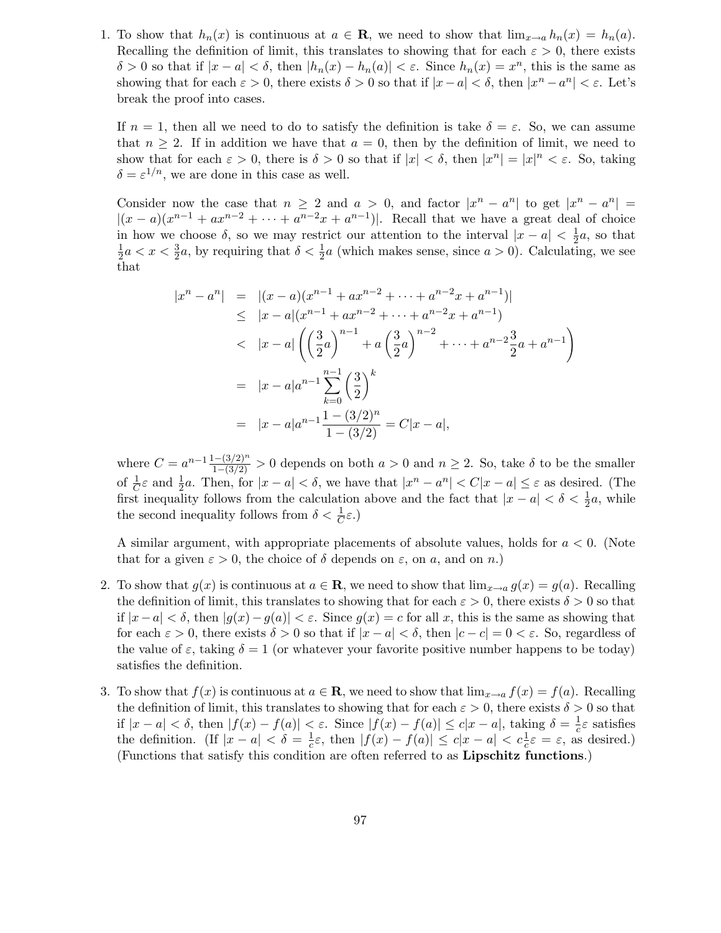1. To show that  $h_n(x)$  is continuous at  $a \in \mathbf{R}$ , we need to show that  $\lim_{x\to a} h_n(x) = h_n(a)$ . Recalling the definition of limit, this translates to showing that for each  $\varepsilon > 0$ , there exists δ > 0 so that if  $|x - a| < δ$ , then  $|h_n(x) - h_n(a)| < ε$ . Since  $h_n(x) = x^n$ , this is the same as showing that for each  $\varepsilon > 0$ , there exists  $\delta > 0$  so that if  $|x - a| < \delta$ , then  $|x^n - a^n| < \varepsilon$ . Let's break the proof into cases.

If  $n = 1$ , then all we need to do to satisfy the definition is take  $\delta = \varepsilon$ . So, we can assume that  $n \geq 2$ . If in addition we have that  $a = 0$ , then by the definition of limit, we need to show that for each  $\varepsilon > 0$ , there is  $\delta > 0$  so that if  $|x| < \delta$ , then  $|x^n| = |x|^n < \varepsilon$ . So, taking  $\delta = \varepsilon^{1/n}$ , we are done in this case as well.

Consider now the case that  $n \geq 2$  and  $a > 0$ , and factor  $|x^n - a^n|$  to get  $|x^n - a^n|$  =  $|(x-a)(x^{n-1}+ax^{n-2}+\cdots+a^{n-2}x+a^{n-1})|$ . Recall that we have a great deal of choice in how we choose  $\delta$ , so we may restrict our attention to the interval  $|x - a| < \frac{1}{2}$  $\frac{1}{2}a$ , so that 1  $\frac{1}{2}a < x < \frac{3}{2}$  $\frac{3}{2}a$ , by requiring that  $\delta < \frac{1}{2}$  $\frac{1}{2}a$  (which makes sense, since  $a > 0$ ). Calculating, we see that

$$
\begin{aligned}\n|x^n - a^n| &= |(x - a)(x^{n-1} + ax^{n-2} + \dots + a^{n-2}x + a^{n-1})| \\
&\le |x - a|(x^{n-1} + ax^{n-2} + \dots + a^{n-2}x + a^{n-1}) \\
&< |x - a| \left( \left(\frac{3}{2}a\right)^{n-1} + a\left(\frac{3}{2}a\right)^{n-2} + \dots + a^{n-2}\frac{3}{2}a + a^{n-1} \right) \\
&= |x - a|a^{n-1} \sum_{k=0}^{n-1} \left(\frac{3}{2}\right)^k \\
&= |x - a|a^{n-1} \frac{1 - (3/2)^n}{1 - (3/2)} = C|x - a|,\n\end{aligned}
$$

where  $C = a^{n-1} \frac{1-(3/2)^n}{1-(3/2)} > 0$  depends on both  $a > 0$  and  $n \ge 2$ . So, take  $\delta$  to be the smaller of  $\frac{1}{C}\varepsilon$  and  $\frac{1}{2}a$ . Then, for  $|x-a| < \delta$ , we have that  $|x^n - a^n| < C|x-a| \leq \varepsilon$  as desired. (The first inequality follows from the calculation above and the fact that  $|x - a| < \delta < \frac{1}{2}$  $\frac{1}{2}a$ , while the second inequality follows from  $\delta < \frac{1}{C}$  $\frac{1}{C}\varepsilon.$ )

A similar argument, with appropriate placements of absolute values, holds for  $a < 0$ . (Note that for a given  $\varepsilon > 0$ , the choice of  $\delta$  depends on  $\varepsilon$ , on  $a$ , and on  $n$ .)

- 2. To show that  $q(x)$  is continuous at  $a \in \mathbf{R}$ , we need to show that  $\lim_{x\to a} q(x) = q(a)$ . Recalling the definition of limit, this translates to showing that for each  $\varepsilon > 0$ , there exists  $\delta > 0$  so that if  $|x-a| < \delta$ , then  $|g(x)-g(a)| < \varepsilon$ . Since  $g(x) = c$  for all x, this is the same as showing that for each  $\varepsilon > 0$ , there exists  $\delta > 0$  so that if  $|x - a| < \delta$ , then  $|c - c| = 0 < \varepsilon$ . So, regardless of the value of  $\varepsilon$ , taking  $\delta = 1$  (or whatever your favorite positive number happens to be today) satisfies the definition.
- 3. To show that  $f(x)$  is continuous at  $a \in \mathbf{R}$ , we need to show that  $\lim_{x\to a} f(x) = f(a)$ . Recalling the definition of limit, this translates to showing that for each  $\varepsilon > 0$ , there exists  $\delta > 0$  so that if  $|x - a| < \delta$ , then  $|f(x) - f(a)| < \varepsilon$ . Since  $|f(x) - f(a)| \le c|x - a|$ , taking  $\delta = \frac{1}{c}\varepsilon$  satisfies the definition. (If  $|x - a| < \delta = \frac{1}{c}\varepsilon$ , then  $|f(x) - f(a)| \le c|x - a| < c\frac{1}{c}\varepsilon = \varepsilon$ , as  $\frac{1}{c}\varepsilon$ , then  $|f(x) - f(a)| \leq c|x - a| < c\frac{1}{c}$  $\frac{1}{c}\varepsilon = \varepsilon$ , as desired.) (Functions that satisfy this condition are often referred to as Lipschitz functions.)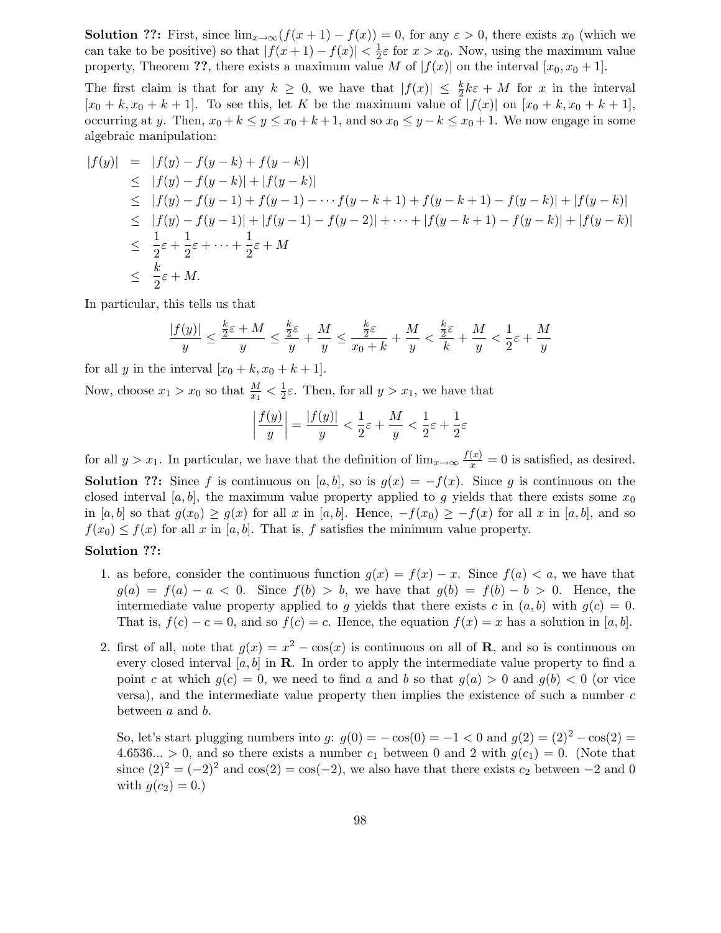**Solution ??:** First, since  $\lim_{x\to\infty}(f(x+1)-f(x))=0$ , for any  $\varepsilon>0$ , there exists  $x_0$  (which we can take to be positive) so that  $|f(x+1)-f(x)| < \frac{1}{2}$  $\frac{1}{2}\varepsilon$  for  $x > x_0$ . Now, using the maximum value property, Theorem ??, there exists a maximum value M of  $|f(x)|$  on the interval  $[x_0, x_0 + 1]$ .

The first claim is that for any  $k \geq 0$ , we have that  $|f(x)| \leq \frac{k}{2}$  $\frac{k}{2}k\varepsilon + M$  for x in the interval  $[x_0 + k, x_0 + k + 1]$ . To see this, let K be the maximum value of  $|f(x)|$  on  $[x_0 + k, x_0 + k + 1]$ , occurring at y. Then,  $x_0 + k \le y \le x_0 + k + 1$ , and so  $x_0 \le y - k \le x_0 + 1$ . We now engage in some algebraic manipulation:

$$
|f(y)| = |f(y) - f(y - k) + f(y - k)|
$$
  
\n
$$
\leq |f(y) - f(y - k)| + |f(y - k)|
$$
  
\n
$$
\leq |f(y) - f(y - 1) + f(y - 1) - \dots + f(y - k + 1) + f(y - k + 1) - f(y - k)| + |f(y - k)|
$$
  
\n
$$
\leq |f(y) - f(y - 1)| + |f(y - 1) - f(y - 2)| + \dots + |f(y - k + 1) - f(y - k)| + |f(y - k)|
$$
  
\n
$$
\leq \frac{1}{2}\varepsilon + \frac{1}{2}\varepsilon + \dots + \frac{1}{2}\varepsilon + M
$$
  
\n
$$
\leq \frac{k}{2}\varepsilon + M.
$$

In particular, this tells us that

$$
\frac{|f(y)|}{y} \leq \frac{\frac{k}{2}\varepsilon + M}{y} \leq \frac{\frac{k}{2}\varepsilon}{y} + \frac{M}{y} \leq \frac{\frac{k}{2}\varepsilon}{x_0 + k} + \frac{M}{y} < \frac{\frac{k}{2}\varepsilon}{k} + \frac{M}{y} < \frac{1}{2}\varepsilon + \frac{M}{y}
$$

for all y in the interval  $[x_0 + k, x_0 + k + 1]$ .

Now, choose  $x_1 > x_0$  so that  $\frac{M}{x_1} < \frac{1}{2}$  $\frac{1}{2}\varepsilon$ . Then, for all  $y > x_1$ , we have that

$$
\left|\frac{f(y)}{y}\right| = \frac{|f(y)|}{y} < \frac{1}{2}\varepsilon + \frac{M}{y} < \frac{1}{2}\varepsilon + \frac{1}{2}\varepsilon
$$

for all  $y > x_1$ . In particular, we have that the definition of  $\lim_{x\to\infty} \frac{f(x)}{x} = 0$  is satisfied, as desired.

**Solution ??:** Since f is continuous on [a, b], so is  $g(x) = -f(x)$ . Since g is continuous on the closed interval [a, b], the maximum value property applied to g yields that there exists some  $x_0$ in [a, b] so that  $g(x_0) \ge g(x)$  for all x in [a, b]. Hence,  $-f(x_0) \ge -f(x)$  for all x in [a, b], and so  $f(x_0) \leq f(x)$  for all x in [a, b]. That is, f satisfies the minimum value property.

## Solution ??:

- 1. as before, consider the continuous function  $g(x) = f(x) x$ . Since  $f(a) < a$ , we have that  $g(a) = f(a) - a < 0$ . Since  $f(b) > b$ , we have that  $g(b) = f(b) - b > 0$ . Hence, the intermediate value property applied to g yields that there exists c in  $(a, b)$  with  $g(c) = 0$ . That is,  $f(c) - c = 0$ , and so  $f(c) = c$ . Hence, the equation  $f(x) = x$  has a solution in [a, b].
- 2. first of all, note that  $g(x) = x^2 \cos(x)$  is continuous on all of **R**, and so is continuous on every closed interval  $[a, b]$  in **R**. In order to apply the intermediate value property to find a point c at which  $q(c) = 0$ , we need to find a and b so that  $q(a) > 0$  and  $q(b) < 0$  (or vice versa), and the intermediate value property then implies the existence of such a number  $c$ between a and b.

So, let's start plugging numbers into g:  $g(0) = -\cos(0) = -1 < 0$  and  $g(2) = (2)^2 - \cos(2) =$ 4.6536... > 0, and so there exists a number  $c_1$  between 0 and 2 with  $g(c_1) = 0$ . (Note that since  $(2)^2 = (-2)^2$  and  $\cos(2) = \cos(-2)$ , we also have that there exists  $c_2$  between  $-2$  and 0 with  $q(c_2) = 0.$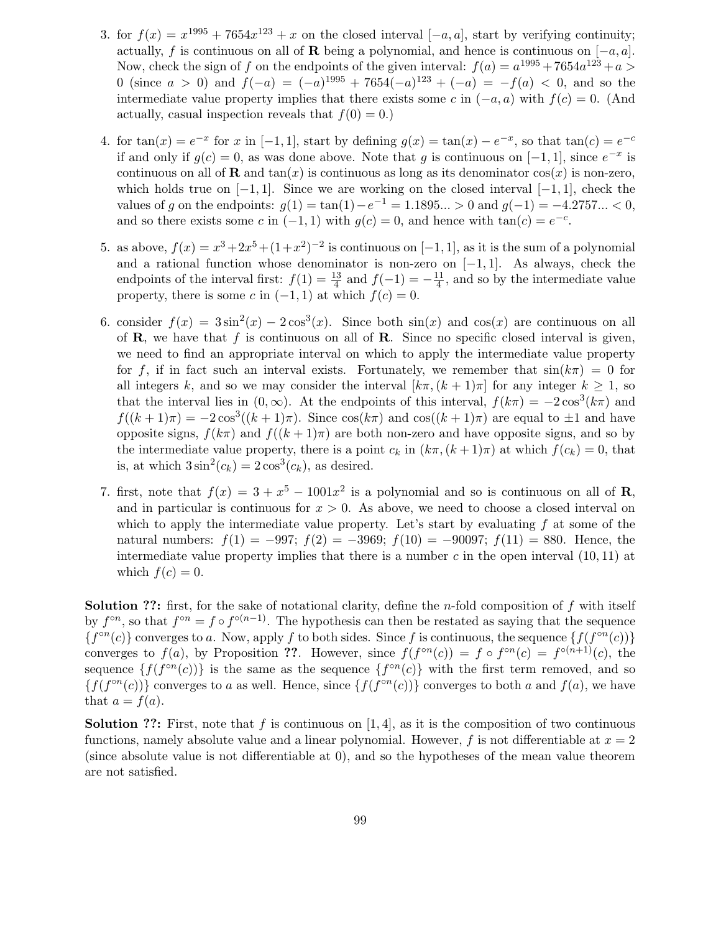- 3. for  $f(x) = x^{1995} + 7654x^{123} + x$  on the closed interval  $[-a, a]$ , start by verifying continuity; actually, f is continuous on all of R being a polynomial, and hence is continuous on  $[-a, a]$ . Now, check the sign of f on the endpoints of the given interval:  $f(a) = a^{1995} + 7654a^{123} + a >$ 0 (since  $a > 0$ ) and  $f(-a) = (-a)^{1995} + 7654(-a)^{123} + (-a) = -f(a) < 0$ , and so the intermediate value property implies that there exists some c in  $(-a, a)$  with  $f(c) = 0$ . (And actually, casual inspection reveals that  $f(0) = 0.$
- 4. for  $tan(x) = e^{-x}$  for x in [-1, 1], start by defining  $g(x) = tan(x) e^{-x}$ , so that  $tan(c) = e^{-c}$ if and only if  $g(c) = 0$ , as was done above. Note that g is continuous on  $[-1, 1]$ , since  $e^{-x}$  is continuous on all of **R** and  $tan(x)$  is continuous as long as its denominator  $cos(x)$  is non-zero, which holds true on  $[-1, 1]$ . Since we are working on the closed interval  $[-1, 1]$ , check the values of g on the endpoints:  $g(1) = \tan(1) - e^{-1} = 1.1895... > 0$  and  $g(-1) = -4.2757... < 0$ , and so there exists some c in  $(-1, 1)$  with  $g(c) = 0$ , and hence with  $tan(c) = e^{-c}$ .
- 5. as above,  $f(x) = x^3 + 2x^5 + (1+x^2)^{-2}$  is continuous on  $[-1, 1]$ , as it is the sum of a polynomial and a rational function whose denominator is non-zero on  $[-1, 1]$ . As always, check the endpoints of the interval first:  $f(1) = \frac{13}{4}$  $rac{13}{4}$  and  $f(-1) = -\frac{11}{4}$  $\frac{11}{4}$ , and so by the intermediate value property, there is some c in  $(-1, 1)$  at which  $f(c) = 0$ .
- 6. consider  $f(x) = 3\sin^2(x) 2\cos^3(x)$ . Since both  $\sin(x)$  and  $\cos(x)$  are continuous on all of  $\bf{R}$ , we have that f is continuous on all of  $\bf{R}$ . Since no specific closed interval is given, we need to find an appropriate interval on which to apply the intermediate value property for f, if in fact such an interval exists. Fortunately, we remember that  $sin(k\pi) = 0$  for all integers k, and so we may consider the interval  $[k\pi,(k+1)\pi]$  for any integer  $k \geq 1$ , so that the interval lies in  $(0, \infty)$ . At the endpoints of this interval,  $f(k\pi) = -2\cos^3(k\pi)$  and  $f((k+1)\pi) = -2\cos^3((k+1)\pi)$ . Since  $\cos(k\pi)$  and  $\cos((k+1)\pi)$  are equal to  $\pm 1$  and have opposite signs,  $f(k\pi)$  and  $f((k+1)\pi)$  are both non-zero and have opposite signs, and so by the intermediate value property, there is a point  $c_k$  in  $(k\pi,(k+1)\pi)$  at which  $f(c_k) = 0$ , that is, at which  $3\sin^2(c_k) = 2\cos^3(c_k)$ , as desired.
- 7. first, note that  $f(x) = 3 + x^5 1001x^2$  is a polynomial and so is continuous on all of **R**, and in particular is continuous for  $x > 0$ . As above, we need to choose a closed interval on which to apply the intermediate value property. Let's start by evaluating  $f$  at some of the natural numbers:  $f(1) = -997$ ;  $f(2) = -3969$ ;  $f(10) = -90097$ ;  $f(11) = 880$ . Hence, the intermediate value property implies that there is a number c in the open interval  $(10, 11)$  at which  $f(c) = 0$ .

**Solution ??:** first, for the sake of notational clarity, define the *n*-fold composition of f with itself by  $f^{\circ n}$ , so that  $f^{\circ n} = f \circ f^{\circ (n-1)}$ . The hypothesis can then be restated as saying that the sequence  ${f^{\circ n}(c)}$  converges to a. Now, apply f to both sides. Since f is continuous, the sequence  ${f(f^{\circ n}(c))}$ converges to  $f(a)$ , by Proposition ??. However, since  $f(f^{\circ n}(c)) = f \circ f^{\circ n}(c) = f^{\circ(n+1)}(c)$ , the sequence  $\{f(f^{\circ n}(c))\}$  is the same as the sequence  $\{f^{\circ n}(c)\}$  with the first term removed, and so  $\{f(f^{\circ n}(c))\}$  converges to a as well. Hence, since  $\{f(f^{\circ n}(c))\}$  converges to both a and  $f(a)$ , we have that  $a = f(a)$ .

**Solution ??:** First, note that f is continuous on [1, 4], as it is the composition of two continuous functions, namely absolute value and a linear polynomial. However, f is not differentiable at  $x = 2$ (since absolute value is not differentiable at 0), and so the hypotheses of the mean value theorem are not satisfied.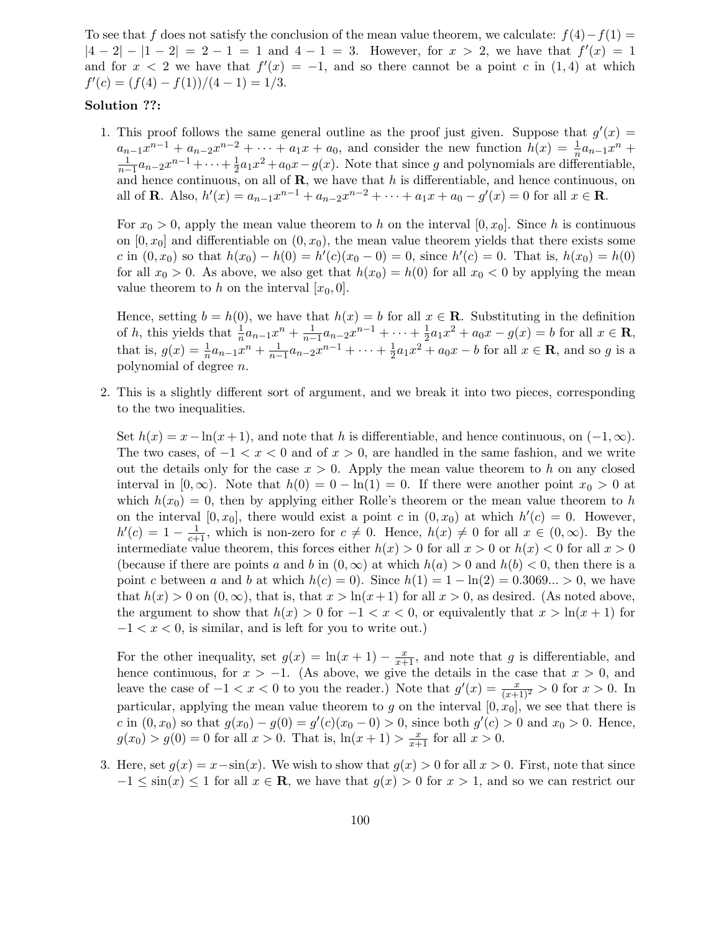To see that f does not satisfy the conclusion of the mean value theorem, we calculate:  $f(4)-f(1)=$  $|4-2|-|1-2|=2-1=1$  and  $4-1=3$ . However, for  $x > 2$ , we have that  $f'(x)=1$ and for  $x < 2$  we have that  $f'(x) = -1$ , and so there cannot be a point c in  $(1, 4)$  at which  $f'(c) = (f(4) - f(1))/(4 - 1) = 1/3.$ 

## Solution ??:

1. This proof follows the same general outline as the proof just given. Suppose that  $g'(x) =$  $a_{n-1}x^{n-1} + a_{n-2}x^{n-2} + \cdots + a_1x + a_0$ , and consider the new function  $h(x) = \frac{1}{n}$  $\frac{1}{n}a_{n-1}x^n +$ 1  $\frac{1}{n-1}a_{n-2}x^{n-1} + \cdots + \frac{1}{2}$  $\frac{1}{2}a_1x^2 + a_0x - g(x)$ . Note that since g and polynomials are differentiable, and hence continuous, on all of  $\mathbf{R}$ , we have that h is differentiable, and hence continuous, on all of **R**. Also,  $h'(x) = a_{n-1}x^{n-1} + a_{n-2}x^{n-2} + \cdots + a_1x + a_0 - g'(x) = 0$  for all  $x \in \mathbb{R}$ .

For  $x_0 > 0$ , apply the mean value theorem to h on the interval  $[0, x_0]$ . Since h is continuous on  $[0, x_0]$  and differentiable on  $(0, x_0)$ , the mean value theorem yields that there exists some c in  $(0, x_0)$  so that  $h(x_0) - h(0) = h'(c)(x_0 - 0) = 0$ , since  $h'(c) = 0$ . That is,  $h(x_0) = h(0)$ for all  $x_0 > 0$ . As above, we also get that  $h(x_0) = h(0)$  for all  $x_0 < 0$  by applying the mean value theorem to h on the interval  $[x_0, 0]$ .

Hence, setting  $b = h(0)$ , we have that  $h(x) = b$  for all  $x \in \mathbb{R}$ . Substituting in the definition of h, this yields that  $\frac{1}{n}a_{n-1}x^n + \frac{1}{n-1}$  $\frac{1}{n-1}a_{n-2}x^{n-1} + \cdots + \frac{1}{2}$  $\frac{1}{2}a_1x^2 + a_0x - g(x) = b$  for all  $x \in \mathbf{R}$ , that is,  $g(x) = \frac{1}{n}$  $\frac{1}{n}a_{n-1}x^n + \frac{1}{n-1}$  $\frac{1}{n-1}a_{n-2}x^{n-1} + \cdots + \frac{1}{2}$  $\frac{1}{2}a_1x^2 + a_0x - b$  for all  $x \in \mathbf{R}$ , and so g is a polynomial of degree n.

2. This is a slightly different sort of argument, and we break it into two pieces, corresponding to the two inequalities.

Set  $h(x) = x - \ln(x+1)$ , and note that h is differentiable, and hence continuous, on  $(-1, \infty)$ . The two cases, of  $-1 < x < 0$  and of  $x > 0$ , are handled in the same fashion, and we write out the details only for the case  $x > 0$ . Apply the mean value theorem to h on any closed interval in  $[0, \infty)$ . Note that  $h(0) = 0 - \ln(1) = 0$ . If there were another point  $x_0 > 0$  at which  $h(x_0) = 0$ , then by applying either Rolle's theorem or the mean value theorem to h on the interval  $[0, x_0]$ , there would exist a point c in  $(0, x_0)$  at which  $h'(c) = 0$ . However,  $h'(c) = 1 - \frac{1}{c+1}$ , which is non-zero for  $c \neq 0$ . Hence,  $h(x) \neq 0$  for all  $x \in (0, \infty)$ . By the intermediate value theorem, this forces either  $h(x) > 0$  for all  $x > 0$  or  $h(x) < 0$  for all  $x > 0$ (because if there are points a and b in  $(0, \infty)$  at which  $h(a) > 0$  and  $h(b) < 0$ , then there is a point c between a and b at which  $h(c) = 0$ . Since  $h(1) = 1 - \ln(2) = 0.3069... > 0$ , we have that  $h(x) > 0$  on  $(0, \infty)$ , that is, that  $x > \ln(x+1)$  for all  $x > 0$ , as desired. (As noted above, the argument to show that  $h(x) > 0$  for  $-1 < x < 0$ , or equivalently that  $x > \ln(x + 1)$  for  $-1 < x < 0$ , is similar, and is left for you to write out.)

For the other inequality, set  $g(x) = \ln(x+1) - \frac{x}{x+1}$ , and note that g is differentiable, and hence continuous, for  $x > -1$ . (As above, we give the details in the case that  $x > 0$ , and leave the case of  $-1 < x < 0$  to you the reader.) Note that  $g'(x) = \frac{x}{(x+1)^2} > 0$  for  $x > 0$ . In particular, applying the mean value theorem to g on the interval  $[0, x_0]$ , we see that there is c in  $(0, x_0)$  so that  $g(x_0) - g(0) = g'(c)(x_0 - 0) > 0$ , since both  $g'(c) > 0$  and  $x_0 > 0$ . Hence,  $g(x_0) > g(0) = 0$  for all  $x > 0$ . That is,  $\ln(x + 1) > \frac{x}{x+1}$  for all  $x > 0$ .

3. Here, set  $g(x) = x - \sin(x)$ . We wish to show that  $g(x) > 0$  for all  $x > 0$ . First, note that since  $-1 \leq \sin(x) \leq 1$  for all  $x \in \mathbb{R}$ , we have that  $g(x) > 0$  for  $x > 1$ , and so we can restrict our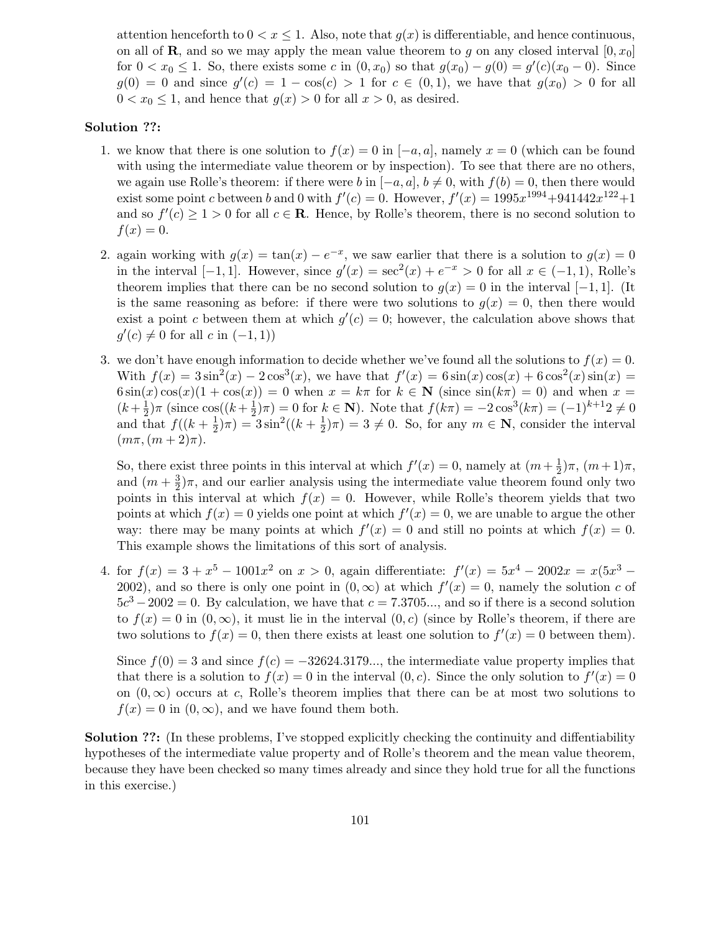attention henceforth to  $0 < x \leq 1$ . Also, note that  $g(x)$  is differentiable, and hence continuous, on all of **R**, and so we may apply the mean value theorem to g on any closed interval  $[0, x_0]$ for  $0 < x_0 \le 1$ . So, there exists some c in  $(0, x_0)$  so that  $g(x_0) - g(0) = g'(c)(x_0 - 0)$ . Since  $g(0) = 0$  and since  $g'(c) = 1 - \cos(c) > 1$  for  $c \in (0,1)$ , we have that  $g(x_0) > 0$  for all  $0 < x_0 \leq 1$ , and hence that  $g(x) > 0$  for all  $x > 0$ , as desired.

### Solution ??:

- 1. we know that there is one solution to  $f(x) = 0$  in  $[-a, a]$ , namely  $x = 0$  (which can be found with using the intermediate value theorem or by inspection). To see that there are no others, we again use Rolle's theorem: if there were b in  $[-a, a]$ ,  $b \neq 0$ , with  $f(b) = 0$ , then there would exist some point c between b and 0 with  $f'(c) = 0$ . However,  $f'(x) = 1995x^{1994} + 941442x^{122} + 1$ and so  $f'(c) \geq 1 > 0$  for all  $c \in \mathbb{R}$ . Hence, by Rolle's theorem, there is no second solution to  $f(x) = 0.$
- 2. again working with  $g(x) = \tan(x) e^{-x}$ , we saw earlier that there is a solution to  $g(x) = 0$ in the interval  $[-1, 1]$ . However, since  $g'(x) = \sec^2(x) + e^{-x} > 0$  for all  $x \in (-1, 1)$ , Rolle's theorem implies that there can be no second solution to  $g(x) = 0$  in the interval [−1, 1]. (It is the same reasoning as before: if there were two solutions to  $g(x) = 0$ , then there would exist a point c between them at which  $g'(c) = 0$ ; however, the calculation above shows that  $g'(c) \neq 0$  for all c in  $(-1, 1)$ )
- 3. we don't have enough information to decide whether we've found all the solutions to  $f(x) = 0$ . With  $f(x) = 3\sin^2(x) - 2\cos^3(x)$ , we have that  $f'(x) = 6\sin(x)\cos(x) + 6\cos^2(x)\sin(x) =$  $6\sin(x)\cos(x)(1+\cos(x)) = 0$  when  $x = k\pi$  for  $k \in \mathbb{N}$  (since  $\sin(k\pi) = 0$ ) and when  $x =$  $(k+\frac{1}{2})$  $(\frac{1}{2})\pi$  (since  $\cos((k+\frac{1}{2})$  $(\frac{1}{2})\pi$  = 0 for  $k \in \mathbb{N}$ ). Note that  $f(k\pi) = -2\cos^3(k\pi) = (-1)^{k+1}2 \neq 0$ and that  $f((k+\frac{1}{2}))$  $(\frac{1}{2})\pi$ ) =  $3\sin^2((k+\frac{1}{2})$  $(\frac{1}{2})\pi$  = 3  $\neq$  0. So, for any  $m \in \mathbb{N}$ , consider the interval  $(m\pi,(m+2)\pi).$

So, there exist three points in this interval at which  $f'(x) = 0$ , namely at  $(m + \frac{1}{2})$  $(\frac{1}{2})\pi$ ,  $(m+1)\pi$ , and  $(m+\frac{3}{2})$  $\frac{3}{2}$ ) $\pi$ , and our earlier analysis using the intermediate value theorem found only two points in this interval at which  $f(x) = 0$ . However, while Rolle's theorem yields that two points at which  $f(x) = 0$  yields one point at which  $f'(x) = 0$ , we are unable to argue the other way: there may be many points at which  $f'(x) = 0$  and still no points at which  $f(x) = 0$ . This example shows the limitations of this sort of analysis.

4. for  $f(x) = 3 + x^5 - 1001x^2$  on  $x > 0$ , again differentiate:  $f'(x) = 5x^4 - 2002x = x(5x^3 - 1001x^2)$ 2002), and so there is only one point in  $(0, \infty)$  at which  $f'(x) = 0$ , namely the solution c of  $5c^3 - 2002 = 0$ . By calculation, we have that  $c = 7.3705...$ , and so if there is a second solution to  $f(x) = 0$  in  $(0, \infty)$ , it must lie in the interval  $(0, c)$  (since by Rolle's theorem, if there are two solutions to  $f(x) = 0$ , then there exists at least one solution to  $f'(x) = 0$  between them).

Since  $f(0) = 3$  and since  $f(c) = -32624.3179...$ , the intermediate value property implies that that there is a solution to  $f(x) = 0$  in the interval  $(0, c)$ . Since the only solution to  $f'(x) = 0$ on  $(0, \infty)$  occurs at c, Rolle's theorem implies that there can be at most two solutions to  $f(x) = 0$  in  $(0, \infty)$ , and we have found them both.

Solution ??: (In these problems, I've stopped explicitly checking the continuity and diffentiability hypotheses of the intermediate value property and of Rolle's theorem and the mean value theorem, because they have been checked so many times already and since they hold true for all the functions in this exercise.)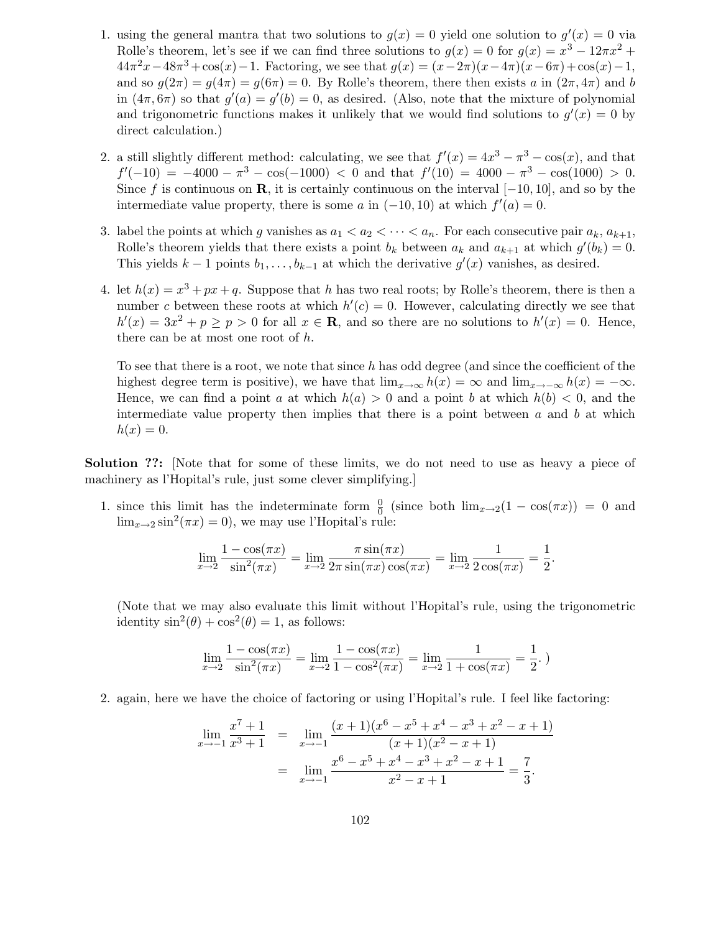- 1. using the general mantra that two solutions to  $g(x) = 0$  yield one solution to  $g'(x) = 0$  via Rolle's theorem, let's see if we can find three solutions to  $g(x) = 0$  for  $g(x) = x^3 - 12\pi x^2 +$  $44\pi^2x - 48\pi^3 + \cos(x) - 1$ . Factoring, we see that  $g(x) = (x - 2\pi)(x - 4\pi)(x - 6\pi) + \cos(x) - 1$ , and so  $q(2\pi) = q(4\pi) = q(6\pi) = 0$ . By Rolle's theorem, there then exists a in  $(2\pi, 4\pi)$  and b in  $(4\pi, 6\pi)$  so that  $g'(a) = g'(b) = 0$ , as desired. (Also, note that the mixture of polynomial and trigonometric functions makes it unlikely that we would find solutions to  $g'(x) = 0$  by direct calculation.)
- 2. a still slightly different method: calculating, we see that  $f'(x) = 4x^3 \pi^3 \cos(x)$ , and that  $f'(-10) = -4000 - \pi^3 - \cos(-1000) < 0$  and that  $f'(10) = 4000 - \pi^3 - \cos(1000) > 0$ . Since f is continuous on **R**, it is certainly continuous on the interval  $[-10, 10]$ , and so by the intermediate value property, there is some a in  $(-10, 10)$  at which  $f'(a) = 0$ .
- 3. label the points at which g vanishes as  $a_1 < a_2 < \cdots < a_n$ . For each consecutive pair  $a_k, a_{k+1}$ , Rolle's theorem yields that there exists a point  $b_k$  between  $a_k$  and  $a_{k+1}$  at which  $g'(b_k) = 0$ . This yields  $k-1$  points  $b_1, \ldots, b_{k-1}$  at which the derivative  $g'(x)$  vanishes, as desired.
- 4. let  $h(x) = x^3 + px + q$ . Suppose that h has two real roots; by Rolle's theorem, there is then a number c between these roots at which  $h'(c) = 0$ . However, calculating directly we see that  $h'(x) = 3x^2 + p \ge p > 0$  for all  $x \in \mathbb{R}$ , and so there are no solutions to  $h'(x) = 0$ . Hence, there can be at most one root of h.

To see that there is a root, we note that since h has odd degree (and since the coefficient of the highest degree term is positive), we have that  $\lim_{x\to\infty} h(x) = \infty$  and  $\lim_{x\to-\infty} h(x) = -\infty$ . Hence, we can find a point a at which  $h(a) > 0$  and a point b at which  $h(b) < 0$ , and the intermediate value property then implies that there is a point between  $a$  and  $b$  at which  $h(x)=0.$ 

Solution ??: [Note that for some of these limits, we do not need to use as heavy a piece of machinery as l'Hopital's rule, just some clever simplifying.]

1. since this limit has the indeterminate form  $\frac{0}{0}$  (since both  $\lim_{x\to 2}(1 - \cos(\pi x)) = 0$  and  $\lim_{x\to 2} \sin^2(\pi x) = 0$ , we may use l'Hopital's rule:

$$
\lim_{x \to 2} \frac{1 - \cos(\pi x)}{\sin^2(\pi x)} = \lim_{x \to 2} \frac{\pi \sin(\pi x)}{2\pi \sin(\pi x) \cos(\pi x)} = \lim_{x \to 2} \frac{1}{2\cos(\pi x)} = \frac{1}{2}
$$

.

(Note that we may also evaluate this limit without l'Hopital's rule, using the trigonometric identity  $\sin^2(\theta) + \cos^2(\theta) = 1$ , as follows:

$$
\lim_{x \to 2} \frac{1 - \cos(\pi x)}{\sin^2(\pi x)} = \lim_{x \to 2} \frac{1 - \cos(\pi x)}{1 - \cos^2(\pi x)} = \lim_{x \to 2} \frac{1}{1 + \cos(\pi x)} = \frac{1}{2}.
$$

2. again, here we have the choice of factoring or using l'Hopital's rule. I feel like factoring:

$$
\lim_{x \to -1} \frac{x^7 + 1}{x^3 + 1} = \lim_{x \to -1} \frac{(x+1)(x^6 - x^5 + x^4 - x^3 + x^2 - x + 1)}{(x+1)(x^2 - x + 1)}
$$

$$
= \lim_{x \to -1} \frac{x^6 - x^5 + x^4 - x^3 + x^2 - x + 1}{x^2 - x + 1} = \frac{7}{3}.
$$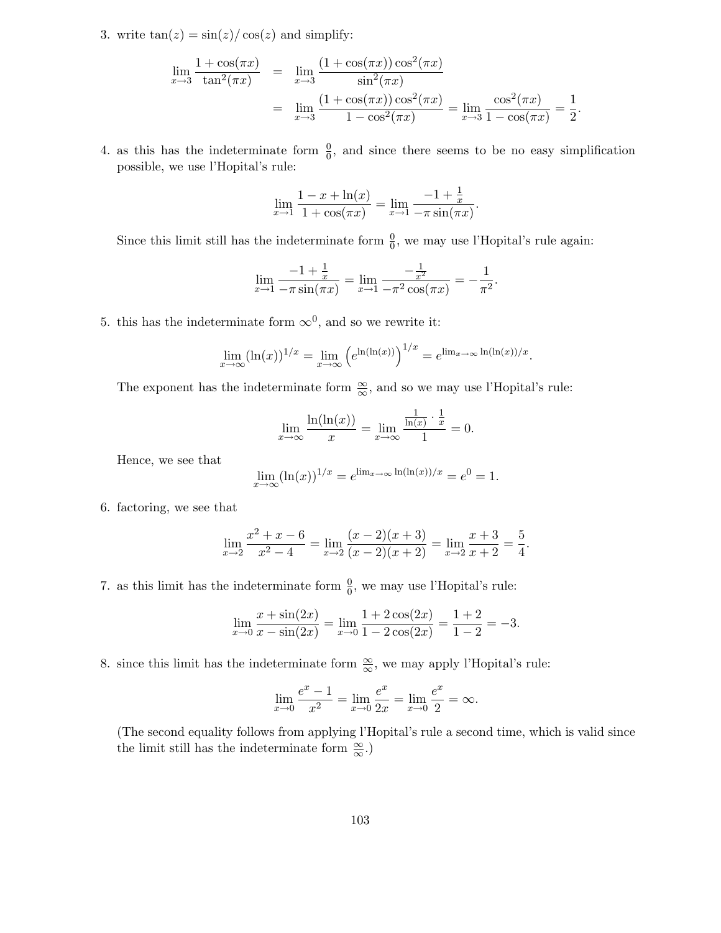3. write  $tan(z) = sin(z)/cos(z)$  and simplify:

$$
\lim_{x \to 3} \frac{1 + \cos(\pi x)}{\tan^2(\pi x)} = \lim_{x \to 3} \frac{(1 + \cos(\pi x))\cos^2(\pi x)}{\sin^2(\pi x)} \n= \lim_{x \to 3} \frac{(1 + \cos(\pi x))\cos^2(\pi x)}{1 - \cos^2(\pi x)} = \lim_{x \to 3} \frac{\cos^2(\pi x)}{1 - \cos(\pi x)} = \frac{1}{2}.
$$

4. as this has the indeterminate form  $\frac{0}{0}$ , and since there seems to be no easy simplification possible, we use l'Hopital's rule:

$$
\lim_{x \to 1} \frac{1 - x + \ln(x)}{1 + \cos(\pi x)} = \lim_{x \to 1} \frac{-1 + \frac{1}{x}}{-\pi \sin(\pi x)}.
$$

Since this limit still has the indeterminate form  $\frac{0}{0}$ , we may use l'Hopital's rule again:

$$
\lim_{x \to 1} \frac{-1 + \frac{1}{x}}{-\pi \sin(\pi x)} = \lim_{x \to 1} \frac{-\frac{1}{x^2}}{-\pi^2 \cos(\pi x)} = -\frac{1}{\pi^2}.
$$

5. this has the indeterminate form  $\infty^0$ , and so we rewrite it:

$$
\lim_{x \to \infty} (\ln(x))^{1/x} = \lim_{x \to \infty} \left( e^{\ln(\ln(x))} \right)^{1/x} = e^{\lim_{x \to \infty} \ln(\ln(x))/x}.
$$

The exponent has the indeterminate form  $\frac{\infty}{\infty}$ , and so we may use l'Hopital's rule:

$$
\lim_{x \to \infty} \frac{\ln(\ln(x))}{x} = \lim_{x \to \infty} \frac{\frac{1}{\ln(x)} \cdot \frac{1}{x}}{1} = 0.
$$

Hence, we see that

$$
\lim_{x \to \infty} (\ln(x))^{1/x} = e^{\lim_{x \to \infty} \ln(\ln(x))/x} = e^0 = 1.
$$

6. factoring, we see that

$$
\lim_{x \to 2} \frac{x^2 + x - 6}{x^2 - 4} = \lim_{x \to 2} \frac{(x - 2)(x + 3)}{(x - 2)(x + 2)} = \lim_{x \to 2} \frac{x + 3}{x + 2} = \frac{5}{4}.
$$

7. as this limit has the indeterminate form  $\frac{0}{0}$ , we may use l'Hopital's rule:

$$
\lim_{x \to 0} \frac{x + \sin(2x)}{x - \sin(2x)} = \lim_{x \to 0} \frac{1 + 2\cos(2x)}{1 - 2\cos(2x)} = \frac{1 + 2}{1 - 2} = -3.
$$

8. since this limit has the indeterminate form  $\frac{\infty}{\infty}$ , we may apply l'Hopital's rule:

$$
\lim_{x \to 0} \frac{e^x - 1}{x^2} = \lim_{x \to 0} \frac{e^x}{2x} = \lim_{x \to 0} \frac{e^x}{2} = \infty.
$$

(The second equality follows from applying l'Hopital's rule a second time, which is valid since the limit still has the indeterminate form  $\frac{\infty}{\infty}$ .)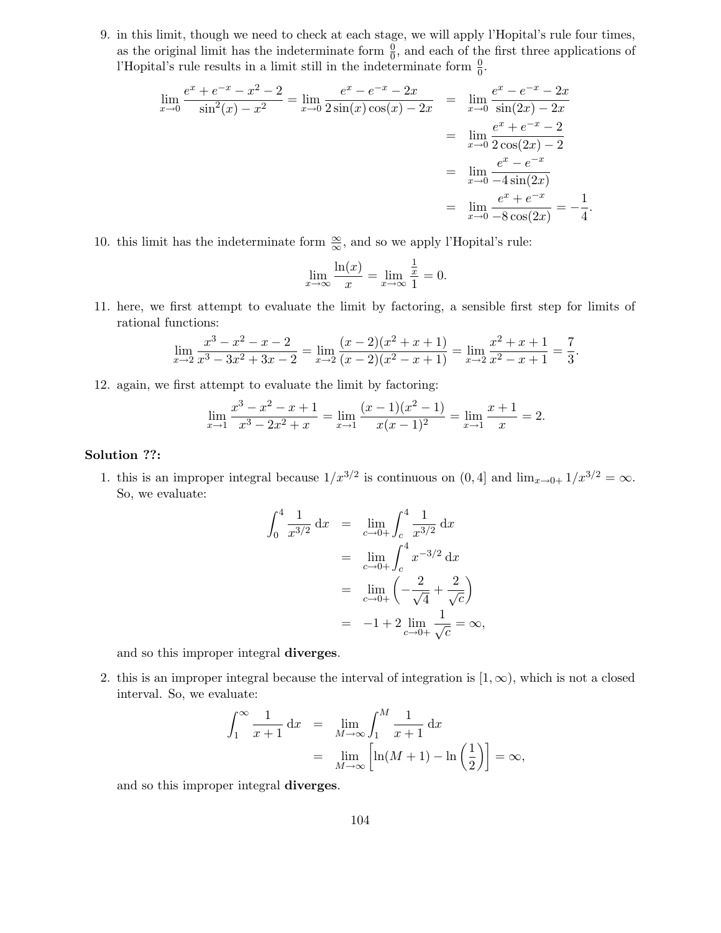9. in this limit, though we need to check at each stage, we will apply l'Hopital's rule four times, as the original limit has the indeterminate form  $\frac{0}{0}$ , and each of the first three applications of l'Hopital's rule results in a limit still in the indeterminate form  $\frac{0}{0}$ .

$$
\lim_{x \to 0} \frac{e^x + e^{-x} - x^2 - 2}{\sin^2(x) - x^2} = \lim_{x \to 0} \frac{e^x - e^{-x} - 2x}{2\sin(x)\cos(x) - 2x} = \lim_{x \to 0} \frac{e^x - e^{-x} - 2x}{\sin(2x) - 2x}
$$

$$
= \lim_{x \to 0} \frac{e^x + e^{-x} - 2}{2\cos(2x) - 2}
$$

$$
= \lim_{x \to 0} \frac{e^x - e^{-x}}{-4\sin(2x)}
$$

$$
= \lim_{x \to 0} \frac{e^x + e^{-x}}{-8\cos(2x)} = -\frac{1}{4}.
$$

10. this limit has the indeterminate form  $\frac{\infty}{\infty}$ , and so we apply l'Hopital's rule:

$$
\lim_{x \to \infty} \frac{\ln(x)}{x} = \lim_{x \to \infty} \frac{\frac{1}{x}}{1} = 0.
$$

11. here, we first attempt to evaluate the limit by factoring, a sensible first step for limits of rational functions:

$$
\lim_{x \to 2} \frac{x^3 - x^2 - x - 2}{x^3 - 3x^2 + 3x - 2} = \lim_{x \to 2} \frac{(x - 2)(x^2 + x + 1)}{(x - 2)(x^2 - x + 1)} = \lim_{x \to 2} \frac{x^2 + x + 1}{x^2 - x + 1} = \frac{7}{3}.
$$

12. again, we first attempt to evaluate the limit by factoring:

$$
\lim_{x \to 1} \frac{x^3 - x^2 - x + 1}{x^3 - 2x^2 + x} = \lim_{x \to 1} \frac{(x - 1)(x^2 - 1)}{x(x - 1)^2} = \lim_{x \to 1} \frac{x + 1}{x} = 2.
$$

# Solution ??:

1. this is an improper integral because  $1/x^{3/2}$  is continuous on  $(0, 4]$  and  $\lim_{x\to 0+} 1/x^{3/2} = \infty$ . So, we evaluate:

$$
\int_0^4 \frac{1}{x^{3/2}} dx = \lim_{c \to 0+} \int_c^4 \frac{1}{x^{3/2}} dx
$$
  
=  $\lim_{c \to 0+} \int_c^4 x^{-3/2} dx$   
=  $\lim_{c \to 0+} \left( -\frac{2}{\sqrt{4}} + \frac{2}{\sqrt{c}} \right)$   
=  $-1 + 2 \lim_{c \to 0+} \frac{1}{\sqrt{c}} = \infty$ ,

and so this improper integral diverges.

2. this is an improper integral because the interval of integration is  $[1,\infty)$ , which is not a closed interval. So, we evaluate:

$$
\int_1^{\infty} \frac{1}{x+1} dx = \lim_{M \to \infty} \int_1^M \frac{1}{x+1} dx
$$
  
= 
$$
\lim_{M \to \infty} \left[ \ln(M+1) - \ln\left(\frac{1}{2}\right) \right] = \infty,
$$

and so this improper integral diverges.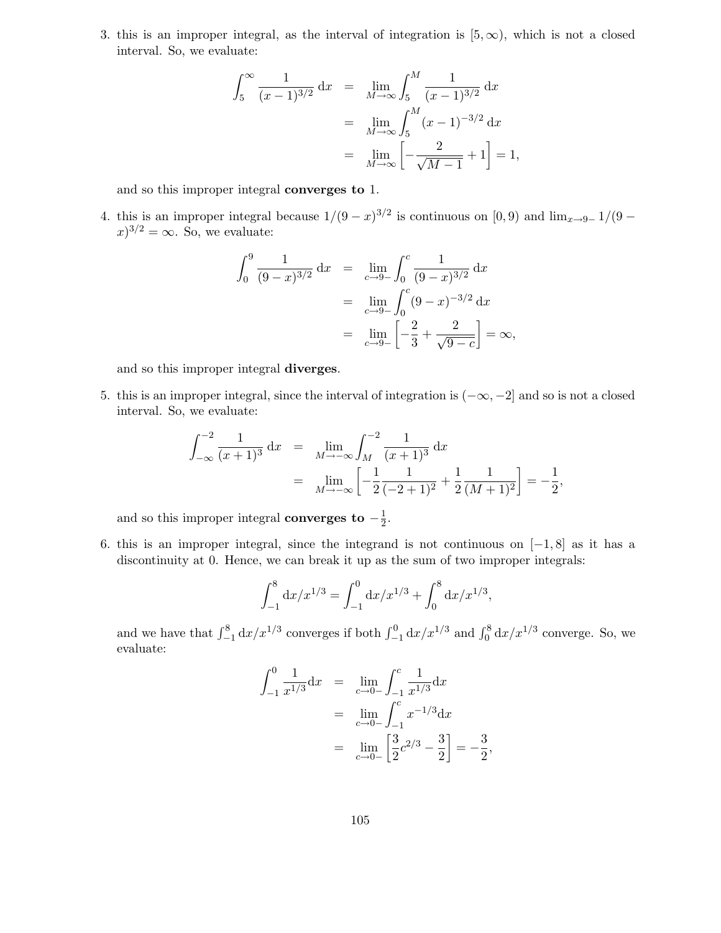3. this is an improper integral, as the interval of integration is  $[5, \infty)$ , which is not a closed interval. So, we evaluate:

$$
\int_5^\infty \frac{1}{(x-1)^{3/2}} dx = \lim_{M \to \infty} \int_5^M \frac{1}{(x-1)^{3/2}} dx
$$
  
= 
$$
\lim_{M \to \infty} \int_5^M (x-1)^{-3/2} dx
$$
  
= 
$$
\lim_{M \to \infty} \left[ -\frac{2}{\sqrt{M-1}} + 1 \right] = 1,
$$

and so this improper integral converges to 1.

4. this is an improper integral because  $1/(9-x)^{3/2}$  is continuous on  $[0,9)$  and  $\lim_{x\to 9^-} 1/(9-x)^{3/2}$  $(x)^{3/2} = \infty$ . So, we evaluate:

$$
\int_0^9 \frac{1}{(9-x)^{3/2}} dx = \lim_{c \to 9^-} \int_0^c \frac{1}{(9-x)^{3/2}} dx
$$
  
= 
$$
\lim_{c \to 9^-} \int_0^c (9-x)^{-3/2} dx
$$
  
= 
$$
\lim_{c \to 9^-} \left[ -\frac{2}{3} + \frac{2}{\sqrt{9-c}} \right] = \infty,
$$

and so this improper integral diverges.

5. this is an improper integral, since the interval of integration is  $(-\infty, -2]$  and so is not a closed interval. So, we evaluate:

$$
\int_{-\infty}^{-2} \frac{1}{(x+1)^3} dx = \lim_{M \to -\infty} \int_{M}^{-2} \frac{1}{(x+1)^3} dx
$$
  
= 
$$
\lim_{M \to -\infty} \left[ -\frac{1}{2} \frac{1}{(-2+1)^2} + \frac{1}{2} \frac{1}{(M+1)^2} \right] = -\frac{1}{2},
$$

and so this improper integral converges to  $-\frac{1}{2}$  $rac{1}{2}$ .

6. this is an improper integral, since the integrand is not continuous on  $[-1, 8]$  as it has a discontinuity at 0. Hence, we can break it up as the sum of two improper integrals:

$$
\int_{-1}^{8} \mathrm{d}x/x^{1/3} = \int_{-1}^{0} \mathrm{d}x/x^{1/3} + \int_{0}^{8} \mathrm{d}x/x^{1/3},
$$

and we have that  $\int_{-1}^{8} dx/x^{1/3}$  converges if both  $\int_{-1}^{0} dx/x^{1/3}$  and  $\int_{0}^{8} dx/x^{1/3}$  converge. So, we evaluate:

$$
\int_{-1}^{0} \frac{1}{x^{1/3}} dx = \lim_{c \to 0-} \int_{-1}^{c} \frac{1}{x^{1/3}} dx
$$
  
= 
$$
\lim_{c \to 0-} \int_{-1}^{c} x^{-1/3} dx
$$
  
= 
$$
\lim_{c \to 0-} \left[ \frac{3}{2} c^{2/3} - \frac{3}{2} \right] = -\frac{3}{2},
$$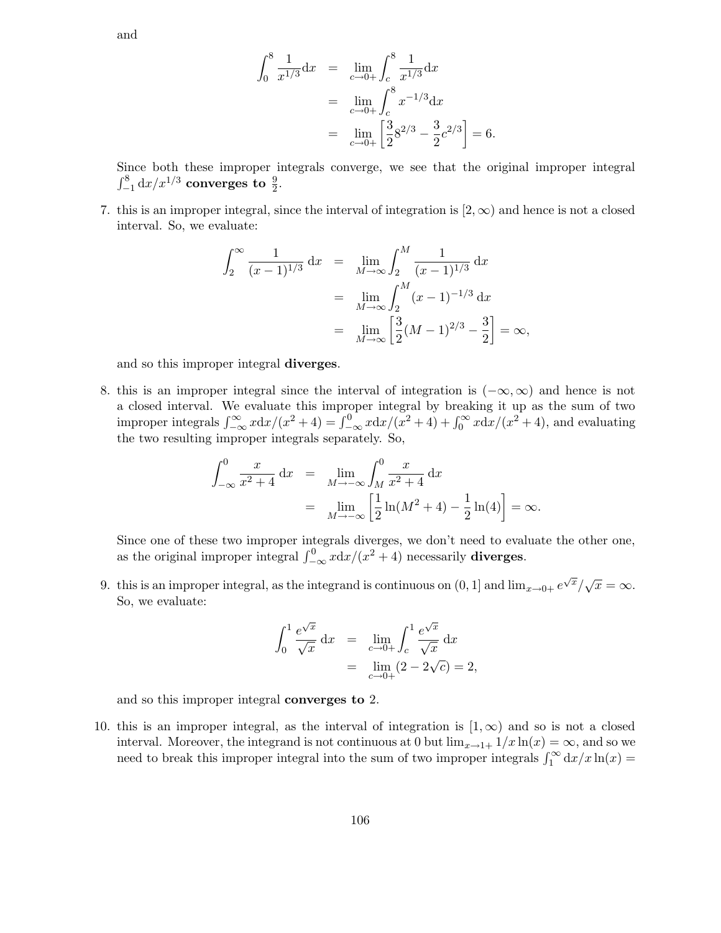and

$$
\int_0^8 \frac{1}{x^{1/3}} dx = \lim_{c \to 0+} \int_c^8 \frac{1}{x^{1/3}} dx
$$
  
= 
$$
\lim_{c \to 0+} \int_c^8 x^{-1/3} dx
$$
  
= 
$$
\lim_{c \to 0+} \left[ \frac{3}{2} 8^{2/3} - \frac{3}{2} c^{2/3} \right] = 6.
$$

Since both these improper integrals converge, we see that the original improper integral  $\int_{-1}^{8} dx/x^{1/3}$  converges to  $\frac{9}{2}$ .

7. this is an improper integral, since the interval of integration is  $(2,\infty)$  and hence is not a closed interval. So, we evaluate:

$$
\int_{2}^{\infty} \frac{1}{(x-1)^{1/3}} dx = \lim_{M \to \infty} \int_{2}^{M} \frac{1}{(x-1)^{1/3}} dx
$$
  
= 
$$
\lim_{M \to \infty} \int_{2}^{M} (x-1)^{-1/3} dx
$$
  
= 
$$
\lim_{M \to \infty} \left[ \frac{3}{2} (M-1)^{2/3} - \frac{3}{2} \right] = \infty,
$$

and so this improper integral diverges.

8. this is an improper integral since the interval of integration is  $(-\infty, \infty)$  and hence is not a closed interval. We evaluate this improper integral by breaking it up as the sum of two improper integrals  $\int_{-\infty}^{\infty} x dx/(x^2 + 4) = \int_{-\infty}^{0} x dx/(x^2 + 4) + \int_{0}^{\infty} x dx/(x^2 + 4)$ , and evaluating the two resulting improper integrals separately. So,

$$
\int_{-\infty}^{0} \frac{x}{x^2 + 4} dx = \lim_{M \to -\infty} \int_{M}^{0} \frac{x}{x^2 + 4} dx
$$
  
= 
$$
\lim_{M \to -\infty} \left[ \frac{1}{2} \ln(M^2 + 4) - \frac{1}{2} \ln(4) \right] = \infty.
$$

Since one of these two improper integrals diverges, we don't need to evaluate the other one, as the original improper integral  $\int_{-\infty}^{0} x \, dx / (x^2 + 4)$  necessarily **diverges.** 

9. this is an improper integral, as the integrand is continuous on  $(0, 1]$  and  $\lim_{x\to 0+} e^{\sqrt{x}}/\sqrt{x} = \infty$ . So, we evaluate:

$$
\int_0^1 \frac{e^{\sqrt{x}}}{\sqrt{x}} dx = \lim_{c \to 0+} \int_c^1 \frac{e^{\sqrt{x}}}{\sqrt{x}} dx
$$
  
= 
$$
\lim_{c \to 0+} (2 - 2\sqrt{c}) = 2,
$$

and so this improper integral converges to 2.

10. this is an improper integral, as the interval of integration is  $(1,\infty)$  and so is not a closed interval. Moreover, the integrand is not continuous at 0 but  $\lim_{x\to 1+} 1/x \ln(x) = \infty$ , and so we need to break this improper integral into the sum of two improper integrals  $\int_1^\infty dx/x \ln(x) =$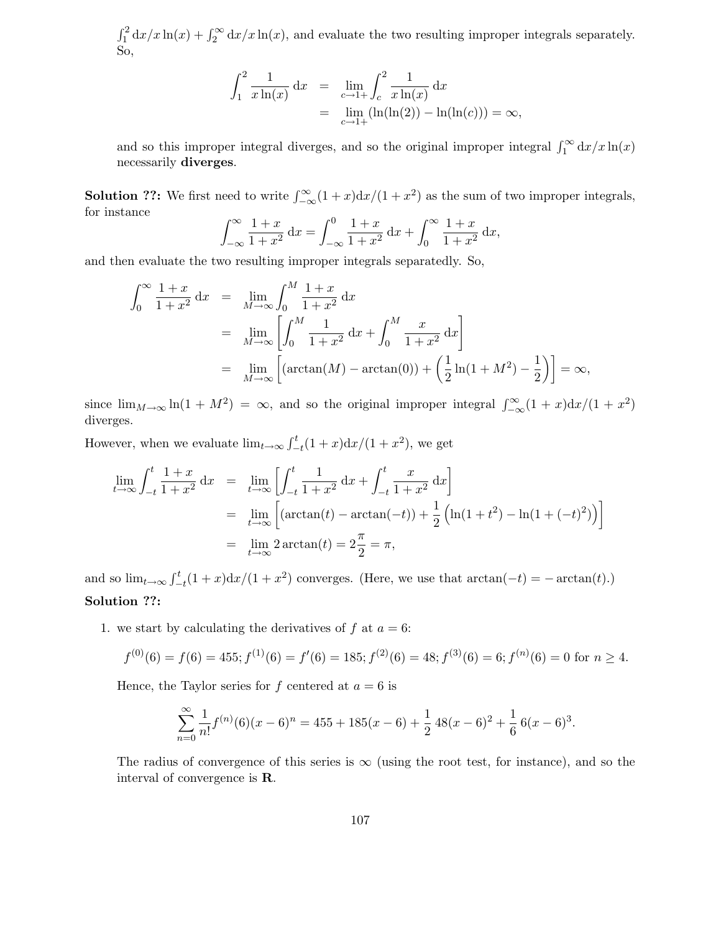$\int_1^2 dx/x \ln(x) + \int_2^\infty dx/x \ln(x)$ , and evaluate the two resulting improper integrals separately. So,

$$
\int_{1}^{2} \frac{1}{x \ln(x)} dx = \lim_{c \to 1+} \int_{c}^{2} \frac{1}{x \ln(x)} dx
$$
  
= 
$$
\lim_{c \to 1+} (\ln(\ln(2)) - \ln(\ln(c))) = \infty,
$$

and so this improper integral diverges, and so the original improper integral  $\int_1^{\infty} dx/x \ln(x)$ necessarily diverges.

**Solution ??:** We first need to write  $\int_{-\infty}^{\infty} (1+x) dx/(1+x^2)$  as the sum of two improper integrals, for instance

$$
\int_{-\infty}^{\infty} \frac{1+x}{1+x^2} dx = \int_{-\infty}^{0} \frac{1+x}{1+x^2} dx + \int_{0}^{\infty} \frac{1+x}{1+x^2} dx,
$$

and then evaluate the two resulting improper integrals separatedly. So,

$$
\int_0^\infty \frac{1+x}{1+x^2} dx = \lim_{M \to \infty} \int_0^M \frac{1+x}{1+x^2} dx
$$
  
= 
$$
\lim_{M \to \infty} \left[ \int_0^M \frac{1}{1+x^2} dx + \int_0^M \frac{x}{1+x^2} dx \right]
$$
  
= 
$$
\lim_{M \to \infty} \left[ (\arctan(M) - \arctan(0)) + \left( \frac{1}{2} \ln(1 + M^2) - \frac{1}{2} \right) \right] = \infty,
$$

since  $\lim_{M\to\infty} \ln(1+M^2) = \infty$ , and so the original improper integral  $\int_{-\infty}^{\infty} (1+x) dx/(1+x^2)$ diverges.

However, when we evaluate  $\lim_{t\to\infty} \int_{-t}^{t} (1+x) dx/(1+x^2)$ , we get

$$
\lim_{t \to \infty} \int_{-t}^{t} \frac{1+x}{1+x^2} dx = \lim_{t \to \infty} \left[ \int_{-t}^{t} \frac{1}{1+x^2} dx + \int_{-t}^{t} \frac{x}{1+x^2} dx \right]
$$
\n
$$
= \lim_{t \to \infty} \left[ (\arctan(t) - \arctan(-t)) + \frac{1}{2} \left( \ln(1+t^2) - \ln(1+(-t)^2) \right) \right]
$$
\n
$$
= \lim_{t \to \infty} 2 \arctan(t) = 2\frac{\pi}{2} = \pi,
$$

and so  $\lim_{t\to\infty} \int_{-t}^{t} (1+x) dx/(1+x^2)$  converges. (Here, we use that  $\arctan(-t) = -\arctan(t)$ .) Solution ??:

1. we start by calculating the derivatives of f at  $a = 6$ :

$$
f^{(0)}(6) = f(6) = 455; f^{(1)}(6) = f'(6) = 185; f^{(2)}(6) = 48; f^{(3)}(6) = 6; f^{(n)}(6) = 0 \text{ for } n \ge 4.
$$

Hence, the Taylor series for f centered at  $a = 6$  is

$$
\sum_{n=0}^{\infty} \frac{1}{n!} f^{(n)}(6)(x-6)^n = 455 + 185(x-6) + \frac{1}{2} 48(x-6)^2 + \frac{1}{6} 6(x-6)^3.
$$

The radius of convergence of this series is  $\infty$  (using the root test, for instance), and so the interval of convergence is R.